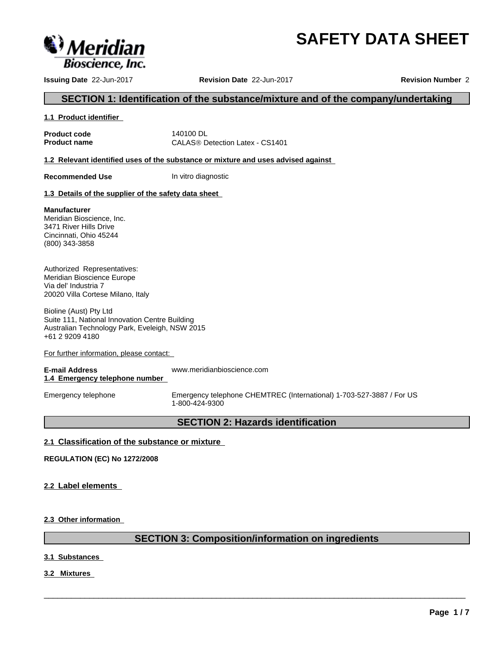

# **Issuing Date** 22-Jun-2017 **Revision Date** 22-Jun-2017 **Revision Number** 2

**SAFETY DATA SHEET**

# **SECTION 1: Identification of the substance/mixture and of the company/undertaking**

### **1.1 Product identifier**

**Product code 140100 DL** 

**Product name** CALAS<sup>®</sup> Detection Latex - CS1401

**1.2 Relevant identified uses of the substance or mixture and uses advised against**

**Recommended Use** In vitro diagnostic

# **1.3 Details of the supplier of the safety data sheet**

# **Manufacturer**

Meridian Bioscience, Inc. 3471 River Hills Drive Cincinnati, Ohio 45244 (800) 343-3858

Authorized Representatives: Meridian Bioscience Europe Via del' Industria 7 20020 Villa Cortese Milano, Italy

Bioline (Aust) Pty Ltd Suite 111, National Innovation Centre Building Australian Technology Park, Eveleigh, NSW 2015 +61 2 9209 4180

For further information, please contact:

**E-mail Address** www.meridianbioscience.com **1.4 Emergency telephone number** Emergency telephone Emergency telephone CHEMTREC (International) 1-703-527-3887 / For US 1-800-424-9300

# **SECTION 2: Hazards identification**

# **2.1 Classification of the substance or mixture**

**REGULATION (EC) No 1272/2008**

**2.2 Label elements** 

**2.3 Other information** 

# **SECTION 3: Composition/information on ingredients**

 $\overline{\phantom{a}}$  ,  $\overline{\phantom{a}}$  ,  $\overline{\phantom{a}}$  ,  $\overline{\phantom{a}}$  ,  $\overline{\phantom{a}}$  ,  $\overline{\phantom{a}}$  ,  $\overline{\phantom{a}}$  ,  $\overline{\phantom{a}}$  ,  $\overline{\phantom{a}}$  ,  $\overline{\phantom{a}}$  ,  $\overline{\phantom{a}}$  ,  $\overline{\phantom{a}}$  ,  $\overline{\phantom{a}}$  ,  $\overline{\phantom{a}}$  ,  $\overline{\phantom{a}}$  ,  $\overline{\phantom{a}}$ 

**3.1 Substances**

**3.2 Mixtures**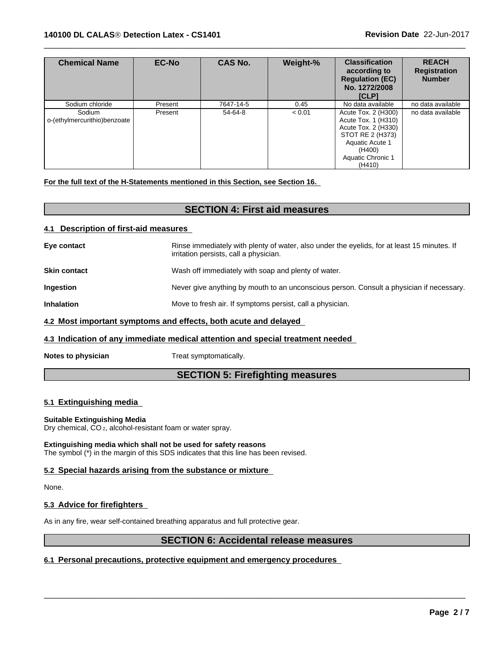| <b>Chemical Name</b>                   | <b>EC-No</b> | <b>CAS No.</b> | Weight-% | <b>Classification</b><br>according to<br><b>Regulation (EC)</b><br>No. 1272/2008<br><b>ICLP1</b>                                                  | <b>REACH</b><br><b>Registration</b><br><b>Number</b> |
|----------------------------------------|--------------|----------------|----------|---------------------------------------------------------------------------------------------------------------------------------------------------|------------------------------------------------------|
| Sodium chloride                        | Present      | 7647-14-5      | 0.45     | No data available                                                                                                                                 | no data available                                    |
| Sodium<br>o-(ethylmercurithio)benzoate | Present      | 54-64-8        | < 0.01   | Acute Tox. 2 (H300)<br>Acute Tox. 1 (H310)<br>Acute Tox. 2 (H330)<br>STOT RE 2 (H373)<br>Aquatic Acute 1<br>(H400)<br>Aquatic Chronic 1<br>(H410) | no data available                                    |

 $\overline{\phantom{a}}$  ,  $\overline{\phantom{a}}$  ,  $\overline{\phantom{a}}$  ,  $\overline{\phantom{a}}$  ,  $\overline{\phantom{a}}$  ,  $\overline{\phantom{a}}$  ,  $\overline{\phantom{a}}$  ,  $\overline{\phantom{a}}$  ,  $\overline{\phantom{a}}$  ,  $\overline{\phantom{a}}$  ,  $\overline{\phantom{a}}$  ,  $\overline{\phantom{a}}$  ,  $\overline{\phantom{a}}$  ,  $\overline{\phantom{a}}$  ,  $\overline{\phantom{a}}$  ,  $\overline{\phantom{a}}$ 

**For the full text of the H-Statements mentioned in this Section, see Section 16.**

# **SECTION 4: First aid measures**

# **4.1 Description of first-aid measures**

| Eye contact         | Rinse immediately with plenty of water, also under the eyelids, for at least 15 minutes. If<br>irritation persists, call a physician. |  |
|---------------------|---------------------------------------------------------------------------------------------------------------------------------------|--|
| <b>Skin contact</b> | Wash off immediately with soap and plenty of water.                                                                                   |  |
| <b>Ingestion</b>    | Never give anything by mouth to an unconscious person. Consult a physician if necessary.                                              |  |
| <b>Inhalation</b>   | Move to fresh air. If symptoms persist, call a physician.                                                                             |  |
|                     | 4.2 Most important symptoms and effects, both acute and delayed                                                                       |  |
|                     | t o ledination of our incorporate working lattention and opening the motion who are the distribution of the st                        |  |

# **4.3 Indication of any immediate medical attention and special treatment needed**

**Notes to physician** Treat symptomatically.

# **SECTION 5: Firefighting measures**

# **5.1 Extinguishing media**

# **Suitable Extinguishing Media**

Dry chemical, CO<sub>2</sub>, alcohol-resistant foam or water spray.

**Extinguishing media which shall not be used for safety reasons** The symbol  $(\bar{\cdot})$  in the margin of this SDS indicates that this line has been revised.

# **5.2 Special hazards arising from the substance or mixture**

None.

# **5.3 Advice for firefighters**

As in any fire, wear self-contained breathing apparatus and full protective gear.

# **SECTION 6: Accidental release measures**

 $\overline{\phantom{a}}$  ,  $\overline{\phantom{a}}$  ,  $\overline{\phantom{a}}$  ,  $\overline{\phantom{a}}$  ,  $\overline{\phantom{a}}$  ,  $\overline{\phantom{a}}$  ,  $\overline{\phantom{a}}$  ,  $\overline{\phantom{a}}$  ,  $\overline{\phantom{a}}$  ,  $\overline{\phantom{a}}$  ,  $\overline{\phantom{a}}$  ,  $\overline{\phantom{a}}$  ,  $\overline{\phantom{a}}$  ,  $\overline{\phantom{a}}$  ,  $\overline{\phantom{a}}$  ,  $\overline{\phantom{a}}$ 

# **6.1 Personal precautions, protective equipment and emergency procedures**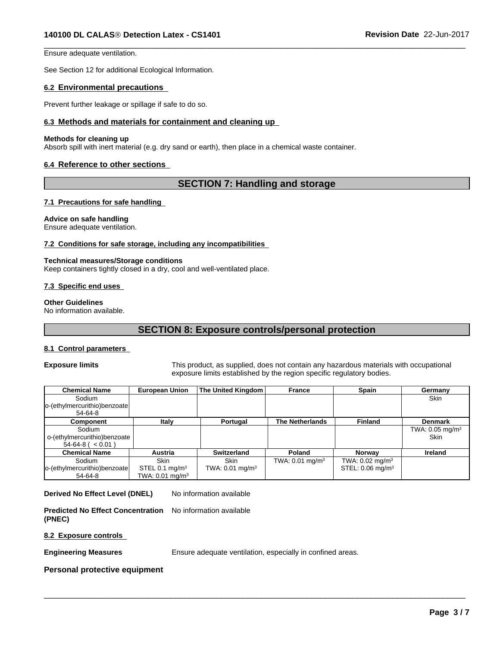Ensure adequate ventilation.

See Section 12 for additional Ecological Information.

#### **6.2 Environmental precautions**

Prevent further leakage or spillage if safe to do so.

### **6.3 Methods and materials for containment and cleaning up**

#### **Methods for cleaning up**

Absorb spill with inert material (e.g. dry sand or earth), then place in a chemical waste container.

# **6.4 Reference to other sections**

# **SECTION 7: Handling and storage**

 $\overline{\phantom{a}}$  ,  $\overline{\phantom{a}}$  ,  $\overline{\phantom{a}}$  ,  $\overline{\phantom{a}}$  ,  $\overline{\phantom{a}}$  ,  $\overline{\phantom{a}}$  ,  $\overline{\phantom{a}}$  ,  $\overline{\phantom{a}}$  ,  $\overline{\phantom{a}}$  ,  $\overline{\phantom{a}}$  ,  $\overline{\phantom{a}}$  ,  $\overline{\phantom{a}}$  ,  $\overline{\phantom{a}}$  ,  $\overline{\phantom{a}}$  ,  $\overline{\phantom{a}}$  ,  $\overline{\phantom{a}}$ 

#### **7.1 Precautions for safe handling**

# **Advice on safe handling**

Ensure adequate ventilation.

#### **7.2 Conditions for safe storage, including any incompatibilities**

#### **Technical measures/Storage conditions**

Keep containers tightly closed in a dry, cool and well-ventilated place.

#### **7.3 Specific end uses**

# **Other Guidelines**

No information available.

# **SECTION 8: Exposure controls/personal protection**

# **8.1 Control parameters**

**Exposure limits** This product, as supplied, does not contain any hazardous materials with occupational exposure limits established by the region specific regulatory bodies.

| <b>Chemical Name</b>          | <b>European Union</b> | The United Kingdom         | France                     | <b>Spain</b>                   | Germany                       |
|-------------------------------|-----------------------|----------------------------|----------------------------|--------------------------------|-------------------------------|
| Sodium                        |                       |                            |                            |                                | <b>Skin</b>                   |
| lo-(ethylmercurithio)benzoate |                       |                            |                            |                                |                               |
| 54-64-8                       |                       |                            |                            |                                |                               |
| Component                     | Italy                 | Portugal                   | <b>The Netherlands</b>     | <b>Finland</b>                 | <b>Denmark</b>                |
| Sodium                        |                       |                            |                            |                                | TWA: $0.05$ mg/m <sup>3</sup> |
| o-(ethylmercurithio)benzoate  |                       |                            |                            |                                | <b>Skin</b>                   |
| $54-64-8$ ( $< 0.01$ )        |                       |                            |                            |                                |                               |
| <b>Chemical Name</b>          | <b>Austria</b>        | <b>Switzerland</b>         | Poland                     | <b>Norway</b>                  | Ireland                       |
| Sodium                        | <b>Skin</b>           | <b>Skin</b>                | TWA: $0.01 \text{ mg/m}^3$ | TWA: $0.02 \text{ mg/m}^3$     |                               |
| o-(ethylmercurithio)benzoate  | STEL 0.1 $mg/m3$      | TWA: $0.01 \text{ mg/m}^3$ |                            | STEL: $0.06$ mg/m <sup>3</sup> |                               |
| $54-64-8$                     | TWA: 0.01 mg/m $3$    |                            |                            |                                |                               |

**Derived No Effect Level (DNEL)** No information available

**Predicted No Effect Concentration (PNEC)** No information available

#### **8.2 Exposure controls**

**Engineering Measures** Ensure adequate ventilation, especially in confined areas.

 $\overline{\phantom{a}}$  ,  $\overline{\phantom{a}}$  ,  $\overline{\phantom{a}}$  ,  $\overline{\phantom{a}}$  ,  $\overline{\phantom{a}}$  ,  $\overline{\phantom{a}}$  ,  $\overline{\phantom{a}}$  ,  $\overline{\phantom{a}}$  ,  $\overline{\phantom{a}}$  ,  $\overline{\phantom{a}}$  ,  $\overline{\phantom{a}}$  ,  $\overline{\phantom{a}}$  ,  $\overline{\phantom{a}}$  ,  $\overline{\phantom{a}}$  ,  $\overline{\phantom{a}}$  ,  $\overline{\phantom{a}}$ 

# **Personal protective equipment**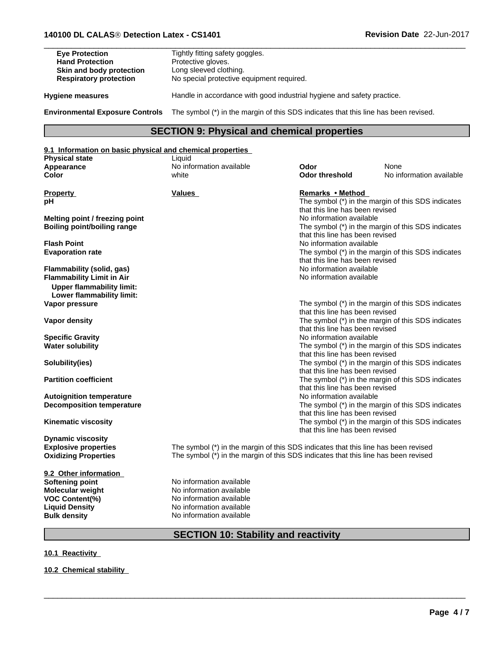| <b>Eye Protection</b><br><b>Hand Protection</b><br>Skin and body protection<br><b>Respiratory protection</b> | Tightly fitting safety goggles.<br>Protective gloves.<br>Long sleeved clothing.<br>No special protective equipment required. |
|--------------------------------------------------------------------------------------------------------------|------------------------------------------------------------------------------------------------------------------------------|
| <b>Hygiene measures</b>                                                                                      | Handle in accordance with good industrial hygiene and safety practice.                                                       |
| <b>Environmental Exposure Controls</b>                                                                       | The symbol (*) in the margin of this SDS indicates that this line has been revised.                                          |

# **SECTION 9: Physical and chemical properties**

 $\overline{\phantom{a}}$  ,  $\overline{\phantom{a}}$  ,  $\overline{\phantom{a}}$  ,  $\overline{\phantom{a}}$  ,  $\overline{\phantom{a}}$  ,  $\overline{\phantom{a}}$  ,  $\overline{\phantom{a}}$  ,  $\overline{\phantom{a}}$  ,  $\overline{\phantom{a}}$  ,  $\overline{\phantom{a}}$  ,  $\overline{\phantom{a}}$  ,  $\overline{\phantom{a}}$  ,  $\overline{\phantom{a}}$  ,  $\overline{\phantom{a}}$  ,  $\overline{\phantom{a}}$  ,  $\overline{\phantom{a}}$ 

| 9.1 Information on basic physical and chemical properties<br><b>Physical state</b> | Liquid                                                                             |                                                             |                                                    |
|------------------------------------------------------------------------------------|------------------------------------------------------------------------------------|-------------------------------------------------------------|----------------------------------------------------|
| Appearance                                                                         | No information available                                                           | Odor                                                        | None                                               |
| <b>Color</b>                                                                       | white                                                                              | <b>Odor threshold</b>                                       | No information available                           |
| <b>Property</b>                                                                    | Values                                                                             | Remarks • Method                                            |                                                    |
| рH                                                                                 |                                                                                    | that this line has been revised                             | The symbol (*) in the margin of this SDS indicates |
| Melting point / freezing point                                                     |                                                                                    | No information available                                    |                                                    |
| <b>Boiling point/boiling range</b>                                                 |                                                                                    |                                                             | The symbol (*) in the margin of this SDS indicates |
|                                                                                    |                                                                                    | that this line has been revised                             |                                                    |
| <b>Flash Point</b>                                                                 |                                                                                    | No information available                                    |                                                    |
| <b>Evaporation rate</b>                                                            |                                                                                    |                                                             | The symbol (*) in the margin of this SDS indicates |
|                                                                                    |                                                                                    | that this line has been revised                             |                                                    |
| Flammability (solid, gas)                                                          |                                                                                    | No information available                                    |                                                    |
| <b>Flammability Limit in Air</b>                                                   |                                                                                    | No information available                                    |                                                    |
| <b>Upper flammability limit:</b><br>Lower flammability limit:                      |                                                                                    |                                                             |                                                    |
| Vapor pressure                                                                     |                                                                                    |                                                             | The symbol (*) in the margin of this SDS indicates |
|                                                                                    |                                                                                    | that this line has been revised                             |                                                    |
| <b>Vapor density</b>                                                               |                                                                                    |                                                             | The symbol (*) in the margin of this SDS indicates |
|                                                                                    |                                                                                    | that this line has been revised                             |                                                    |
| <b>Specific Gravity</b>                                                            |                                                                                    | No information available                                    |                                                    |
| <b>Water solubility</b>                                                            |                                                                                    |                                                             | The symbol (*) in the margin of this SDS indicates |
|                                                                                    |                                                                                    | that this line has been revised                             |                                                    |
| Solubility(ies)                                                                    |                                                                                    |                                                             | The symbol (*) in the margin of this SDS indicates |
|                                                                                    |                                                                                    | that this line has been revised                             |                                                    |
| <b>Partition coefficient</b>                                                       |                                                                                    |                                                             | The symbol (*) in the margin of this SDS indicates |
|                                                                                    |                                                                                    | that this line has been revised<br>No information available |                                                    |
| <b>Autoignition temperature</b><br><b>Decomposition temperature</b>                |                                                                                    |                                                             | The symbol (*) in the margin of this SDS indicates |
|                                                                                    |                                                                                    | that this line has been revised                             |                                                    |
| Kinematic viscosity                                                                |                                                                                    |                                                             | The symbol (*) in the margin of this SDS indicates |
|                                                                                    |                                                                                    | that this line has been revised                             |                                                    |
| <b>Dynamic viscosity</b>                                                           |                                                                                    |                                                             |                                                    |
| <b>Explosive properties</b>                                                        | The symbol (*) in the margin of this SDS indicates that this line has been revised |                                                             |                                                    |
| <b>Oxidizing Properties</b>                                                        | The symbol (*) in the margin of this SDS indicates that this line has been revised |                                                             |                                                    |
|                                                                                    |                                                                                    |                                                             |                                                    |
| 9.2 Other information                                                              |                                                                                    |                                                             |                                                    |
| <b>Softening point</b>                                                             | No information available                                                           |                                                             |                                                    |
| Molecular weight                                                                   | No information available                                                           |                                                             |                                                    |
| <b>VOC Content(%)</b>                                                              | No information available                                                           |                                                             |                                                    |
| <b>Liquid Density</b>                                                              | No information available                                                           |                                                             |                                                    |
| <b>Bulk density</b>                                                                | No information available                                                           |                                                             |                                                    |

# **SECTION 10: Stability and reactivity**

 $\overline{\phantom{a}}$  ,  $\overline{\phantom{a}}$  ,  $\overline{\phantom{a}}$  ,  $\overline{\phantom{a}}$  ,  $\overline{\phantom{a}}$  ,  $\overline{\phantom{a}}$  ,  $\overline{\phantom{a}}$  ,  $\overline{\phantom{a}}$  ,  $\overline{\phantom{a}}$  ,  $\overline{\phantom{a}}$  ,  $\overline{\phantom{a}}$  ,  $\overline{\phantom{a}}$  ,  $\overline{\phantom{a}}$  ,  $\overline{\phantom{a}}$  ,  $\overline{\phantom{a}}$  ,  $\overline{\phantom{a}}$ 

**10.1 Reactivity**

**10.2 Chemical stability**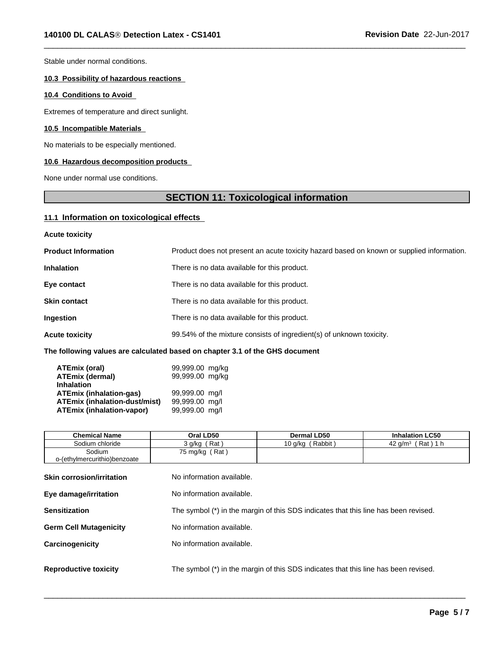Stable under normal conditions.

# **10.3 Possibility of hazardous reactions**

# **10.4 Conditions to Avoid**

Extremes of temperature and direct sunlight.

# **10.5 Incompatible Materials**

No materials to be especially mentioned.

# **10.6 Hazardous decomposition products**

None under normal use conditions.

# **SECTION 11: Toxicological information**

 $\overline{\phantom{a}}$  ,  $\overline{\phantom{a}}$  ,  $\overline{\phantom{a}}$  ,  $\overline{\phantom{a}}$  ,  $\overline{\phantom{a}}$  ,  $\overline{\phantom{a}}$  ,  $\overline{\phantom{a}}$  ,  $\overline{\phantom{a}}$  ,  $\overline{\phantom{a}}$  ,  $\overline{\phantom{a}}$  ,  $\overline{\phantom{a}}$  ,  $\overline{\phantom{a}}$  ,  $\overline{\phantom{a}}$  ,  $\overline{\phantom{a}}$  ,  $\overline{\phantom{a}}$  ,  $\overline{\phantom{a}}$ 

# **11.1 Information on toxicological effects**

| <b>Acute toxicity</b> |  |
|-----------------------|--|
|-----------------------|--|

| <b>Product Information</b> | Product does not present an acute toxicity hazard based on known or supplied information. |  |
|----------------------------|-------------------------------------------------------------------------------------------|--|
| <b>Inhalation</b>          | There is no data available for this product.                                              |  |
| Eye contact                | There is no data available for this product.                                              |  |
| <b>Skin contact</b>        | There is no data available for this product.                                              |  |
| Ingestion                  | There is no data available for this product.                                              |  |
| <b>Acute toxicity</b>      | 99.54% of the mixture consists of ingredient(s) of unknown toxicity.                      |  |

# **The following values are calculated based on chapter 3.1 of the GHS document**

| ATEmix (oral)                        | 99,999.00 mg/kg |  |
|--------------------------------------|-----------------|--|
| <b>ATEmix (dermal)</b>               | 99,999.00 mg/kg |  |
| <b>Inhalation</b>                    |                 |  |
| <b>ATEmix (inhalation-gas)</b>       | 99,999.00 mg/l  |  |
| <b>ATEmix (inhalation-dust/mist)</b> | 99,999.00 mg/l  |  |
| <b>ATEmix (inhalation-vapor)</b>     | 99,999.00 mg/l  |  |

| <b>Chemical Name</b>             | Oral LD50                 | <b>Dermal LD50</b>                                                                  | <b>Inhalation LC50</b> |
|----------------------------------|---------------------------|-------------------------------------------------------------------------------------|------------------------|
| Sodium chloride                  | $3$ g/kg (Rat)            | 10 g/kg (Rabbit)                                                                    | 42 $g/m^3$ (Rat) 1 h   |
| Sodium                           | 75 mg/kg $(Rat)$          |                                                                                     |                        |
| o-(ethylmercurithio)benzoate     |                           |                                                                                     |                        |
| <b>Skin corrosion/irritation</b> | No information available. |                                                                                     |                        |
| Eye damage/irritation            | No information available. |                                                                                     |                        |
| <b>Sensitization</b>             |                           | The symbol (*) in the margin of this SDS indicates that this line has been revised. |                        |
| <b>Germ Cell Mutagenicity</b>    | No information available. |                                                                                     |                        |
| Carcinogenicity                  | No information available. |                                                                                     |                        |
|                                  |                           |                                                                                     |                        |

**Reproductive toxicity** The symbol (\*) in the margin of this SDS indicates that this line has been revised.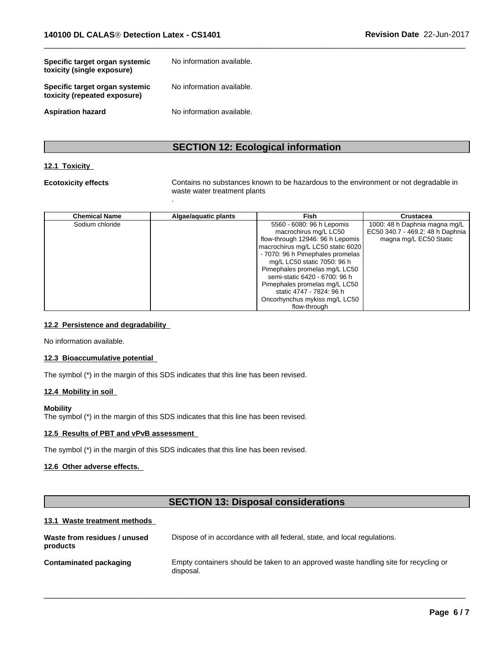| Specific target organ systemic<br>toxicity (single exposure)   | No information available. |
|----------------------------------------------------------------|---------------------------|
| Specific target organ systemic<br>toxicity (repeated exposure) | No information available. |
| <b>Aspiration hazard</b>                                       | No information available. |

# **SECTION 12: Ecological information**

# **12.1 Toxicity**

**Ecotoxicity effects** Contains no substances known to be hazardous to the environment or not degradable in waste water treatment plants

 $\overline{\phantom{a}}$  ,  $\overline{\phantom{a}}$  ,  $\overline{\phantom{a}}$  ,  $\overline{\phantom{a}}$  ,  $\overline{\phantom{a}}$  ,  $\overline{\phantom{a}}$  ,  $\overline{\phantom{a}}$  ,  $\overline{\phantom{a}}$  ,  $\overline{\phantom{a}}$  ,  $\overline{\phantom{a}}$  ,  $\overline{\phantom{a}}$  ,  $\overline{\phantom{a}}$  ,  $\overline{\phantom{a}}$  ,  $\overline{\phantom{a}}$  ,  $\overline{\phantom{a}}$  ,  $\overline{\phantom{a}}$ 

| Chemical Name   | Algae/aguatic plants | Fish                                                           | <b>Crustacea</b>                 |
|-----------------|----------------------|----------------------------------------------------------------|----------------------------------|
| Sodium chloride |                      | 5560 - 6080: 96 h Lepomis                                      | 1000: 48 h Daphnia magna mg/L    |
|                 |                      | macrochirus mg/L LC50                                          | EC50 340.7 - 469.2: 48 h Daphnia |
|                 |                      | flow-through 12946: 96 h Lepomis                               | magna mg/L EC50 Static           |
|                 |                      | macrochirus mg/L LC50 static 6020                              |                                  |
|                 |                      | - 7070: 96 h Pimephales promelas                               |                                  |
|                 |                      | mg/L LC50 static 7050: 96 h                                    |                                  |
|                 |                      | Pimephales promelas mg/L LC50<br>semi-static 6420 - 6700: 96 h |                                  |
|                 |                      | Pimephales promelas mg/L LC50                                  |                                  |
|                 |                      | static 4747 - 7824: 96 h                                       |                                  |
|                 |                      | Oncorhynchus mykiss mg/L LC50                                  |                                  |
|                 |                      | flow-through                                                   |                                  |

# **12.2 Persistence and degradability**

No information available.

# **12.3 Bioaccumulative potential**

The symbol (\*) in the margin of this SDS indicates that this line has been revised.

.

# **12.4 Mobility in soil**

#### **Mobility**

The symbol (\*) in the margin of this SDS indicates that this line has been revised.

# **12.5 Results of PBT and vPvB assessment**

The symbol (\*) in the margin of this SDS indicates that this line has been revised.

# **12.6 Other adverse effects.**

# **SECTION 13: Disposal considerations**

 $\overline{\phantom{a}}$  ,  $\overline{\phantom{a}}$  ,  $\overline{\phantom{a}}$  ,  $\overline{\phantom{a}}$  ,  $\overline{\phantom{a}}$  ,  $\overline{\phantom{a}}$  ,  $\overline{\phantom{a}}$  ,  $\overline{\phantom{a}}$  ,  $\overline{\phantom{a}}$  ,  $\overline{\phantom{a}}$  ,  $\overline{\phantom{a}}$  ,  $\overline{\phantom{a}}$  ,  $\overline{\phantom{a}}$  ,  $\overline{\phantom{a}}$  ,  $\overline{\phantom{a}}$  ,  $\overline{\phantom{a}}$ 

# **13.1 Waste treatment methods**

| Waste from residues / unused<br>products | Dispose of in accordance with all federal, state, and local regulations.                          |
|------------------------------------------|---------------------------------------------------------------------------------------------------|
| Contaminated packaging                   | Empty containers should be taken to an approved waste handling site for recycling or<br>disposal. |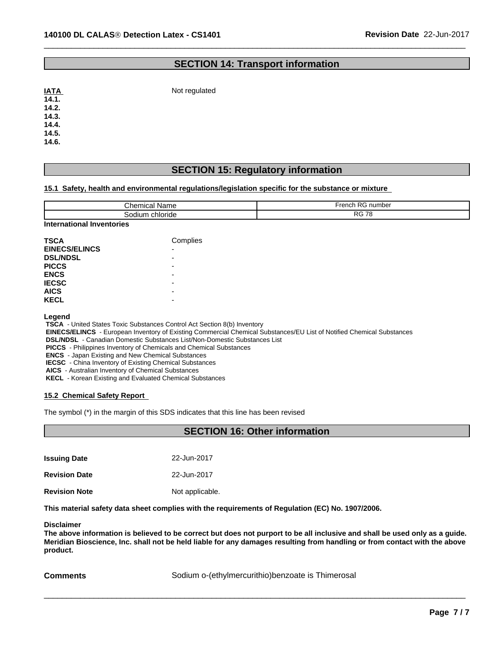# **SECTION 14: Transport information**

 $\overline{\phantom{a}}$  ,  $\overline{\phantom{a}}$  ,  $\overline{\phantom{a}}$  ,  $\overline{\phantom{a}}$  ,  $\overline{\phantom{a}}$  ,  $\overline{\phantom{a}}$  ,  $\overline{\phantom{a}}$  ,  $\overline{\phantom{a}}$  ,  $\overline{\phantom{a}}$  ,  $\overline{\phantom{a}}$  ,  $\overline{\phantom{a}}$  ,  $\overline{\phantom{a}}$  ,  $\overline{\phantom{a}}$  ,  $\overline{\phantom{a}}$  ,  $\overline{\phantom{a}}$  ,  $\overline{\phantom{a}}$ 

| <b>ATAI</b> | Not regulated |  |
|-------------|---------------|--|
| 14.1.       |               |  |
| 14.2.       |               |  |
| 14.3.       |               |  |
| 14.4.       |               |  |
| 14.5.       |               |  |
| 14.6.       |               |  |

# **SECTION 15: Regulatory information**

# **15.1 Safety, health and environmental regulations/legislation specific for the substance or mixture**

| Chemica∟.<br>не | -<br>$\sim$ $\sim$<br>$r \cap n \cap$<br>number |
|-----------------|-------------------------------------------------|
| hioride<br>inno | <b>RG 78</b>                                    |

**International Inventories**

| TSCA                 | Complies |  |
|----------------------|----------|--|
| <b>EINECS/ELINCS</b> | -        |  |
| <b>DSL/NDSL</b>      |          |  |
| <b>PICCS</b>         | -        |  |
| <b>ENCS</b>          | -        |  |
| <b>IECSC</b>         |          |  |
| <b>AICS</b>          | -        |  |
| <b>KECL</b>          | -        |  |
|                      |          |  |

**Legend**

 **TSCA** - United States Toxic Substances Control Act Section 8(b) Inventory

 **EINECS/ELINCS** - European Inventory of Existing Commercial Chemical Substances/EU List of Notified Chemical Substances

 **DSL/NDSL** - Canadian Domestic Substances List/Non-Domestic Substances List

 **PICCS** - Philippines Inventory of Chemicals and Chemical Substances

 **ENCS** - Japan Existing and New Chemical Substances

 **IECSC** - China Inventory of Existing Chemical Substances

 **AICS** - Australian Inventory of Chemical Substances

 **KECL** - Korean Existing and Evaluated Chemical Substances

# **15.2 Chemical Safety Report**

The symbol (\*) in the margin of this SDS indicates that this line has been revised

# **SECTION 16: Other information**

| <b>Issuing Date</b>  | 22-Jun-2017     |
|----------------------|-----------------|
| <b>Revision Date</b> | 22-Jun-2017     |
| <b>Revision Note</b> | Not applicable. |

**This material safety data sheet complies with the requirements of Regulation (EC) No. 1907/2006.**

**Disclaimer**

The above information is believed to be correct but does not purport to be all inclusive and shall be used only as a guide. Meridian Bioscience, Inc. shall not be held liable for any damages resulting from handling or from contact with the above **product.**

**Comments Sodium o-(ethylmercurithio)benzoate is Thimerosal**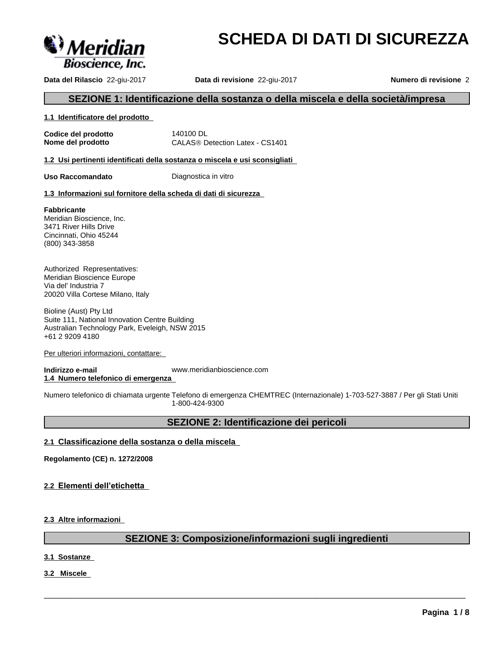

# **SCHEDA DI DATI DI SICUREZZA**

**Data del Rilascio** 22-giu-2017 **Data di revisione** 22-giu-2017 **Numero di revisione** 2

# **SEZIONE 1: Identificazione della sostanza o della miscela e della società/impresa**

### **1.1 Identificatore del prodotto**

**Codice del prodotto** 140100 DL **Nome del prodotto** CALAS<sup>®</sup> Detection Latex - CS1401

**1.2 Usi pertinenti identificati della sostanza o miscela e usi sconsigliati**

**Uso Raccomandato Diagnostica in vitro** 

# **1.3 Informazioni sul fornitore della scheda di dati di sicurezza**

# **Fabbricante**

Meridian Bioscience, Inc. 3471 River Hills Drive Cincinnati, Ohio 45244 (800) 343-3858

Authorized Representatives: Meridian Bioscience Europe Via del' Industria 7 20020 Villa Cortese Milano, Italy

Bioline (Aust) Pty Ltd Suite 111, National Innovation Centre Building Australian Technology Park, Eveleigh, NSW 2015 +61 2 9209 4180

Per ulteriori informazioni, contattare:

**Indirizzo e-mail** www.meridianbioscience.com **1.4 Numero telefonico di emergenza**

Numero telefonico di chiamata urgente Telefono di emergenza CHEMTREC (Internazionale) 1-703-527-3887 / Per gli Stati Uniti 1-800-424-9300

# **SEZIONE 2: Identificazione dei pericoli**

# **2.1 Classificazione della sostanza o della miscela**

**Regolamento (CE) n. 1272/2008**

2.2 Elementi dell'etichetta

**2.3 Altre informazioni**

# **SEZIONE 3: Composizione/informazioni sugli ingredienti**

 $\overline{\phantom{a}}$  ,  $\overline{\phantom{a}}$  ,  $\overline{\phantom{a}}$  ,  $\overline{\phantom{a}}$  ,  $\overline{\phantom{a}}$  ,  $\overline{\phantom{a}}$  ,  $\overline{\phantom{a}}$  ,  $\overline{\phantom{a}}$  ,  $\overline{\phantom{a}}$  ,  $\overline{\phantom{a}}$  ,  $\overline{\phantom{a}}$  ,  $\overline{\phantom{a}}$  ,  $\overline{\phantom{a}}$  ,  $\overline{\phantom{a}}$  ,  $\overline{\phantom{a}}$  ,  $\overline{\phantom{a}}$ 

**3.1 Sostanze**

**3.2 Miscele**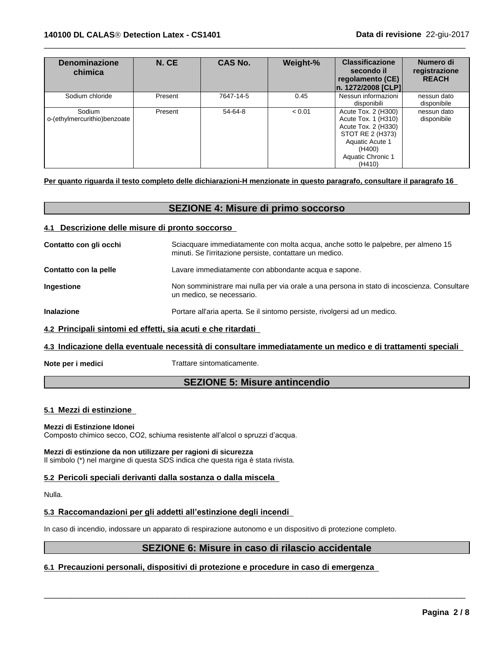| <b>Denominazione</b><br>chimica        | N. CE   | <b>CAS No.</b> | Weight-% | <b>Classificazione</b><br>secondo il<br>regolamento (CE)  <br>n. 1272/2008 [CLP]                                                                  | Numero di<br>registrazione<br><b>REACH</b> |
|----------------------------------------|---------|----------------|----------|---------------------------------------------------------------------------------------------------------------------------------------------------|--------------------------------------------|
| Sodium chloride                        | Present | 7647-14-5      | 0.45     | Nessun informazioni<br>disponibili                                                                                                                | nessun dato<br>disponibile                 |
| Sodium<br>o-(ethylmercurithio)benzoate | Present | 54-64-8        | < 0.01   | Acute Tox. 2 (H300)<br>Acute Tox. 1 (H310)<br>Acute Tox. 2 (H330)<br>STOT RE 2 (H373)<br>Aquatic Acute 1<br>(H400)<br>Aquatic Chronic 1<br>(H410) | nessun dato<br>disponibile                 |

 $\overline{\phantom{a}}$  ,  $\overline{\phantom{a}}$  ,  $\overline{\phantom{a}}$  ,  $\overline{\phantom{a}}$  ,  $\overline{\phantom{a}}$  ,  $\overline{\phantom{a}}$  ,  $\overline{\phantom{a}}$  ,  $\overline{\phantom{a}}$  ,  $\overline{\phantom{a}}$  ,  $\overline{\phantom{a}}$  ,  $\overline{\phantom{a}}$  ,  $\overline{\phantom{a}}$  ,  $\overline{\phantom{a}}$  ,  $\overline{\phantom{a}}$  ,  $\overline{\phantom{a}}$  ,  $\overline{\phantom{a}}$ 

Per quanto riguarda il testo completo delle dichiarazioni-H menzionate in questo paragrafo, consultare il paragrafo 16

# **SEZIONE 4: Misure di primo soccorso**

# **4.1 Descrizione delle misure di pronto soccorso**

| Contatto con gli occhi                                       | Sciacquare immediatamente con molta acqua, anche sotto le palpebre, per almeno 15<br>minuti. Se l'irritazione persiste, contattare un medico. |
|--------------------------------------------------------------|-----------------------------------------------------------------------------------------------------------------------------------------------|
| Contatto con la pelle                                        | Lavare immediatamente con abbondante acqua e sapone.                                                                                          |
| <b>Ingestione</b>                                            | Non somministrare mai nulla per via orale a una persona in stato di incoscienza. Consultare<br>un medico, se necessario.                      |
| <b>Inalazione</b>                                            | Portare all'aria aperta. Se il sintomo persiste, rivolgersi ad un medico.                                                                     |
| 4.2 Principali sintomi ed effetti, sia acuti e che ritardati |                                                                                                                                               |

# **4.3 Indicazione della eventuale necessità di consultare immediatamente un medico e di trattamenti speciali**

**Note per i medici** Trattare sintomaticamente.

# **SEZIONE 5: Misure antincendio**

# **5.1 Mezzi di estinzione**

**Mezzi di Estinzione Idonei** Composto chimico secco, CO2, schiuma resistente all'alcol o spruzzi d'acqua.

**Mezzi di estinzione da non utilizzare per ragioni di sicurezza** Il simbolo (\*) nel margine di questa SDS indica che questa riga è stata rivista.

# **5.2 Pericoli speciali derivanti dalla sostanza o dalla miscela**

Nulla.

# **5.3 Raccomandazionipergliaddettiall'estinzionedegliincendi**

In caso di incendio, indossare un apparato di respirazione autonomo e un dispositivo di protezione completo.

# **SEZIONE 6: Misure in caso di rilascio accidentale**

 $\overline{\phantom{a}}$  ,  $\overline{\phantom{a}}$  ,  $\overline{\phantom{a}}$  ,  $\overline{\phantom{a}}$  ,  $\overline{\phantom{a}}$  ,  $\overline{\phantom{a}}$  ,  $\overline{\phantom{a}}$  ,  $\overline{\phantom{a}}$  ,  $\overline{\phantom{a}}$  ,  $\overline{\phantom{a}}$  ,  $\overline{\phantom{a}}$  ,  $\overline{\phantom{a}}$  ,  $\overline{\phantom{a}}$  ,  $\overline{\phantom{a}}$  ,  $\overline{\phantom{a}}$  ,  $\overline{\phantom{a}}$ 

# **6.1 Precauzioni personali, dispositivi di protezione e procedure in caso di emergenza**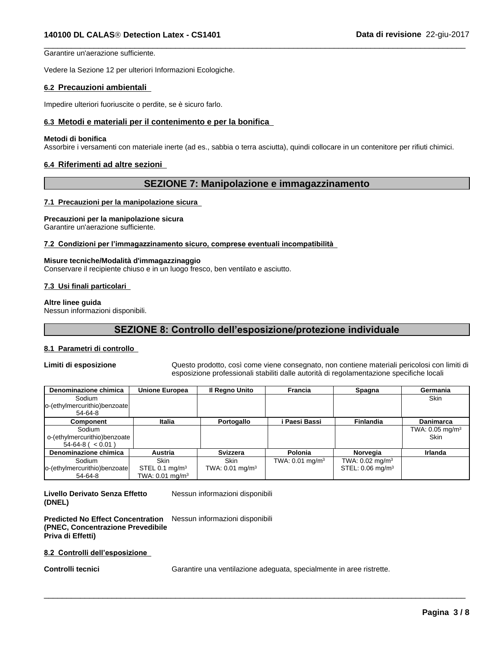Garantire un'aerazione sufficiente.

Vedere la Sezione 12 per ulteriori Informazioni Ecologiche.

# **6.2 Precauzioni ambientali**

Impedire ulteriori fuoriuscite o perdite, se è sicuro farlo.

# **6.3 Metodi e materiali per il contenimento e per la bonifica**

# **Metodi di bonifica**

Assorbire i versamenti con materiale inerte (ad es., sabbia o terra asciutta), quindi collocare in un contenitore per rifiuti chimici.

# **6.4 Riferimenti ad altre sezioni**

# **SEZIONE 7: Manipolazione e immagazzinamento**

 $\overline{\phantom{a}}$  ,  $\overline{\phantom{a}}$  ,  $\overline{\phantom{a}}$  ,  $\overline{\phantom{a}}$  ,  $\overline{\phantom{a}}$  ,  $\overline{\phantom{a}}$  ,  $\overline{\phantom{a}}$  ,  $\overline{\phantom{a}}$  ,  $\overline{\phantom{a}}$  ,  $\overline{\phantom{a}}$  ,  $\overline{\phantom{a}}$  ,  $\overline{\phantom{a}}$  ,  $\overline{\phantom{a}}$  ,  $\overline{\phantom{a}}$  ,  $\overline{\phantom{a}}$  ,  $\overline{\phantom{a}}$ 

#### **7.1 Precauzioni per la manipolazione sicura**

#### **Precauzioni per la manipolazione sicura**

Garantire un'aerazione sufficiente.

#### **7.2Condizioniperl'immagazzinamentosicuro,compreseeventualiincompatibilità**

#### **Misure tecniche/Modalità d'immagazzinaggio**

Conservare il recipiente chiuso e in un luogo fresco, ben ventilato e asciutto.

#### **7.3 Usi finali particolari**

#### **Altre linee guida**

Nessun informazioni disponibili.

# SEZIONE 8: Controllo dell'esposizione/protezione individuale

# **8.1 Parametri di controllo**

**Limiti di esposizione** Questo prodotto, così come viene consegnato, non contiene materiali pericolosi con limiti di esposizione professionali stabiliti dalle autorità di regolamentazione specifiche locali

| Denominazione chimica        | <b>Unione Europea</b> | Il Regno Unito             | Francia                    | Spagna                        | Germania                      |
|------------------------------|-----------------------|----------------------------|----------------------------|-------------------------------|-------------------------------|
| Sodium                       |                       |                            |                            |                               | <b>Skin</b>                   |
| o-(ethylmercurithio)benzoate |                       |                            |                            |                               |                               |
| 54-64-8                      |                       |                            |                            |                               |                               |
| Component                    | <b>Italia</b>         | Portogallo                 | Paesi Bassi                | <b>Finlandia</b>              | <b>Danimarca</b>              |
| Sodium                       |                       |                            |                            |                               | TWA: $0.05$ mg/m <sup>3</sup> |
| o-(ethylmercurithio)benzoate |                       |                            |                            |                               | <b>Skin</b>                   |
| $54-64-8$ ( $< 0.01$ )       |                       |                            |                            |                               |                               |
| Denominazione chimica        | <b>Austria</b>        | <b>Svizzera</b>            | <b>Polonia</b>             | Norvegia                      | Irlanda                       |
| Sodium                       | <b>Skin</b>           | <b>Skin</b>                | TWA: $0.01 \text{ mg/m}^3$ | TWA: $0.02$ mg/m <sup>3</sup> |                               |
| o-(ethylmercurithio)benzoate | STEL 0.1 $mg/m3$      | TWA: $0.01 \text{ mg/m}^3$ |                            | STEL: 0.06 mg/m <sup>3</sup>  |                               |
| 54-64-8                      | TWA: 0.01 mg/m $3$    |                            |                            |                               |                               |

#### **Livello Derivato Senza Effetto (DNEL)** Nessun informazioni disponibili

**Predicted No Effect Concentration (PNEC, Concentrazione Prevedibile Priva di Effetti)** Nessun informazioni disponibili

# **8.2 Controlli dell'esposizione**

**Controlli tecnici** Carantire una ventilazione adequata, specialmente in aree ristrette.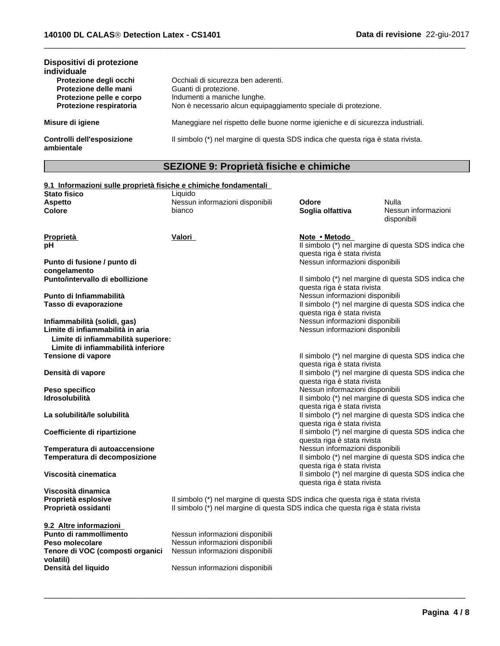| Dispositivi di protezione<br>individuale                                                               |                                                                                                                                                               |
|--------------------------------------------------------------------------------------------------------|---------------------------------------------------------------------------------------------------------------------------------------------------------------|
| Protezione degli occhi<br>Protezione delle mani<br>Protezione pelle e corpo<br>Protezione respiratoria | Occhiali di sicurezza ben aderenti.<br>Guanti di protezione.<br>Indumenti a maniche lunghe.<br>Non è necessario alcun equipaggiamento speciale di protezione. |
| Misure di igiene                                                                                       | Maneggiare nel rispetto delle buone norme igieniche e di sicurezza industriali.                                                                               |
| Controlli dell'esposizione<br>ambientale                                                               | Il simbolo (*) nel margine di questa SDS indica che questa riga è stata rivista.                                                                              |

# **SEZIONE 9: Proprietà fisiche e chimiche**

| <b>Stato fisico</b>                                                       | Liquido                                                                         |                                                                                    |                                                     |  |
|---------------------------------------------------------------------------|---------------------------------------------------------------------------------|------------------------------------------------------------------------------------|-----------------------------------------------------|--|
| <b>Aspetto</b>                                                            | Nessun informazioni disponibili                                                 | Odore                                                                              | Nulla                                               |  |
| <b>Colore</b>                                                             | bianco                                                                          | Soglia olfattiva                                                                   | Nessun informazioni<br>disponibili                  |  |
| <b>Proprietà</b>                                                          | Valori                                                                          | Note • Metodo                                                                      |                                                     |  |
| рH                                                                        |                                                                                 | Il simbolo (*) nel margine di questa SDS indica che<br>questa riga è stata rivista |                                                     |  |
| Punto di fusione / punto di<br>congelamento                               |                                                                                 | Nessun informazioni disponibili                                                    |                                                     |  |
| Punto/intervallo di ebollizione                                           |                                                                                 | questa riga è stata rivista                                                        | Il simbolo (*) nel margine di questa SDS indica che |  |
| Punto di Infiammabilità                                                   |                                                                                 | Nessun informazioni disponibili                                                    |                                                     |  |
| Tasso di evaporazione                                                     |                                                                                 |                                                                                    | Il simbolo (*) nel margine di questa SDS indica che |  |
|                                                                           |                                                                                 | questa riga è stata rivista<br>Nessun informazioni disponibili                     |                                                     |  |
| Infiammabilità (solidi, gas)<br>Limite di infiammabilità in aria          |                                                                                 | Nessun informazioni disponibili                                                    |                                                     |  |
| Limite di infiammabilità superiore:<br>Limite di infiammabilità inferiore |                                                                                 |                                                                                    |                                                     |  |
| Tensione di vapore                                                        |                                                                                 |                                                                                    | Il simbolo (*) nel margine di questa SDS indica che |  |
|                                                                           |                                                                                 | questa riga è stata rivista                                                        |                                                     |  |
| Densità di vapore                                                         | Il simbolo (*) nel margine di questa SDS indica che                             |                                                                                    |                                                     |  |
| Peso specifico                                                            |                                                                                 | questa riga è stata rivista<br>Nessun informazioni disponibili                     |                                                     |  |
| <b>Idrosolubilità</b>                                                     |                                                                                 | Il simbolo (*) nel margine di questa SDS indica che                                |                                                     |  |
|                                                                           |                                                                                 | questa riga è stata rivista                                                        |                                                     |  |
| La solubilità/le solubilità                                               |                                                                                 |                                                                                    | Il simbolo (*) nel margine di questa SDS indica che |  |
| Coefficiente di ripartizione                                              |                                                                                 | questa riga è stata rivista                                                        | Il simbolo (*) nel margine di questa SDS indica che |  |
|                                                                           |                                                                                 | questa riga è stata rivista                                                        |                                                     |  |
| Temperatura di autoaccensione                                             |                                                                                 | Nessun informazioni disponibili                                                    |                                                     |  |
| Temperatura di decomposizione                                             |                                                                                 |                                                                                    | Il simbolo (*) nel margine di questa SDS indica che |  |
|                                                                           |                                                                                 | questa riga è stata rivista                                                        |                                                     |  |
| Viscosità cinematica                                                      |                                                                                 | questa riga è stata rivista                                                        | Il simbolo (*) nel margine di questa SDS indica che |  |
| Viscosità dinamica                                                        |                                                                                 |                                                                                    |                                                     |  |
| Proprietà esplosive                                                       | Il simbolo (*) nel margine di questa SDS indica che questa riga è stata rivista |                                                                                    |                                                     |  |
| Proprietà ossidanti                                                       | Il simbolo (*) nel margine di questa SDS indica che questa riga è stata rivista |                                                                                    |                                                     |  |
| 9.2 Altre informazioni                                                    |                                                                                 |                                                                                    |                                                     |  |
| Punto di rammollimento                                                    | Nessun informazioni disponibili                                                 |                                                                                    |                                                     |  |
| Peso molecolare                                                           | Nessun informazioni disponibili                                                 |                                                                                    |                                                     |  |
| Tenore di VOC (composti organici<br>volatili)                             | Nessun informazioni disponibili                                                 |                                                                                    |                                                     |  |
| Densità del liquido                                                       | Nessun informazioni disponibili                                                 |                                                                                    |                                                     |  |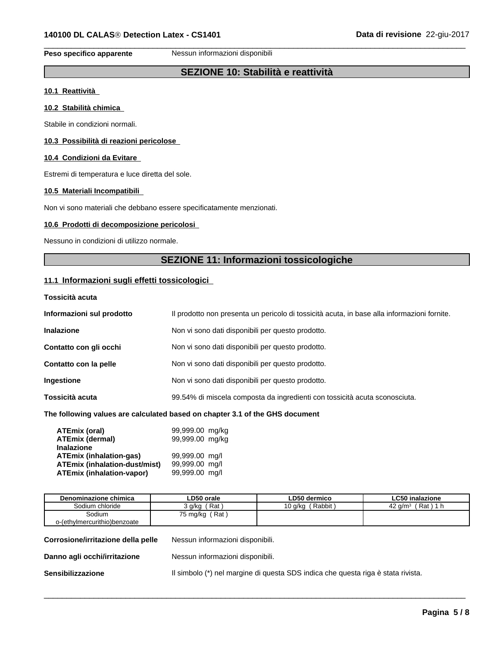**Peso specifico apparente** Nessun informazioni disponibili

# **SEZIONE 10: Stabilità e reattività**

 $\overline{\phantom{a}}$  ,  $\overline{\phantom{a}}$  ,  $\overline{\phantom{a}}$  ,  $\overline{\phantom{a}}$  ,  $\overline{\phantom{a}}$  ,  $\overline{\phantom{a}}$  ,  $\overline{\phantom{a}}$  ,  $\overline{\phantom{a}}$  ,  $\overline{\phantom{a}}$  ,  $\overline{\phantom{a}}$  ,  $\overline{\phantom{a}}$  ,  $\overline{\phantom{a}}$  ,  $\overline{\phantom{a}}$  ,  $\overline{\phantom{a}}$  ,  $\overline{\phantom{a}}$  ,  $\overline{\phantom{a}}$ 

# **10.1 Reattività**

### **10.2 Stabilità chimica**

Stabile in condizioni normali.

# **10.3 Possibilità di reazionipericolose**

# **10.4 Condizioni da Evitare**

Estremi di temperatura e luce diretta del sole.

#### **10.5 Materiali Incompatibili**

Non vi sono materiali che debbano essere specificatamente menzionati.

# **10.6 Prodotti di decomposizione pericolosi**

Nessuno in condizioni di utilizzo normale.

# **SEZIONE 11: Informazioni tossicologiche**

# **11.1 Informazioni sugli effetti tossicologici**

**Tossicità acuta**

| Informazioni sul prodotto | Il prodotto non presenta un pericolo di tossicità acuta, in base alla informazioni fornite. |
|---------------------------|---------------------------------------------------------------------------------------------|
| <b>Inalazione</b>         | Non vi sono dati disponibili per questo prodotto.                                           |
| Contatto con gli occhi    | Non vi sono dati disponibili per questo prodotto.                                           |
| Contatto con la pelle     | Non vi sono dati disponibili per questo prodotto.                                           |
| Ingestione                | Non vi sono dati disponibili per questo prodotto.                                           |
| Tossicità acuta           | 99.54% di miscela composta da ingredienti con tossicità acuta sconosciuta.                  |
|                           |                                                                                             |

# **The following values are calculated based on chapter 3.1 of the GHS document**

| ATEmix (oral)<br><b>ATEmix (dermal)</b> | 99,999.00 mg/kg<br>99,999.00 mg/kg |  |
|-----------------------------------------|------------------------------------|--|
| <b>Inalazione</b>                       |                                    |  |
| <b>ATEmix (inhalation-gas)</b>          | 99,999.00 mg/l                     |  |
| <b>ATEmix (inhalation-dust/mist)</b>    | 99,999.00 mg/l                     |  |
| <b>ATEmix (inhalation-vapor)</b>        | 99,999.00 mg/l                     |  |

| Denominazione chimica              | LD50 orale       | LD50 dermico                                                                     | <b>LC50 inalazione</b> |  |  |
|------------------------------------|------------------|----------------------------------------------------------------------------------|------------------------|--|--|
| Sodium chloride                    | 3 q/kg (Rat)     | 10 g/kg (Rabbit)                                                                 | 42 $q/m^3$ (Rat) 1 h   |  |  |
| Sodium                             | 75 mg/kg $(Rat)$ |                                                                                  |                        |  |  |
| o-(ethylmercurithio)benzoate       |                  |                                                                                  |                        |  |  |
| Corrosione/irritazione della pelle |                  | Nessun informazioni disponibili.                                                 |                        |  |  |
| Danno agli occhi/irritazione       |                  | Nessun informazioni disponibili.                                                 |                        |  |  |
| Sensibilizzazione                  |                  | Il simbolo (*) nel margine di questa SDS indica che questa riga è stata rivista. |                        |  |  |
|                                    |                  |                                                                                  |                        |  |  |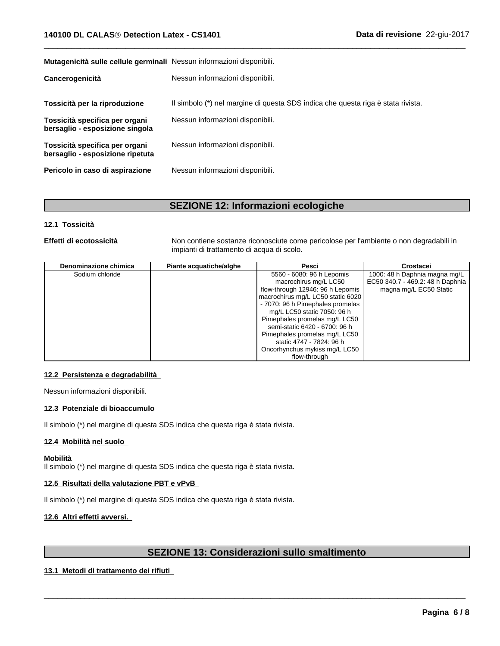| Mutagenicità sulle cellule germinali Nessun informazioni disponibili. |                                                                                  |
|-----------------------------------------------------------------------|----------------------------------------------------------------------------------|
| Cancerogenicità                                                       | Nessun informazioni disponibili.                                                 |
| Tossicità per la riproduzione                                         | Il simbolo (*) nel margine di questa SDS indica che questa riga è stata rivista. |
| Tossicità specifica per organi<br>bersaglio - esposizione singola     | Nessun informazioni disponibili.                                                 |
| Tossicità specifica per organi<br>bersaglio - esposizione ripetuta    | Nessun informazioni disponibili.                                                 |
| Pericolo in caso di aspirazione                                       | Nessun informazioni disponibili.                                                 |

# **SEZIONE 12: Informazioni ecologiche**

# **12.1 Tossicità**

**Effetti di ecotossicità** Non contiene sostanze riconosciute come pericolose per l'ambiente o non degradabili in impianti di trattamento di acqua di scolo.

 $\overline{\phantom{a}}$  ,  $\overline{\phantom{a}}$  ,  $\overline{\phantom{a}}$  ,  $\overline{\phantom{a}}$  ,  $\overline{\phantom{a}}$  ,  $\overline{\phantom{a}}$  ,  $\overline{\phantom{a}}$  ,  $\overline{\phantom{a}}$  ,  $\overline{\phantom{a}}$  ,  $\overline{\phantom{a}}$  ,  $\overline{\phantom{a}}$  ,  $\overline{\phantom{a}}$  ,  $\overline{\phantom{a}}$  ,  $\overline{\phantom{a}}$  ,  $\overline{\phantom{a}}$  ,  $\overline{\phantom{a}}$ 

| Denominazione chimica | Piante acquatiche/alghe | Pesci                             | Crostacei                        |
|-----------------------|-------------------------|-----------------------------------|----------------------------------|
| Sodium chloride       |                         | 5560 - 6080: 96 h Lepomis         | 1000: 48 h Daphnia magna mg/L    |
|                       |                         | macrochirus mg/L LC50             | EC50 340.7 - 469.2: 48 h Daphnia |
|                       |                         | flow-through 12946: 96 h Lepomis  | magna mg/L EC50 Static           |
|                       |                         | macrochirus mg/L LC50 static 6020 |                                  |
|                       |                         | - 7070: 96 h Pimephales promelas  |                                  |
|                       |                         | mg/L LC50 static 7050: 96 h       |                                  |
|                       |                         | Pimephales promelas mg/L LC50     |                                  |
|                       |                         | semi-static 6420 - 6700: 96 h     |                                  |
|                       |                         | Pimephales promelas mg/L LC50     |                                  |
|                       |                         | static 4747 - 7824: 96 h          |                                  |
|                       |                         | Oncorhynchus mykiss mg/L LC50     |                                  |
|                       |                         | flow-through                      |                                  |

# **12.2 Persistenza e degradabilità**

Nessun informazioni disponibili.

# **12.3 Potenziale di bioaccumulo**

Il simbolo (\*) nel margine di questa SDS indica che questa riga è stata rivista.

# **12.4 Mobilità nel suolo**

#### **Mobilità**

Il simbolo (\*) nel margine di questa SDS indica che questa riga è stata rivista.

# **12.5 Risultati della valutazione PBT e vPvB**

Il simbolo (\*) nel margine di questa SDS indica che questa riga è stata rivista.

# **12.6 Altri effetti avversi.**

# **SEZIONE 13: Considerazioni sullo smaltimento**

 $\overline{\phantom{a}}$  ,  $\overline{\phantom{a}}$  ,  $\overline{\phantom{a}}$  ,  $\overline{\phantom{a}}$  ,  $\overline{\phantom{a}}$  ,  $\overline{\phantom{a}}$  ,  $\overline{\phantom{a}}$  ,  $\overline{\phantom{a}}$  ,  $\overline{\phantom{a}}$  ,  $\overline{\phantom{a}}$  ,  $\overline{\phantom{a}}$  ,  $\overline{\phantom{a}}$  ,  $\overline{\phantom{a}}$  ,  $\overline{\phantom{a}}$  ,  $\overline{\phantom{a}}$  ,  $\overline{\phantom{a}}$ 

# **13.1 Metodi di trattamento dei rifiuti**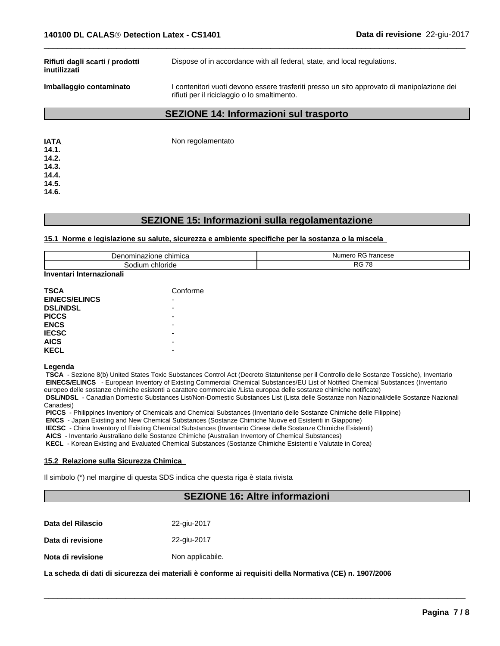| Rifiuti dagli scarti / prodotti<br>inutilizzati | Dispose of in accordance with all federal, state, and local regulations.                                                                 |
|-------------------------------------------------|------------------------------------------------------------------------------------------------------------------------------------------|
| Imballaggio contaminato                         | contenitori vuoti devono essere trasferiti presso un sito approvato di manipolazione dei<br>rifiuti per il riciclaggio o lo smaltimento. |
|                                                 | <b>SEZIONE 14: Informazioni sul trasporto</b>                                                                                            |
| <b>IATA</b><br>14.1.                            | Non regolamentato                                                                                                                        |

 $\overline{\phantom{a}}$  ,  $\overline{\phantom{a}}$  ,  $\overline{\phantom{a}}$  ,  $\overline{\phantom{a}}$  ,  $\overline{\phantom{a}}$  ,  $\overline{\phantom{a}}$  ,  $\overline{\phantom{a}}$  ,  $\overline{\phantom{a}}$  ,  $\overline{\phantom{a}}$  ,  $\overline{\phantom{a}}$  ,  $\overline{\phantom{a}}$  ,  $\overline{\phantom{a}}$  ,  $\overline{\phantom{a}}$  ,  $\overline{\phantom{a}}$  ,  $\overline{\phantom{a}}$  ,  $\overline{\phantom{a}}$ 

#### **14.2. 14.3. 14.4.**

**14.5.**

**14.6.**

# **SEZIONE 15: Informazioni sulla regolamentazione**

#### **15.1 Norme e legislazione su salute, sicurezza e ambiente specifiche per la sostanza o la miscela**

| 10000000000000<br>: chimica<br>Denominazione | ، ب<br>†rancese<br>Numerc<br>דו אי |
|----------------------------------------------|------------------------------------|
| chloride<br>Sodium                           | <b>RG 78</b>                       |

# **Inventari Internazionali**

| <b>TSCA</b>          | Conforme |
|----------------------|----------|
| <b>EINECS/ELINCS</b> | -        |
| <b>DSL/NDSL</b>      | -        |
| <b>PICCS</b>         | -        |
| <b>ENCS</b>          | -        |
| <b>IECSC</b>         | -        |
| <b>AICS</b>          | -        |
| <b>KECL</b>          | -        |

#### **Legenda**

 **TSCA** - Sezione 8(b) United States Toxic Substances Control Act (Decreto Statunitense per il Controllo delle Sostanze Tossiche), Inventario  **EINECS/ELINCS** - European Inventory of Existing Commercial Chemical Substances/EU List of Notified Chemical Substances (Inventario europeo delle sostanze chimiche esistenti a carattere commerciale /Lista europea delle sostanze chimiche notificate)

 **DSL/NDSL** - Canadian Domestic Substances List/Non-Domestic Substances List (Lista delle Sostanze non Nazionali/delle Sostanze Nazionali Canadesi)

 **PICCS** - Philippines Inventory of Chemicals and Chemical Substances (Inventario delle Sostanze Chimiche delle Filippine)

 **ENCS** - Japan Existing and New Chemical Substances (Sostanze Chimiche Nuove ed Esistenti in Giappone)

 **IECSC** - China Inventory of Existing Chemical Substances (Inventario Cinese delle Sostanze Chimiche Esistenti)

 **AICS** - Inventario Australiano delle Sostanze Chimiche (Australian Inventory of Chemical Substances)

 **KECL** - Korean Existing and Evaluated Chemical Substances (Sostanze Chimiche Esistenti e Valutate in Corea)

#### **15.2 Relazione sulla Sicurezza Chimica**

Il simbolo (\*) nel margine di questa SDS indica che questa riga è stata rivista

# **SEZIONE 16: Altre informazioni**

 $\overline{\phantom{a}}$  ,  $\overline{\phantom{a}}$  ,  $\overline{\phantom{a}}$  ,  $\overline{\phantom{a}}$  ,  $\overline{\phantom{a}}$  ,  $\overline{\phantom{a}}$  ,  $\overline{\phantom{a}}$  ,  $\overline{\phantom{a}}$  ,  $\overline{\phantom{a}}$  ,  $\overline{\phantom{a}}$  ,  $\overline{\phantom{a}}$  ,  $\overline{\phantom{a}}$  ,  $\overline{\phantom{a}}$  ,  $\overline{\phantom{a}}$  ,  $\overline{\phantom{a}}$  ,  $\overline{\phantom{a}}$ 

| Data del Rilascio | 22-giu-2017      |
|-------------------|------------------|
| Data di revisione | 22-giu-2017      |
| Nota di revisione | Non applicabile. |

**La scheda di dati di sicurezza dei materiali è conforme ai requisitidella Normativa (CE) n. 1907/2006**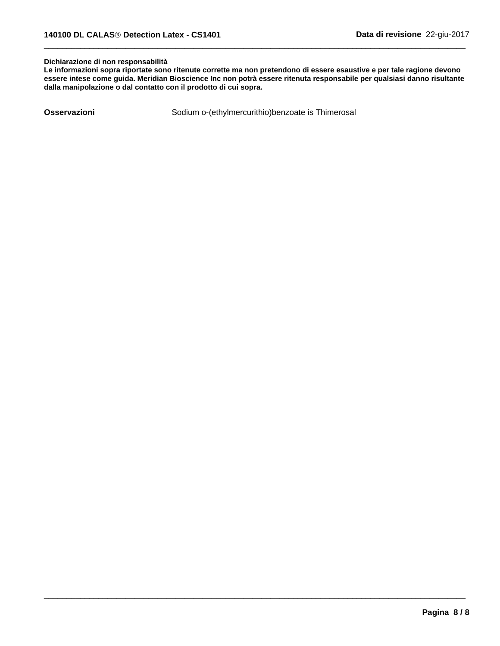#### **Dichiarazione di non responsabilità**

Le informazioni sopra riportate sono ritenute corrette ma non pretendono di essere esaustive e per tale ragione devono essere intese come guida. Meridian Bioscience Inc non potrà essere ritenuta responsabile per qualsiasi danno risultante **dalla manipolazione o dal contatto con il prodotto dicui sopra.**

**Osservazioni** Sodium o-(ethylmercurithio)benzoate is Thimerosal

 $\overline{\phantom{a}}$  ,  $\overline{\phantom{a}}$  ,  $\overline{\phantom{a}}$  ,  $\overline{\phantom{a}}$  ,  $\overline{\phantom{a}}$  ,  $\overline{\phantom{a}}$  ,  $\overline{\phantom{a}}$  ,  $\overline{\phantom{a}}$  ,  $\overline{\phantom{a}}$  ,  $\overline{\phantom{a}}$  ,  $\overline{\phantom{a}}$  ,  $\overline{\phantom{a}}$  ,  $\overline{\phantom{a}}$  ,  $\overline{\phantom{a}}$  ,  $\overline{\phantom{a}}$  ,  $\overline{\phantom{a}}$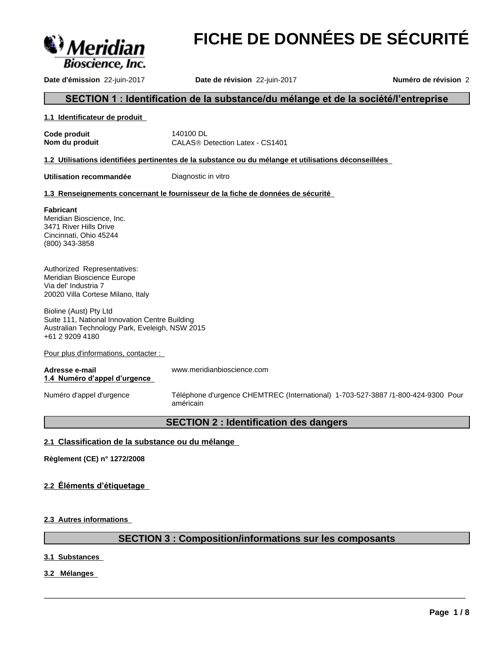

# **FICHE DE DONNÉES DE SÉCURITÉ**

**Date d'émission** 22-juin-2017 **Date de révision** 22-juin-2017 **Numéro de révision** 2

# **SECTION1:Identificationdelasubstance/dumélangeetdelasociété/l'entreprise**

# **1.1 Identificateur de produit**

**Code produit** 140100 DL

**Nom du produit** CALASÒDetection Latex - CS1401

**1.2 Utilisations identifiées pertinentes de la substance ou du mélange et utilisations déconseillées**

**Utilisation recommandée** Diagnostic in vitro

# **1.3 Renseignements concernant le fournisseur de la fiche de données de sécurité**

# **Fabricant**

Meridian Bioscience, Inc. 3471 River Hills Drive Cincinnati, Ohio 45244 (800) 343-3858

Authorized Representatives: Meridian Bioscience Europe Via del' Industria 7 20020 Villa Cortese Milano, Italy

Bioline (Aust) Pty Ltd Suite 111, National Innovation Centre Building Australian Technology Park, Eveleigh, NSW 2015 +61 2 9209 4180

Pour plus d'informations, contacter :

| Adresse e-mail<br>1.4 Numéro d'appel d'urgence | www.meridianbioscience.com                                                                   |
|------------------------------------------------|----------------------------------------------------------------------------------------------|
| Numéro d'appel d'urgence                       | Téléphone d'urgence CHEMTREC (International) 1-703-527-3887/1-800-424-9300 Pour<br>américain |

# **SECTION 2 : Identification des dangers**

# **2.1 Classification de la substance ou du mélange**

**Règlement (CE) n° 1272/2008**

2.2 Éléments d'étiquetage

**2.3 Autres informations**

# **SECTION 3 : Composition/informations sur les composants**

 $\overline{\phantom{a}}$  ,  $\overline{\phantom{a}}$  ,  $\overline{\phantom{a}}$  ,  $\overline{\phantom{a}}$  ,  $\overline{\phantom{a}}$  ,  $\overline{\phantom{a}}$  ,  $\overline{\phantom{a}}$  ,  $\overline{\phantom{a}}$  ,  $\overline{\phantom{a}}$  ,  $\overline{\phantom{a}}$  ,  $\overline{\phantom{a}}$  ,  $\overline{\phantom{a}}$  ,  $\overline{\phantom{a}}$  ,  $\overline{\phantom{a}}$  ,  $\overline{\phantom{a}}$  ,  $\overline{\phantom{a}}$ 

# **3.1 Substances**

# **3.2 Mélanges**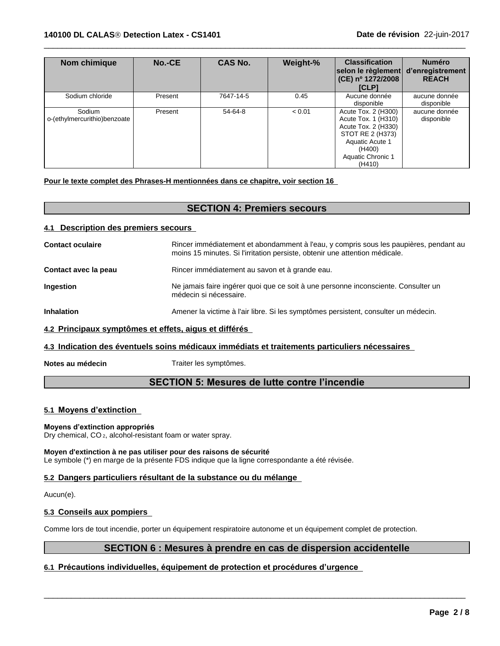| Nom chimique                           | No.-CE  | <b>CAS No.</b> | Weight-% | <b>Classification</b><br>selon le règlement d'enregistrement<br>(CE) nº 1272/2008<br>[CLP]                                                        | <b>Numéro</b><br><b>REACH</b> |
|----------------------------------------|---------|----------------|----------|---------------------------------------------------------------------------------------------------------------------------------------------------|-------------------------------|
| Sodium chloride                        | Present | 7647-14-5      | 0.45     | Aucune donnée<br>disponible                                                                                                                       | aucune donnée<br>disponible   |
| Sodium<br>o-(ethylmercurithio)benzoate | Present | 54-64-8        | < 0.01   | Acute Tox. 2 (H300)<br>Acute Tox. 1 (H310)<br>Acute Tox. 2 (H330)<br>STOT RE 2 (H373)<br>Aquatic Acute 1<br>(H400)<br>Aquatic Chronic 1<br>(H410) | aucune donnée<br>disponible   |

 $\overline{\phantom{a}}$  ,  $\overline{\phantom{a}}$  ,  $\overline{\phantom{a}}$  ,  $\overline{\phantom{a}}$  ,  $\overline{\phantom{a}}$  ,  $\overline{\phantom{a}}$  ,  $\overline{\phantom{a}}$  ,  $\overline{\phantom{a}}$  ,  $\overline{\phantom{a}}$  ,  $\overline{\phantom{a}}$  ,  $\overline{\phantom{a}}$  ,  $\overline{\phantom{a}}$  ,  $\overline{\phantom{a}}$  ,  $\overline{\phantom{a}}$  ,  $\overline{\phantom{a}}$  ,  $\overline{\phantom{a}}$ 

**Pour le texte complet des Phrases-H mentionnées dans ce chapitre, voir section 16**

# **SECTION 4: Premiers secours**

# **4.1 Description des premiers secours**

| <b>Contact oculaire</b>                               | Rincer immédiatement et abondamment à l'eau, y compris sous les paupières, pendant au<br>moins 15 minutes. Si l'irritation persiste, obtenir une attention médicale. |
|-------------------------------------------------------|----------------------------------------------------------------------------------------------------------------------------------------------------------------------|
| Contact avec la peau                                  | Rincer immédiatement au savon et à grande eau.                                                                                                                       |
| Ingestion                                             | Ne jamais faire ingérer quoi que ce soit à une personne inconsciente. Consulter un<br>médecin si nécessaire.                                                         |
| <b>Inhalation</b>                                     | Amener la victime à l'air libre. Si les symptômes persistent, consulter un médecin.                                                                                  |
| 4.2 Principaux symptômes et effets, aigus et différés |                                                                                                                                                                      |

# **4.3 Indication des éventuels soins médicaux immédiats et traitements particuliers nécessaires**

**Notes au médecin** Traiter les symptômes.

# **SECTION 5: Mesures de lutte contre l'incendie**

# **5.1 Moyens d'extinction**

# **Moyens d'extinction appropriés**

Dry chemical, CO 2, alcohol-resistant foam or water spray.

#### **Moyen d'extinction à ne pas utiliser pour des raisons de sécurité** Le symbole (\*) en marge de la présente FDS indique que la ligne correspondante a été révisée.

# **5.2 Dangers particuliers résultant de la substance ou du mélange**

Aucun(e).

# **5.3 Conseils aux pompiers**

Comme lors de toutincendie, porter un équipement respiratoire autonome et un équipement complet de protection.

# **SECTION 6 : Mesures à prendre en cas de dispersion accidentelle**

 $\overline{\phantom{a}}$  ,  $\overline{\phantom{a}}$  ,  $\overline{\phantom{a}}$  ,  $\overline{\phantom{a}}$  ,  $\overline{\phantom{a}}$  ,  $\overline{\phantom{a}}$  ,  $\overline{\phantom{a}}$  ,  $\overline{\phantom{a}}$  ,  $\overline{\phantom{a}}$  ,  $\overline{\phantom{a}}$  ,  $\overline{\phantom{a}}$  ,  $\overline{\phantom{a}}$  ,  $\overline{\phantom{a}}$  ,  $\overline{\phantom{a}}$  ,  $\overline{\phantom{a}}$  ,  $\overline{\phantom{a}}$ 

# **6.1 Précautionsindividuelles,équipementdeprotectionetprocéduresd'urgence**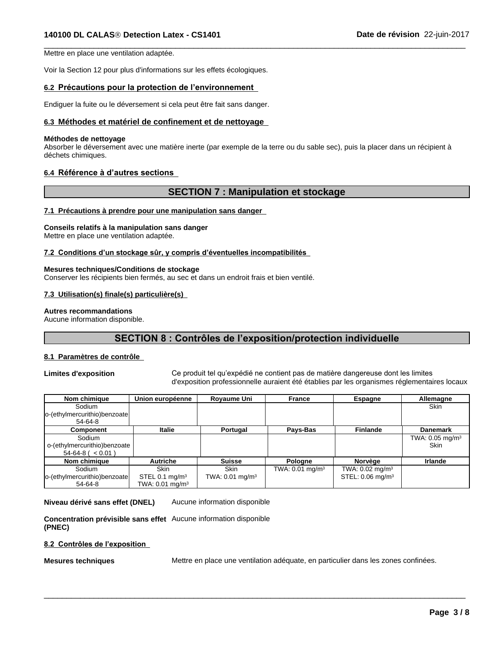Mettre en place une ventilation adaptée.

Voir la Section 12 pour plus d'informations sur les effets écologiques.

#### **6.2 Précautions pour la protection de l'environnement**

Endiguer la fuite ou le déversement si cela peut être fait sans danger.

#### **6.3 Méthodes et matérielde confinement et de nettoyage**

#### **Méthodes de nettoyage**

Absorber le déversement avec une matière inerte (par exemple de la terre ou du sable sec), puis la placer dans un récipient à déchets chimiques.

# **6.4 Référenceàd'autressections**

# **SECTION 7 : Manipulation et stockage**

 $\overline{\phantom{a}}$  ,  $\overline{\phantom{a}}$  ,  $\overline{\phantom{a}}$  ,  $\overline{\phantom{a}}$  ,  $\overline{\phantom{a}}$  ,  $\overline{\phantom{a}}$  ,  $\overline{\phantom{a}}$  ,  $\overline{\phantom{a}}$  ,  $\overline{\phantom{a}}$  ,  $\overline{\phantom{a}}$  ,  $\overline{\phantom{a}}$  ,  $\overline{\phantom{a}}$  ,  $\overline{\phantom{a}}$  ,  $\overline{\phantom{a}}$  ,  $\overline{\phantom{a}}$  ,  $\overline{\phantom{a}}$ 

### **7.1 Précautions à prendre pour une manipulation sans danger**

#### **Conseils relatifs à la manipulation sans danger**

Mettre en place une ventilation adaptée.

#### **7.2Conditionsd'unstockagesûr,ycomprisd'éventuellesincompatibilités**

#### **Mesures techniques/Conditions de stockage**

Conserver les récipients bien fermés, au sec et dans un endroit frais et bien ventilé.

#### **7.3 Utilisation(s) finale(s) particulière(s)**

#### **Autres recommandations**

Aucune information disponible.

# SECTION 8 : Contrôles de l'exposition/protection individuelle

#### **8.1 Paramètres de contrôle**

Limites d'exposition **Ceproduit en la contient pas de matière dangereuse dont les limites** d'exposition professionnelle auraient été établies par les organismes réglementaires locaux

| Nom chimique                   | Union européenne            | <b>Royaume Uni</b> | France                     | <b>Espagne</b>               | Allemagne                     |
|--------------------------------|-----------------------------|--------------------|----------------------------|------------------------------|-------------------------------|
| Sodium                         |                             |                    |                            |                              | Skin                          |
| lo-(ethylmercurithio)benzoate  |                             |                    |                            |                              |                               |
| 54-64-8                        |                             |                    |                            |                              |                               |
| <b>Component</b>               | Italie                      | Portugal           | Pavs-Bas                   | <b>Finlande</b>              | <b>Danemark</b>               |
| Sodium                         |                             |                    |                            |                              | TWA: $0.05$ mg/m <sup>3</sup> |
| o-(ethylmercurithio)benzoate   |                             |                    |                            |                              | <b>Skin</b>                   |
| $54-64-8$ ( $< 0.01$ )         |                             |                    |                            |                              |                               |
| Nom chimique                   | <b>Autriche</b>             | <b>Suisse</b>      | Pologne                    | Norvèae                      | <b>Irlande</b>                |
| Sodium                         | <b>Skin</b>                 | <b>Skin</b>        | TWA: $0.01 \text{ mg/m}^3$ | TWA: $0.02 \text{ mg/m}^3$   |                               |
| lo-(ethylmercurithio)benzoatel | STEL 0.1 $mg/m3$            | TWA: 0.01 mg/m $3$ |                            | STEL: 0.06 mg/m <sup>3</sup> |                               |
| 54-64-8                        | TWA: 0.01 mg/m <sup>3</sup> |                    |                            |                              |                               |

**Niveau dérivé sans effet (DNEL)** Aucune information disponible

**Concentration prévisible sans effet** Aucune information disponible **(PNEC)**

#### **8.2Contrôlesdel'exposition**

**Mesures techniques** Mettre en place une ventilation adéquate, en particulier dans les zones confinées.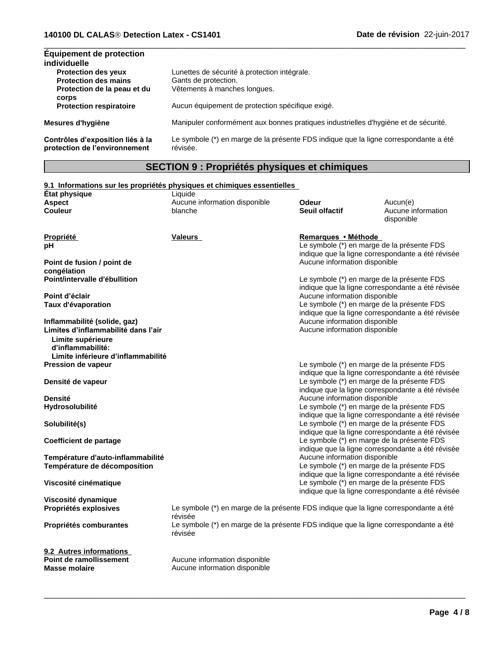| <b>Équipement de protection</b>                                   |                                                                                                  |
|-------------------------------------------------------------------|--------------------------------------------------------------------------------------------------|
| individuelle                                                      |                                                                                                  |
| <b>Protection des yeux</b>                                        | Lunettes de sécurité à protection intégrale.                                                     |
| <b>Protection des mains</b>                                       | Gants de protection.                                                                             |
| Protection de la peau et du                                       | Vêtements à manches longues.                                                                     |
| <b>corps</b>                                                      |                                                                                                  |
| <b>Protection respiratoire</b>                                    | Aucun équipement de protection spécifique exigé.                                                 |
| Mesures d'hygiène                                                 | Manipuler conformément aux bonnes pratiques industrielles d'hygiène et de sécurité.              |
| Contrôles d'exposition liés à la<br>protection de l'environnement | Le symbole (*) en marge de la présente FDS indique que la ligne correspondante a été<br>révisée. |

 $\overline{\phantom{a}}$  ,  $\overline{\phantom{a}}$  ,  $\overline{\phantom{a}}$  ,  $\overline{\phantom{a}}$  ,  $\overline{\phantom{a}}$  ,  $\overline{\phantom{a}}$  ,  $\overline{\phantom{a}}$  ,  $\overline{\phantom{a}}$  ,  $\overline{\phantom{a}}$  ,  $\overline{\phantom{a}}$  ,  $\overline{\phantom{a}}$  ,  $\overline{\phantom{a}}$  ,  $\overline{\phantom{a}}$  ,  $\overline{\phantom{a}}$  ,  $\overline{\phantom{a}}$  ,  $\overline{\phantom{a}}$ 

# **SECTION 9 : Propriétés physiques et chimiques**

| 9.1 Informations sur les propriétés physiques et chimiques essentielles |                                                                                      |                                            |                                                   |  |  |
|-------------------------------------------------------------------------|--------------------------------------------------------------------------------------|--------------------------------------------|---------------------------------------------------|--|--|
| État physique                                                           | Liquide                                                                              |                                            |                                                   |  |  |
| <b>Aspect</b>                                                           | Aucune information disponible                                                        | Odeur                                      | Aucun(e)                                          |  |  |
| Couleur                                                                 | blanche                                                                              | Seuil olfactif                             | Aucune information<br>disponible                  |  |  |
| <b>Propriété</b>                                                        | Valeurs                                                                              | Remarques • Méthode                        |                                                   |  |  |
| рH                                                                      |                                                                                      | Le symbole (*) en marge de la présente FDS |                                                   |  |  |
|                                                                         |                                                                                      |                                            | indique que la ligne correspondante a été révisée |  |  |
| Point de fusion / point de                                              |                                                                                      | Aucune information disponible              |                                                   |  |  |
| congélation                                                             |                                                                                      |                                            |                                                   |  |  |
| Point/intervalle d'ébullition                                           |                                                                                      |                                            | Le symbole (*) en marge de la présente FDS        |  |  |
|                                                                         |                                                                                      |                                            | indique que la ligne correspondante a été révisée |  |  |
| Point d'éclair                                                          |                                                                                      | Aucune information disponible              |                                                   |  |  |
| Taux d'évaporation                                                      |                                                                                      |                                            | Le symbole (*) en marge de la présente FDS        |  |  |
|                                                                         |                                                                                      |                                            | indique que la ligne correspondante a été révisée |  |  |
| Inflammabilité (solide, gaz)                                            |                                                                                      | Aucune information disponible              |                                                   |  |  |
| Limites d'inflammabilité dans l'air                                     |                                                                                      | Aucune information disponible              |                                                   |  |  |
| Limite supérieure                                                       |                                                                                      |                                            |                                                   |  |  |
| d'inflammabilité:                                                       |                                                                                      |                                            |                                                   |  |  |
| Limite inférieure d'inflammabilité                                      |                                                                                      |                                            |                                                   |  |  |
| Pression de vapeur                                                      |                                                                                      |                                            | Le symbole (*) en marge de la présente FDS        |  |  |
|                                                                         |                                                                                      |                                            | indique que la ligne correspondante a été révisée |  |  |
| Densité de vapeur                                                       |                                                                                      |                                            | Le symbole (*) en marge de la présente FDS        |  |  |
|                                                                         |                                                                                      |                                            | indique que la ligne correspondante a été révisée |  |  |
| <b>Densité</b>                                                          |                                                                                      | Aucune information disponible              |                                                   |  |  |
| Hydrosolubilité                                                         |                                                                                      |                                            | Le symbole (*) en marge de la présente FDS        |  |  |
|                                                                         |                                                                                      |                                            | indique que la ligne correspondante a été révisée |  |  |
| Solubilité(s)                                                           |                                                                                      |                                            | Le symbole (*) en marge de la présente FDS        |  |  |
|                                                                         |                                                                                      |                                            | indique que la ligne correspondante a été révisée |  |  |
| Coefficient de partage                                                  |                                                                                      |                                            | Le symbole (*) en marge de la présente FDS        |  |  |
|                                                                         |                                                                                      |                                            | indique que la ligne correspondante a été révisée |  |  |
| Température d'auto-inflammabilité                                       |                                                                                      | Aucune information disponible              |                                                   |  |  |
| Température de décomposition                                            |                                                                                      |                                            | Le symbole (*) en marge de la présente FDS        |  |  |
|                                                                         |                                                                                      |                                            | indique que la ligne correspondante a été révisée |  |  |
| Viscosité cinématique                                                   |                                                                                      |                                            | Le symbole (*) en marge de la présente FDS        |  |  |
|                                                                         |                                                                                      |                                            | indique que la ligne correspondante a été révisée |  |  |
| Viscosité dynamique                                                     |                                                                                      |                                            |                                                   |  |  |
| Propriétés explosives                                                   | Le symbole (*) en marge de la présente FDS indique que la ligne correspondante a été |                                            |                                                   |  |  |
|                                                                         | révisée                                                                              |                                            |                                                   |  |  |
| Propriétés comburantes                                                  | Le symbole (*) en marge de la présente FDS indique que la ligne correspondante a été |                                            |                                                   |  |  |
|                                                                         | révisée                                                                              |                                            |                                                   |  |  |
| 9.2 Autres informations                                                 |                                                                                      |                                            |                                                   |  |  |
| Point de ramollissement                                                 | Aucune information disponible                                                        |                                            |                                                   |  |  |
| <b>Masse molaire</b>                                                    | Aucune information disponible                                                        |                                            |                                                   |  |  |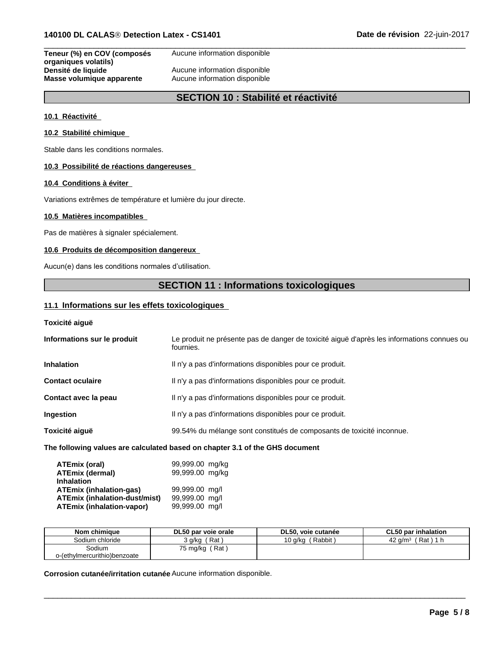# **Teneur (%) en COV (composés organiques volatils) Densité de liquide**<br> **Masse volumique apparente**<br>
Aucune information disponible

Aucune information disponible

**Masse volumique apparente** Aucune information disponible

# **SECTION 10 : Stabilité et réactivité**

 $\overline{\phantom{a}}$  ,  $\overline{\phantom{a}}$  ,  $\overline{\phantom{a}}$  ,  $\overline{\phantom{a}}$  ,  $\overline{\phantom{a}}$  ,  $\overline{\phantom{a}}$  ,  $\overline{\phantom{a}}$  ,  $\overline{\phantom{a}}$  ,  $\overline{\phantom{a}}$  ,  $\overline{\phantom{a}}$  ,  $\overline{\phantom{a}}$  ,  $\overline{\phantom{a}}$  ,  $\overline{\phantom{a}}$  ,  $\overline{\phantom{a}}$  ,  $\overline{\phantom{a}}$  ,  $\overline{\phantom{a}}$ 

**10.1 Réactivité**

# **10.2 Stabilité chimique**

Stable dans les conditions normales.

# **10.3 Possibilité de réactions dangereuses**

# **10.4 Conditions à éviter**

Variations extrêmes de température et lumière du jour directe.

# **10.5 Matières incompatibles**

Pas de matières à signaler spécialement.

# **10.6 Produits de décomposition dangereux**

Aucun(e) dans les conditions normales d'utilisation.

# **SECTION 11 : Informations toxicologiques**

# **11.1 Informations sur les effets toxicologiques**

|--|

| Informations sur le produit | Le produit ne présente pas de danger de toxicité aiguë d'après les informations connues ou<br>fournies. |
|-----------------------------|---------------------------------------------------------------------------------------------------------|
| <b>Inhalation</b>           | Il n'y a pas d'informations disponibles pour ce produit.                                                |
| <b>Contact oculaire</b>     | Il n'y a pas d'informations disponibles pour ce produit.                                                |
| Contact avec la peau        | Il n'y a pas d'informations disponibles pour ce produit.                                                |
| <b>Ingestion</b>            | Il n'y a pas d'informations disponibles pour ce produit.                                                |
| Toxicité aiquë              | 99.54% du mélange sont constitués de composants de toxicité inconnue.                                   |
|                             |                                                                                                         |

# **The following values are calculated based on chapter 3.1 of the GHS document**

| ATEmix (oral)<br><b>ATEmix (dermal)</b> | 99,999.00 mg/kg<br>99,999.00 mg/kg |  |
|-----------------------------------------|------------------------------------|--|
| <b>Inhalation</b>                       |                                    |  |
| <b>ATEmix (inhalation-gas)</b>          | 99,999.00 mg/l                     |  |
| <b>ATEmix (inhalation-dust/mist)</b>    | 99,999.00 mg/l                     |  |
| <b>ATEmix (inhalation-vapor)</b>        | 99,999.00 mg/l                     |  |

| Nom chimique                           | DL50 par voie orale | <b>DL50.</b><br>voie cutanée                 | CL50 par inhalation                  |
|----------------------------------------|---------------------|----------------------------------------------|--------------------------------------|
| Sodium chloride                        | Rat<br>s a/ka ≦     | Rabbit<br>$\overline{\phantom{a}}$<br>J a/ka | Rat<br>1 <sub>h</sub><br>42<br>`a/m∘ |
| Sodium<br>o-(ethylmercurithio)benzoate | `Rat ,<br>75 mg/kg  |                                              |                                      |

 $\overline{\phantom{a}}$  ,  $\overline{\phantom{a}}$  ,  $\overline{\phantom{a}}$  ,  $\overline{\phantom{a}}$  ,  $\overline{\phantom{a}}$  ,  $\overline{\phantom{a}}$  ,  $\overline{\phantom{a}}$  ,  $\overline{\phantom{a}}$  ,  $\overline{\phantom{a}}$  ,  $\overline{\phantom{a}}$  ,  $\overline{\phantom{a}}$  ,  $\overline{\phantom{a}}$  ,  $\overline{\phantom{a}}$  ,  $\overline{\phantom{a}}$  ,  $\overline{\phantom{a}}$  ,  $\overline{\phantom{a}}$ 

**Corrosion cutanée/irritation cutanée** Aucune information disponible.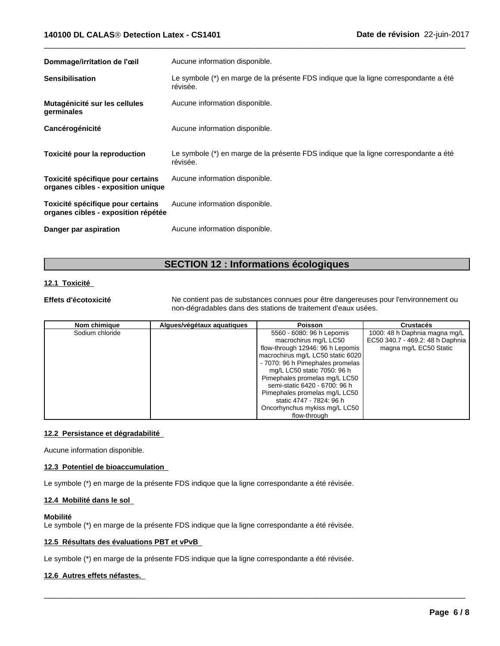| Dommage/irritation de l'œil                                              | Aucune information disponible.                                                                   |
|--------------------------------------------------------------------------|--------------------------------------------------------------------------------------------------|
| <b>Sensibilisation</b>                                                   | Le symbole (*) en marge de la présente FDS indique que la ligne correspondante a été<br>révisée. |
| Mutagénicité sur les cellules<br>germinales                              | Aucune information disponible.                                                                   |
| Cancérogénicité                                                          | Aucune information disponible.                                                                   |
| Toxicité pour la reproduction                                            | Le symbole (*) en marge de la présente FDS indique que la ligne correspondante a été<br>révisée. |
| Toxicité spécifique pour certains<br>organes cibles - exposition unique  | Aucune information disponible.                                                                   |
| Toxicité spécifique pour certains<br>organes cibles - exposition répétée | Aucune information disponible.                                                                   |
| Danger par aspiration                                                    | Aucune information disponible.                                                                   |

 $\overline{\phantom{a}}$  ,  $\overline{\phantom{a}}$  ,  $\overline{\phantom{a}}$  ,  $\overline{\phantom{a}}$  ,  $\overline{\phantom{a}}$  ,  $\overline{\phantom{a}}$  ,  $\overline{\phantom{a}}$  ,  $\overline{\phantom{a}}$  ,  $\overline{\phantom{a}}$  ,  $\overline{\phantom{a}}$  ,  $\overline{\phantom{a}}$  ,  $\overline{\phantom{a}}$  ,  $\overline{\phantom{a}}$  ,  $\overline{\phantom{a}}$  ,  $\overline{\phantom{a}}$  ,  $\overline{\phantom{a}}$ 

# **SECTION 12 : Informations écologiques**

# **12.1 Toxicité**

**Effets d'écotoxicité** Ne contient pas de substances connues pour être dangereuses pour l'environnement ou non-dégradables dans des stations de traitement d'eaux usées.

 $\overline{\phantom{a}}$  ,  $\overline{\phantom{a}}$  ,  $\overline{\phantom{a}}$  ,  $\overline{\phantom{a}}$  ,  $\overline{\phantom{a}}$  ,  $\overline{\phantom{a}}$  ,  $\overline{\phantom{a}}$  ,  $\overline{\phantom{a}}$  ,  $\overline{\phantom{a}}$  ,  $\overline{\phantom{a}}$  ,  $\overline{\phantom{a}}$  ,  $\overline{\phantom{a}}$  ,  $\overline{\phantom{a}}$  ,  $\overline{\phantom{a}}$  ,  $\overline{\phantom{a}}$  ,  $\overline{\phantom{a}}$ 

| Nom chimique    | Algues/végétaux aquatiques | <b>Poisson</b>                    | <b>Crustacés</b>                 |
|-----------------|----------------------------|-----------------------------------|----------------------------------|
| Sodium chloride |                            | 5560 - 6080: 96 h Lepomis         | 1000: 48 h Daphnia magna mg/L    |
|                 |                            | macrochirus mg/L LC50             | EC50 340.7 - 469.2: 48 h Daphnia |
|                 |                            | flow-through 12946: 96 h Lepomis  | magna mg/L EC50 Static           |
|                 |                            | macrochirus mg/L LC50 static 6020 |                                  |
|                 |                            | - 7070: 96 h Pimephales promelas  |                                  |
|                 |                            | mg/L LC50 static 7050: 96 h       |                                  |
|                 |                            | Pimephales promelas mg/L LC50     |                                  |
|                 |                            | semi-static 6420 - 6700: 96 h     |                                  |
|                 |                            | Pimephales promelas mg/L LC50     |                                  |
|                 |                            | static 4747 - 7824: 96 h          |                                  |
|                 |                            | Oncorhynchus mykiss mg/L LC50     |                                  |
|                 |                            | flow-through                      |                                  |

# **12.2 Persistance et dégradabilité**

Aucune information disponible.

# **12.3 Potentiel de bioaccumulation**

Le symbole (\*) en marge de la présente FDS indique que la ligne correspondante a été révisée.

# **12.4 Mobilité dans le sol**

#### **Mobilité**

Le symbole (\*) en marge de la présente FDS indique que la ligne correspondante a été révisée.

# **12.5 Résultats des évaluations PBT et vPvB**

Le symbole (\*) en marge de la présente FDS indique que la ligne correspondante a été révisée.

# **12.6 Autres effets néfastes.**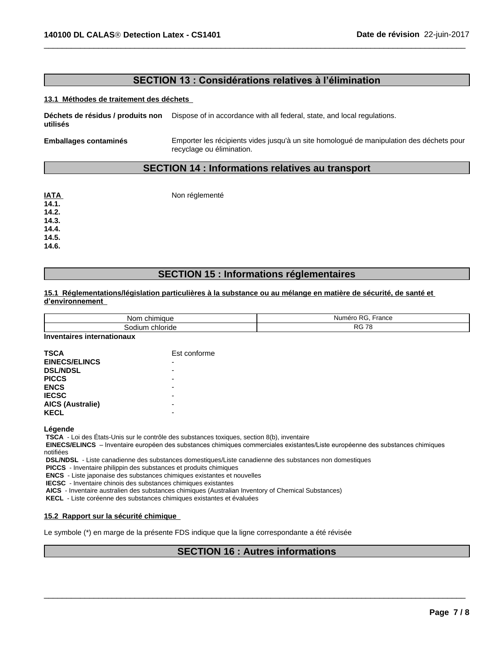# **SECTION 13: Considérations relatives à l'élimination**

#### **13.1 Méthodes de traitement des déchets**

**Déchets de résidus / produits non utilisés** Dispose of in accordance with all federal, state, and local regulations.

**Emballages contaminés** Emporter les récipients vides jusqu'à un site homologué de manipulation des déchets pour recyclage ou élimination.

 $\overline{\phantom{a}}$  ,  $\overline{\phantom{a}}$  ,  $\overline{\phantom{a}}$  ,  $\overline{\phantom{a}}$  ,  $\overline{\phantom{a}}$  ,  $\overline{\phantom{a}}$  ,  $\overline{\phantom{a}}$  ,  $\overline{\phantom{a}}$  ,  $\overline{\phantom{a}}$  ,  $\overline{\phantom{a}}$  ,  $\overline{\phantom{a}}$  ,  $\overline{\phantom{a}}$  ,  $\overline{\phantom{a}}$  ,  $\overline{\phantom{a}}$  ,  $\overline{\phantom{a}}$  ,  $\overline{\phantom{a}}$ 

# **SECTION 14 : Informations relatives au transport**

| <b>ATAI</b> | Non réglementé |
|-------------|----------------|
| 14.1.       |                |
| 14.2.       |                |
| 14.3.       |                |
| 14.4.       |                |
| 14.5.       |                |
| 14.6.       |                |

# **SECTION 15 : Informations réglementaires**

#### **15.1 Réglementations/législation particulières à la substance ou au mélange en matière de sécurité, de santé et d'environnement**

| chimique<br><b>Nom</b>  | ,,,<br>rance<br>Numero<br>- 50              |
|-------------------------|---------------------------------------------|
| chloride<br>sodium<br>. | $\overline{\phantom{a}}$<br>nr<br>7 C<br>טר |

**Inventaires internationaux**

| <b>TSCA</b>             | Est conforme |
|-------------------------|--------------|
| <b>EINECS/ELINCS</b>    |              |
| <b>DSL/NDSL</b>         |              |
| <b>PICCS</b>            |              |
| <b>ENCS</b>             |              |
| <b>IECSC</b>            |              |
| <b>AICS (Australie)</b> |              |
| <b>KECL</b>             | -            |
|                         |              |

**Légende**

**TSCA** - Loi des États-Unis sur le contrôle des substances toxiques, section 8(b), inventaire

**EINECS/ELINCS** – Inventaire européen des substances chimiques commerciales existantes/Liste européenne des substances chimiques notifiées

 **DSL/NDSL** - Liste canadienne des substances domestiques/Liste canadienne des substances non domestiques

 **PICCS** - Inventaire philippin des substances et produits chimiques

 **ENCS** - Liste japonaise des substances chimiques existantes et nouvelles

 **IECSC** - Inventaire chinois des substances chimiques existantes

 **AICS** - Inventaire australien des substances chimiques (Australian Inventory of Chemical Substances)

 **KECL** - Liste coréenne des substances chimiques existantes et évaluées

# **15.2 Rapport sur la sécurité chimique**

Le symbole (\*) en marge de la présente FDS indique que la ligne correspondante a été révisée

# **SECTION 16 : Autres informations**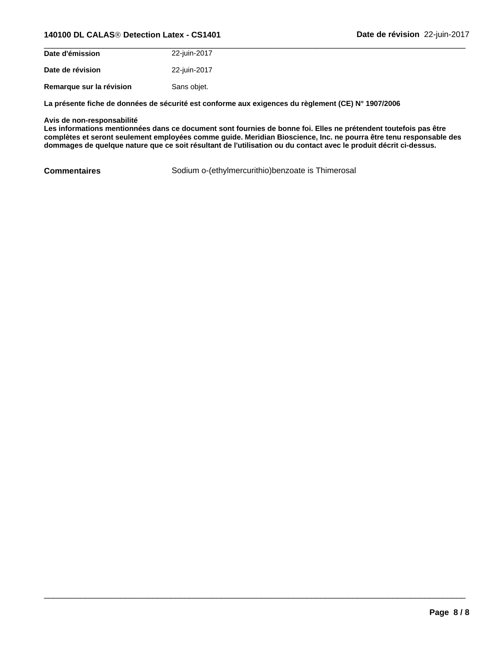# **140100 DL CALASÒ Detection Latex - CS1401 Date de révision** 22-juin-2017

| Date d'émission          | 22-juin-2017 |  |
|--------------------------|--------------|--|
| Date de révision         | 22-juin-2017 |  |
| Remarque sur la révision | Sans objet.  |  |

**La présente fiche de données de sécurité est conforme aux exigences du règlement (CE) N° 1907/2006**

### **Avis de non-responsabilité**

Les informations mentionnées dans ce document sont fournies de bonne foi. Elles ne prétendent toutefois pas être complètes et seront seulement employées comme guide. Meridian Bioscience, Inc. ne pourra être tenu responsable des dommages de quelque nature que ce soit résultant de l'utilisation ou du contact avec le produit décrit ci-dessus.

**Commentaires** Sodium o-(ethylmercurithio)benzoate is Thimerosal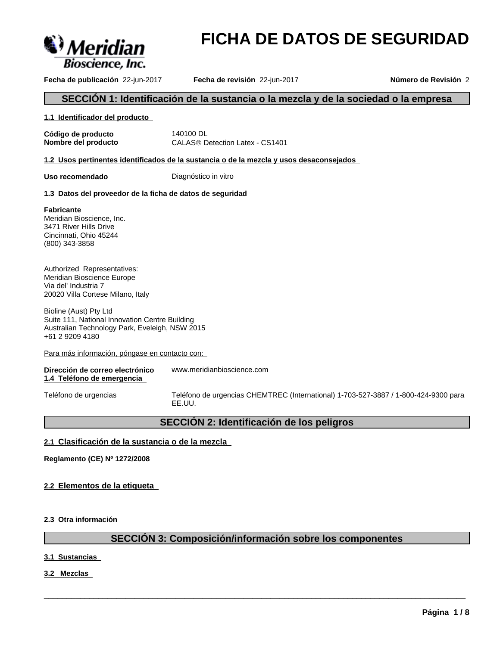

# **FICHA DE DATOS DE SEGURIDAD**

**Fecha de publicación** 22-jun-2017 **Fecha de revisión** 22-jun-2017 **Número de Revisión** 2

# **SECCIÓN 1: Identificación de la sustancia o la mezcla y de la sociedad o la empresa**

#### **1.1 Identificador del producto**

**Código de producto** 140100 DL

**Nombre del producto** CALAS<sup>®</sup> Detection Latex - CS1401

**1.2 Usos pertinentes identificados de la sustancia o de la mezcla y usos desaconsejados**

**Uso recomendado Diagnóstico in vitro** 

# **1.3 Datos del proveedor de la ficha de datos de seguridad**

#### **Fabricante**

Meridian Bioscience, Inc. 3471 River Hills Drive Cincinnati, Ohio 45244 (800) 343-3858

Authorized Representatives: Meridian Bioscience Europe Via del' Industria 7 20020 Villa Cortese Milano, Italy

Bioline (Aust) Pty Ltd Suite 111, National Innovation Centre Building Australian Technology Park, Eveleigh, NSW 2015 +61 2 9209 4180

Para más información, póngase en contacto con:

| Dirección de correo electrónico<br>1.4 Teléfono de emergencia | www.meridianbioscience.com                                                          |
|---------------------------------------------------------------|-------------------------------------------------------------------------------------|
| Teléfono de urgencias                                         | Teléfono de urgencias CHEMTREC (International) 1-703-527-3887 / 1-800-424-9300 para |

EE.UU.

# **SECCIÓN 2: Identificación de los peligros**

# **2.1 Clasificación de la sustancia o de la mezcla**

**Reglamento (CE) Nº 1272/2008**

**2.2 Elementos de la etiqueta**

**2.3 Otra información**

# **SECCIÓN 3: Composición/información sobre los componentes**

 $\overline{\phantom{a}}$  ,  $\overline{\phantom{a}}$  ,  $\overline{\phantom{a}}$  ,  $\overline{\phantom{a}}$  ,  $\overline{\phantom{a}}$  ,  $\overline{\phantom{a}}$  ,  $\overline{\phantom{a}}$  ,  $\overline{\phantom{a}}$  ,  $\overline{\phantom{a}}$  ,  $\overline{\phantom{a}}$  ,  $\overline{\phantom{a}}$  ,  $\overline{\phantom{a}}$  ,  $\overline{\phantom{a}}$  ,  $\overline{\phantom{a}}$  ,  $\overline{\phantom{a}}$  ,  $\overline{\phantom{a}}$ 

**3.1 Sustancias**

# **3.2 Mezclas**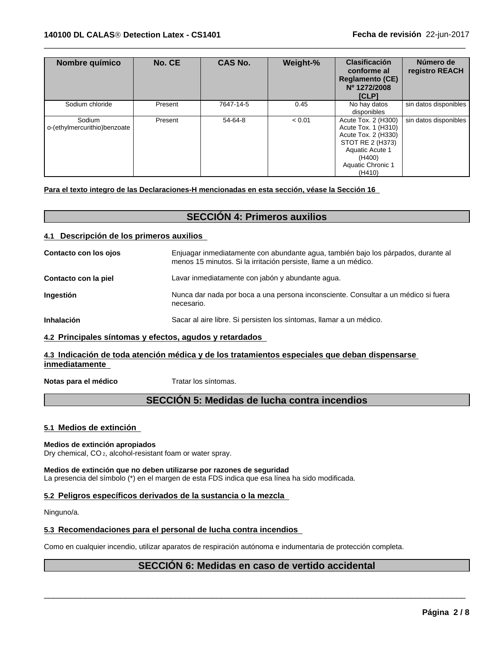| Nombre químico                         | No. CE  | <b>CAS No.</b> | Weight-% | <b>Clasificación</b><br>conforme al<br><b>Reglamento (CE)</b><br>Nº 1272/2008<br><b>ICLP1</b>                                                            | Número de<br>registro REACH |
|----------------------------------------|---------|----------------|----------|----------------------------------------------------------------------------------------------------------------------------------------------------------|-----------------------------|
| Sodium chloride                        | Present | 7647-14-5      | 0.45     | No hay datos<br>disponibles                                                                                                                              | sin datos disponibles       |
| Sodium<br>o-(ethylmercurithio)benzoate | Present | 54-64-8        | < 0.01   | Acute Tox. 2 (H300)<br>Acute Tox. 1 (H310)<br>Acute Tox. 2 (H330)<br>STOT RE 2 (H373)<br><b>Aquatic Acute 1</b><br>(H400)<br>Aquatic Chronic 1<br>(H410) | sin datos disponibles       |

 $\overline{\phantom{a}}$  ,  $\overline{\phantom{a}}$  ,  $\overline{\phantom{a}}$  ,  $\overline{\phantom{a}}$  ,  $\overline{\phantom{a}}$  ,  $\overline{\phantom{a}}$  ,  $\overline{\phantom{a}}$  ,  $\overline{\phantom{a}}$  ,  $\overline{\phantom{a}}$  ,  $\overline{\phantom{a}}$  ,  $\overline{\phantom{a}}$  ,  $\overline{\phantom{a}}$  ,  $\overline{\phantom{a}}$  ,  $\overline{\phantom{a}}$  ,  $\overline{\phantom{a}}$  ,  $\overline{\phantom{a}}$ 

# **Para el texto integro de las Declaraciones-H mencionadas en esta sección, véase la Sección 16**

# **SECCIÓN 4: Primeros auxilios**

# **4.1 Descripción de los primeros auxilios**

| Contacto con los ojos | Enjuagar inmediatamente con abundante agua, también bajo los párpados, durante al<br>menos 15 minutos. Si la irritación persiste, llame a un médico. |
|-----------------------|------------------------------------------------------------------------------------------------------------------------------------------------------|
| Contacto con la piel  | Lavar inmediatamente con jabón y abundante agua.                                                                                                     |
| Ingestión             | Nunca dar nada por boca a una persona inconsciente. Consultar a un médico si fuera<br>necesario.                                                     |
| Inhalación            | Sacar al aire libre. Si persisten los síntomas, llamar a un médico.                                                                                  |

# **4.2 Principales síntomas y efectos, agudos y retardados**

# **4.3 Indicación de toda atención médica y de los tratamientos especiales que deban dispensarse inmediatamente**

**Notas para el médico** Tratar los síntomas.

# **SECCIÓN 5: Medidas de lucha contra incendios**

# **5.1 Medios de extinción**

# **Medios de extinción apropiados**

Dry chemical, CO 2, alcohol-resistant foam or water spray.

**Medios de extinción que no deben utilizarse por razones de seguridad** La presencia del símbolo (\*) en el margen de esta FDS indica que esa línea ha sido modificada.

# **5.2 Peligros específicos derivados de la sustancia o la mezcla**

Ninguno/a.

# **5.3 Recomendaciones para el personal de lucha contra incendios**

Como en cualquier incendio, utilizar aparatos de respiración autónoma e indumentaria de protección completa.

# **SECCIÓN 6: Medidas en caso de vertido accidental**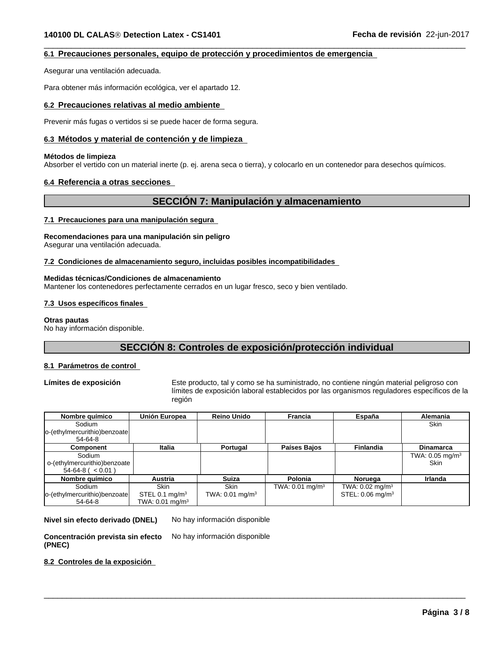# **6.1 Precauciones personales, equipo de protección y procedimientos de emergencia**

Asegurar una ventilación adecuada.

Para obtener más información ecológica, ver el apartado 12.

#### **6.2 Precauciones relativas al medio ambiente**

Prevenir más fugas o vertidos si se puede hacer de forma segura.

# **6.3 Métodos y material de contención y de limpieza**

#### **Métodos de limpieza**

Absorber el vertido con un material inerte (p. ej. arena seca o tierra), y colocarlo en un contenedor para desechos químicos.

# **6.4 Referencia a otras secciones**

# **SECCIÓN 7: Manipulación y almacenamiento**

 $\overline{\phantom{a}}$  ,  $\overline{\phantom{a}}$  ,  $\overline{\phantom{a}}$  ,  $\overline{\phantom{a}}$  ,  $\overline{\phantom{a}}$  ,  $\overline{\phantom{a}}$  ,  $\overline{\phantom{a}}$  ,  $\overline{\phantom{a}}$  ,  $\overline{\phantom{a}}$  ,  $\overline{\phantom{a}}$  ,  $\overline{\phantom{a}}$  ,  $\overline{\phantom{a}}$  ,  $\overline{\phantom{a}}$  ,  $\overline{\phantom{a}}$  ,  $\overline{\phantom{a}}$  ,  $\overline{\phantom{a}}$ 

#### **7.1 Precauciones para una manipulación segura**

#### **Recomendaciones para una manipulación sin peligro**

Asegurar una ventilación adecuada.

#### **7.2 Condiciones de almacenamiento seguro, incluidas posibles incompatibilidades**

# **Medidas técnicas/Condiciones de almacenamiento**

Mantener los contenedores perfectamente cerrados en un lugar fresco, seco y bien ventilado.

#### **7.3 Usos específicos finales**

#### **Otras pautas**

No hay información disponible.

# **SECCIÓN 8: Controles de exposición/protección individual**

# **8.1 Parámetros de control**

**Límites de exposición** Este producto, tal y como se ha suministrado, no contiene ningún material peligroso con límites de exposición laboral establecidos por las organismos reguladores específicos de la región

 $\overline{\phantom{a}}$  ,  $\overline{\phantom{a}}$  ,  $\overline{\phantom{a}}$  ,  $\overline{\phantom{a}}$  ,  $\overline{\phantom{a}}$  ,  $\overline{\phantom{a}}$  ,  $\overline{\phantom{a}}$  ,  $\overline{\phantom{a}}$  ,  $\overline{\phantom{a}}$  ,  $\overline{\phantom{a}}$  ,  $\overline{\phantom{a}}$  ,  $\overline{\phantom{a}}$  ,  $\overline{\phantom{a}}$  ,  $\overline{\phantom{a}}$  ,  $\overline{\phantom{a}}$  ,  $\overline{\phantom{a}}$ 

| Nombre químico                 | Unión Europea                 | <b>Reino Unido</b>            | Francia                    | España                        | <b>Alemania</b>               |
|--------------------------------|-------------------------------|-------------------------------|----------------------------|-------------------------------|-------------------------------|
| Sodium                         |                               |                               |                            |                               | <b>Skin</b>                   |
| o-(ethylmercurithio)benzoate   |                               |                               |                            |                               |                               |
| 54-64-8                        |                               |                               |                            |                               |                               |
| <b>Component</b>               | <b>Italia</b>                 | Portugal                      | Países Bajos               | <b>Finlandia</b>              | Dinamarca                     |
| Sodium                         |                               |                               |                            |                               | TWA: $0.05$ mg/m <sup>3</sup> |
| o-(ethylmercurithio)benzoate   |                               |                               |                            |                               | <b>Skin</b>                   |
| $54-64-8$ ( $< 0.01$ )         |                               |                               |                            |                               |                               |
| Nombre químico                 | <b>Austria</b>                | <b>Suiza</b>                  | <b>Polonia</b>             | Noruega                       | Irlanda                       |
| Sodium                         | <b>Skin</b>                   | <b>Skin</b>                   | TWA: $0.01 \text{ mg/m}^3$ | TWA: $0.02$ mg/m <sup>3</sup> |                               |
| lo-(ethylmercurithio)benzoatel | STEL 0.1 $mg/m3$              | TWA: $0.01$ mg/m <sup>3</sup> |                            | STEL: 0.06 mg/m <sup>3</sup>  |                               |
| 54-64-8                        | TWA: $0.01$ mg/m <sup>3</sup> |                               |                            |                               |                               |

**Nivel sin efecto derivado (DNEL)** No hay información disponible

**Concentración prevista sin efecto (PNEC)** No hay información disponible

**8.2 Controles de la exposición**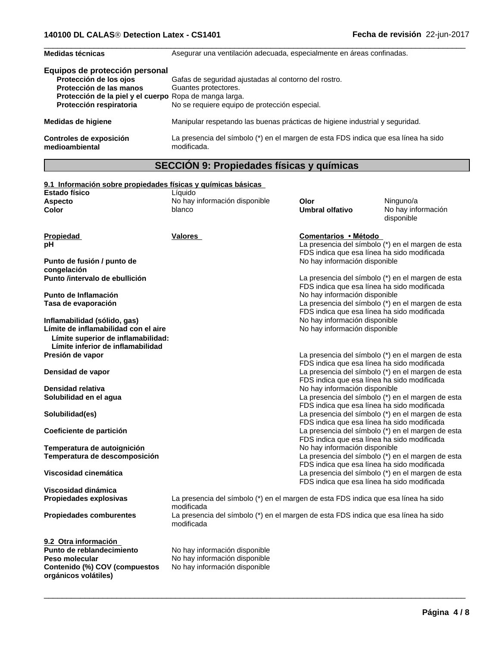| Medidas técnicas<br>Asegurar una ventilación adecuada, especialmente en áreas confinadas. |  |
|-------------------------------------------------------------------------------------------|--|

| Equipos de protección personal                         |                                                                                                   |
|--------------------------------------------------------|---------------------------------------------------------------------------------------------------|
| Protección de los ojos                                 | Gafas de seguridad ajustadas al contorno del rostro.                                              |
| Protección de las manos                                | Guantes protectores.                                                                              |
| Protección de la piel y el cuerpo Ropa de manga larga. |                                                                                                   |
| Protección respiratoria                                | No se requiere equipo de protección especial.                                                     |
| Medidas de higiene                                     | Manipular respetando las buenas prácticas de higiene industrial y seguridad.                      |
| Controles de exposición<br>medioambiental              | La presencia del símbolo (*) en el margen de esta FDS indica que esa línea ha sido<br>modificada. |

# **SECCIÓN 9: Propiedades físicas y químicas**

| 9.1 Información sobre propiedades físicas y químicas básicas |                                                                                    |                               |                                                   |
|--------------------------------------------------------------|------------------------------------------------------------------------------------|-------------------------------|---------------------------------------------------|
| Estado físico                                                | Líquido                                                                            |                               |                                                   |
| <b>Aspecto</b>                                               | No hay información disponible                                                      | Olor                          | Ninguno/a                                         |
| <b>Color</b>                                                 | blanco                                                                             | <b>Umbral olfativo</b>        | No hay información                                |
|                                                              |                                                                                    |                               | disponible                                        |
| Propiedad                                                    | Valores                                                                            | Comentarios . Método          |                                                   |
| рH                                                           |                                                                                    |                               | La presencia del símbolo (*) en el margen de esta |
|                                                              |                                                                                    |                               | FDS indica que esa línea ha sido modificada       |
| Punto de fusión / punto de                                   |                                                                                    | No hay información disponible |                                                   |
| congelación                                                  |                                                                                    |                               |                                                   |
| Punto /intervalo de ebullición                               |                                                                                    |                               | La presencia del símbolo (*) en el margen de esta |
|                                                              |                                                                                    |                               | FDS indica que esa línea ha sido modificada       |
| Punto de Inflamación                                         |                                                                                    | No hay información disponible |                                                   |
| Tasa de evaporación                                          |                                                                                    |                               | La presencia del símbolo (*) en el margen de esta |
|                                                              |                                                                                    |                               | FDS indica que esa línea ha sido modificada       |
| Inflamabilidad (sólido, gas)                                 |                                                                                    | No hay información disponible |                                                   |
| Límite de inflamabilidad con el aire                         |                                                                                    | No hay información disponible |                                                   |
| Límite superior de inflamabilidad:                           |                                                                                    |                               |                                                   |
| Límite inferior de inflamabilidad                            |                                                                                    |                               |                                                   |
| Presión de vapor                                             |                                                                                    |                               | La presencia del símbolo (*) en el margen de esta |
|                                                              |                                                                                    |                               | FDS indica que esa línea ha sido modificada       |
| Densidad de vapor                                            |                                                                                    |                               | La presencia del símbolo (*) en el margen de esta |
|                                                              |                                                                                    |                               | FDS indica que esa línea ha sido modificada       |
| Densidad relativa                                            |                                                                                    | No hay información disponible |                                                   |
| Solubilidad en el aqua                                       |                                                                                    |                               | La presencia del símbolo (*) en el margen de esta |
|                                                              |                                                                                    |                               | FDS indica que esa línea ha sido modificada       |
| Solubilidad(es)                                              |                                                                                    |                               | La presencia del símbolo (*) en el margen de esta |
|                                                              |                                                                                    |                               | FDS indica que esa línea ha sido modificada       |
| Coeficiente de partición                                     |                                                                                    |                               | La presencia del símbolo (*) en el margen de esta |
|                                                              |                                                                                    |                               | FDS indica que esa línea ha sido modificada       |
| Temperatura de autoignición                                  |                                                                                    | No hay información disponible |                                                   |
| Temperatura de descomposición                                |                                                                                    |                               | La presencia del símbolo (*) en el margen de esta |
|                                                              |                                                                                    |                               | FDS indica que esa línea ha sido modificada       |
| Viscosidad cinemática                                        |                                                                                    |                               | La presencia del símbolo (*) en el margen de esta |
|                                                              |                                                                                    |                               | FDS indica que esa línea ha sido modificada       |
| Viscosidad dinámica                                          |                                                                                    |                               |                                                   |
| Propiedades explosivas                                       | La presencia del símbolo (*) en el margen de esta FDS indica que esa línea ha sido |                               |                                                   |
|                                                              | modificada                                                                         |                               |                                                   |
| <b>Propiedades comburentes</b>                               | La presencia del símbolo (*) en el margen de esta FDS indica que esa línea ha sido |                               |                                                   |
|                                                              | modificada                                                                         |                               |                                                   |
|                                                              |                                                                                    |                               |                                                   |
| 9.2 Otra información                                         |                                                                                    |                               |                                                   |
| Punto de reblandecimiento                                    | No hay información disponible                                                      |                               |                                                   |
| Peso molecular                                               | No hay información disponible                                                      |                               |                                                   |
| Contenido (%) COV (compuestos                                | No hay información disponible                                                      |                               |                                                   |
| orgánicos volátiles)                                         |                                                                                    |                               |                                                   |
|                                                              |                                                                                    |                               |                                                   |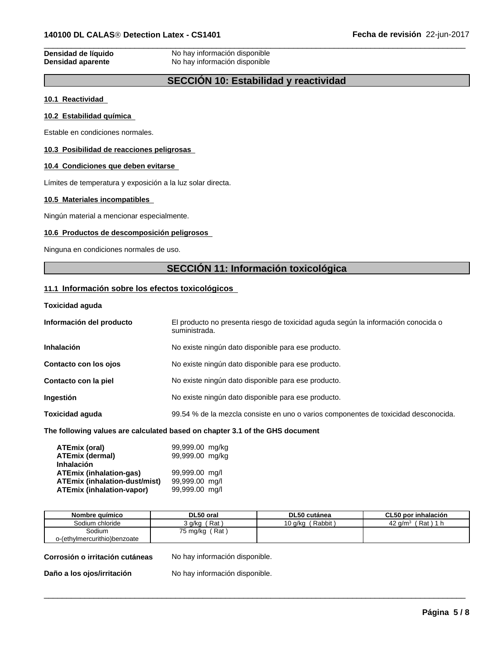$\overline{\phantom{a}}$  ,  $\overline{\phantom{a}}$  ,  $\overline{\phantom{a}}$  ,  $\overline{\phantom{a}}$  ,  $\overline{\phantom{a}}$  ,  $\overline{\phantom{a}}$  ,  $\overline{\phantom{a}}$  ,  $\overline{\phantom{a}}$  ,  $\overline{\phantom{a}}$  ,  $\overline{\phantom{a}}$  ,  $\overline{\phantom{a}}$  ,  $\overline{\phantom{a}}$  ,  $\overline{\phantom{a}}$  ,  $\overline{\phantom{a}}$  ,  $\overline{\phantom{a}}$  ,  $\overline{\phantom{a}}$ **Densidad de líquido**<br> **Densidad aparente**<br>
No hay información disponible<br>
No hay información disponible **No hay información disponible** 

# **SECCIÓN 10: Estabilidad y reactividad**

# **10.1 Reactividad**

#### **10.2 Estabilidad química**

Estable en condiciones normales.

# **10.3 Posibilidad de reacciones peligrosas**

# **10.4 Condiciones que deben evitarse**

Límites de temperatura y exposición a la luz solar directa.

#### **10.5 Materiales incompatibles**

Ningún material a mencionar especialmente.

# **10.6 Productos de descomposición peligrosos**

Ninguna en condiciones normales de uso.

# **SECCIÓN 11: Información toxicológica**

# **11.1 Información sobre los efectos toxicológicos**

**Toxicidad aguda**

| Información del producto | El producto no presenta riesgo de toxicidad aguda según la información conocida o<br>suministrada. |
|--------------------------|----------------------------------------------------------------------------------------------------|
| <b>Inhalación</b>        | No existe ningún dato disponible para ese producto.                                                |
| Contacto con los ojos    | No existe ningún dato disponible para ese producto.                                                |
| Contacto con la piel     | No existe ningún dato disponible para ese producto.                                                |
| <b>Ingestión</b>         | No existe ningún dato disponible para ese producto.                                                |
| <b>Toxicidad aguda</b>   | 99.54 % de la mezcla consiste en uno o varios componentes de toxicidad desconocida.                |
|                          |                                                                                                    |

# **The following values are calculated based on chapter 3.1 of the GHS document**

| ATEmix (oral)                        | 99,999.00 mg/kg |  |
|--------------------------------------|-----------------|--|
| <b>ATEmix (dermal)</b>               | 99,999.00 mg/kg |  |
| <b>Inhalación</b>                    |                 |  |
| <b>ATEmix (inhalation-gas)</b>       | 99,999.00 mg/l  |  |
| <b>ATEmix (inhalation-dust/mist)</b> | 99,999.00 mg/l  |  |
| <b>ATEmix (inhalation-vapor)</b>     | 99,999.00 mg/l  |  |

| Nombre quimico               | DL50 oral        | <b>DL50</b> cutánea    | CL50 por inhalación  |
|------------------------------|------------------|------------------------|----------------------|
| Sodium chloride              | Rat<br>3 g/kg    | Rabbit<br>៱<br>10 a/ka | Rat<br>42 a/mª<br>44 |
| Sodium                       | Rat,<br>75 mg/kg |                        |                      |
| o-(ethylmercurithio)benzoate |                  |                        |                      |

 $\overline{\phantom{a}}$  ,  $\overline{\phantom{a}}$  ,  $\overline{\phantom{a}}$  ,  $\overline{\phantom{a}}$  ,  $\overline{\phantom{a}}$  ,  $\overline{\phantom{a}}$  ,  $\overline{\phantom{a}}$  ,  $\overline{\phantom{a}}$  ,  $\overline{\phantom{a}}$  ,  $\overline{\phantom{a}}$  ,  $\overline{\phantom{a}}$  ,  $\overline{\phantom{a}}$  ,  $\overline{\phantom{a}}$  ,  $\overline{\phantom{a}}$  ,  $\overline{\phantom{a}}$  ,  $\overline{\phantom{a}}$ 

**Corrosión o irritación cutáneas** No hay información disponible.

**Daño a los ojos/irritación** No hay información disponible.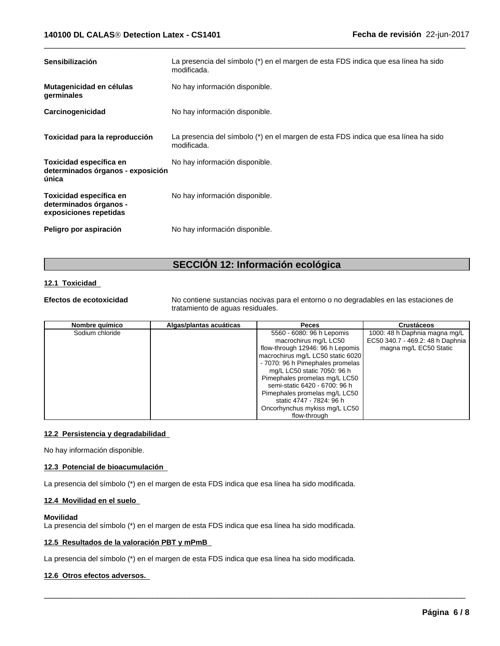| Sensibilización                                                             | La presencia del símbolo (*) en el margen de esta FDS indica que esa línea ha sido<br>modificada. |
|-----------------------------------------------------------------------------|---------------------------------------------------------------------------------------------------|
| Mutagenicidad en células<br>germinales                                      | No hay información disponible.                                                                    |
| Carcinogenicidad                                                            | No hay información disponible.                                                                    |
| Toxicidad para la reproducción                                              | La presencia del símbolo (*) en el margen de esta FDS indica que esa línea ha sido<br>modificada. |
| Toxicidad específica en<br>determinados órganos - exposición<br>única       | No hay información disponible.                                                                    |
| Toxicidad específica en<br>determinados órganos -<br>exposiciones repetidas | No hay información disponible.                                                                    |
| Peligro por aspiración                                                      | No hay información disponible.                                                                    |

# **SECCIÓN 12: Información ecológica**

# **12.1 Toxicidad**

**Efectos de ecotoxicidad** No contiene sustancias nocivas para el entorno o no degradables en las estaciones de tratamiento de aguas residuales.

 $\overline{\phantom{a}}$  ,  $\overline{\phantom{a}}$  ,  $\overline{\phantom{a}}$  ,  $\overline{\phantom{a}}$  ,  $\overline{\phantom{a}}$  ,  $\overline{\phantom{a}}$  ,  $\overline{\phantom{a}}$  ,  $\overline{\phantom{a}}$  ,  $\overline{\phantom{a}}$  ,  $\overline{\phantom{a}}$  ,  $\overline{\phantom{a}}$  ,  $\overline{\phantom{a}}$  ,  $\overline{\phantom{a}}$  ,  $\overline{\phantom{a}}$  ,  $\overline{\phantom{a}}$  ,  $\overline{\phantom{a}}$ 

 $\overline{\phantom{a}}$  ,  $\overline{\phantom{a}}$  ,  $\overline{\phantom{a}}$  ,  $\overline{\phantom{a}}$  ,  $\overline{\phantom{a}}$  ,  $\overline{\phantom{a}}$  ,  $\overline{\phantom{a}}$  ,  $\overline{\phantom{a}}$  ,  $\overline{\phantom{a}}$  ,  $\overline{\phantom{a}}$  ,  $\overline{\phantom{a}}$  ,  $\overline{\phantom{a}}$  ,  $\overline{\phantom{a}}$  ,  $\overline{\phantom{a}}$  ,  $\overline{\phantom{a}}$  ,  $\overline{\phantom{a}}$ 

| Nombre químico  | Algas/plantas acuáticas | <b>Peces</b>                      | <b>Crustáceos</b>                |
|-----------------|-------------------------|-----------------------------------|----------------------------------|
| Sodium chloride |                         | 5560 - 6080: 96 h Lepomis         | 1000: 48 h Daphnia magna mg/L    |
|                 |                         | macrochirus mg/L LC50             | EC50 340.7 - 469.2: 48 h Daphnia |
|                 |                         | flow-through 12946: 96 h Lepomis  | magna mg/L EC50 Static           |
|                 |                         | macrochirus mg/L LC50 static 6020 |                                  |
|                 |                         | - 7070: 96 h Pimephales promelas  |                                  |
|                 |                         | mg/L LC50 static 7050: 96 h       |                                  |
|                 |                         | Pimephales promelas mg/L LC50     |                                  |
|                 |                         | semi-static 6420 - 6700: 96 h     |                                  |
|                 |                         | Pimephales promelas mg/L LC50     |                                  |
|                 |                         | static 4747 - 7824: 96 h          |                                  |
|                 |                         | Oncorhynchus mykiss mg/L LC50     |                                  |
|                 |                         | flow-through                      |                                  |

# **12.2 Persistencia y degradabilidad**

No hay información disponible.

# **12.3 Potencial de bioacumulación**

La presencia del símbolo (\*) en el margen de esta FDS indica que esa línea ha sido modificada.

# **12.4 Movilidad en el suelo**

#### **Movilidad**

La presencia del símbolo (\*) en el margen de esta FDS indica que esa línea ha sido modificada.

# **12.5 Resultados de la valoración PBT y mPmB**

La presencia del símbolo (\*) en el margen de esta FDS indica que esa línea ha sido modificada.

# **12.6 Otros efectos adversos.**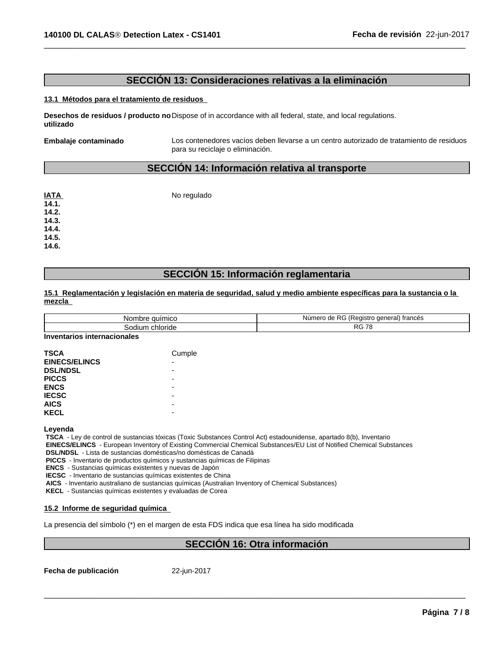# **SECCIÓN 13: Consideraciones relativas a la eliminación**

#### **13.1 Métodos para el tratamiento de residuos**

**Desechos de residuos / producto no** Dispose ofin accordance with all federal, state, and local regulations. **utilizado**

**Embalaje contaminado** Los contenedores vacíos deben llevarse a un centro autorizado de tratamiento de residuos para su reciclaje o eliminación.

 $\overline{\phantom{a}}$  ,  $\overline{\phantom{a}}$  ,  $\overline{\phantom{a}}$  ,  $\overline{\phantom{a}}$  ,  $\overline{\phantom{a}}$  ,  $\overline{\phantom{a}}$  ,  $\overline{\phantom{a}}$  ,  $\overline{\phantom{a}}$  ,  $\overline{\phantom{a}}$  ,  $\overline{\phantom{a}}$  ,  $\overline{\phantom{a}}$  ,  $\overline{\phantom{a}}$  ,  $\overline{\phantom{a}}$  ,  $\overline{\phantom{a}}$  ,  $\overline{\phantom{a}}$  ,  $\overline{\phantom{a}}$ 

# **SECCIÓN 14: Información relativa al transporte**

| <u>IATA</u> | No regulado |
|-------------|-------------|
| 14.1.       |             |
| 14.2.       |             |
| 14.3.       |             |
| 14.4.       |             |
| 14.5.       |             |
| 14.6.       |             |

# **SECCIÓN 15: Información reglamentaria**

# 15.1 Reglamentación y legislación en materia de seguridad, salud y medio ambiente específicas para la sustancia o la **mezcla**

| Nor<br>mıcc<br>. auır<br>יוטו | $\sqrt{2}$<br>(deneral<br>trances<br>Numerc<br>eaistro<br>de.<br>. |
|-------------------------------|--------------------------------------------------------------------|
| chloride<br>sodiun            | ہ د،<br>$\overline{\phantom{a}}$<br>טר<br>. .                      |

**Inventarios internacionales**

| <b>TSCA</b>          | Cumple |
|----------------------|--------|
| <b>EINECS/ELINCS</b> | ۰      |
| <b>DSL/NDSL</b>      | ۰      |
| <b>PICCS</b>         |        |
| <b>ENCS</b>          | -      |
| <b>IECSC</b>         | ۰      |
| <b>AICS</b>          | -      |
| <b>KECL</b>          | -      |

**Leyenda**

 **TSCA** - Ley de control de sustancias tóxicas (Toxic Substances Control Act) estadounidense, apartado 8(b), Inventario  **EINECS/ELINCS** - European Inventory of Existing Commercial Chemical Substances/EU List of Notified Chemical Substances  **DSL/NDSL** - Lista de sustancias domésticas/no domésticas de Canadá

 **PICCS** - Inventario de productos químicos y sustancias químicas de Filipinas

 **ENCS** - Sustancias químicas existentes y nuevas de Japón

 **IECSC** - Inventario de sustancias químicas existentes de China

 **AICS** - Inventario australiano de sustancias químicas (Australian Inventory of Chemical Substances)

 **KECL** - Sustancias químicas existentes y evaluadas de Corea

# **15.2 Informe de seguridad química**

La presencia del símbolo (\*) en el margen de esta FDS indica que esa línea ha sido modificada

# **SECCIÓN 16: Otra información**

 $\overline{\phantom{a}}$  ,  $\overline{\phantom{a}}$  ,  $\overline{\phantom{a}}$  ,  $\overline{\phantom{a}}$  ,  $\overline{\phantom{a}}$  ,  $\overline{\phantom{a}}$  ,  $\overline{\phantom{a}}$  ,  $\overline{\phantom{a}}$  ,  $\overline{\phantom{a}}$  ,  $\overline{\phantom{a}}$  ,  $\overline{\phantom{a}}$  ,  $\overline{\phantom{a}}$  ,  $\overline{\phantom{a}}$  ,  $\overline{\phantom{a}}$  ,  $\overline{\phantom{a}}$  ,  $\overline{\phantom{a}}$ 

**Fecha de publicación** 22-jun-2017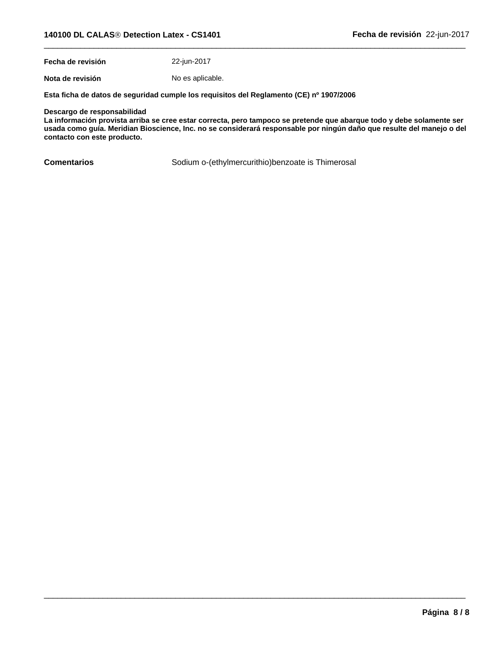**Fecha de revisión** 22-jun-2017

**Nota de revisión** No es aplicable.

**Esta ficha de datos de seguridad cumple los requisitos del Reglamento (CE) nº 1907/2006**

#### **Descargo de responsabilidad**

La información provista arriba se cree estar correcta, pero tampoco se pretende que abarque todo y debe solamente ser usada como guía. Meridian Bioscience, Inc. no se considerará responsable por ningún daño que resulte del manejo o del **contacto con este producto.**

**Comentarios** Sodium o-(ethylmercurithio)benzoate is Thimerosal

 $\overline{\phantom{a}}$  ,  $\overline{\phantom{a}}$  ,  $\overline{\phantom{a}}$  ,  $\overline{\phantom{a}}$  ,  $\overline{\phantom{a}}$  ,  $\overline{\phantom{a}}$  ,  $\overline{\phantom{a}}$  ,  $\overline{\phantom{a}}$  ,  $\overline{\phantom{a}}$  ,  $\overline{\phantom{a}}$  ,  $\overline{\phantom{a}}$  ,  $\overline{\phantom{a}}$  ,  $\overline{\phantom{a}}$  ,  $\overline{\phantom{a}}$  ,  $\overline{\phantom{a}}$  ,  $\overline{\phantom{a}}$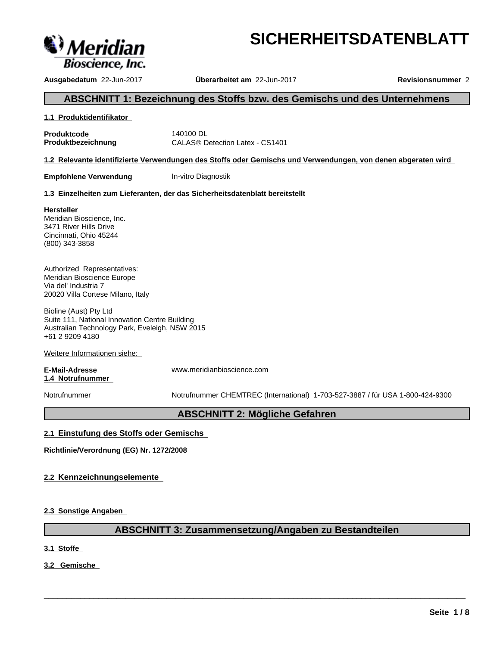

# **SICHERHEITSDATENBLATT**

**Ausgabedatum** 22-Jun-2017 **Überarbeitet am** 22-Jun-2017 **Revisionsnummer** 2

# **ABSCHNITT 1: Bezeichnung des Stoffs bzw. des Gemischs und des Unternehmens**

### **1.1 Produktidentifikator**

**Produktcode 140100 DL<br>
<b>Produktbezeichnung** CALAS® D

**CALAS<sup>®</sup>** Detection Latex - CS1401

**1.2 Relevante identifizierte Verwendungen des Stoffs oder Gemischs und Verwendungen, von denen abgeraten wird**

**Empfohlene Verwendung** In-vitro Diagnostik

# **1.3 Einzelheiten zum Lieferanten, der das Sicherheitsdatenblatt bereitstellt**

# **Hersteller**

Meridian Bioscience, Inc. 3471 River Hills Drive Cincinnati, Ohio 45244 (800) 343-3858

Authorized Representatives: Meridian Bioscience Europe Via del' Industria 7 20020 Villa Cortese Milano, Italy

Bioline (Aust) Pty Ltd Suite 111, National Innovation Centre Building Australian Technology Park, Eveleigh, NSW 2015 +61 2 9209 4180

Weitere Informationen siehe:

**E-Mail-Adresse** www.meridianbioscience.com **1.4 Notrufnummer**

Notrufnummer Notrufnummer CHEMTREC (International) 1-703-527-3887 / für USA 1-800-424-9300

 $\overline{\phantom{a}}$  ,  $\overline{\phantom{a}}$  ,  $\overline{\phantom{a}}$  ,  $\overline{\phantom{a}}$  ,  $\overline{\phantom{a}}$  ,  $\overline{\phantom{a}}$  ,  $\overline{\phantom{a}}$  ,  $\overline{\phantom{a}}$  ,  $\overline{\phantom{a}}$  ,  $\overline{\phantom{a}}$  ,  $\overline{\phantom{a}}$  ,  $\overline{\phantom{a}}$  ,  $\overline{\phantom{a}}$  ,  $\overline{\phantom{a}}$  ,  $\overline{\phantom{a}}$  ,  $\overline{\phantom{a}}$ 

# **ABSCHNITT 2: Mögliche Gefahren**

# **2.1 Einstufung des Stoffs oder Gemischs**

**Richtlinie/Verordnung (EG) Nr. 1272/2008**

# **2.2 Kennzeichnungselemente**

**2.3 Sonstige Angaben**

# **ABSCHNITT 3: Zusammensetzung/Angaben zu Bestandteilen**

**3.1 Stoffe**

**3.2 Gemische**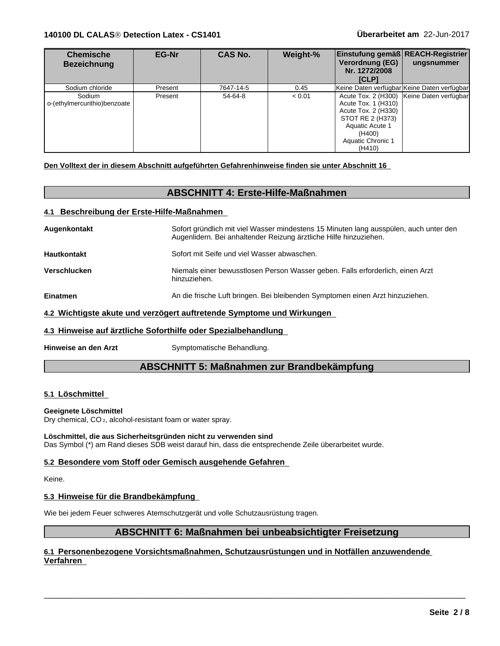| <b>Chemische</b><br><b>Bezeichnung</b> | <b>EG-Nr</b> | <b>CAS No.</b> | Weight-% | Einstufung gemäß REACH-Registrier<br>Verordnung (EG)<br>Nr. 1272/2008<br><b>ICLP1</b>                                      | ungsnummer                                |
|----------------------------------------|--------------|----------------|----------|----------------------------------------------------------------------------------------------------------------------------|-------------------------------------------|
| Sodium chloride                        | Present      | 7647-14-5      | 0.45     | Keine Daten verfügbar Keine Daten verfügbar                                                                                |                                           |
| Sodium<br>o-(ethylmercurithio)benzoate | Present      | 54-64-8        | < 0.01   | Acute Tox. 1 (H310)<br>Acute Tox. 2 (H330)<br>STOT RE 2 (H373)<br>Aquatic Acute 1<br>(H400)<br>Aquatic Chronic 1<br>(H410) | Acute Tox. 2 (H300) Keine Daten verfügbar |

**Den Volltext der in diesem Abschnitt aufgeführten Gefahrenhinweise finden sie unter Abschnitt 16**

# **ABSCHNITT 4: Erste-Hilfe-Maßnahmen**

# **4.1 Beschreibung der Erste-Hilfe-Maßnahmen**

| Augenkontakt                                                          | Sofort gründlich mit viel Wasser mindestens 15 Minuten lang ausspülen, auch unter den<br>Augenlidern. Bei anhaltender Reizung ärztliche Hilfe hinzuziehen. |  |
|-----------------------------------------------------------------------|------------------------------------------------------------------------------------------------------------------------------------------------------------|--|
| Hautkontakt                                                           | Sofort mit Seife und viel Wasser abwaschen.                                                                                                                |  |
| Verschlucken                                                          | Niemals einer bewusstlosen Person Wasser geben. Falls erforderlich, einen Arzt<br>hinzuziehen.                                                             |  |
| Einatmen                                                              | An die frische Luft bringen. Bei bleibenden Symptomen einen Arzt hinzuziehen.                                                                              |  |
| 4.2 Wichtigste akute und verzögert auftretende Symptome und Wirkungen |                                                                                                                                                            |  |
|                                                                       |                                                                                                                                                            |  |

# **4.3 Hinweise auf ärztliche Soforthilfe oder Spezialbehandlung**

Hinweise an den Arzt Symptomatische Behandlung.

# **ABSCHNITT 5: Maßnahmen zur Brandbekämpfung**

# **5.1 Löschmittel**

# **Geeignete Löschmittel**

Dry chemical, CO 2, alcohol-resistant foam or water spray.

**Löschmittel, die aus Sicherheitsgründen nicht zu verwenden sind** Das Symbol (\*) am Rand dieses SDB weist darauf hin, dass die entsprechende Zeile überarbeitet wurde.

# **5.2 Besondere vom Stoff oder Gemisch ausgehende Gefahren**

# Keine.

# **5.3 Hinweise für die Brandbekämpfung**

Wie bei jedem Feuer schweres Atemschutzgerät und volle Schutzausrüstung tragen.

# **ABSCHNITT 6: Maßnahmen bei unbeabsichtigter Freisetzung**

 $\overline{\phantom{a}}$  ,  $\overline{\phantom{a}}$  ,  $\overline{\phantom{a}}$  ,  $\overline{\phantom{a}}$  ,  $\overline{\phantom{a}}$  ,  $\overline{\phantom{a}}$  ,  $\overline{\phantom{a}}$  ,  $\overline{\phantom{a}}$  ,  $\overline{\phantom{a}}$  ,  $\overline{\phantom{a}}$  ,  $\overline{\phantom{a}}$  ,  $\overline{\phantom{a}}$  ,  $\overline{\phantom{a}}$  ,  $\overline{\phantom{a}}$  ,  $\overline{\phantom{a}}$  ,  $\overline{\phantom{a}}$ 

# **6.1 Personenbezogene Vorsichtsmaßnahmen, Schutzausrüstungen und in Notfällen anzuwendende Verfahren**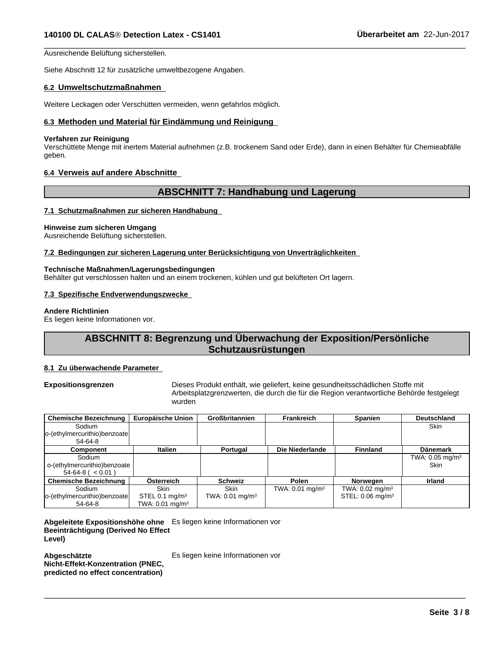Ausreichende Belüftung sicherstellen.

Siehe Abschnitt 12 für zusätzliche umweltbezogene Angaben.

#### **6.2 Umweltschutzmaßnahmen**

Weitere Leckagen oder Verschütten vermeiden, wenn gefahrlos möglich.

### **6.3 Methoden und Material für Eindämmung und Reinigung**

#### **Verfahren zur Reinigung**

Verschüttete Menge mit inertem Material aufnehmen (z.B. trockenem Sand oder Erde), dann in einen Behälter für Chemieabfälle geben.

 $\overline{\phantom{a}}$  ,  $\overline{\phantom{a}}$  ,  $\overline{\phantom{a}}$  ,  $\overline{\phantom{a}}$  ,  $\overline{\phantom{a}}$  ,  $\overline{\phantom{a}}$  ,  $\overline{\phantom{a}}$  ,  $\overline{\phantom{a}}$  ,  $\overline{\phantom{a}}$  ,  $\overline{\phantom{a}}$  ,  $\overline{\phantom{a}}$  ,  $\overline{\phantom{a}}$  ,  $\overline{\phantom{a}}$  ,  $\overline{\phantom{a}}$  ,  $\overline{\phantom{a}}$  ,  $\overline{\phantom{a}}$ 

# **6.4 Verweis auf andere Abschnitte**

# **ABSCHNITT 7: Handhabung und Lagerung**

#### **7.1 Schutzmaßnahmen zur sicheren Handhabung**

#### **Hinweise zum sicheren Umgang**

Ausreichende Belüftung sicherstellen.

#### **7.2 Bedingungen zur sicheren Lagerung unter Berücksichtigung von Unverträglichkeiten**

### **Technische Maßnahmen/Lagerungsbedingungen**

Behälter gut verschlossen halten und an einem trockenen, kühlen und gut belüfteten Ort lagern.

#### **7.3 Spezifische Endverwendungszwecke**

#### **Andere Richtlinien**

Es liegen keine Informationen vor.

# **ABSCHNITT 8: Begrenzung und Überwachung der Exposition/Persönliche Schutzausrüstungen**

#### **8.1 Zu überwachende Parameter**

**Expositionsgrenzen** Dieses Produkt enthält, wie geliefert, keine gesundheitsschädlichen Stoffe mit Arbeitsplatzgrenzwerten, die durch die für die Region verantwortliche Behörde festgelegt wurden

 $\overline{\phantom{a}}$  ,  $\overline{\phantom{a}}$  ,  $\overline{\phantom{a}}$  ,  $\overline{\phantom{a}}$  ,  $\overline{\phantom{a}}$  ,  $\overline{\phantom{a}}$  ,  $\overline{\phantom{a}}$  ,  $\overline{\phantom{a}}$  ,  $\overline{\phantom{a}}$  ,  $\overline{\phantom{a}}$  ,  $\overline{\phantom{a}}$  ,  $\overline{\phantom{a}}$  ,  $\overline{\phantom{a}}$  ,  $\overline{\phantom{a}}$  ,  $\overline{\phantom{a}}$  ,  $\overline{\phantom{a}}$ 

| <b>Chemische Bezeichnung</b>  | Europäische Union  | <b>Großbritannien</b>      | <b>Frankreich</b>          | Spanien                        | <b>Deutschland</b>            |
|-------------------------------|--------------------|----------------------------|----------------------------|--------------------------------|-------------------------------|
| Sodium                        |                    |                            |                            |                                | Skin                          |
| lo-(ethylmercurithio)benzoate |                    |                            |                            |                                |                               |
| 54-64-8                       |                    |                            |                            |                                |                               |
| Component                     | <b>Italien</b>     | Portugal                   | Die Niederlande            | <b>Finnland</b>                | <b>Dänemark</b>               |
| Sodium                        |                    |                            |                            |                                | TWA: $0.05$ mg/m <sup>3</sup> |
| o-(ethylmercurithio)benzoate  |                    |                            |                            |                                | <b>Skin</b>                   |
| $54-64-8$ ( $< 0.01$ )        |                    |                            |                            |                                |                               |
| <b>Chemische Bezeichnung</b>  | Österreich         | <b>Schweiz</b>             | Polen                      | Norwegen                       | <b>Irland</b>                 |
| Sodium                        | <b>Skin</b>        | <b>Skin</b>                | TWA: $0.01 \text{ mg/m}^3$ | TWA: $0.02$ mg/m <sup>3</sup>  |                               |
| o-(ethylmercurithio)benzoate  | STEL 0.1 $mg/m3$   | TWA: $0.01 \text{ mg/m}^3$ |                            | STEL: $0.06$ mg/m <sup>3</sup> |                               |
| 54-64-8                       | TWA: 0.01 mg/m $3$ |                            |                            |                                |                               |

**Abgeleitete Expositionshöhe ohne** Es liegen keine Informationen vor **Beeinträchtigung (Derived No Effect Level)**

**Abgeschätzte Nicht-Effekt-Konzentration (PNEC, predicted no effect concentration)** Es liegen keine Informationen vor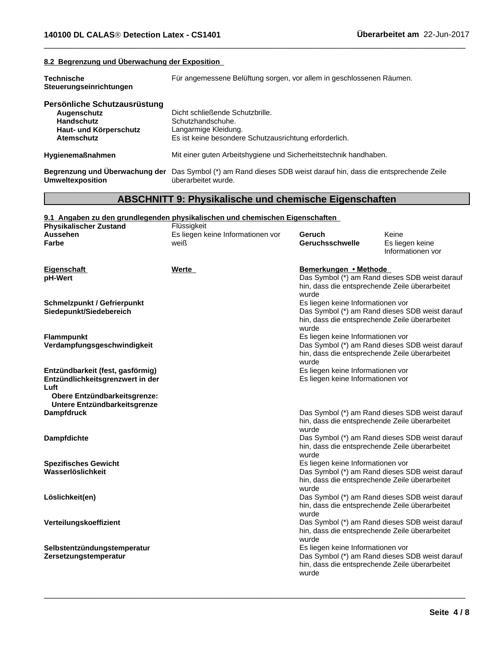# **8.2 Begrenzung und Überwachung der Exposition**

| <b>Technische</b><br>Steuerungseinrichtungen                                                                    | Für angemessene Belüftung sorgen, vor allem in geschlossenen Räumen.                                                                   |
|-----------------------------------------------------------------------------------------------------------------|----------------------------------------------------------------------------------------------------------------------------------------|
| Persönliche Schutzausrüstung<br>Augenschutz<br><b>Handschutz</b><br>Haut- und Körperschutz<br><b>Atemschutz</b> | Dicht schließende Schutzbrille.<br>Schutzhandschuhe.<br>Langarmige Kleidung.<br>Es ist keine besondere Schutzausrichtung erforderlich. |
| <b>Hygienemaßnahmen</b>                                                                                         | Mit einer guten Arbeitshygiene und Sicherheitstechnik handhaben.                                                                       |
| Begrenzung und Überwachung der<br><b>Umweltexposition</b>                                                       | Das Symbol (*) am Rand dieses SDB weist darauf hin, dass die entsprechende Zeile<br>überarbeitet wurde.                                |

 $\overline{\phantom{a}}$  ,  $\overline{\phantom{a}}$  ,  $\overline{\phantom{a}}$  ,  $\overline{\phantom{a}}$  ,  $\overline{\phantom{a}}$  ,  $\overline{\phantom{a}}$  ,  $\overline{\phantom{a}}$  ,  $\overline{\phantom{a}}$  ,  $\overline{\phantom{a}}$  ,  $\overline{\phantom{a}}$  ,  $\overline{\phantom{a}}$  ,  $\overline{\phantom{a}}$  ,  $\overline{\phantom{a}}$  ,  $\overline{\phantom{a}}$  ,  $\overline{\phantom{a}}$  ,  $\overline{\phantom{a}}$ 

# **ABSCHNITT 9: Physikalische und chemische Eigenschaften**

|                                                                                                              | 9.1 Angaben zu den grundlegenden physikalischen und chemischen Eigenschaften |                                                                                                           |                                                                                                  |  |
|--------------------------------------------------------------------------------------------------------------|------------------------------------------------------------------------------|-----------------------------------------------------------------------------------------------------------|--------------------------------------------------------------------------------------------------|--|
| <b>Physikalischer Zustand</b>                                                                                | Flüssigkeit<br>Es liegen keine Informationen vor                             |                                                                                                           | Keine                                                                                            |  |
| Aussehen<br>Farbe                                                                                            | weiß                                                                         | Geruch<br><b>Geruchsschwelle</b>                                                                          |                                                                                                  |  |
|                                                                                                              |                                                                              |                                                                                                           | Es liegen keine<br>Informationen vor                                                             |  |
| Eigenschaft                                                                                                  | Werte                                                                        | Bemerkungen • Methode                                                                                     |                                                                                                  |  |
| pH-Wert                                                                                                      |                                                                              | Das Symbol (*) am Rand dieses SDB weist darauf<br>hin, dass die entsprechende Zeile überarbeitet<br>wurde |                                                                                                  |  |
| <b>Schmelzpunkt / Gefrierpunkt</b>                                                                           |                                                                              | Es liegen keine Informationen vor                                                                         |                                                                                                  |  |
| Siedepunkt/Siedebereich                                                                                      |                                                                              | wurde                                                                                                     | Das Symbol (*) am Rand dieses SDB weist darauf<br>hin, dass die entsprechende Zeile überarbeitet |  |
| <b>Flammpunkt</b>                                                                                            |                                                                              | Es liegen keine Informationen vor                                                                         |                                                                                                  |  |
| Verdampfungsgeschwindigkeit                                                                                  |                                                                              | wurde                                                                                                     | Das Symbol (*) am Rand dieses SDB weist darauf<br>hin, dass die entsprechende Zeile überarbeitet |  |
| Entzündbarkeit (fest, gasförmig)<br>Entzündlichkeitsgrenzwert in der<br>Luft<br>Obere Entzündbarkeitsgrenze: |                                                                              | Es liegen keine Informationen vor<br>Es liegen keine Informationen vor                                    |                                                                                                  |  |
| Untere Entzündbarkeitsgrenze                                                                                 |                                                                              |                                                                                                           |                                                                                                  |  |
| <b>Dampfdruck</b>                                                                                            |                                                                              | wurde                                                                                                     | Das Symbol (*) am Rand dieses SDB weist darauf<br>hin, dass die entsprechende Zeile überarbeitet |  |
| <b>Dampfdichte</b>                                                                                           |                                                                              | wurde                                                                                                     | Das Symbol (*) am Rand dieses SDB weist darauf<br>hin, dass die entsprechende Zeile überarbeitet |  |
| <b>Spezifisches Gewicht</b>                                                                                  |                                                                              | Es liegen keine Informationen vor                                                                         |                                                                                                  |  |
| Wasserlöslichkeit                                                                                            |                                                                              | wurde                                                                                                     | Das Symbol (*) am Rand dieses SDB weist darauf<br>hin, dass die entsprechende Zeile überarbeitet |  |
| Löslichkeit(en)                                                                                              |                                                                              |                                                                                                           | Das Symbol (*) am Rand dieses SDB weist darauf<br>hin, dass die entsprechende Zeile überarbeitet |  |
| Verteilungskoeffizient                                                                                       |                                                                              | wurde<br>wurde                                                                                            | Das Symbol (*) am Rand dieses SDB weist darauf<br>hin, dass die entsprechende Zeile überarbeitet |  |
| Selbstentzündungstemperatur                                                                                  |                                                                              | Es liegen keine Informationen vor                                                                         |                                                                                                  |  |
| Zersetzungstemperatur                                                                                        |                                                                              | wurde                                                                                                     | Das Symbol (*) am Rand dieses SDB weist darauf<br>hin, dass die entsprechende Zeile überarbeitet |  |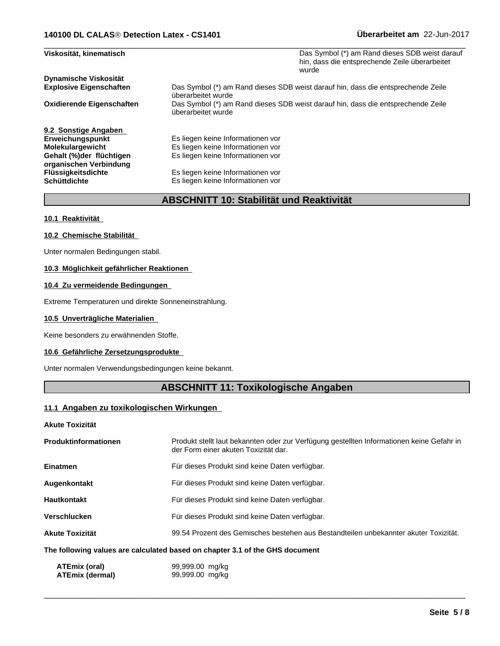| Viskosität, kinematisch                            | Das Symbol (*) am Rand dieses SDB weist darauf<br>hin, dass die entsprechende Zeile überarbeitet<br>wurde |
|----------------------------------------------------|-----------------------------------------------------------------------------------------------------------|
| Dynamische Viskosität                              |                                                                                                           |
| <b>Explosive Eigenschaften</b>                     | Das Symbol (*) am Rand dieses SDB weist darauf hin, dass die entsprechende Zeile<br>überarbeitet wurde    |
| <b>Oxidierende Eigenschaften</b>                   | Das Symbol (*) am Rand dieses SDB weist darauf hin, dass die entsprechende Zeile<br>überarbeitet wurde    |
| 9.2 Sonstige Angaben                               |                                                                                                           |
| Erweichungspunkt                                   | Es liegen keine Informationen vor                                                                         |
| Molekulargewicht                                   | Es liegen keine Informationen vor                                                                         |
| Gehalt (%)der flüchtigen<br>organischen Verbindung | Es liegen keine Informationen vor                                                                         |
| <b>Flüssigkeitsdichte</b>                          | Es liegen keine Informationen vor                                                                         |
| <b>Schüttdichte</b>                                | Es liegen keine Informationen vor                                                                         |

# **ABSCHNITT 10: Stabilität und Reaktivität**

# **10.1 Reaktivität**

# **10.2 Chemische Stabilität**

Unter normalen Bedingungen stabil.

# **10.3 Möglichkeit gefährlicher Reaktionen**

# **10.4 Zu vermeidende Bedingungen**

Extreme Temperaturen und direkte Sonneneinstrahlung.

# **10.5 Unverträgliche Materialien**

Keine besonders zu erwähnenden Stoffe.

# **10.6 Gefährliche Zersetzungsprodukte**

Unter normalen Verwendungsbedingungen keine bekannt.

# **ABSCHNITT 11: Toxikologische Angaben**

# **11.1 Angaben zu toxikologischen Wirkungen**

## **Akute Toxizität**

| <b>Produktinformationen</b>                                                  | Produkt stellt laut bekannten oder zur Verfügung gestellten Informationen keine Gefahr in<br>der Form einer akuten Toxizität dar. |  |  |
|------------------------------------------------------------------------------|-----------------------------------------------------------------------------------------------------------------------------------|--|--|
| <b>Einatmen</b>                                                              | Für dieses Produkt sind keine Daten verfügbar.                                                                                    |  |  |
| Augenkontakt                                                                 | Für dieses Produkt sind keine Daten verfügbar.                                                                                    |  |  |
| <b>Hautkontakt</b>                                                           | Für dieses Produkt sind keine Daten verfügbar.                                                                                    |  |  |
| Verschlucken                                                                 | Für dieses Produkt sind keine Daten verfügbar.                                                                                    |  |  |
| <b>Akute Toxizität</b>                                                       | 99.54 Prozent des Gemisches bestehen aus Bestandteilen unbekannter akuter Toxizität.                                              |  |  |
| The following values are calculated based on chapter 3.1 of the GHS document |                                                                                                                                   |  |  |
| <b>ATEmix (oral)</b><br>ATEmix (dermal)                                      | 99,999.00 mg/kg<br>99,999.00 mg/kg                                                                                                |  |  |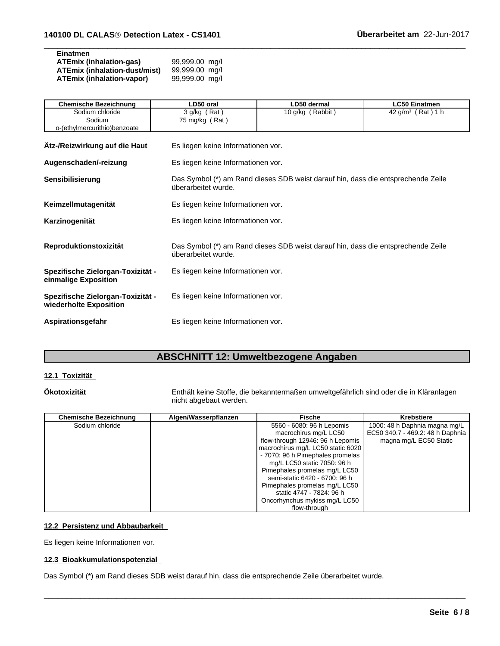| Einatmen                             |                |
|--------------------------------------|----------------|
| <b>ATEmix (inhalation-gas)</b>       | 99,999.00 mg/l |
| <b>ATEmix (inhalation-dust/mist)</b> | 99,999.00 mg/l |
| ATEmix (inhalation-vapor)            | 99,999.00 mg/l |

| <b>Chemische Bezeichnung</b>                                | LD50 oral                                                                                               | LD50 dermal      | <b>LC50 Einatmen</b> |  |  |
|-------------------------------------------------------------|---------------------------------------------------------------------------------------------------------|------------------|----------------------|--|--|
| Sodium chloride                                             | 3 g/kg (Rat)                                                                                            | 10 g/kg (Rabbit) | 42 $g/m^3$ (Rat) 1 h |  |  |
| Sodium                                                      | 75 mg/kg $(Rat)$                                                                                        |                  |                      |  |  |
| o-(ethylmercurithio)benzoate                                |                                                                                                         |                  |                      |  |  |
|                                                             |                                                                                                         |                  |                      |  |  |
| Ätz-/Reizwirkung auf die Haut                               | Es liegen keine Informationen vor.                                                                      |                  |                      |  |  |
| Augenschaden/-reizung                                       | Es liegen keine Informationen vor.                                                                      |                  |                      |  |  |
| Sensibilisierung                                            | Das Symbol (*) am Rand dieses SDB weist darauf hin, dass die entsprechende Zeile<br>überarbeitet wurde. |                  |                      |  |  |
| Keimzellmutagenität                                         | Es liegen keine Informationen vor.                                                                      |                  |                      |  |  |
| Karzinogenität                                              | Es liegen keine Informationen vor.                                                                      |                  |                      |  |  |
| Reproduktionstoxizität                                      | Das Symbol (*) am Rand dieses SDB weist darauf hin, dass die entsprechende Zeile<br>überarbeitet wurde. |                  |                      |  |  |
| Spezifische Zielorgan-Toxizität -<br>einmalige Exposition   | Es liegen keine Informationen vor.                                                                      |                  |                      |  |  |
| Spezifische Zielorgan-Toxizität -<br>wiederholte Exposition | Es liegen keine Informationen vor.                                                                      |                  |                      |  |  |
| Aspirationsgefahr                                           | Es liegen keine Informationen vor.                                                                      |                  |                      |  |  |

 $\overline{\phantom{a}}$  ,  $\overline{\phantom{a}}$  ,  $\overline{\phantom{a}}$  ,  $\overline{\phantom{a}}$  ,  $\overline{\phantom{a}}$  ,  $\overline{\phantom{a}}$  ,  $\overline{\phantom{a}}$  ,  $\overline{\phantom{a}}$  ,  $\overline{\phantom{a}}$  ,  $\overline{\phantom{a}}$  ,  $\overline{\phantom{a}}$  ,  $\overline{\phantom{a}}$  ,  $\overline{\phantom{a}}$  ,  $\overline{\phantom{a}}$  ,  $\overline{\phantom{a}}$  ,  $\overline{\phantom{a}}$ 

## **ABSCHNITT 12: Umweltbezogene Angaben**

## **12.1 Toxizität**

**Ökotoxizität** Enthält keine Stoffe, die bekanntermaßen umweltgefährlich sind oder die in Kläranlagen nicht abgebaut werden.

 $\overline{\phantom{a}}$  ,  $\overline{\phantom{a}}$  ,  $\overline{\phantom{a}}$  ,  $\overline{\phantom{a}}$  ,  $\overline{\phantom{a}}$  ,  $\overline{\phantom{a}}$  ,  $\overline{\phantom{a}}$  ,  $\overline{\phantom{a}}$  ,  $\overline{\phantom{a}}$  ,  $\overline{\phantom{a}}$  ,  $\overline{\phantom{a}}$  ,  $\overline{\phantom{a}}$  ,  $\overline{\phantom{a}}$  ,  $\overline{\phantom{a}}$  ,  $\overline{\phantom{a}}$  ,  $\overline{\phantom{a}}$ 

| <b>Chemische Bezeichnung</b> | Algen/Wasserpflanzen | <b>Fische</b>                     | <b>Krebstiere</b>                |
|------------------------------|----------------------|-----------------------------------|----------------------------------|
| Sodium chloride              |                      | 5560 - 6080: 96 h Lepomis         | 1000: 48 h Daphnia magna mg/L    |
|                              |                      | macrochirus mg/L LC50             | EC50 340.7 - 469.2: 48 h Daphnia |
|                              |                      | flow-through 12946: 96 h Lepomis  | magna mg/L EC50 Static           |
|                              |                      | macrochirus mg/L LC50 static 6020 |                                  |
|                              |                      | - 7070: 96 h Pimephales promelas  |                                  |
|                              |                      | mg/L LC50 static 7050: 96 h       |                                  |
|                              |                      | Pimephales promelas mg/L LC50     |                                  |
|                              |                      | semi-static 6420 - 6700: 96 h     |                                  |
|                              |                      | Pimephales promelas mg/L LC50     |                                  |
|                              |                      | static 4747 - 7824: 96 h          |                                  |
|                              |                      | Oncorhynchus mykiss mg/L LC50     |                                  |
|                              |                      | flow-through                      |                                  |

## **12.2 Persistenz und Abbaubarkeit**

Es liegen keine Informationen vor.

## **12.3 Bioakkumulationspotenzial**

Das Symbol (\*) am Rand dieses SDB weist darauf hin, dass die entsprechende Zeile überarbeitet wurde.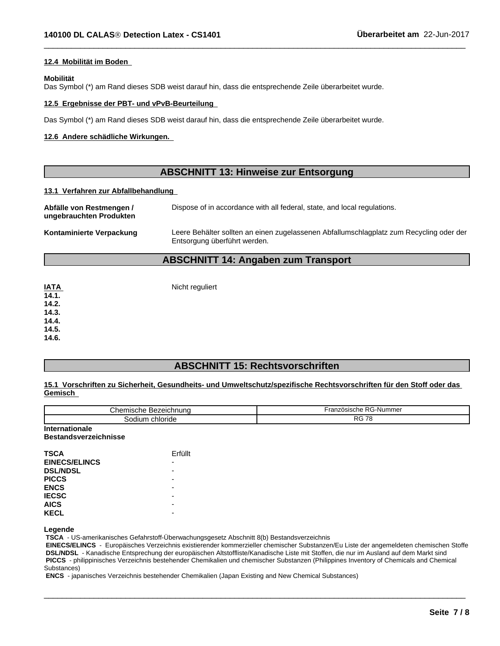## **12.4 Mobilität im Boden**

## **Mobilität**

Das Symbol (\*) am Rand dieses SDB weist darauf hin, dass die entsprechende Zeile überarbeitet wurde.

## **12.5 Ergebnisse der PBT- und vPvB-Beurteilung**

Das Symbol (\*) am Rand dieses SDB weist darauf hin, dass die entsprechende Zeile überarbeitet wurde.

## **12.6 Andere schädliche Wirkungen.**

## **ABSCHNITT 13: Hinweise zur Entsorgung**

 $\overline{\phantom{a}}$  ,  $\overline{\phantom{a}}$  ,  $\overline{\phantom{a}}$  ,  $\overline{\phantom{a}}$  ,  $\overline{\phantom{a}}$  ,  $\overline{\phantom{a}}$  ,  $\overline{\phantom{a}}$  ,  $\overline{\phantom{a}}$  ,  $\overline{\phantom{a}}$  ,  $\overline{\phantom{a}}$  ,  $\overline{\phantom{a}}$  ,  $\overline{\phantom{a}}$  ,  $\overline{\phantom{a}}$  ,  $\overline{\phantom{a}}$  ,  $\overline{\phantom{a}}$  ,  $\overline{\phantom{a}}$ 

#### **13.1 Verfahren zur Abfallbehandlung**

| Abfälle von Restmengen /<br>ungebrauchten Produkten | Dispose of in accordance with all federal, state, and local regulations.                                                |
|-----------------------------------------------------|-------------------------------------------------------------------------------------------------------------------------|
| Kontaminierte Verpackung                            | Leere Behälter sollten an einen zugelassenen Abfallumschlagplatz zum Recycling oder der<br>Entsorgung überführt werden. |

## **ABSCHNITT 14: Angaben zum Transport**

| <b>IATA</b> | Nicht reguliert |
|-------------|-----------------|
| 14.1.       |                 |
| 14.2.       |                 |
| 14.3.       |                 |
| 14.4.       |                 |
| 14.5.       |                 |
| 14.6.       |                 |

## **ABSCHNITT 15: Rechtsvorschriften**

### **15.1 Vorschriften zu Sicherheit, Gesundheits- und Umweltschutz/spezifische Rechtsvorschriften für den Stoff oder das Gemisch**

| Chemische Bezeichnung | Französische RG-Nummer |
|-----------------------|------------------------|
| chloride<br>sodium    | <b>RG 78</b>           |
| Internationale        |                        |

**Bestandsverzeichnisse**

| <b>TSCA</b>          | Erfüllt |
|----------------------|---------|
| <b>EINECS/ELINCS</b> |         |
| <b>DSL/NDSL</b>      |         |
| <b>PICCS</b>         |         |
| <b>ENCS</b>          |         |
| <b>IECSC</b>         |         |
| <b>AICS</b>          |         |
| <b>KECL</b>          |         |
|                      |         |

#### **Legende**

 **TSCA** - US-amerikanisches Gefahrstoff-Überwachungsgesetz Abschnitt 8(b) Bestandsverzeichnis

 **EINECS/ELINCS** - Europäisches Verzeichnis existierender kommerzieller chemischer Substanzen/Eu Liste der angemeldeten chemischen Stoffe DSL/NDSL - Kanadische Entsprechung der europäischen Altstoffliste/Kanadische Liste mit Stoffen, die nur im Ausland auf dem Markt sind  **PICCS** - philippinisches Verzeichnis bestehender Chemikalien und chemischer Substanzen (Philippines Inventory of Chemicals and Chemical Substances)

 $\overline{\phantom{a}}$  ,  $\overline{\phantom{a}}$  ,  $\overline{\phantom{a}}$  ,  $\overline{\phantom{a}}$  ,  $\overline{\phantom{a}}$  ,  $\overline{\phantom{a}}$  ,  $\overline{\phantom{a}}$  ,  $\overline{\phantom{a}}$  ,  $\overline{\phantom{a}}$  ,  $\overline{\phantom{a}}$  ,  $\overline{\phantom{a}}$  ,  $\overline{\phantom{a}}$  ,  $\overline{\phantom{a}}$  ,  $\overline{\phantom{a}}$  ,  $\overline{\phantom{a}}$  ,  $\overline{\phantom{a}}$ 

 **ENCS** - japanisches Verzeichnis bestehender Chemikalien (Japan Existing and New Chemical Substances)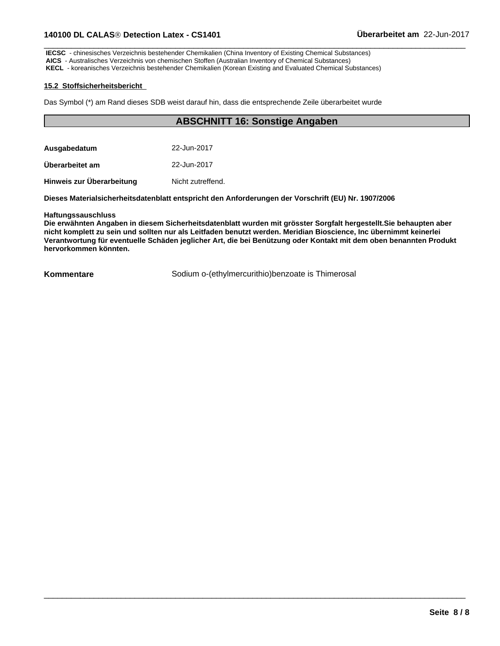**IECSC** - chinesisches Verzeichnis bestehender Chemikalien (China Inventory of Existing Chemical Substances)  **AICS** - Australisches Verzeichnis von chemischen Stoffen (Australian Inventory of Chemical Substances)  **KECL** - koreanisches Verzeichnis bestehender Chemikalien (Korean Existing and Evaluated Chemical Substances)

## **15.2 Stoffsicherheitsbericht**

Das Symbol (\*) am Rand dieses SDB weist darauf hin, dass die entsprechende Zeile überarbeitet wurde

## **ABSCHNITT 16: Sonstige Angaben**

 $\overline{\phantom{a}}$  ,  $\overline{\phantom{a}}$  ,  $\overline{\phantom{a}}$  ,  $\overline{\phantom{a}}$  ,  $\overline{\phantom{a}}$  ,  $\overline{\phantom{a}}$  ,  $\overline{\phantom{a}}$  ,  $\overline{\phantom{a}}$  ,  $\overline{\phantom{a}}$  ,  $\overline{\phantom{a}}$  ,  $\overline{\phantom{a}}$  ,  $\overline{\phantom{a}}$  ,  $\overline{\phantom{a}}$  ,  $\overline{\phantom{a}}$  ,  $\overline{\phantom{a}}$  ,  $\overline{\phantom{a}}$ 

**Ausgabedatum** 22-Jun-2017 **Überarbeitet am** 22-Jun-2017

**Hinweis zur Überarbeitung Micht zutreffend.** 

**Dieses Materialsicherheitsdatenblatt entspricht den Anforderungen der Vorschrift (EU) Nr. 1907/2006**

## **Haftungssauschluss**

**Die erwähnten Angaben in diesem Sicherheitsdatenblatt wurden mit grösster Sorgfalt hergestellt.Sie behaupten aber** nicht komplett zu sein und sollten nur als Leitfaden benutzt werden. Meridian Bioscience, Inc übernimmt keinerlei **Verantwortung für eventuelle Schäden jeglicher Art,die bei Benützung oder Kontakt mit dem oben benannten Produkt hervorkommen könnten.**

**Kommentare Sodium o-(ethylmercurithio)benzoate is Thimerosal**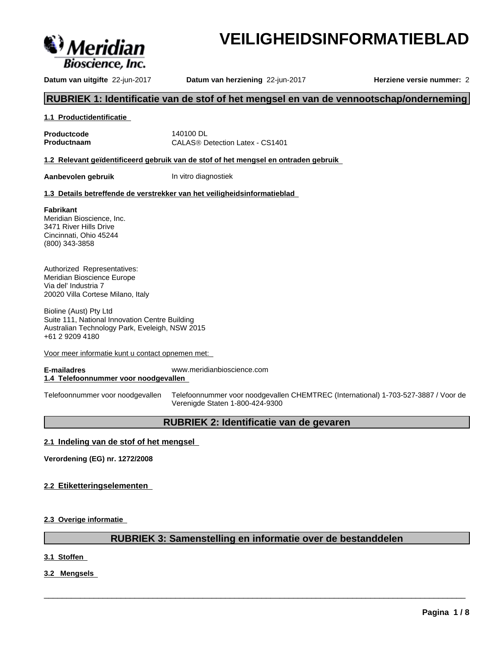

# **VEILIGHEIDSINFORMATIEBLAD**

**Datum van uitgifte** 22-jun-2017 **Datum van herziening** 22-jun-2017 **Herziene versie nummer:** 2

## **RUBRIEK 1: Identificatie van de stof of het mengsel en van de vennootschap/onderneming**

## **1.1 Productidentificatie**

**Productcode** 140100 DL

**Productnaam** CALAS<sup>®</sup> Detection Latex - CS1401

**1.2 Relevant geïdentificeerd gebruik van de stof of het mengsel en ontraden gebruik**

**Aanbevolen gebruik** In vitro diagnostiek

## **1.3 Details betreffende de verstrekker van het veiligheidsinformatieblad**

## **Fabrikant**

Meridian Bioscience, Inc. 3471 River Hills Drive Cincinnati, Ohio 45244 (800) 343-3858

Authorized Representatives: Meridian Bioscience Europe Via del' Industria 7 20020 Villa Cortese Milano, Italy

Bioline (Aust) Pty Ltd Suite 111, National Innovation Centre Building Australian Technology Park, Eveleigh, NSW 2015 +61 2 9209 4180

Voor meer informatie kunt u contact opnemen met:

**E-mailadres** www.meridianbioscience.com **1.4 Telefoonnummer voor noodgevallen**

Telefoonnummer voor noodgevallen Telefoonnummer voor noodgevallen CHEMTREC (International) 1-703-527-3887 / Voor de Verenigde Staten 1-800-424-9300

## **RUBRIEK 2: Identificatie van de gevaren**

## **2.1 Indeling van de stof of het mengsel**

**Verordening (EG) nr. 1272/2008**

**2.2 Etiketteringselementen** 

**2.3 Overige informatie**

## **RUBRIEK 3: Samenstelling en informatie over de bestanddelen**

 $\overline{\phantom{a}}$  ,  $\overline{\phantom{a}}$  ,  $\overline{\phantom{a}}$  ,  $\overline{\phantom{a}}$  ,  $\overline{\phantom{a}}$  ,  $\overline{\phantom{a}}$  ,  $\overline{\phantom{a}}$  ,  $\overline{\phantom{a}}$  ,  $\overline{\phantom{a}}$  ,  $\overline{\phantom{a}}$  ,  $\overline{\phantom{a}}$  ,  $\overline{\phantom{a}}$  ,  $\overline{\phantom{a}}$  ,  $\overline{\phantom{a}}$  ,  $\overline{\phantom{a}}$  ,  $\overline{\phantom{a}}$ 

**3.1 Stoffen**

**3.2 Mengsels**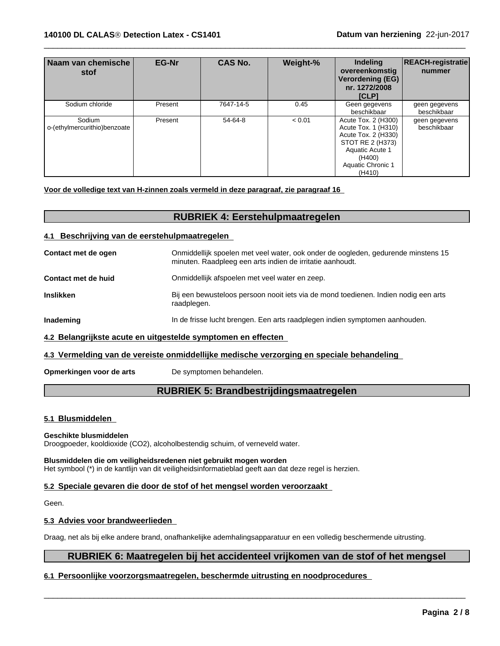| Naam van chemische<br>stof             | <b>EG-Nr</b> | <b>CAS No.</b> | Weight-% | <b>Indeling</b><br>overeenkomstig<br>Verordening (EG)<br>nr. 1272/2008<br><b>ICLP1</b>                                                                   | <b>REACH-registratie</b><br>nummer |
|----------------------------------------|--------------|----------------|----------|----------------------------------------------------------------------------------------------------------------------------------------------------------|------------------------------------|
| Sodium chloride                        | Present      | 7647-14-5      | 0.45     | Geen gegevens<br>beschikbaar                                                                                                                             | geen gegevens<br>beschikbaar       |
| Sodium<br>o-(ethylmercurithio)benzoate | Present      | 54-64-8        | < 0.01   | Acute Tox. 2 (H300)<br>Acute Tox. 1 (H310)<br>Acute Tox. 2 (H330)<br>STOT RE 2 (H373)<br><b>Aquatic Acute 1</b><br>(H400)<br>Aquatic Chronic 1<br>(H410) | geen gegevens<br>beschikbaar       |

 $\overline{\phantom{a}}$  ,  $\overline{\phantom{a}}$  ,  $\overline{\phantom{a}}$  ,  $\overline{\phantom{a}}$  ,  $\overline{\phantom{a}}$  ,  $\overline{\phantom{a}}$  ,  $\overline{\phantom{a}}$  ,  $\overline{\phantom{a}}$  ,  $\overline{\phantom{a}}$  ,  $\overline{\phantom{a}}$  ,  $\overline{\phantom{a}}$  ,  $\overline{\phantom{a}}$  ,  $\overline{\phantom{a}}$  ,  $\overline{\phantom{a}}$  ,  $\overline{\phantom{a}}$  ,  $\overline{\phantom{a}}$ 

## **Voor de volledige text van H-zinnen zoals vermeld in deze paragraaf, zie paragraaf 16**

## **RUBRIEK 4: Eerstehulpmaatregelen**

## **4.1 Beschrijving van de eerstehulpmaatregelen**

| Contact met de ogen                                          | Onmiddellijk spoelen met veel water, ook onder de oogleden, gedurende minstens 15<br>minuten. Raadpleeg een arts indien de irritatie aanhoudt. |
|--------------------------------------------------------------|------------------------------------------------------------------------------------------------------------------------------------------------|
| Contact met de huid                                          | Onmiddellijk afspoelen met veel water en zeep.                                                                                                 |
| Inslikken                                                    | Bij een bewusteloos persoon nooit iets via de mond toedienen. Indien nodig een arts<br>raadplegen.                                             |
| Inademing                                                    | In de frisse lucht brengen. Een arts raadplegen indien symptomen aanhouden.                                                                    |
| 4.2 Belangrijkste acute en uitgestelde symptomen en effecten |                                                                                                                                                |

## **4.3 Vermelding van de vereiste onmiddellijke medische verzorging en speciale behandeling**

## **Opmerkingen voor de arts** De symptomen behandelen.

## **RUBRIEK 5: Brandbestrijdingsmaatregelen**

## **5.1 Blusmiddelen**

#### **Geschikte blusmiddelen**

Droogpoeder, kooldioxide (CO2), alcoholbestendig schuim, of verneveld water.

#### **Blusmiddelen die om veiligheidsredenen niet gebruikt mogen worden** Het symbool (\*) in de kantlijn van dit veiligheidsinformatieblad geeft aan dat deze regel is herzien.

## **5.2 Speciale gevaren die doorde stof of het mengsel worden veroorzaakt**

Geen.

## **5.3 Advies voor brandweerlieden**

Draag, net als bij elke andere brand, onafhankelijke ademhalingsapparatuur en een volledig beschermende uitrusting.

## **RUBRIEK 6: Maatregelen bij het accidenteel vrijkomen van de stof of het mengsel**

 $\overline{\phantom{a}}$  ,  $\overline{\phantom{a}}$  ,  $\overline{\phantom{a}}$  ,  $\overline{\phantom{a}}$  ,  $\overline{\phantom{a}}$  ,  $\overline{\phantom{a}}$  ,  $\overline{\phantom{a}}$  ,  $\overline{\phantom{a}}$  ,  $\overline{\phantom{a}}$  ,  $\overline{\phantom{a}}$  ,  $\overline{\phantom{a}}$  ,  $\overline{\phantom{a}}$  ,  $\overline{\phantom{a}}$  ,  $\overline{\phantom{a}}$  ,  $\overline{\phantom{a}}$  ,  $\overline{\phantom{a}}$ 

## **6.1 Persoonlijke voorzorgsmaatregelen, beschermde uitrusting en noodprocedures**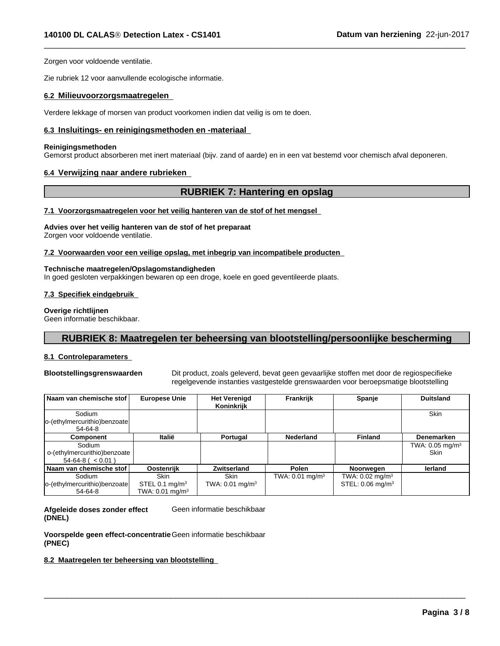Zorgen voor voldoende ventilatie.

Zie rubriek 12 voor aanvullende ecologische informatie.

## **6.2 Milieuvoorzorgsmaatregelen**

Verdere lekkage of morsen van product voorkomen indien dat veilig is om te doen.

## **6.3 Insluitings- en reinigingsmethoden en -materiaal**

#### **Reinigingsmethoden**

Gemorst product absorberen met inert materiaal (bijv. zand of aarde) en in een vat bestemd voor chemisch afval deponeren.

## **6.4 Verwijzing naar andere rubrieken**

## **RUBRIEK 7: Hantering en opslag**

 $\overline{\phantom{a}}$  ,  $\overline{\phantom{a}}$  ,  $\overline{\phantom{a}}$  ,  $\overline{\phantom{a}}$  ,  $\overline{\phantom{a}}$  ,  $\overline{\phantom{a}}$  ,  $\overline{\phantom{a}}$  ,  $\overline{\phantom{a}}$  ,  $\overline{\phantom{a}}$  ,  $\overline{\phantom{a}}$  ,  $\overline{\phantom{a}}$  ,  $\overline{\phantom{a}}$  ,  $\overline{\phantom{a}}$  ,  $\overline{\phantom{a}}$  ,  $\overline{\phantom{a}}$  ,  $\overline{\phantom{a}}$ 

#### **7.1 Voorzorgsmaatregelen voor het veilig hanteren van de stof of het mengsel**

**Advies over hetveilig hanteren van de stof of het preparaat** Zorgen voor voldoende ventilatie.

#### **7.2 Voorwaarden voor een veilige opslag, met inbegrip van incompatibele producten**

## **Technische maatregelen/Opslagomstandigheden** In goed gesloten verpakkingen bewaren op een droge, koele en goed geventileerde plaats.

## **7.3 Specifiek eindgebruik**

#### **Overige richtlijnen**

Geen informatie beschikbaar.

## **RUBRIEK 8: Maatregelen ter beheersing van blootstelling/persoonlijke bescherming**

#### **8.1 Controleparameters**

**Blootstellingsgrenswaarden** Dit product, zoals geleverd, bevat geen gevaarlijke stoffen met door de regiospecifieke regelgevende instanties vastgestelde grenswaarden voor beroepsmatige blootstelling

 $\overline{\phantom{a}}$  ,  $\overline{\phantom{a}}$  ,  $\overline{\phantom{a}}$  ,  $\overline{\phantom{a}}$  ,  $\overline{\phantom{a}}$  ,  $\overline{\phantom{a}}$  ,  $\overline{\phantom{a}}$  ,  $\overline{\phantom{a}}$  ,  $\overline{\phantom{a}}$  ,  $\overline{\phantom{a}}$  ,  $\overline{\phantom{a}}$  ,  $\overline{\phantom{a}}$  ,  $\overline{\phantom{a}}$  ,  $\overline{\phantom{a}}$  ,  $\overline{\phantom{a}}$  ,  $\overline{\phantom{a}}$ 

| Naam van chemische stof                                          | <b>Europese Unie</b>                                   | <b>Het Verenigd</b><br>Koninkrijk         | Frankrijk                  | Spanje                                                       | <b>Duitsland</b>                      |
|------------------------------------------------------------------|--------------------------------------------------------|-------------------------------------------|----------------------------|--------------------------------------------------------------|---------------------------------------|
| Sodium<br>lo-(ethylmercurithio)benzoate<br>54-64-8               |                                                        |                                           |                            |                                                              | <b>Skin</b>                           |
| <b>Component</b>                                                 | Italië                                                 | Portugal                                  | <b>Nederland</b>           | <b>Finland</b>                                               | Denemarken                            |
| Sodium<br>o-(ethylmercurithio)benzoate<br>$54-64-8$ ( $< 0.01$ ) |                                                        |                                           |                            |                                                              | TWA: $0.05$ mg/m <sup>3</sup><br>Skin |
| ∣Naam van chemische stof l                                       | Oostenrijk                                             | Zwitserland                               | Polen                      | Noorwegen                                                    | lerland                               |
| Sodium<br>o-(ethylmercurithio)benzoate<br>54-64-8                | <b>Skin</b><br>STEL 0.1 $mg/m3$<br>TWA: 0.01 mg/m $^3$ | <b>Skin</b><br>TWA: $0.01 \text{ mg/m}^3$ | TWA: $0.01 \text{ mg/m}^3$ | TWA: $0.02 \text{ mg/m}^3$<br>STEL: $0.06$ mg/m <sup>3</sup> |                                       |

#### **Afgeleide doses zonder effect (DNEL)** Geen informatie beschikbaar

**Voorspelde geen effect-concentratie** Geen informatie beschikbaar **(PNEC)**

**8.2 Maatregelen ter beheersing van blootstelling**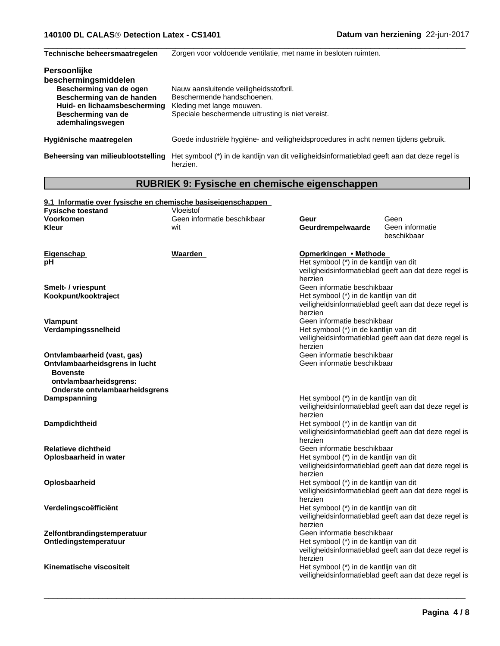## **140100 DL CALASÒ Detection Latex - CS1401 Datum van herziening** 22-jun-2017

| Technische beheersmaatregelen                                                                                                                                                 | Zorgen voor voldoende ventilatie, met name in besloten ruimten.                                                                                        |
|-------------------------------------------------------------------------------------------------------------------------------------------------------------------------------|--------------------------------------------------------------------------------------------------------------------------------------------------------|
| <b>Persoonlijke</b><br>beschermingsmiddelen<br>Bescherming van de ogen<br>Bescherming van de handen<br>Huid- en lichaamsbescherming<br>Bescherming van de<br>ademhalingswegen | Nauw aansluitende veiligheidsstofbril.<br>Beschermende handschoenen.<br>Kleding met lange mouwen.<br>Speciale beschermende uitrusting is niet vereist. |
| Hygiënische maatregelen                                                                                                                                                       | Goede industriële hygiëne- and veiligheidsprocedures in acht nemen tijdens gebruik.                                                                    |
|                                                                                                                                                                               | Reheersing van milieuhlootstelling. Het symbool (*) in de kantlijn van dit veiligheidsinformatieblad geeft aan dat deze regel is                       |

**Beheersing van milieublootstelling** Het symbool (\*) in de kantlijn van dit veiligheidsinformatieblad geeft aan dat deze regel is herzien.

 $\overline{\phantom{a}}$  ,  $\overline{\phantom{a}}$  ,  $\overline{\phantom{a}}$  ,  $\overline{\phantom{a}}$  ,  $\overline{\phantom{a}}$  ,  $\overline{\phantom{a}}$  ,  $\overline{\phantom{a}}$  ,  $\overline{\phantom{a}}$  ,  $\overline{\phantom{a}}$  ,  $\overline{\phantom{a}}$  ,  $\overline{\phantom{a}}$  ,  $\overline{\phantom{a}}$  ,  $\overline{\phantom{a}}$  ,  $\overline{\phantom{a}}$  ,  $\overline{\phantom{a}}$  ,  $\overline{\phantom{a}}$ 

## **RUBRIEK 9: Fysische en chemische eigenschappen**

| 9.1 Informatie over fysische en chemische basiseigenschappen                                                                |                             |                                                                                                            |                                                       |  |
|-----------------------------------------------------------------------------------------------------------------------------|-----------------------------|------------------------------------------------------------------------------------------------------------|-------------------------------------------------------|--|
| <b>Fysische toestand</b>                                                                                                    | Vloeistof                   |                                                                                                            |                                                       |  |
| Voorkomen                                                                                                                   | Geen informatie beschikbaar | Geur                                                                                                       | Geen                                                  |  |
| Kleur                                                                                                                       | wit                         | Geurdrempelwaarde                                                                                          | Geen informatie<br>beschikbaar                        |  |
| <b>Eigenschap</b>                                                                                                           | Waarden                     | Opmerkingen • Methode                                                                                      |                                                       |  |
| pН                                                                                                                          |                             | Het symbool (*) in de kantlijn van dit<br>veiligheidsinformatieblad geeft aan dat deze regel is<br>herzien |                                                       |  |
| Smelt- / vriespunt                                                                                                          |                             | Geen informatie beschikbaar                                                                                |                                                       |  |
| Kookpunt/kooktraject                                                                                                        |                             | Het symbool (*) in de kantlijn van dit<br>herzien                                                          | veiligheidsinformatieblad geeft aan dat deze regel is |  |
| <b>Vlampunt</b>                                                                                                             |                             | Geen informatie beschikbaar                                                                                |                                                       |  |
| Verdampingssnelheid                                                                                                         |                             | Het symbool (*) in de kantlijn van dit<br>herzien                                                          | veiligheidsinformatieblad geeft aan dat deze regel is |  |
| Ontvlambaarheid (vast, gas)                                                                                                 |                             | Geen informatie beschikbaar                                                                                |                                                       |  |
| Ontvlambaarheidsgrens in lucht<br><b>Bovenste</b><br>ontvlambaarheidsgrens:<br>Onderste ontvlambaarheidsgrens               |                             | Geen informatie beschikbaar                                                                                |                                                       |  |
| Dampspanning                                                                                                                |                             | Het symbool (*) in de kantlijn van dit                                                                     |                                                       |  |
|                                                                                                                             |                             | herzien                                                                                                    | veiligheidsinformatieblad geeft aan dat deze regel is |  |
| Dampdichtheid                                                                                                               |                             | Het symbool (*) in de kantlijn van dit<br>herzien                                                          | veiligheidsinformatieblad geeft aan dat deze regel is |  |
| <b>Relatieve dichtheid</b>                                                                                                  |                             | Geen informatie beschikbaar                                                                                |                                                       |  |
| Oplosbaarheid in water                                                                                                      |                             | Het symbool (*) in de kantlijn van dit<br>herzien                                                          | veiligheidsinformatieblad geeft aan dat deze regel is |  |
| Oplosbaarheid                                                                                                               |                             | Het symbool (*) in de kantlijn van dit<br>herzien                                                          | veiligheidsinformatieblad geeft aan dat deze regel is |  |
| Verdelingscoëfficiënt                                                                                                       |                             | Het symbool (*) in de kantlijn van dit                                                                     | veiligheidsinformatieblad geeft aan dat deze regel is |  |
|                                                                                                                             |                             | herzien                                                                                                    |                                                       |  |
| Zelfontbrandingstemperatuur                                                                                                 |                             | Geen informatie beschikbaar                                                                                |                                                       |  |
| Ontledingstemperatuur                                                                                                       |                             | Het symbool (*) in de kantlijn van dit<br>herzien                                                          | veiligheidsinformatieblad geeft aan dat deze regel is |  |
| Kinematische viscositeit<br>Het symbool (*) in de kantlijn van dit<br>veiligheidsinformatieblad geeft aan dat deze regel is |                             |                                                                                                            |                                                       |  |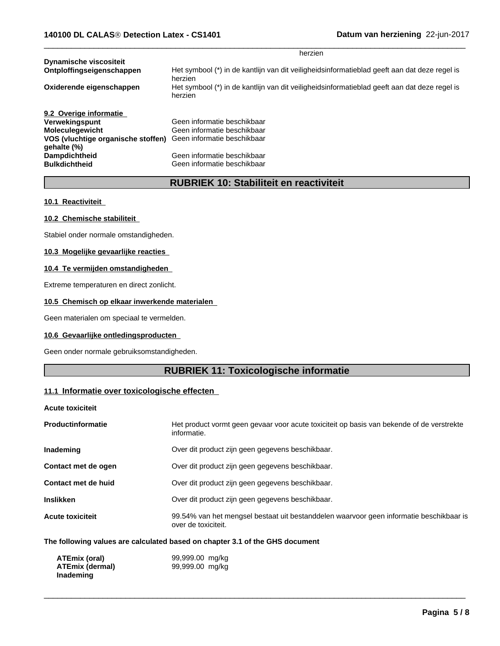|                                    | herzien                                                                                                 |
|------------------------------------|---------------------------------------------------------------------------------------------------------|
| Dynamische viscositeit             |                                                                                                         |
| Ontploffingseigenschappen          | Het symbool (*) in de kantlijn van dit veiligheidsinformatieblad geeft aan dat deze regel is<br>herzien |
| Oxiderende eigenschappen           | Het symbool (*) in de kantlijn van dit veiligheidsinformatieblad geeft aan dat deze regel is<br>herzien |
| 9.2 Overige informatie             |                                                                                                         |
| <b>Verwekingspunt</b>              | Geen informatie beschikbaar                                                                             |
| <b>Moleculegewicht</b>             | Geen informatie beschikbaar                                                                             |
| VOS (vluchtige organische stoffen) | Geen informatie beschikbaar                                                                             |
| gehalte (%)                        |                                                                                                         |
| <b>Dampdichtheid</b>               | Geen informatie beschikbaar                                                                             |
| <b>Bulkdichtheid</b>               | Geen informatie beschikbaar                                                                             |

 $\overline{\phantom{a}}$  ,  $\overline{\phantom{a}}$  ,  $\overline{\phantom{a}}$  ,  $\overline{\phantom{a}}$  ,  $\overline{\phantom{a}}$  ,  $\overline{\phantom{a}}$  ,  $\overline{\phantom{a}}$  ,  $\overline{\phantom{a}}$  ,  $\overline{\phantom{a}}$  ,  $\overline{\phantom{a}}$  ,  $\overline{\phantom{a}}$  ,  $\overline{\phantom{a}}$  ,  $\overline{\phantom{a}}$  ,  $\overline{\phantom{a}}$  ,  $\overline{\phantom{a}}$  ,  $\overline{\phantom{a}}$ 

## **RUBRIEK 10: Stabiliteit en reactiviteit**

## **10.1 Reactiviteit**

## **10.2 Chemische stabiliteit**

Stabiel onder normale omstandigheden.

## **10.3 Mogelijke gevaarlijke reacties**

## **10.4 Te vermijden omstandigheden**

Extreme temperaturen en direct zonlicht.

## **10.5 Chemisch op elkaar inwerkende materialen**

Geen materialen om speciaal te vermelden.

#### **10.6 Gevaarlijke ontledingsproducten**

Geen onder normale gebruiksomstandigheden.

## **RUBRIEK 11: Toxicologische informatie**

## **11.1 Informatie over toxicologische effecten**

**Acute toxiciteit**

| <b>Productinformatie</b> | Het product vormt geen gevaar voor acute toxiciteit op basis van bekende of de verstrekte<br>informatie.       |
|--------------------------|----------------------------------------------------------------------------------------------------------------|
| Inademing                | Over dit product zijn geen gegevens beschikbaar.                                                               |
| Contact met de ogen      | Over dit product zijn geen gegevens beschikbaar.                                                               |
| Contact met de huid      | Over dit product zijn geen gegevens beschikbaar.                                                               |
| <b>Inslikken</b>         | Over dit product zijn geen gegevens beschikbaar.                                                               |
| <b>Acute toxiciteit</b>  | 99.54% van het mengsel bestaat uit bestanddelen waarvoor geen informatie beschikbaar is<br>over de toxiciteit. |

 $\overline{\phantom{a}}$  ,  $\overline{\phantom{a}}$  ,  $\overline{\phantom{a}}$  ,  $\overline{\phantom{a}}$  ,  $\overline{\phantom{a}}$  ,  $\overline{\phantom{a}}$  ,  $\overline{\phantom{a}}$  ,  $\overline{\phantom{a}}$  ,  $\overline{\phantom{a}}$  ,  $\overline{\phantom{a}}$  ,  $\overline{\phantom{a}}$  ,  $\overline{\phantom{a}}$  ,  $\overline{\phantom{a}}$  ,  $\overline{\phantom{a}}$  ,  $\overline{\phantom{a}}$  ,  $\overline{\phantom{a}}$ 

## **The following values are calculated based on chapter 3.1 of the GHS document**

| ATEmix (oral)          | 99,999.00 mg/kg |
|------------------------|-----------------|
| <b>ATEmix (dermal)</b> | 99,999.00 mg/kg |
| Inademing              |                 |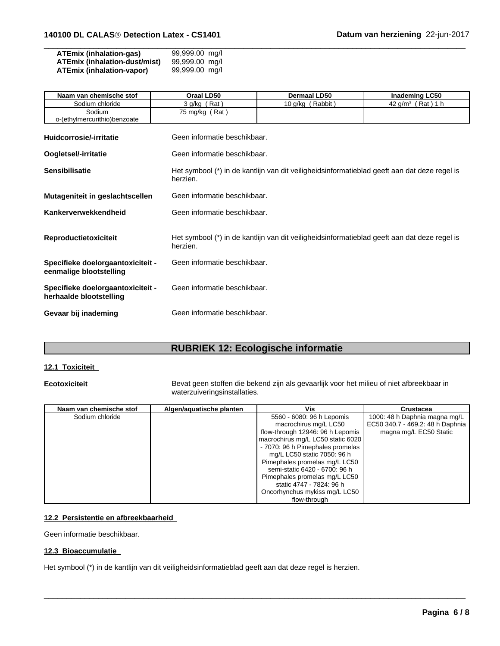| ATEmix (inhalation-gas)       | 99,999.00 mg/l |
|-------------------------------|----------------|
| ATEmix (inhalation-dust/mist) | 99,999.00 mg/l |
| ATEmix (inhalation-vapor)     | 99,999.00 mg/l |

| Naam van chemische stof                                      | <b>Oraal LD50</b>            | <b>Dermaal LD50</b> | <b>Inademing LC50</b>                                                                        |
|--------------------------------------------------------------|------------------------------|---------------------|----------------------------------------------------------------------------------------------|
| Sodium chloride                                              | 3 g/kg (Rat)                 | 10 g/kg (Rabbit)    | 42 $g/m^3$ (Rat) 1 h                                                                         |
| Sodium                                                       | 75 mg/kg (Rat)               |                     |                                                                                              |
| o-(ethylmercurithio)benzoate                                 |                              |                     |                                                                                              |
|                                                              |                              |                     |                                                                                              |
| Huidcorrosie/-irritatie                                      | Geen informatie beschikbaar. |                     |                                                                                              |
| Oogletsel/-irritatie                                         | Geen informatie beschikbaar. |                     |                                                                                              |
| <b>Sensibilisatie</b>                                        | herzien.                     |                     | Het symbool (*) in de kantlijn van dit veiligheidsinformatieblad geeft aan dat deze regel is |
| Mutageniteit in geslachtscellen                              | Geen informatie beschikbaar. |                     |                                                                                              |
| Kankerverwekkendheid                                         | Geen informatie beschikbaar. |                     |                                                                                              |
| Reproductietoxiciteit                                        | herzien.                     |                     | Het symbool (*) in de kantlijn van dit veiligheidsinformatieblad geeft aan dat deze regel is |
| Specifieke doelorgaantoxiciteit -<br>eenmalige blootstelling | Geen informatie beschikbaar. |                     |                                                                                              |
| Specifieke doelorgaantoxiciteit -<br>herhaalde blootstelling | Geen informatie beschikbaar. |                     |                                                                                              |
| Gevaar bij inademing                                         | Geen informatie beschikbaar. |                     |                                                                                              |
|                                                              |                              |                     |                                                                                              |

 $\overline{\phantom{a}}$  ,  $\overline{\phantom{a}}$  ,  $\overline{\phantom{a}}$  ,  $\overline{\phantom{a}}$  ,  $\overline{\phantom{a}}$  ,  $\overline{\phantom{a}}$  ,  $\overline{\phantom{a}}$  ,  $\overline{\phantom{a}}$  ,  $\overline{\phantom{a}}$  ,  $\overline{\phantom{a}}$  ,  $\overline{\phantom{a}}$  ,  $\overline{\phantom{a}}$  ,  $\overline{\phantom{a}}$  ,  $\overline{\phantom{a}}$  ,  $\overline{\phantom{a}}$  ,  $\overline{\phantom{a}}$ 

## **RUBRIEK 12: Ecologische informatie**

## **12.1 Toxiciteit**

**Ecotoxiciteit** Bevat geen stoffen die bekend zijn als gevaarlijk voor het milieu of niet afbreekbaar in waterzuiveringsinstallaties.

 $\overline{\phantom{a}}$  ,  $\overline{\phantom{a}}$  ,  $\overline{\phantom{a}}$  ,  $\overline{\phantom{a}}$  ,  $\overline{\phantom{a}}$  ,  $\overline{\phantom{a}}$  ,  $\overline{\phantom{a}}$  ,  $\overline{\phantom{a}}$  ,  $\overline{\phantom{a}}$  ,  $\overline{\phantom{a}}$  ,  $\overline{\phantom{a}}$  ,  $\overline{\phantom{a}}$  ,  $\overline{\phantom{a}}$  ,  $\overline{\phantom{a}}$  ,  $\overline{\phantom{a}}$  ,  $\overline{\phantom{a}}$ 

| Naam van chemische stof<br>Algen/aquatische planten |  | Vis                               | Crustacea                        |
|-----------------------------------------------------|--|-----------------------------------|----------------------------------|
| Sodium chloride                                     |  | 5560 - 6080: 96 h Lepomis         | 1000: 48 h Daphnia magna mg/L    |
|                                                     |  | macrochirus mg/L LC50             | EC50 340.7 - 469.2: 48 h Daphnia |
|                                                     |  | flow-through 12946: 96 h Lepomis  | magna mg/L EC50 Static           |
|                                                     |  | macrochirus mg/L LC50 static 6020 |                                  |
|                                                     |  | - 7070: 96 h Pimephales promelas  |                                  |
|                                                     |  | mg/L LC50 static 7050: 96 h       |                                  |
|                                                     |  | Pimephales promelas mg/L LC50     |                                  |
|                                                     |  | semi-static 6420 - 6700: 96 h     |                                  |
|                                                     |  | Pimephales promelas mg/L LC50     |                                  |
|                                                     |  | static 4747 - 7824: 96 h          |                                  |
|                                                     |  | Oncorhynchus mykiss mg/L LC50     |                                  |
|                                                     |  | flow-through                      |                                  |

## **12.2 Persistentie en afbreekbaarheid**

Geen informatie beschikbaar.

## **12.3 Bioaccumulatie**

Het symbool (\*) in de kantlijn van dit veiligheidsinformatieblad geeft aan dat deze regel is herzien.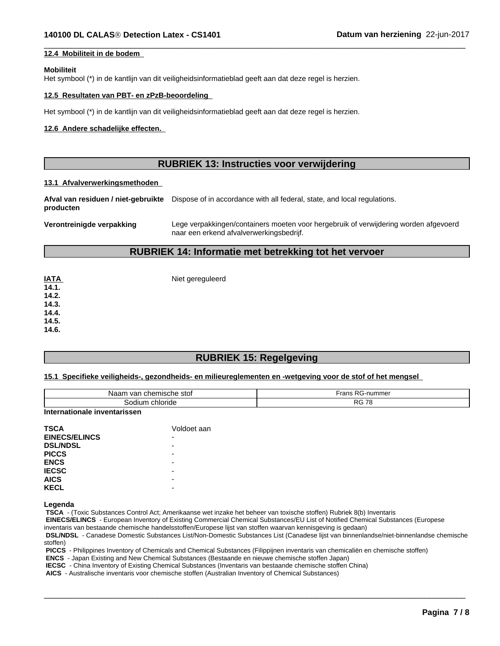## **12.4 Mobiliteit in de bodem**

#### **Mobiliteit**

Het symbool (\*) in de kantlijn van dit veiligheidsinformatieblad geeft aan dat deze regel is herzien.

## **12.5 Resultaten van PBT- en zPzB-beoordeling**

Het symbool (\*) in de kantlijn van dit veiligheidsinformatieblad geeft aan dat deze regel is herzien.

## **12.6 Andere schadelijke effecten.**

## **RUBRIEK 13: Instructies voor verwijdering**

 $\overline{\phantom{a}}$  ,  $\overline{\phantom{a}}$  ,  $\overline{\phantom{a}}$  ,  $\overline{\phantom{a}}$  ,  $\overline{\phantom{a}}$  ,  $\overline{\phantom{a}}$  ,  $\overline{\phantom{a}}$  ,  $\overline{\phantom{a}}$  ,  $\overline{\phantom{a}}$  ,  $\overline{\phantom{a}}$  ,  $\overline{\phantom{a}}$  ,  $\overline{\phantom{a}}$  ,  $\overline{\phantom{a}}$  ,  $\overline{\phantom{a}}$  ,  $\overline{\phantom{a}}$  ,  $\overline{\phantom{a}}$ 

## **13.1 Afvalverwerkingsmethoden**

**Afval van residuen / niet-gebruikte** Dispose of in accordance with all federal, state, and local regulations. **producten**

**Verontreinigde verpakking** Lege verpakkingen/containers moeten voor hergebruik of verwijdering worden afgevoerd naar een erkend afvalverwerkingsbedrijf.

## **RUBRIEK 14: Informatie met betrekking tot het vervoer**

| IATA  | Niet gereguleerd |
|-------|------------------|
| 14.1. |                  |
| 14.2. |                  |
| 14.3. |                  |
| 14.4. |                  |
| 14.5. |                  |
| 14.6. |                  |

## **RUBRIEK 15: Regelgeving**

## **15.1 Specifieke veiligheids-, gezondheids- en milieureglementen en -wetgeving voor de stof of het mengsel**

| stot<br>∴hemische c<br>van<br>Naai. | -<br>rans<br>G-nummer |
|-------------------------------------|-----------------------|
| chloride<br>iodiun                  | 70<br>מה<br>טא<br>70  |

| <b>TSCA</b>          | Voldoet aan              |
|----------------------|--------------------------|
| <b>EINECS/ELINCS</b> | $\overline{\phantom{0}}$ |
| <b>DSL/NDSL</b>      | -                        |
| <b>PICCS</b>         | -                        |
| <b>ENCS</b>          | -                        |
| <b>IECSC</b>         | -                        |
| <b>AICS</b>          | -                        |
| <b>KECL</b>          | -                        |

**Internationale inventarissen**

#### **Legenda**

 **TSCA** - (Toxic Substances Control Act; Amerikaanse wet inzake het beheer van toxische stoffen) Rubriek 8(b) Inventaris

 **EINECS/ELINCS** - European Inventory of Existing Commercial Chemical Substances/EU List of Notified Chemical Substances (Europese

inventaris van bestaande chemische handelsstoffen/Europese lijst van stoffen waarvan kennisgeving is gedaan)

 **DSL/NDSL** - Canadese Domestic Substances List/Non-Domestic Substances List (Canadese lijst van binnenlandse/niet-binnenlandse chemische stoffen)

 $\overline{\phantom{a}}$  ,  $\overline{\phantom{a}}$  ,  $\overline{\phantom{a}}$  ,  $\overline{\phantom{a}}$  ,  $\overline{\phantom{a}}$  ,  $\overline{\phantom{a}}$  ,  $\overline{\phantom{a}}$  ,  $\overline{\phantom{a}}$  ,  $\overline{\phantom{a}}$  ,  $\overline{\phantom{a}}$  ,  $\overline{\phantom{a}}$  ,  $\overline{\phantom{a}}$  ,  $\overline{\phantom{a}}$  ,  $\overline{\phantom{a}}$  ,  $\overline{\phantom{a}}$  ,  $\overline{\phantom{a}}$ 

 **PICCS** - Philippines Inventory of Chemicals and Chemical Substances (Filippijnen inventaris van chemicaliën en chemische stoffen)

 **ENCS** - Japan Existing and New Chemical Substances (Bestaande en nieuwe chemische stoffen Japan)

 **IECSC** - China Inventory of Existing Chemical Substances (Inventaris van bestaande chemische stoffen China)

 **AICS** - Australische inventaris voor chemische stoffen (Australian Inventory of Chemical Substances)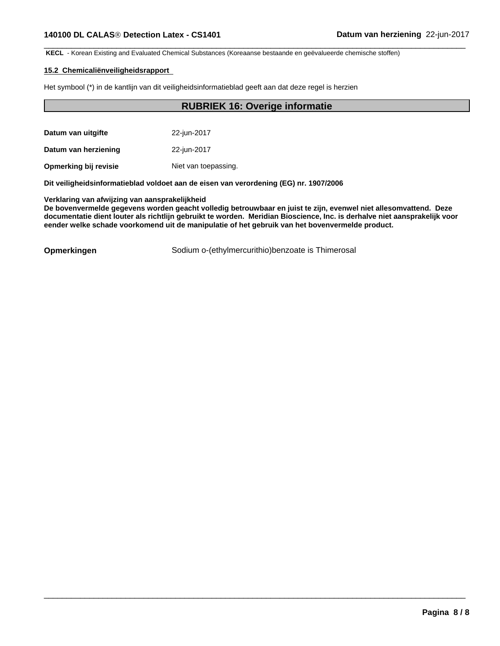**KECL** - Korean Existing and Evaluated Chemical Substances (Koreaanse bestaande en geëvalueerde chemische stoffen)

#### **15.2 Chemicaliënveiligheidsrapport**

Het symbool (\*) in de kantlijn van dit veiligheidsinformatieblad geeft aan dat deze regel is herzien

## **RUBRIEK 16: Overige informatie**

 $\overline{\phantom{a}}$  ,  $\overline{\phantom{a}}$  ,  $\overline{\phantom{a}}$  ,  $\overline{\phantom{a}}$  ,  $\overline{\phantom{a}}$  ,  $\overline{\phantom{a}}$  ,  $\overline{\phantom{a}}$  ,  $\overline{\phantom{a}}$  ,  $\overline{\phantom{a}}$  ,  $\overline{\phantom{a}}$  ,  $\overline{\phantom{a}}$  ,  $\overline{\phantom{a}}$  ,  $\overline{\phantom{a}}$  ,  $\overline{\phantom{a}}$  ,  $\overline{\phantom{a}}$  ,  $\overline{\phantom{a}}$ 

| Datum van uitgifte   | 22-jun-2017 |
|----------------------|-------------|
| Datum van herziening | 22-jun-2017 |

**Opmerking bij revisie** Niet van toepassing.

**Dit veiligheidsinformatieblad voldoet aan de eisen van verordening (EG) nr. 1907/2006**

**Verklaring van afwijzing van aansprakelijkheid**

**De bovenvermelde gegevens worden geacht volledig betrouwbaar en juist te zijn, evenwel niet allesomvattend. Deze** documentatie dient louter als richtlijn gebruikt te worden. Meridian Bioscience, Inc. is derhalve niet aansprakelijk voor **eender welke schade voorkomend uit de manipulatie of het gebruik van het bovenvermelde product.**

**Opmerkingen** Sodium o-(ethylmercurithio)benzoate is Thimerosal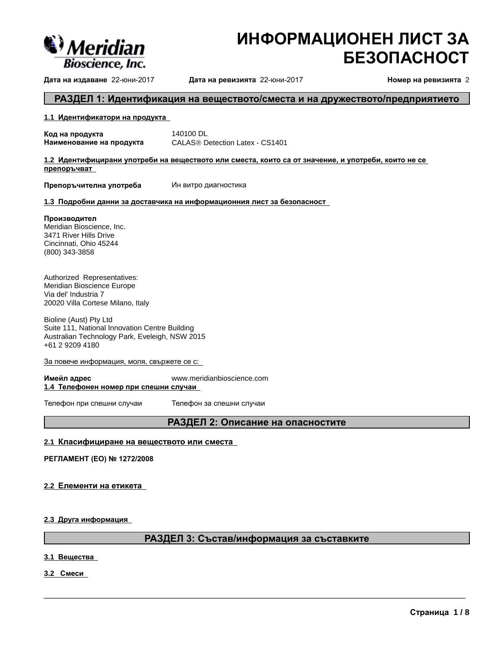

# ИНФОРМАЦИОНЕН ЛИСТ ЗА **БЕЗОПАСНОСТ**

Дата на издаване 22-юни-2017

Дата на ревизията 22-юни-2017

Номер на ревизията 2

## РАЗДЕЛ 1: Идентификация на веществото/сместа и на дружеството/предприятието

## 1.1 Идентификатори на продукта

Код на продукта 140100 DL Наименование на продукта CALAS<sup>®</sup> Detection Latex - CS1401

1.2 Идентифицирани употреби на веществото или сместа, които са от значение, и употреби, които не се препоръчват

Ин витро диагностика Препоръчителна употреба

## 1.3 Подробни данни за доставчика на информационния лист за безопасност

## Производител

Meridian Bioscience, Inc. 3471 River Hills Drive Cincinnati, Ohio 45244 (800) 343-3858

Authorized Representatives: Meridian Bioscience Europe Via del' Industria 7 20020 Villa Cortese Milano, Italy

Bioline (Aust) Pty Ltd Suite 111, National Innovation Centre Building Australian Technology Park, Eveleigh, NSW 2015 +61 2 9209 4180

За повече информация, моля, свържете се с:

Имейл адрес www.meridianbioscience.com 1.4 Телефонен номер при спешни случаи

Телефон при спешни случаи

Телефон за спешни случаи

## РАЗДЕЛ 2: Описание на опасностите

## 2.1 Класифициране на веществото или сместа

РЕГЛАМЕНТ (ЕО) № 1272/2008

2.2 Елементи на етикета

2.3 Друга информация

## РАЗДЕЛ 3: Състав/информация за съставките

## 3.1 Вещества

3.2 Смеси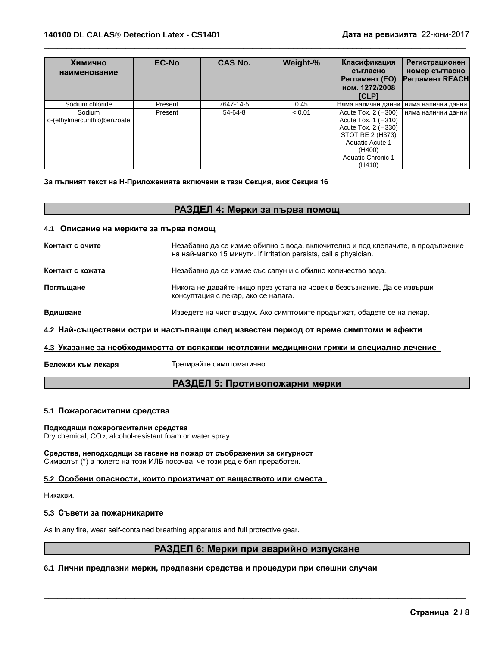| Химично<br>наименование                | <b>EC-No</b> | CAS No.   | Weight-% | Класификация<br>съгласно<br>Регламент (ЕО)<br>ном. 1272/2008<br><b>ICLP1</b>                                                                      | Регистрационен<br>номер съгласно<br><b>Регламент REACH</b> |
|----------------------------------------|--------------|-----------|----------|---------------------------------------------------------------------------------------------------------------------------------------------------|------------------------------------------------------------|
| Sodium chloride                        | Present      | 7647-14-5 | 0.45     |                                                                                                                                                   | Няма налични данни   няма налични данни                    |
| Sodium<br>o-(ethylmercurithio)benzoate | Present      | $54-64-8$ | < 0.01   | Acute Tox. 2 (H300)<br>Acute Tox. 1 (H310)<br>Acute Tox. 2 (H330)<br>STOT RE 2 (H373)<br>Aquatic Acute 1<br>(H400)<br>Aquatic Chronic 1<br>(H410) | няма налични данни                                         |

## За пълният текст на Н-Приложенията включени в тази Секция, виж Секция 16

## РАЗДЕЛ 4: Мерки за първа помощ

### 4.1 Описание на мерките за първа помощ

Контакт с очите Незабавно да се измие обилно с вода, включително и под клепачите, в продължение на най-малко 15 минути. If irritation persists, call a physician. Контакт с кожата Незабавно да се измие със сапун и с обилно количество вода. Поглъщане Никога не давайте нищо през устата на човек в безсъзнание. Да се извърши консултация с лекар, ако се налага. Вдишване Изведете на чист въздух. Ако симптомите продължат, обадете се на лекар. 4.2 Най-съществени остри и настъпващи след известен период от време симптоми и ефекти

## 4.3 Указание за необходимостта от всякакви неотложни медицински грижи и специално лечение

Бележки към лекаря

Третирайте симптоматично.

## РАЗДЕЛ 5: Противопожарни мерки

## 5.1 Пожарогасителни средства

#### Подходящи пожарогасителни средства

Dry chemical, CO<sub>2</sub>, alcohol-resistant foam or water spray.

Средства, неподходящи за гасене на пожар от съображения за сигурност Символът (\*) в полето на този ИЛБ посочва, че този ред е бил преработен.

#### 5.2 Особени опасности, които произтичат от веществото или сместа

Никакви.

## 5.3 Съвети за пожарникарите

As in any fire, wear self-contained breathing apparatus and full protective gear.

## РАЗДЕЛ 6: Мерки при аварийно изпускане

## 6.1 Лични предпазни мерки, предпазни средства и процедури при спешни случаи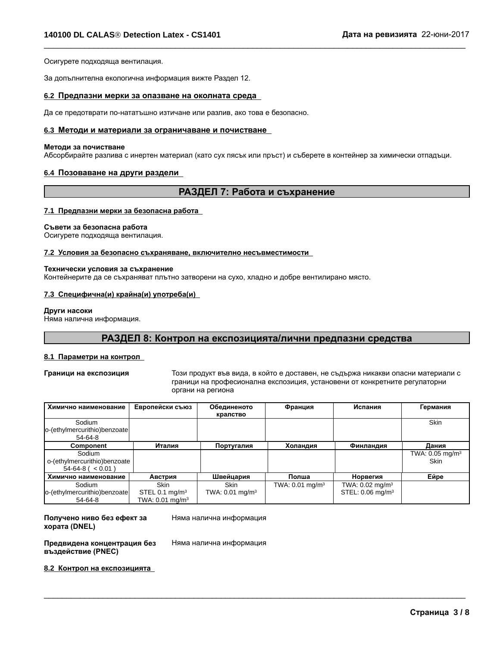Осигурете подходяща вентилация.

За допълнителна екологична информация вижте Раздел 12.

#### **6.2 Предпазнимеркизаопазваненаоколнатасреда**

Да се предотврати по-нататъшно изтичане или разлив, ако това е безопасно.

## **6.3 Методи и материали за ограничаване и почистване**

### **Методизапочистване**

Абсорбирайте разлива с инертен материал (като сух пясък или пръст) и съберете в контейнер за химически отпадъци.

## **6.4 Позоваване на други раздели**

## РАЗДЕЛ 7: Работа и съхранение

 $\overline{\phantom{a}}$  ,  $\overline{\phantom{a}}$  ,  $\overline{\phantom{a}}$  ,  $\overline{\phantom{a}}$  ,  $\overline{\phantom{a}}$  ,  $\overline{\phantom{a}}$  ,  $\overline{\phantom{a}}$  ,  $\overline{\phantom{a}}$  ,  $\overline{\phantom{a}}$  ,  $\overline{\phantom{a}}$  ,  $\overline{\phantom{a}}$  ,  $\overline{\phantom{a}}$  ,  $\overline{\phantom{a}}$  ,  $\overline{\phantom{a}}$  ,  $\overline{\phantom{a}}$  ,  $\overline{\phantom{a}}$ 

#### **7.1 Предпазнимеркизабезопаснаработа**

## Съвети за безопасна работа

Осигурете подходяща вентилация.

#### **7.2 Условиязабезопасносъхраняване,включителнонесъвместимости**

## Технически условия за съхранение

Контейнерите да се съхраняват плътно затворени на сухо, хладно и добре вентилирано място.

## **7.3 Специфична(и)крайна(и)употреба(и)**

## **Други насоки**

Няма налична информация.

## РАЗДЕЛ 8: Контрол на експозицията/лични предпазни средства

#### **8.1 Параметри на контрол**

Граници на експозиция Този продукт във вида, в който е доставен, не съдържа никакви опасни материали с граници на професионална експозиция, установени от конкретните регулаторни органи на региона

 $\overline{\phantom{a}}$  ,  $\overline{\phantom{a}}$  ,  $\overline{\phantom{a}}$  ,  $\overline{\phantom{a}}$  ,  $\overline{\phantom{a}}$  ,  $\overline{\phantom{a}}$  ,  $\overline{\phantom{a}}$  ,  $\overline{\phantom{a}}$  ,  $\overline{\phantom{a}}$  ,  $\overline{\phantom{a}}$  ,  $\overline{\phantom{a}}$  ,  $\overline{\phantom{a}}$  ,  $\overline{\phantom{a}}$  ,  $\overline{\phantom{a}}$  ,  $\overline{\phantom{a}}$  ,  $\overline{\phantom{a}}$ 

| Химично наименование         | Европейски съюз            | Обединеното                | Франция                    | Испания                      | Германия                    |
|------------------------------|----------------------------|----------------------------|----------------------------|------------------------------|-----------------------------|
|                              |                            | кралство                   |                            |                              |                             |
| Sodium                       |                            |                            |                            |                              | <b>Skin</b>                 |
| o-(ethylmercurithio)benzoate |                            |                            |                            |                              |                             |
| 54-64-8                      |                            |                            |                            |                              |                             |
| Component                    | Италия                     | Португалия                 | Холандия                   | Финландия                    | Дания                       |
| Sodium                       |                            |                            |                            |                              | TWA: 0.05 mg/m <sup>3</sup> |
| o-(ethylmercurithio)benzoate |                            |                            |                            |                              | <b>Skin</b>                 |
| $54-64-8$ ( $< 0.01$ )       |                            |                            |                            |                              |                             |
| Химично наименование         | Австрия                    | Швейцария                  | Полша                      | Норвегия                     | Ейре                        |
| Sodium                       | <b>Skin</b>                | Skin                       | TWA: $0.01 \text{ mg/m}^3$ | TWA: $0.02 \text{ mg/m}^3$   |                             |
| o-(ethylmercurithio)benzoate | STEL 0.1 $mg/m3$           | TWA: $0.01 \text{ mg/m}^3$ |                            | STEL: 0.06 mg/m <sup>3</sup> |                             |
| 54-64-8                      | TWA: $0.01 \text{ mg/m}^3$ |                            |                            |                              |                             |

#### Получено ниво без ефект за **хората(DNEL)** Няма налична информация

**Предвиденаконцентрациябез въздействие(PNEC)**

Няма налична информация

**8.2 Контролнаекспозицията**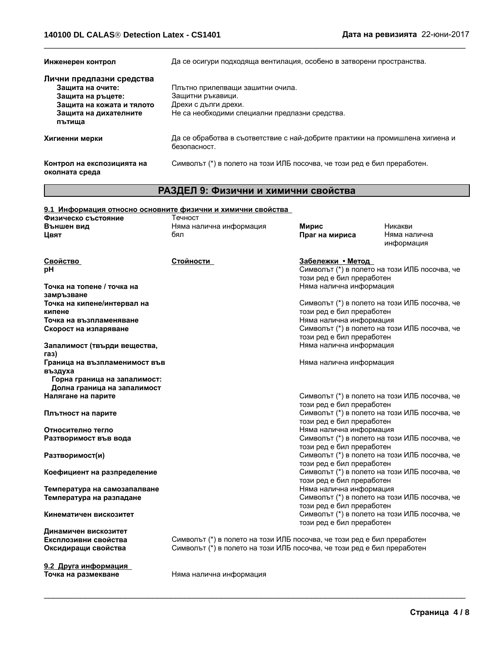| Инженерен контрол                            | Да се осигури подходяща вентилация, особено в затворени пространства.                         |
|----------------------------------------------|-----------------------------------------------------------------------------------------------|
| Лични предпазни средства                     |                                                                                               |
| Защита на очите:                             | Плътно прилепващи зашитни очила.                                                              |
| Защита на ръцете:                            | Защитни ръкавици.                                                                             |
| Защита на кожата и тялото                    | Дрехи с дълги дрехи.                                                                          |
| Защита на дихателните<br>пътиша              | Не са необходими специални предпазни средства.                                                |
|                                              |                                                                                               |
| Хигиенни мерки                               | Да се обработва в съответствие с най-добрите практики на промишлена хигиена и<br>безопасност. |
| Контрол на експозицията на<br>околната среда | Символът (*) в полето на този ИЛБ посочва, че този ред е бил преработен.                      |
|                                              |                                                                                               |

 $\overline{\phantom{a}}$  ,  $\overline{\phantom{a}}$  ,  $\overline{\phantom{a}}$  ,  $\overline{\phantom{a}}$  ,  $\overline{\phantom{a}}$  ,  $\overline{\phantom{a}}$  ,  $\overline{\phantom{a}}$  ,  $\overline{\phantom{a}}$  ,  $\overline{\phantom{a}}$  ,  $\overline{\phantom{a}}$  ,  $\overline{\phantom{a}}$  ,  $\overline{\phantom{a}}$  ,  $\overline{\phantom{a}}$  ,  $\overline{\phantom{a}}$  ,  $\overline{\phantom{a}}$  ,  $\overline{\phantom{a}}$ 

# РАЗДЕЛ 9: Физични и химични свойства

| 9.1 Информация относно основните физични и химични свойства |                                                                         |                           |                                               |
|-------------------------------------------------------------|-------------------------------------------------------------------------|---------------------------|-----------------------------------------------|
| Физическо състояние                                         | Течност                                                                 |                           |                                               |
| Външен вид                                                  | Няма налична информация                                                 | Мирис                     | Никакви                                       |
| Цвят                                                        | бял                                                                     | Праг на мириса            | Няма налична                                  |
|                                                             |                                                                         |                           | информация                                    |
| Свойство                                                    | Стойности                                                               | Забележки • Метод         |                                               |
| pH                                                          |                                                                         |                           | Символът (*) в полето на този ИЛБ посочва, че |
|                                                             |                                                                         | този ред е бил преработен |                                               |
| Точка на топене / точка на                                  |                                                                         | Няма налична информация   |                                               |
| замръзване                                                  |                                                                         |                           |                                               |
| Точка на кипене/интервал на                                 |                                                                         |                           | Символът (*) в полето на този ИЛБ посочва, че |
| кипене                                                      |                                                                         | този ред е бил преработен |                                               |
| Точка на възпламеняване                                     |                                                                         | Няма налична информация   |                                               |
| Скорост на изпаряване                                       |                                                                         |                           | Символът (*) в полето на този ИЛБ посочва, че |
|                                                             |                                                                         | този ред е бил преработен |                                               |
| Запалимост (твърди вещества,                                |                                                                         | Няма налична информация   |                                               |
| газ)                                                        |                                                                         |                           |                                               |
| Граница на възпламенимост във                               |                                                                         | Няма налична информация   |                                               |
| въздуха                                                     |                                                                         |                           |                                               |
| Горна граница на запалимост:                                |                                                                         |                           |                                               |
| Долна граница на запалимост                                 |                                                                         |                           |                                               |
| Налягане на парите                                          |                                                                         |                           | Символът (*) в полето на този ИЛБ посочва, че |
|                                                             |                                                                         | този ред е бил преработен |                                               |
| Плътност на парите                                          |                                                                         |                           | Символът (*) в полето на този ИЛБ посочва, че |
|                                                             |                                                                         | този ред е бил преработен |                                               |
| Относително тегло                                           |                                                                         | Няма налична информация   |                                               |
| Разтворимост във вода                                       |                                                                         |                           | Символът (*) в полето на този ИЛБ посочва, че |
|                                                             |                                                                         | този ред е бил преработен |                                               |
| Разтворимост(и)                                             |                                                                         |                           | Символът (*) в полето на този ИЛБ посочва, че |
|                                                             |                                                                         | този ред е бил преработен |                                               |
| Коефициент на разпределение                                 |                                                                         |                           | Символът (*) в полето на този ИЛБ посочва, че |
|                                                             |                                                                         | този ред е бил преработен |                                               |
| Температура на самозапалване                                |                                                                         | Няма налична информация   |                                               |
| Температура на разпадане                                    |                                                                         |                           | Символът (*) в полето на този ИЛБ посочва, че |
|                                                             |                                                                         | този ред е бил преработен |                                               |
| Кинематичен вискозитет                                      |                                                                         |                           | Символът (*) в полето на този ИЛБ посочва, че |
|                                                             |                                                                         | този ред е бил преработен |                                               |
| Динамичен вискозитет                                        |                                                                         |                           |                                               |
| Експлозивни свойства                                        | Символът (*) в полето на този ИЛБ посочва, че този ред е бил преработен |                           |                                               |
| Оксидиращи свойства                                         | Символът (*) в полето на този ИЛБ посочва, че този ред е бил преработен |                           |                                               |
|                                                             |                                                                         |                           |                                               |
| 9.2 Друга информация                                        |                                                                         |                           |                                               |
| Точка на размекване                                         | Няма налична информация                                                 |                           |                                               |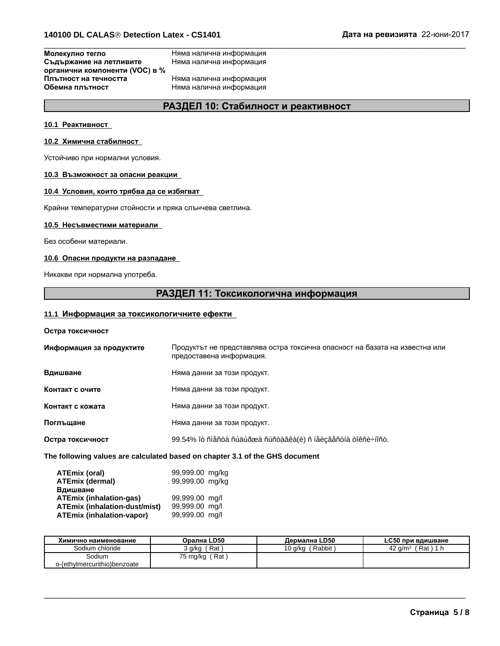Молекулно тегло Съдържание на летливите органични компоненти (VOC) в % Плътност на течността Обемна плътност

Няма налична информация Няма налична информация Няма налична информация Няма налична информация

## РАЗДЕЛ 10: Стабилност и реактивност

## 10.1 Реактивност

#### 10.2 Химична стабилност

Устойчиво при нормални условия.

## 10.3 Възможност за опасни реакции

## 10.4 Условия, които трябва да се избягват

Крайни температурни стойности и пряка слънчева светлина.

### 10.5 Несъвместими материали

Без особени материали.

## 10.6 Опасни продукти на разпадане

Никакви при нормална употреба.

## РАЗДЕЛ 11: Токсикологична информация

## 11.1 Информация за токсикологичните ефекти

#### Остра токсичност

| Информация за продуктите | Продуктът не представлява остра токсична опасност на базата на известна или<br>предоставена информация. |
|--------------------------|---------------------------------------------------------------------------------------------------------|
| Вдишване                 | Няма данни за този продукт.                                                                             |
| Контакт с очите          | Няма данни за този продукт.                                                                             |
| Контакт с кожата         | Няма данни за този продукт.                                                                             |
| Поглъщане                | Няма данни за този продукт.                                                                             |
| Остра токсичност         | 99.54% îò ñiåñòà ñúäúðæà ñúñòàâêà(è) ñ íåècâåñòíà òîêñè÷íîñò.                                           |
|                          | The following values are calculated based on chapter 3.1 of the GHS document                            |

| 99,999.00 mg/kg<br>99,999.00 mg/kg<br>99,999.00 mg/l<br>99,999.00 mg/l<br>99,999.00 mg/l |
|------------------------------------------------------------------------------------------|

| Химично наименование         | Орална LD50     | Дермална LD50         | <b>LC50 при вдишване</b> |
|------------------------------|-----------------|-----------------------|--------------------------|
| Sodium chloride              | Rat<br>′ g/kg د | ′ Rabbit .<br>10 g/kg | Rat<br>42 $a/m3$         |
| Sodium                       | Rat<br>75 mg/kg |                       |                          |
| o-(ethylmercurithio)benzoate |                 |                       |                          |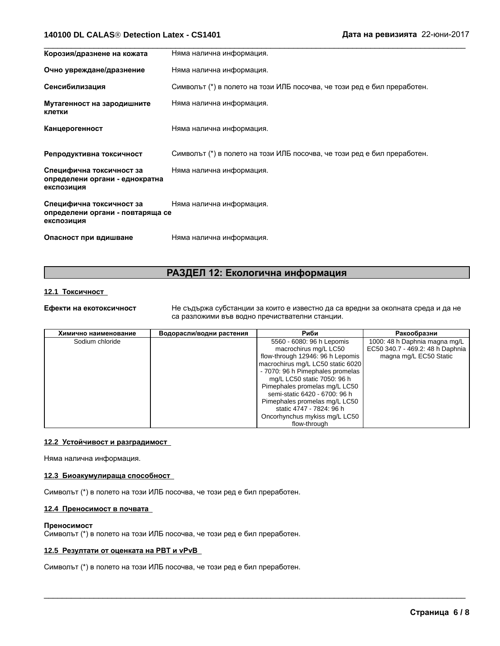## 140100 DL CALAS<sup>®</sup> Detection Latex - CS1401

| Корозия/дразнене на кожата                                                 | Няма налична информация.                                                 |
|----------------------------------------------------------------------------|--------------------------------------------------------------------------|
| Очно увреждане/дразнение                                                   | Няма налична информация.                                                 |
| Сенсибилизация                                                             | Символът (*) в полето на този ИЛБ посочва, че този ред е бил преработен. |
| Мутагенност на зародишните<br>клетки                                       | Няма налична информация.                                                 |
| Канцерогенност                                                             | Няма налична информация.                                                 |
| Репродуктивна токсичност                                                   | Символът (*) в полето на този ИЛБ посочва, че този ред е бил преработен. |
| Специфична токсичност за<br>определени органи - еднократна<br>експозиция   | Няма налична информация.                                                 |
| Специфична токсичност за<br>определени органи - повтаряща се<br>експозиция | Няма налична информация.                                                 |
| Опасност при вдишване                                                      | Няма налична информация.                                                 |

## РАЗДЕЛ 12: Екологична информация

## 12.1 Токсичност

Ефекти на екотоксичност

Не съдържа субстанции за които е известно да са вредни за околната среда и да не са разложими във водно пречиствателни станции.

| Химично наименование | Водорасли/водни растения | Риби                              | Ракообразни                      |
|----------------------|--------------------------|-----------------------------------|----------------------------------|
| Sodium chloride      |                          | 5560 - 6080: 96 h Lepomis         | 1000: 48 h Daphnia magna mg/L    |
|                      |                          | macrochirus mg/L LC50             | EC50 340.7 - 469.2: 48 h Daphnia |
|                      |                          | flow-through 12946: 96 h Lepomis  | magna mg/L EC50 Static           |
|                      |                          | macrochirus mg/L LC50 static 6020 |                                  |
|                      |                          | - 7070: 96 h Pimephales promelas  |                                  |
|                      |                          | mg/L LC50 static 7050: 96 h       |                                  |
|                      |                          | Pimephales promelas mg/L LC50     |                                  |
|                      |                          | semi-static 6420 - 6700: 96 h     |                                  |
|                      |                          | Pimephales promelas mg/L LC50     |                                  |
|                      |                          | static 4747 - 7824: 96 h          |                                  |
|                      |                          | Oncorhynchus mykiss mg/L LC50     |                                  |
|                      |                          | flow-through                      |                                  |

## 12.2 Устойчивост и разградимост

Няма налична информация.

## 12.3 Биоакумулираща способност

Символът (\*) в полето на този ИЛБ посочва, че този ред е бил преработен.

## 12.4 Преносимост в почвата

#### Преносимост

Символът (\*) в полето на този ИЛБ посочва, че този ред е бил преработен.

## 12.5 Резултати от оценката на РВТ и vPvB

Символът (\*) в полето на този ИЛБ посочва, че този ред е бил преработен.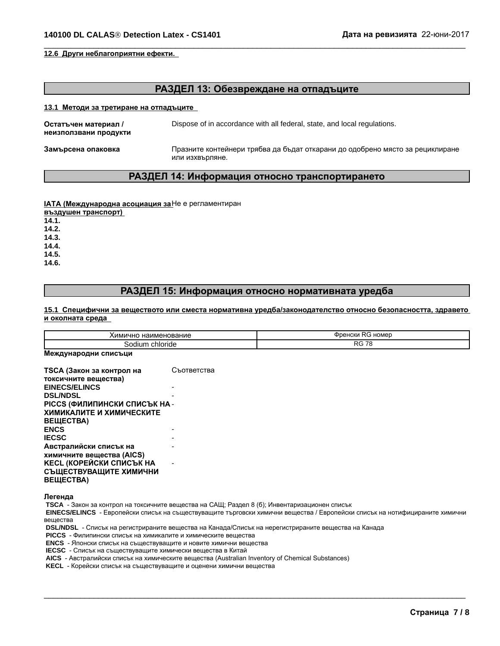#### 12.6 Други неблагоприятни ефекти.

## РАЗДЕЛ 13: Обезвреждане на отпадъците

#### 13.1 Методи за третиране на отпадъците

| Остатъчен материал /<br>неизползвани продукти | Dispose of in accordance with all federal, state, and local regulations.                         |
|-----------------------------------------------|--------------------------------------------------------------------------------------------------|
| Замърсена опаковка                            | Празните контейнери трябва да бъдат откарани до одобрено място за рециклиране<br>или изхвърляне. |

## РАЗДЕЛ 14: Информация относно транспортирането

IATA (Международна асоциация за Не е регламентиран

въздушен транспорт)

 $14.1.$ 

 $14.2.$ 

 $14.3.$ 

 $14.4.$ 

14.5. 14.6.

## РАЗДЕЛ 15: Информация относно нормативната уредба

#### 15.1 Специфични за веществото или сместа нормативна уредба/законодателство относно безопасността, здравето и околната среда

| Химично наименование | י -<br>≺G номеr<br>ጠn<br>∵ски .                        |
|----------------------|--------------------------------------------------------|
| chloride<br>sodiun   | <sub>D</sub> o<br>$\overline{\phantom{a}}$<br>טר<br>70 |

## Международни списъци

| <b>TSCA (Закон за контрол на</b>    | Съответства |
|-------------------------------------|-------------|
| токсичните вещества)                |             |
| <b>EINECS/ELINCS</b>                |             |
| <b>DSL/NDSL</b>                     |             |
| <b>PICCS (ФИЛИПИНСКИ СПИСЪК НА-</b> |             |
| ХИМИКАЛИТЕ И ХИМИЧЕСКИТЕ            |             |
| ВЕЩЕСТВА)                           |             |
| <b>ENCS</b>                         |             |
| <b>IECSC</b>                        |             |
| Австралийски списък на              |             |
| химичните вещества (AICS)           |             |
| <b>KECL (КОРЕЙСКИ СПИСЪК НА</b>     |             |
| СЪЩЕСТВУВАЩИТЕ ХИМИЧНИ              |             |
| <b>BELLECTBA)</b>                   |             |

Легенда

ТЅСА - Закон за контрол на токсичните вещества на САЩ; Раздел 8 (б); Инвентаризационен списък

EINECS/ELINCS - Европейски списък на съществуващите търговски химични вещества / Европейски списък на нотифицираните химични вешества

DSL/NDSL - Списък на регистрираните вещества на Канада/Списък на нерегистрираните вещества на Канада

PICCS - Филипински списък на химикалите и химическите вещества

**ENCS** - Японски списък на съществуващите и новите химични вещества

IECSC - Списък на съществуващите химически вещества в Китай

AICS - Австралийски списък на химическите вещества (Australian Inventory of Chemical Substances)

KECL - Корейски списък на съществуващите и оценени химични вещества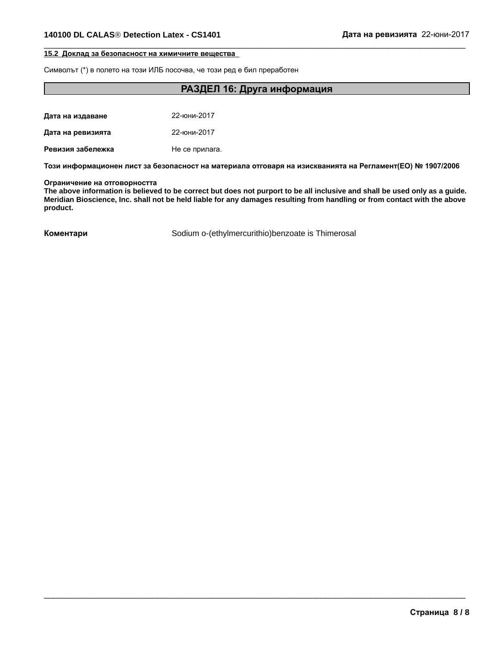## 15.2 Доклад за безопасност на химичните вещества

Символът (\*) в полето на този ИЛБ посочва, че този ред е бил преработен

## РАЗДЕЛ 16: Друга информация

| Дата на издаване  | 22-юни-2017    |
|-------------------|----------------|
| Дата на ревизията | 22-юни-2017    |
| Ревизия забележка | Не се прилага. |

Този информационен лист за безопасност на материала отговаря на изискванията на Регламент(ЕО) № 1907/2006

#### Ограничение на отговорността

The above information is believed to be correct but does not purport to be all inclusive and shall be used only as a guide. Meridian Bioscience, Inc. shall not be held liable for any damages resulting from handling or from contact with the above product.

Коментари

Sodium o-(ethylmercurithio)benzoate is Thimerosal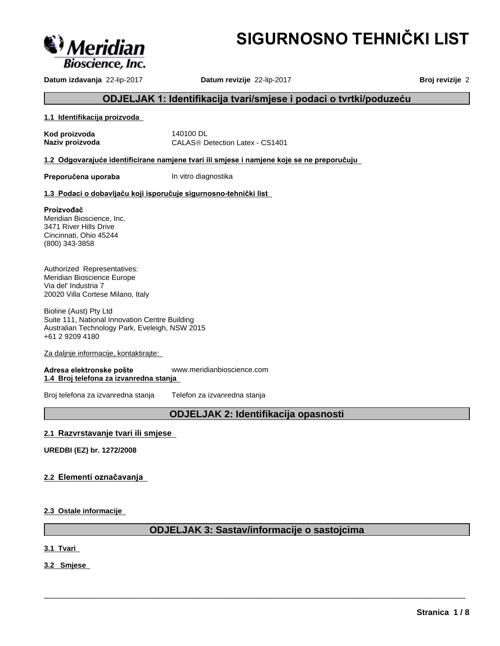

# **SIGURNOSNOTEHNIČKILIST**

**Datum izdavanja** 22-lip-2017 **Datum revizije** 22-lip-2017 **Broj revizije** 2

## **ODJELJAK 1: Identifikacija tvari/smjese i podaci o tvrtki/poduzeću**

## **1.1 Identifikacija proizvoda**

**Kod proizvoda** 140100 DL

**Naziv proizvoda** CALAS<sup>®</sup> Detection Latex - CS1401

**1.2 Odgovarajuće identificirane namjene tvari ili smjese i namjene koje se ne preporučuju** 

**Preporučena uporaba** In vitro diagnostika

## 1.3 Podaci o dobavljaču koji isporučuje sigurnosno-tehnički list

## **Proizvođač**

Meridian Bioscience, Inc. 3471 River Hills Drive Cincinnati, Ohio 45244 (800) 343-3858

Authorized Representatives: Meridian Bioscience Europe Via del' Industria 7 20020 Villa Cortese Milano, Italy

Bioline (Aust) Pty Ltd Suite 111, National Innovation Centre Building Australian Technology Park, Eveleigh, NSW 2015 +61 2 9209 4180

Za daljnje informacije, kontaktirajte:

**Adresaelektronskepošte** www.meridianbioscience.com **1.4 Broj telefona za izvanredna stanja**

Broj telefona za izvanredna stanja Telefon za izvanredna stanja

## **ODJELJAK 2: Identifikacija opasnosti**

## **2.1 Razvrstavanje tvari ili smjese**

**UREDBI (EZ) br. 1272/2008**

## **2.2 Elementioznačavanja**

**2.3 Ostale informacije**

## **ODJELJAK 3: Sastav/informacije o sastojcima**

 $\overline{\phantom{a}}$  ,  $\overline{\phantom{a}}$  ,  $\overline{\phantom{a}}$  ,  $\overline{\phantom{a}}$  ,  $\overline{\phantom{a}}$  ,  $\overline{\phantom{a}}$  ,  $\overline{\phantom{a}}$  ,  $\overline{\phantom{a}}$  ,  $\overline{\phantom{a}}$  ,  $\overline{\phantom{a}}$  ,  $\overline{\phantom{a}}$  ,  $\overline{\phantom{a}}$  ,  $\overline{\phantom{a}}$  ,  $\overline{\phantom{a}}$  ,  $\overline{\phantom{a}}$  ,  $\overline{\phantom{a}}$ 

**3.1 Tvari** 

**3.2 Smjese**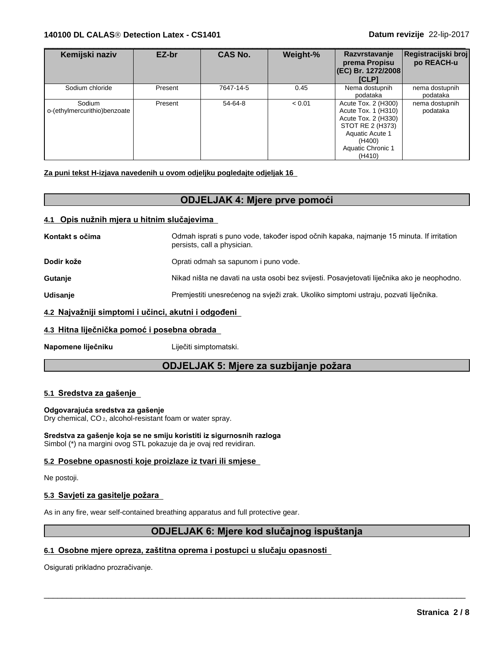## **140100 DL CALASÒ Detection Latex - CS1401 Datum revizije** 22-lip-2017

| Kemijski naziv                         | EZ-br   | <b>CAS No.</b> | Weight-% | Razvrstavanje<br>prema Propisu<br>(EC) Br. 1272/2008<br><b>ICLP1</b>                                                                              | Registracijski broj<br>po REACH-u |
|----------------------------------------|---------|----------------|----------|---------------------------------------------------------------------------------------------------------------------------------------------------|-----------------------------------|
| Sodium chloride                        | Present | 7647-14-5      | 0.45     | Nema dostupnih<br>podataka                                                                                                                        | nema dostupnih<br>podataka        |
| Sodium<br>o-(ethylmercurithio)benzoate | Present | 54-64-8        | < 0.01   | Acute Tox. 2 (H300)<br>Acute Tox. 1 (H310)<br>Acute Tox. 2 (H330)<br>STOT RE 2 (H373)<br>Aquatic Acute 1<br>(H400)<br>Aquatic Chronic 1<br>(H410) | nema dostupnih<br>podataka        |

 $\overline{\phantom{a}}$  ,  $\overline{\phantom{a}}$  ,  $\overline{\phantom{a}}$  ,  $\overline{\phantom{a}}$  ,  $\overline{\phantom{a}}$  ,  $\overline{\phantom{a}}$  ,  $\overline{\phantom{a}}$  ,  $\overline{\phantom{a}}$  ,  $\overline{\phantom{a}}$  ,  $\overline{\phantom{a}}$  ,  $\overline{\phantom{a}}$  ,  $\overline{\phantom{a}}$  ,  $\overline{\phantom{a}}$  ,  $\overline{\phantom{a}}$  ,  $\overline{\phantom{a}}$  ,  $\overline{\phantom{a}}$ 

## **Za puni tekst H-izjava navedenih u ovom odjeljku pogledajte odjeljak 16**

## **ODJELJAK 4: Miere prve pomoći**

## **4.1 Opisnužnihmjerauhitnim slučajevima**

Kontakt sočima **Voltagiana Napalis odmah ispratis** puno vode, također ispod očnih kapaka, najmanje 15 minuta. Ifirritation persists, call a physician. **Dodir kože Oprati odmah sa sapunom i puno vode.** Gutanje **Nikad ništa ne davati na usta osobi bez** svijesti. Posavjetovati liječnika ako je neophodno. Udisanje **Premjestitiunesrećenog na svježi zrak. Ukoliko simptomi ustraju, pozvati liječnika. 4.2 Najvažnijisimptomiiučinci,akutniiodgođeni**

## **4.3 Hitnaliječničkapomoćiposebnaobrada**

**Napomene liječniku** Liječiti simptomatski.

## **ODJELJAK5:Mjerezasuzbijanjepožara**

## **5.1 Sredstvazagašenje**

## **Odgovarajućasredstvazagašenje**

Dry chemical, CO 2, alcohol-resistant foam or water spray.

#### **Sredstvazagašenjekojasenesmijukoristitiizsigurnosnihrazloga** Simbol (\*) na margini ovog STL pokazuje da je ovaj red revidiran.

## **5.2 Posebne opasnosti koje proizlaze iztvari ili smjese**

Ne postoji.

## **5.3 Savjetizagasiteljepožara**

As in any fire, wear self-contained breathing apparatus and full protective gear.

## **ODJELJAK6:Mjerekodslučajnogispuštanja**

 $\overline{\phantom{a}}$  ,  $\overline{\phantom{a}}$  ,  $\overline{\phantom{a}}$  ,  $\overline{\phantom{a}}$  ,  $\overline{\phantom{a}}$  ,  $\overline{\phantom{a}}$  ,  $\overline{\phantom{a}}$  ,  $\overline{\phantom{a}}$  ,  $\overline{\phantom{a}}$  ,  $\overline{\phantom{a}}$  ,  $\overline{\phantom{a}}$  ,  $\overline{\phantom{a}}$  ,  $\overline{\phantom{a}}$  ,  $\overline{\phantom{a}}$  ,  $\overline{\phantom{a}}$  ,  $\overline{\phantom{a}}$ 

## **6.1 Osobnemjereopreza,zaštitnaopremaipostupciuslučajuopasnosti**

Osigurati prikladno prozračivanje.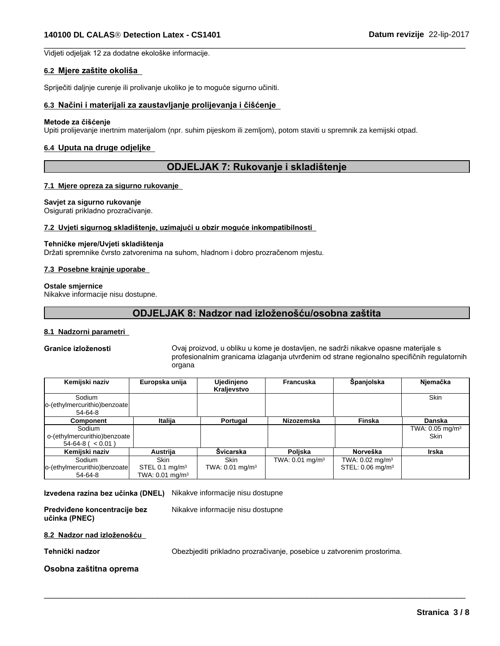Vidjeti odjeljak 12 za dodatne ekološke informacije.

## **6.2 Mjerezaštiteokoliša**

Spriječiti daljnje curenje ili prolivanje ukoliko je to moguće sigurno učiniti.

## **6.3 Načiniimaterijalizazaustavljanjeprolijevanjaičišćenje**

#### **Metodezačišćenje**

Upiti prolijevanje inertnim materijalom (npr. suhim pijeskom ili zemljom), potom staviti u spremnik za kemijski otpad.

## **6.4 Uputa na druge odjeljke**

## **ODJELJAK7:Rukovanjeiskladištenje**

 $\overline{\phantom{a}}$  ,  $\overline{\phantom{a}}$  ,  $\overline{\phantom{a}}$  ,  $\overline{\phantom{a}}$  ,  $\overline{\phantom{a}}$  ,  $\overline{\phantom{a}}$  ,  $\overline{\phantom{a}}$  ,  $\overline{\phantom{a}}$  ,  $\overline{\phantom{a}}$  ,  $\overline{\phantom{a}}$  ,  $\overline{\phantom{a}}$  ,  $\overline{\phantom{a}}$  ,  $\overline{\phantom{a}}$  ,  $\overline{\phantom{a}}$  ,  $\overline{\phantom{a}}$  ,  $\overline{\phantom{a}}$ 

## **7.1 Mjere opreza za sigurno rukovanje**

## **Savjet za sigurno rukovanje**

Osigurati prikladno prozračivanje.

## **7.2 Uvjeti sigurnog skladištenje, uzimajući u obzir moguće inkompatibilnosti**

## **Tehničkemjere/Uvjetiskladištenja**

Držati spremnike čvrsto zatvorenima na suhom, hladnom i dobro prozračenom mjestu.

## **7.3 Posebne krajnje uporabe**

#### **Ostale smjernice**

Nikakve informacije nisu dostupne.

## **ODJELJAK8:Nadzornadizloženošću/osobnazaštita**

## **8.1 Nadzorni parametri**

Granice izloženosti **Ovaj proizvod, u obliku u kome je dostavljen**, ne sadrži nikakve opasne materijale s profesionalnim granicama izlaganja utvrđenim od strane regionalno specifičnih regulatornih organa

| Kemijski naziv               | Europska unija                | Ujedinjeno<br>Kraljevstvo  | Francuska                     | Španjolska                     | Njemačka                      |
|------------------------------|-------------------------------|----------------------------|-------------------------------|--------------------------------|-------------------------------|
| Sodium                       |                               |                            |                               |                                | <b>Skin</b>                   |
| o-(ethylmercurithio)benzoate |                               |                            |                               |                                |                               |
| 54-64-8                      |                               |                            |                               |                                |                               |
| Component                    | Italija                       | Portugal                   | Nizozemska                    | Finska                         | Danska                        |
| Sodium                       |                               |                            |                               |                                | TWA: $0.05$ mg/m <sup>3</sup> |
| o-(ethylmercurithio)benzoate |                               |                            |                               |                                | Skin                          |
| $54-64-8$ ( $< 0.01$ )       |                               |                            |                               |                                |                               |
| Kemijski naziv               | Austrija                      | Švicarska                  | Poljska                       | Norveška                       | Irska                         |
| Sodium                       | Skin                          | <b>Skin</b>                | TWA: $0.01$ mg/m <sup>3</sup> | TWA: $0.02 \text{ mg/m}^3$     |                               |
| o-(ethylmercurithio)benzoate | STEL 0.1 mg/m <sup>3</sup>    | TWA: $0.01 \text{ mg/m}^3$ |                               | STEL: $0.06$ mg/m <sup>3</sup> |                               |
| 54-64-8                      | TWA: $0.01$ mg/m <sup>3</sup> |                            |                               |                                |                               |

#### Izvedena razina bez učinka (DNEL) Nikakve informacije nisu dostupne

**Predviđene koncentracije bez** Nikakve informacije nisu dostupne

**učinka(PNEC)**

## **8.2 Nadzornadizloženošću**

Tehnički nadzor **Obezbjeditiprikladno prozračivanje, posebice** u zatvorenim prostorima.

 $\overline{\phantom{a}}$  ,  $\overline{\phantom{a}}$  ,  $\overline{\phantom{a}}$  ,  $\overline{\phantom{a}}$  ,  $\overline{\phantom{a}}$  ,  $\overline{\phantom{a}}$  ,  $\overline{\phantom{a}}$  ,  $\overline{\phantom{a}}$  ,  $\overline{\phantom{a}}$  ,  $\overline{\phantom{a}}$  ,  $\overline{\phantom{a}}$  ,  $\overline{\phantom{a}}$  ,  $\overline{\phantom{a}}$  ,  $\overline{\phantom{a}}$  ,  $\overline{\phantom{a}}$  ,  $\overline{\phantom{a}}$ 

## **Osobnazaštitnaoprema**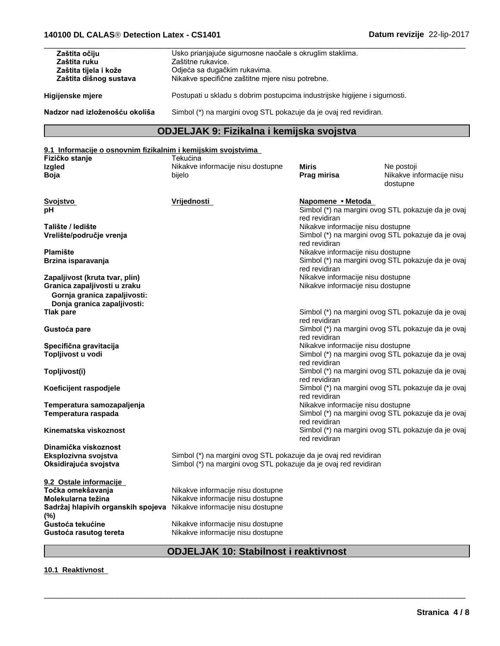| Zaštita očiju                  | Usko prianjajuće sigurnosne naočale s okruglim staklima.                   |
|--------------------------------|----------------------------------------------------------------------------|
| Zaštita ruku                   | Zaštitne rukavice.                                                         |
| Zaštita tijela i kože          | Odjeća sa dugačkim rukavima.                                               |
| Zaštita dišnog sustava         | Nikakve specifične zaštitne mjere nisu potrebne.                           |
| Higijenske mjere               | Postupati u skladu s dobrim postupcima industrijske higijene i sigurnosti. |
| Nadzor nad izloženošću okoliša | Simbol (*) na margini ovog STL pokazuje da je ovaj red revidiran.          |

## **ODJELJAK 9: Fizikalna i kemijska svojstva**

| 9.1 Informacije o osnovnim fizikalnim i kemijskim svojstvima                   |                                                                  |                                                                        |                                                    |
|--------------------------------------------------------------------------------|------------------------------------------------------------------|------------------------------------------------------------------------|----------------------------------------------------|
| Fizičko stanje                                                                 | Tekućina                                                         |                                                                        |                                                    |
| <b>Izgled</b>                                                                  | Nikakve informacije nisu dostupne                                | Miris                                                                  | Ne postoji                                         |
| <b>Boja</b>                                                                    | bijelo                                                           | Prag mirisa                                                            | Nikakve informacije nisu<br>dostupne               |
| <b>Svojstvo</b>                                                                | Vrijednosti                                                      | Napomene • Metoda                                                      |                                                    |
| рH                                                                             |                                                                  | red revidiran                                                          | Simbol (*) na margini ovog STL pokazuje da je ovaj |
| Talište / ledište                                                              |                                                                  | Nikakve informacije nisu dostupne                                      |                                                    |
| Vrelište/područje vrenja                                                       |                                                                  | red revidiran                                                          | Simbol (*) na margini ovog STL pokazuje da je ovaj |
| <b>Plamište</b>                                                                |                                                                  | Nikakve informacije nisu dostupne                                      |                                                    |
| Brzina isparavanja                                                             |                                                                  | red revidiran                                                          | Simbol (*) na margini ovog STL pokazuje da je ovaj |
| Zapaljivost (kruta tvar, plin)<br>Granica zapaljivosti u zraku                 |                                                                  | Nikakve informacije nisu dostupne<br>Nikakve informacije nisu dostupne |                                                    |
| Gornja granica zapaljivosti:<br>Donja granica zapaljivosti:                    |                                                                  |                                                                        |                                                    |
| <b>Tlak pare</b>                                                               |                                                                  | red revidiran                                                          | Simbol (*) na margini ovog STL pokazuje da je ovaj |
| Gustoća pare                                                                   |                                                                  | red revidiran                                                          | Simbol (*) na margini ovog STL pokazuje da je ovaj |
| Specifična gravitacija                                                         |                                                                  | Nikakve informacije nisu dostupne                                      |                                                    |
| Topljivost u vodi                                                              |                                                                  |                                                                        | Simbol (*) na margini ovog STL pokazuje da je ovaj |
|                                                                                |                                                                  | red revidiran                                                          |                                                    |
| Topljivost(i)                                                                  |                                                                  | red revidiran                                                          | Simbol (*) na margini ovog STL pokazuje da je ovaj |
| Koeficijent raspodjele                                                         |                                                                  | red revidiran                                                          | Simbol (*) na margini ovog STL pokazuje da je ovaj |
| Temperatura samozapaljenja                                                     |                                                                  | Nikakve informacije nisu dostupne                                      |                                                    |
| Temperatura raspada                                                            |                                                                  |                                                                        | Simbol (*) na margini ovog STL pokazuje da je ovaj |
|                                                                                |                                                                  | red revidiran                                                          |                                                    |
| Kinematska viskoznost                                                          |                                                                  | red revidiran                                                          | Simbol (*) na margini ovog STL pokazuje da je ovaj |
| Dinamička viskoznost<br>Eksplozivna svojstva                                   | Simbol (*) na margini ovog STL pokazuje da je ovaj red revidiran |                                                                        |                                                    |
| Oksidirajuća svojstva                                                          | Simbol (*) na margini ovog STL pokazuje da je ovaj red revidiran |                                                                        |                                                    |
| 9.2 Ostale informacije                                                         |                                                                  |                                                                        |                                                    |
| Točka omekšavanja                                                              | Nikakve informacije nisu dostupne                                |                                                                        |                                                    |
| Molekularna težina                                                             | Nikakve informacije nisu dostupne                                |                                                                        |                                                    |
| Sadržaj hlapivih organskih spojeva Nikakve informacije nisu dostupne<br>$(\%)$ |                                                                  |                                                                        |                                                    |
| Gustoća tekućine                                                               | Nikakve informacije nisu dostupne                                |                                                                        |                                                    |
| Gustoća rasutog tereta                                                         | Nikakve informacije nisu dostupne                                |                                                                        |                                                    |

## **ODJELJAK 10: Stabilnost i reaktivnost**

 $\overline{\phantom{a}}$  ,  $\overline{\phantom{a}}$  ,  $\overline{\phantom{a}}$  ,  $\overline{\phantom{a}}$  ,  $\overline{\phantom{a}}$  ,  $\overline{\phantom{a}}$  ,  $\overline{\phantom{a}}$  ,  $\overline{\phantom{a}}$  ,  $\overline{\phantom{a}}$  ,  $\overline{\phantom{a}}$  ,  $\overline{\phantom{a}}$  ,  $\overline{\phantom{a}}$  ,  $\overline{\phantom{a}}$  ,  $\overline{\phantom{a}}$  ,  $\overline{\phantom{a}}$  ,  $\overline{\phantom{a}}$ 

## **10.1 Reaktivnost**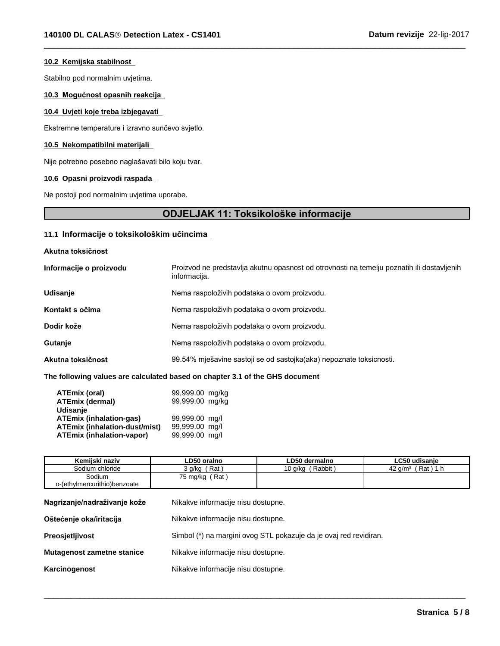## **10.2 Kemijska stabilnost**

Stabilno pod normalnim uvjetima.

## 10.3 Mogućnost opasnih reakcija

## **10.4 Uvjeti koje treba izbjegavati**

Ekstremne temperature i izravno sunčevo svjetlo.

## **10.5 Nekompatibilni materijali**

Nije potrebno posebno naglašavati bilo koju tvar.

## **10.6 Opasni proizvodi raspada**

Ne postoji pod normalnim uvjetima uporabe.

## **ODJELJAK11:Toksikološkeinformacije**

 $\overline{\phantom{a}}$  ,  $\overline{\phantom{a}}$  ,  $\overline{\phantom{a}}$  ,  $\overline{\phantom{a}}$  ,  $\overline{\phantom{a}}$  ,  $\overline{\phantom{a}}$  ,  $\overline{\phantom{a}}$  ,  $\overline{\phantom{a}}$  ,  $\overline{\phantom{a}}$  ,  $\overline{\phantom{a}}$  ,  $\overline{\phantom{a}}$  ,  $\overline{\phantom{a}}$  ,  $\overline{\phantom{a}}$  ,  $\overline{\phantom{a}}$  ,  $\overline{\phantom{a}}$  ,  $\overline{\phantom{a}}$ 

## **11.1 Informacijeotoksikološkim učincima**

**Akutna toksičnost** 

| Informacije o proizvodu | Proizvod ne predstavlja akutnu opasnost od otrovnosti na temelju poznatih ili dostavljenih<br>informacija. |
|-------------------------|------------------------------------------------------------------------------------------------------------|
| <b>Udisanje</b>         | Nema raspoloživih podataka o ovom proizvodu.                                                               |
| Kontakt s očima         | Nema raspoloživih podataka o ovom proizvodu.                                                               |
| Dodir kože              | Nema raspoloživih podataka o ovom proizvodu.                                                               |
| Gutanje                 | Nema raspoloživih podataka o ovom proizvodu.                                                               |
| Akutna toksičnost       | 99.54% mješavine sastoji se od sastojka (aka) nepoznate toksicnosti.                                       |

## **The following values are calculated based on chapter 3.1 of the GHS document**

| ATEmix (oral)                        | 99,999.00 mg/kg |  |
|--------------------------------------|-----------------|--|
| <b>ATEmix (dermal)</b>               | 99,999.00 mg/kg |  |
| <b>Udisanje</b>                      |                 |  |
| <b>ATEmix (inhalation-gas)</b>       | 99.999.00 ma/l  |  |
| <b>ATEmix (inhalation-dust/mist)</b> | 99.999.00 ma/l  |  |
| <b>ATEmix (inhalation-vapor)</b>     | 99.999.00 ma/l  |  |

| Kemijski naziv               | ∟D50 oralno     | LD50 dermalno      | LC50 udisanie     |
|------------------------------|-----------------|--------------------|-------------------|
| Sodium chloride              | Rat<br>3 a/ka   | Rabbit)<br>10 a/ka | Rat)<br>a/m<br>42 |
| Sodium                       | 75 mg/kg<br>Rat |                    |                   |
| o-(ethylmercurithio)benzoate |                 |                    |                   |

| Nagrizanje/nadraživanje kože | Nikakve informacije nisu dostupne.                                |
|------------------------------|-------------------------------------------------------------------|
| Oštećenje oka/iritacija      | Nikakve informacije nisu dostupne.                                |
| <b>Preosietlivost</b>        | Simbol (*) na margini ovog STL pokazuje da je ovaj red revidiran. |
| Mutagenost zametne stanice   | Nikakve informacije nisu dostupne.                                |
| Karcinogenost                | Nikakve informacije nisu dostupne.                                |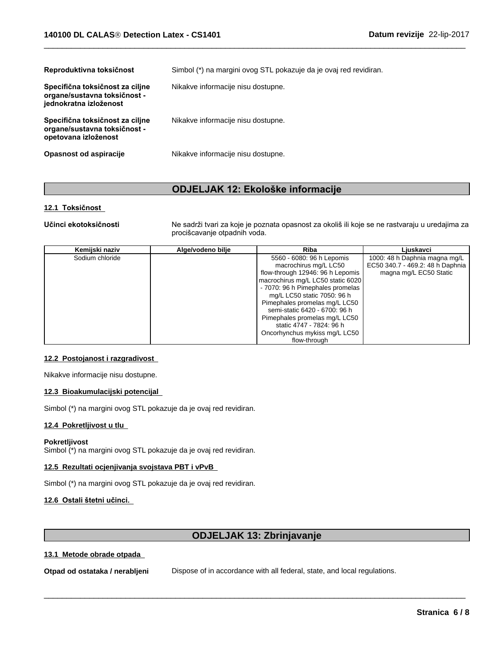| Reproduktivna toksičnost                                                                  | Simbol (*) na margini ovog STL pokazuje da je ovaj red revidiran. |
|-------------------------------------------------------------------------------------------|-------------------------------------------------------------------|
| Specifična toksičnost za ciljne<br>organe/sustavna toksičnost -<br>jednokratna izloženost | Nikakve informacije nisu dostupne.                                |
| Specifična toksičnost za ciljne<br>organe/sustavna toksičnost -<br>opetovana izloženost   | Nikakve informacije nisu dostupne.                                |
| Opasnost od aspiracije                                                                    | Nikakve informacije nisu dostupne.                                |

## **ODJELJAK12:Ekološkeinformacije**

## **12.1 Toksičnost**

Učinci ekotoksičnosti **Negaliza kojegi Nesadržitvarizakoje** je poznata opasnost za okolišili koje se ne rastvaraju u uredajima za procišcavanje otpadnih voda.

 $\overline{\phantom{a}}$  ,  $\overline{\phantom{a}}$  ,  $\overline{\phantom{a}}$  ,  $\overline{\phantom{a}}$  ,  $\overline{\phantom{a}}$  ,  $\overline{\phantom{a}}$  ,  $\overline{\phantom{a}}$  ,  $\overline{\phantom{a}}$  ,  $\overline{\phantom{a}}$  ,  $\overline{\phantom{a}}$  ,  $\overline{\phantom{a}}$  ,  $\overline{\phantom{a}}$  ,  $\overline{\phantom{a}}$  ,  $\overline{\phantom{a}}$  ,  $\overline{\phantom{a}}$  ,  $\overline{\phantom{a}}$ 

| Kemijski naziv  | Alge/vodeno bilje | <b>Riba</b>                                                    | Liuskavci                        |
|-----------------|-------------------|----------------------------------------------------------------|----------------------------------|
| Sodium chloride |                   | 5560 - 6080: 96 h Lepomis                                      | 1000: 48 h Daphnia magna mg/L    |
|                 |                   | macrochirus mg/L LC50                                          | EC50 340.7 - 469.2: 48 h Daphnia |
|                 |                   | flow-through 12946: 96 h Lepomis                               | magna mg/L EC50 Static           |
|                 |                   | macrochirus mg/L LC50 static 6020                              |                                  |
|                 |                   | - 7070: 96 h Pimephales promelas                               |                                  |
|                 |                   | mg/L LC50 static 7050: 96 h                                    |                                  |
|                 |                   | Pimephales promelas mg/L LC50<br>semi-static 6420 - 6700: 96 h |                                  |
|                 |                   | Pimephales promelas mg/L LC50                                  |                                  |
|                 |                   | static 4747 - 7824: 96 h                                       |                                  |
|                 |                   | Oncorhynchus mykiss mg/L LC50                                  |                                  |
|                 |                   | flow-through                                                   |                                  |

## **12.2 Postojanost i razgradivost**

Nikakve informacije nisu dostupne.

#### **12.3 Bioakumulacijski potencijal**

Simbol (\*) na margini ovog STL pokazuje da je ovaj red revidiran.

## **12.4 Pokretljivost u tlu**

#### **Pokretljivost**

Simbol (\*) na margini ovog STL pokazuje da je ovaj red revidiran.

## **12.5 Rezultati ocjenjivanja svojstava PBT i vPvB**

Simbol (\*) na margini ovog STL pokazuje da je ovaj red revidiran.

## **12.6 Ostalištetniučinci.**

## **ODJELJAK 13: Zbrinjavanje**

## **13.1 Metode obrade otpada**

**Otpad od ostataka / nerabljeni** Dispose of in accordance with all federal, state, and local regulations.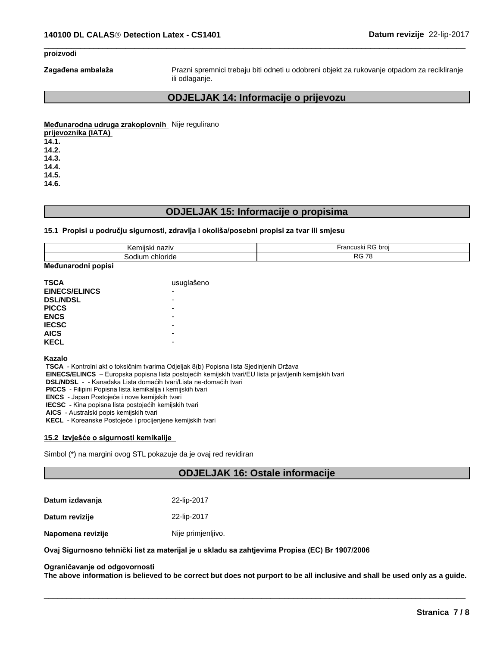#### **proizvodi**

**Zagađena ambalaža** Prazni spremnici trebaju biti odneti u odobreni objekt za rukovanje otpadom za recikliranje ili odlaganje.

 $\overline{\phantom{a}}$  ,  $\overline{\phantom{a}}$  ,  $\overline{\phantom{a}}$  ,  $\overline{\phantom{a}}$  ,  $\overline{\phantom{a}}$  ,  $\overline{\phantom{a}}$  ,  $\overline{\phantom{a}}$  ,  $\overline{\phantom{a}}$  ,  $\overline{\phantom{a}}$  ,  $\overline{\phantom{a}}$  ,  $\overline{\phantom{a}}$  ,  $\overline{\phantom{a}}$  ,  $\overline{\phantom{a}}$  ,  $\overline{\phantom{a}}$  ,  $\overline{\phantom{a}}$  ,  $\overline{\phantom{a}}$ 

## **ODJELJAK 14: Informacije o prijevozu**

**Međunarodna udruga zrakoplovnih** Nije regulirano

**prijevoznika (IATA)**

**14.1. 14.2.**

**14.3.**

**14.4.**

**14.5.**

**14.6.**

## **ODJELJAK 15: Informacije o propisima**

**15.1 Propisiupodručjusigurnosti,zdravljaiokoliša/posebnipropisizatvarilismjesu**

| .<br>$\sim$<br>-<br>.<br>⊺id∠iv<br>וכווו<br>791 | יי<br>broi<br>αг<br>1999               |
|-------------------------------------------------|----------------------------------------|
| niorio<br>nı<br>тає                             | 70<br>$\Gamma$<br>، ۱ ت<br>טר<br>_____ |

**Međunarodnipopisi**

| <b>TSCA</b>          | usuglašeno               |
|----------------------|--------------------------|
| <b>EINECS/ELINCS</b> | $\overline{\phantom{a}}$ |
| <b>DSL/NDSL</b>      | $\overline{\phantom{0}}$ |
| <b>PICCS</b>         | $\overline{\phantom{0}}$ |
| <b>ENCS</b>          | ٠                        |
| <b>IECSC</b>         | $\overline{\phantom{0}}$ |
| <b>AICS</b>          | $\overline{\phantom{0}}$ |
| <b>KECL</b>          | $\overline{\phantom{0}}$ |

**Kazalo**

**TSCA** - Kontrolni akt o toksičnim tvarima Odjeljak 8(b) Popisna lista Sjedinjenih Država

**EINECS/ELINCS** – Europska popisna lista postojećih kemijskih tvari/EU lista prijavljenih kemijskih tvari

DSL/NDSL - - Kanadska Lista domaćih tvari/Lista ne-domaćih tvari

 **PICCS** - Filipini Popisna lista kemikalija i kemijskih tvari

**ENCS** - Japan Postojeće i nove kemijskih tvari

**IECSC** - Kina popisna lista postojećih kemijskih tvari

 **AICS** - Australski popis kemijskih tvari

KECL - Koreanske Postojeće i procijenjene kemijskih tvari

## **15.2 Izvješće o sigurnosti kemikalije**

Simbol (\*) na margini ovog STL pokazuje da je ovaj red revidiran

## **ODJELJAK 16: Ostale informacije**

| Datum izdavanja   | 22-lip-2017        |
|-------------------|--------------------|
| Datum revizije    | 22-lip-2017        |
| Napomena revizije | Nije primjenljivo. |

**OvajSigurnosnotehničkilistzamaterijaljeuskladusazahtjevimaPropisa(EC)Br1907/2006**

#### **Ograničavanje od odgovornosti**

The above information is believed to be correct but does not purport to be all inclusive and shall be used only as a guide.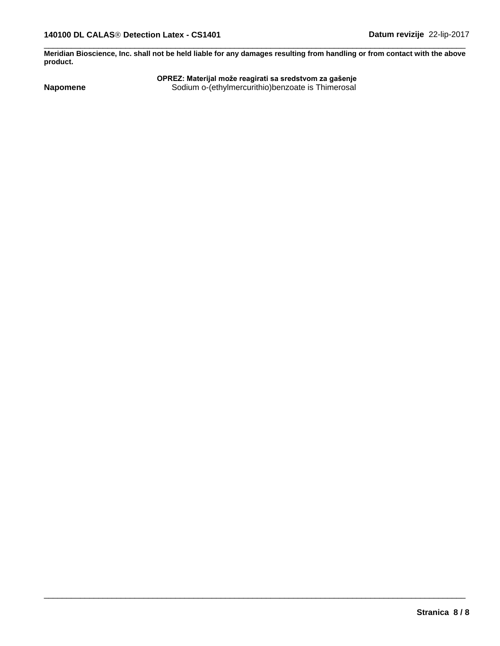Meridian Bioscience, Inc. shall not be held liable for any damages resulting from handling or from contact with the above product.

Napomene

OPREZ: Materijal može reagirati sa sredstvom za gašenje<br>Sodium o-(ethylmercurithio)benzoate is Thimerosal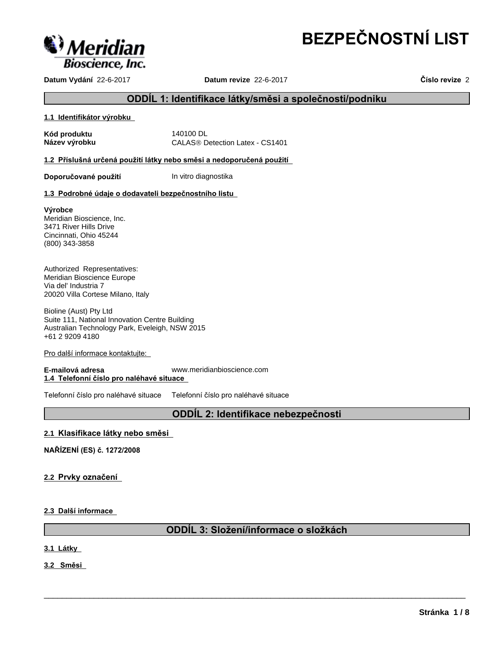

# **BEZPEČNOSTNÍLIST**

**Datum Vydání** 22-6-2017 **Datum revize** 22-6-2017 **Číslorevize**2

## **ODDÍL1:Identifikacelátky/směsiaspolečnosti/podniku**

## **1.1 Identifikátor výrobku**

**Kód produktu** 140100 DL

**Název výrobku** CALAS<sup>®</sup> Detection Latex - CS1401

**1.2 Příslušnáurčenápoužitílátkynebosměsianedoporučenápoužití**

**Doporučované použití** In vitro diagnostika

## 1.3 Podrobné údaje o dodavateli bezpečnostního listu

## **Výrobce**

Meridian Bioscience, Inc. 3471 River Hills Drive Cincinnati, Ohio 45244 (800) 343-3858

Authorized Representatives: Meridian Bioscience Europe Via del' Industria 7 20020 Villa Cortese Milano, Italy

Bioline (Aust) Pty Ltd Suite 111, National Innovation Centre Building Australian Technology Park, Eveleigh, NSW 2015 +61 2 9209 4180

Pro další informace kontaktujte:

**E-mailová adresa** www.meridianbioscience.com **1.4 Telefonníčíslopronaléhavésituace**

Telefonní číslo pro naléhavé situace Telefonní číslo pro naléhavé situace

## **ODDÍL2:Identifikacenebezpečnosti**

## **2.1 Klasifikacelátkynebosměsi**

**NAŘÍZENÍ(ES)č.1272/2008**

**2.2 Prvkyoznačení**

**2.3 Dalšíinformace**

## **ODDÍL3:Složení/informaceosložkách**

 $\overline{\phantom{a}}$  ,  $\overline{\phantom{a}}$  ,  $\overline{\phantom{a}}$  ,  $\overline{\phantom{a}}$  ,  $\overline{\phantom{a}}$  ,  $\overline{\phantom{a}}$  ,  $\overline{\phantom{a}}$  ,  $\overline{\phantom{a}}$  ,  $\overline{\phantom{a}}$  ,  $\overline{\phantom{a}}$  ,  $\overline{\phantom{a}}$  ,  $\overline{\phantom{a}}$  ,  $\overline{\phantom{a}}$  ,  $\overline{\phantom{a}}$  ,  $\overline{\phantom{a}}$  ,  $\overline{\phantom{a}}$ 

**3.1 Látky**

**3.2 Směsi**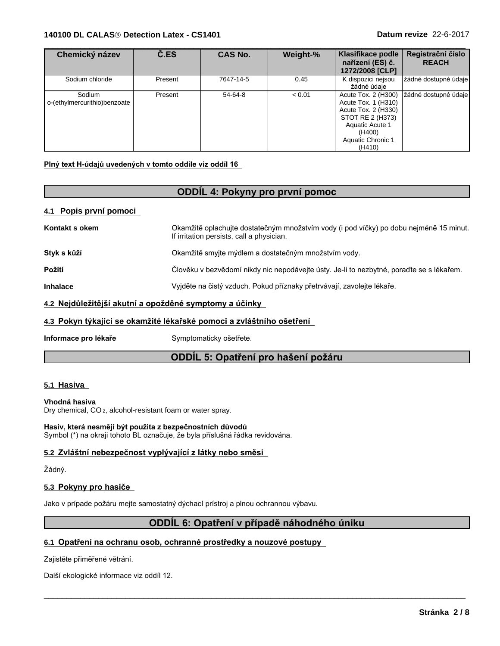## **140100 DL CALASÒ Detection Latex - CS1401 Datum revize** 22-6-2017

| Chemický název                           | Č.ES    | <b>CAS No.</b> | Weight-% | Klasifikace podle<br>nařízení (ES) č.<br>1272/2008 [CLP]                                                                   | Registrační číslo<br><b>REACH</b>        |
|------------------------------------------|---------|----------------|----------|----------------------------------------------------------------------------------------------------------------------------|------------------------------------------|
| Sodium chloride                          | Present | 7647-14-5      | 0.45     | K dispozici nejsou<br>žádné údaje                                                                                          | žádné dostupné údaje                     |
| Sodium<br>  o-(ethylmercurithio)benzoate | Present | 54-64-8        | < 0.01   | Acute Tox. 1 (H310)<br>Acute Tox. 2 (H330)<br>STOT RE 2 (H373)<br>Aquatic Acute 1<br>(H400)<br>Aquatic Chronic 1<br>(H410) | Acute Tox. 2 (H300) žádné dostupné údaje |

Plný text H-údajů uvedených v tomto oddíle viz oddíl 16

## **ODDÍL 4: Pokyny pro první pomoc**

## **4.1 Popis první pomoci**

| Kontakt s okem  | Okamžitě oplachujte dostatečným množstvím vody (i pod víčky) po dobu nejméně 15 minut.<br>If irritation persists, call a physician. |
|-----------------|-------------------------------------------------------------------------------------------------------------------------------------|
| Styk s kůží     | Okamžitě smyjte mýdlem a dostatečným množstvím vody.                                                                                |
| Požití          | Člověku v bezvědomí nikdy nic nepodávejte ústy. Je-li to nezbytné, poraďte se s lékařem.                                            |
| <b>Inhalace</b> | Vyjděte na čistý vzduch. Pokud příznaky přetrvávají, zavolejte lékaře.                                                              |
|                 |                                                                                                                                     |

## **4.2 Nejdůležitějšíakutníaopožděnésymptomyaúčinky**

## **4.3 Pokyntýkajícíseokamžitélékařsképomociazvláštníhoošetření**

## **Informace pro lékaře** Symptomaticky ošetřete.

## **ODDÍL 5: Opatření pro hašení požáru**

## **5.1 Hasiva**

**Vhodná hasiva**

Dry chemical, CO 2, alcohol-resistant foam or water spray.

## Hasiv, která nesmějí být použita z bezpečnostních důvodů Symbol (\*) na okraji tohoto BL označuje, že byla příslušná řádka revidována.

## **5.2 Zvláštnínebezpečnostvyplývajícízlátkynebosměsi**

Žádný.

## **5.3 Pokyny pro hasiče**

Jako v prípade požáru mejte samostatný dýchací prístroj a plnou ochrannou výbavu.

## **ODDÍL 6: Opatření v případě náhodného úniku**

 $\overline{\phantom{a}}$  ,  $\overline{\phantom{a}}$  ,  $\overline{\phantom{a}}$  ,  $\overline{\phantom{a}}$  ,  $\overline{\phantom{a}}$  ,  $\overline{\phantom{a}}$  ,  $\overline{\phantom{a}}$  ,  $\overline{\phantom{a}}$  ,  $\overline{\phantom{a}}$  ,  $\overline{\phantom{a}}$  ,  $\overline{\phantom{a}}$  ,  $\overline{\phantom{a}}$  ,  $\overline{\phantom{a}}$  ,  $\overline{\phantom{a}}$  ,  $\overline{\phantom{a}}$  ,  $\overline{\phantom{a}}$ 

## 6.1 Opatření na ochranu osob, ochranné prostředky a nouzové postupy

Zajistěte přiměřené větrání.

Další ekologické informace viz oddíl 12.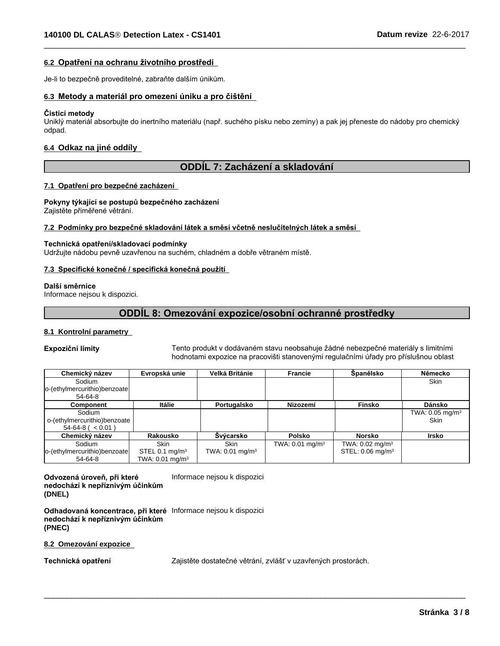## **6.2 Opatřenínaochranuživotníhoprostředí**

Je-li to bezpečně proveditelné, zabraňte dalším únikům.

## **6.3 Metodyamateriálproomezeníúnikuapročištění**

#### **Čisticímetody**

Uniklý materiál absorbujte do inertního materiálu (např. suchého písku nebo zeminy) a pak jej přeneste do nádoby pro chemický odpad.

 $\overline{\phantom{a}}$  ,  $\overline{\phantom{a}}$  ,  $\overline{\phantom{a}}$  ,  $\overline{\phantom{a}}$  ,  $\overline{\phantom{a}}$  ,  $\overline{\phantom{a}}$  ,  $\overline{\phantom{a}}$  ,  $\overline{\phantom{a}}$  ,  $\overline{\phantom{a}}$  ,  $\overline{\phantom{a}}$  ,  $\overline{\phantom{a}}$  ,  $\overline{\phantom{a}}$  ,  $\overline{\phantom{a}}$  ,  $\overline{\phantom{a}}$  ,  $\overline{\phantom{a}}$  ,  $\overline{\phantom{a}}$ 

## **6.4 Odkaz na jiné oddíly**

## **ODDÍL 7: Zacházenía skladování**

#### **7.1 Opatřeníprobezpečnézacházení**

## Pokyny týkající se postupů bezpečného zacházení

Zajistěte přiměřené větrání.

## **7.2 Podmínkyprobezpečnéskladovánílátekasměsívčetněneslučitelnýchlátekasměsí**

#### **Technickáopatření/skladovacípodmínky**

Udržujte nádobu pevně uzavřenou na suchém, chladném a dobře větraném místě.

### **7.3 Specifickékonečné/specifickákonečnápoužití**

#### **Dalšísměrnice**

Informace nejsou k dispozici.

## **ODDÍL8:Omezováníexpozice/osobníochrannéprostředky**

#### **8.1 Kontrolní parametry**

**Expoziční limity** Tento produkt v dodávaném stavu neobsahuje žádné nebezpečné materiály s limitními hodnotami expozice na pracovišti stanovenými regulačními úřady pro příslušnou oblast

| Chemický název               | Evropská unie              | Velká Británie                | <b>Francie</b>              | <b>Španělsko</b>              | Německo                       |
|------------------------------|----------------------------|-------------------------------|-----------------------------|-------------------------------|-------------------------------|
| Sodium                       |                            |                               |                             |                               | Skin                          |
| o-(ethylmercurithio)benzoate |                            |                               |                             |                               |                               |
| 54-64-8                      |                            |                               |                             |                               |                               |
| Component                    | Itálie                     | Portugalsko                   | <b>Nizozemí</b>             | Finsko                        | Dánsko                        |
| Sodium                       |                            |                               |                             |                               | TWA: $0.05$ mg/m <sup>3</sup> |
| o-(ethylmercurithio)benzoate |                            |                               |                             |                               | <b>Skin</b>                   |
| $54-64-8$ ( $< 0.01$ )       |                            |                               |                             |                               |                               |
| Chemický název               | <b>Rakousko</b>            | Švýcarsko                     | <b>Polsko</b>               | Norsko                        | Irsko                         |
| Sodium                       | <b>Skin</b>                | <b>Skin</b>                   | TWA: 0.01 mg/m <sup>3</sup> | TWA: $0.02$ mg/m <sup>3</sup> |                               |
| o-(ethylmercurithio)benzoate | STEL 0.1 $mg/m3$           | TWA: $0.01$ mg/m <sup>3</sup> |                             | STEL: 0.06 mg/m <sup>3</sup>  |                               |
| 54-64-8                      | TWA: $0.01 \text{ mg/m}^3$ |                               |                             |                               |                               |

**Odvozenáúroveň,přikteré nedocházíknepříznivým účinkům (DNEL)** Informace nejsou k dispozici

**Odhadovaná koncentrace, při které** Informace nejsou k dispozici **nedocházíknepříznivým účinkům (PNEC)**

## **8.2 Omezování expozice**

Technická opatření **Zajistěte dostatečné větrání, zvláš**ť v uzavřených prostorách.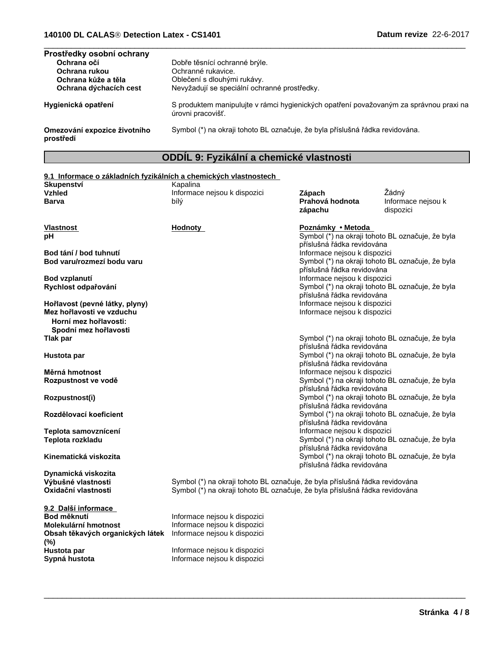| Prostředky osobní ochrany<br>Ochrana očí<br>Ochrana rukou        | Dobře těsnící ochranné brýle.<br>Ochranné rukavice.                                                                                                        |                                                            |                                                  |  |
|------------------------------------------------------------------|------------------------------------------------------------------------------------------------------------------------------------------------------------|------------------------------------------------------------|--------------------------------------------------|--|
| Ochrana kůže a těla<br>Ochrana dýchacích cest                    | Oblečení s dlouhými rukávy.<br>Nevyžadují se speciální ochranné prostředky.                                                                                |                                                            |                                                  |  |
| Hygienická opatření                                              | S produktem manipulujte v rámci hygienických opatření považovaným za správnou praxi na<br>úrovni pracovišť.                                                |                                                            |                                                  |  |
| Omezování expozice životního<br>prostředí                        | Symbol (*) na okraji tohoto BL označuje, že byla příslušná řádka revidována.                                                                               |                                                            |                                                  |  |
|                                                                  | ODDÍL 9: Fyzikální a chemické vlastnosti                                                                                                                   |                                                            |                                                  |  |
| 9.1 Informace o základních fyzikálních a chemických vlastnostech |                                                                                                                                                            |                                                            |                                                  |  |
| Skupenství                                                       | Kapalina                                                                                                                                                   |                                                            |                                                  |  |
| <b>Vzhled</b><br><b>Barva</b>                                    | Informace nejsou k dispozici<br>bílý                                                                                                                       | Zápach<br>Prahová hodnota<br>zápachu                       | Žádný<br>Informace nejsou k<br>dispozici         |  |
| <b>Vlastnost</b>                                                 | <b>Hodnoty</b>                                                                                                                                             | Poznámky • Metoda                                          |                                                  |  |
| pH                                                               |                                                                                                                                                            | příslušná řádka revidována                                 | Symbol (*) na okraji tohoto BL označuje, že byla |  |
| Bod tání / bod tuhnutí<br>Bod varu/rozmezí bodu varu             |                                                                                                                                                            | Informace nejsou k dispozici<br>příslušná řádka revidována | Symbol (*) na okraji tohoto BL označuje, že byla |  |
| Bod vzplanutí                                                    |                                                                                                                                                            | Informace nejsou k dispozici                               |                                                  |  |
| Rychlost odpařování                                              |                                                                                                                                                            | příslušná řádka revidována                                 | Symbol (*) na okraji tohoto BL označuje, že byla |  |
| Hořlavost (pevné látky, plyny)                                   |                                                                                                                                                            | Informace nejsou k dispozici                               |                                                  |  |
| Mez hořlavosti ve vzduchu<br>Horní mez hořlavosti:               |                                                                                                                                                            | Informace nejsou k dispozici                               |                                                  |  |
| Spodní mez hořlavosti                                            |                                                                                                                                                            |                                                            |                                                  |  |
| Tlak par                                                         |                                                                                                                                                            | příslušná řádka revidována                                 | Symbol (*) na okraji tohoto BL označuje, že byla |  |
| Hustota par                                                      |                                                                                                                                                            | příslušná řádka revidována                                 | Symbol (*) na okraji tohoto BL označuje, že byla |  |
| Měrná hmotnost                                                   |                                                                                                                                                            | Informace nejsou k dispozici                               |                                                  |  |
| Rozpustnost ve vodě                                              |                                                                                                                                                            | příslušná řádka revidována                                 | Symbol (*) na okraji tohoto BL označuje, že byla |  |
| Rozpustnost(i)                                                   |                                                                                                                                                            | příslušná řádka revidována                                 | Symbol (*) na okraji tohoto BL označuje, že byla |  |
| Rozdělovací koeficient                                           |                                                                                                                                                            | příslušná řádka revidována                                 | Symbol (*) na okraji tohoto BL označuje, že byla |  |
| Teplota samovznícení<br>Teplota rozkladu                         |                                                                                                                                                            | Informace nejsou k dispozici<br>příslušná řádka revidována | Symbol (*) na okraji tohoto BL označuje, že byla |  |
| Kinematická viskozita                                            |                                                                                                                                                            | příslušná řádka revidována                                 | Symbol (*) na okraji tohoto BL označuje, že byla |  |
| Dynamická viskozita                                              |                                                                                                                                                            |                                                            |                                                  |  |
| Výbušné vlastnosti<br>Oxidační vlastnosti                        | Symbol (*) na okraji tohoto BL označuje, že byla příslušná řádka revidována<br>Symbol (*) na okraji tohoto BL označuje, že byla příslušná řádka revidována |                                                            |                                                  |  |
| 9.2 Další informace<br>Bod měknutí                               | Informace nejsou k dispozici                                                                                                                               |                                                            |                                                  |  |
| Molekulární hmotnost<br>Obsah těkavých organických látek         | Informace nejsou k dispozici<br>Informace nejsou k dispozici                                                                                               |                                                            |                                                  |  |
| (%)<br>Hustota par                                               | Informace nejsou k dispozici                                                                                                                               |                                                            |                                                  |  |
| Sypná hustota                                                    | Informace nejsou k dispozici                                                                                                                               |                                                            |                                                  |  |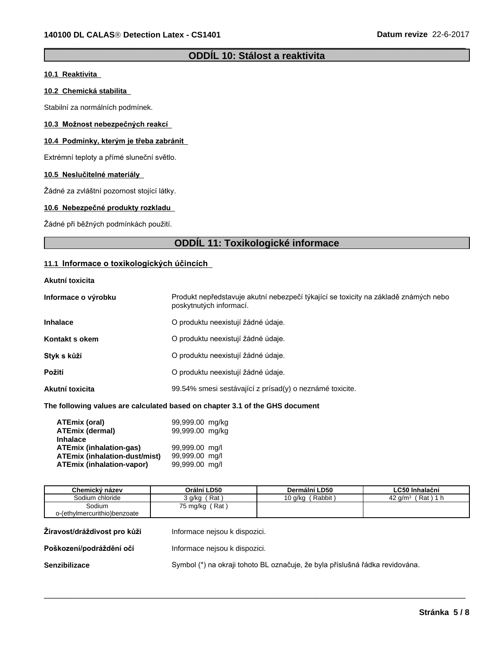## **ODDÍL 10: Stálosta reaktivita**

 $\overline{\phantom{a}}$  ,  $\overline{\phantom{a}}$  ,  $\overline{\phantom{a}}$  ,  $\overline{\phantom{a}}$  ,  $\overline{\phantom{a}}$  ,  $\overline{\phantom{a}}$  ,  $\overline{\phantom{a}}$  ,  $\overline{\phantom{a}}$  ,  $\overline{\phantom{a}}$  ,  $\overline{\phantom{a}}$  ,  $\overline{\phantom{a}}$  ,  $\overline{\phantom{a}}$  ,  $\overline{\phantom{a}}$  ,  $\overline{\phantom{a}}$  ,  $\overline{\phantom{a}}$  ,  $\overline{\phantom{a}}$ 

## **10.1 Reaktivita**

## **10.2 Chemická stabilita**

Stabilní za normálních podmínek.

## **10.3 Možnost nebezpečných reakcí**

## **10.4 Podmínky, kterým je třeba zabránit**

Extrémní teploty a přímé sluneční světlo.

## **10.5 Neslučitelnémateriály**

Žádné za zvláštní pozornost stojící látky.

## **10.6 Nebezpečné produkty rozkladu**

Žádné při běžných podmínkách použití.

## **ODDÍL 11: Toxikologické informace**

## 11.1 **Informace o toxikologických účincích**

| Akutní toxicita |  |
|-----------------|--|
|                 |  |

| Informace o výrobku | Produkt nepředstavuje akutní nebezpečí týkající se toxicity na základě známých nebo<br>poskytnutých informací. |
|---------------------|----------------------------------------------------------------------------------------------------------------|
| <b>Inhalace</b>     | O produktu neexistují žádné údaje.                                                                             |
| Kontakt s okem      | O produktu neexistují žádné údaje.                                                                             |
| Styk s kůží         | O produktu neexistují žádné údaje.                                                                             |
| Požití              | O produktu neexistují žádné údaje.                                                                             |
| Akutní toxicita     | 99.54% smesi sestávající z prísad(y) o neznámé toxicite.                                                       |

## **The following values are calculated based on chapter 3.1 of the GHS document**

| ATEmix (oral)                        | 99,999.00 mg/kg |  |
|--------------------------------------|-----------------|--|
| <b>ATEmix (dermal)</b>               | 99,999.00 mg/kg |  |
| <b>Inhalace</b>                      |                 |  |
| <b>ATEmix (inhalation-gas)</b>       | 99,999.00 mg/l  |  |
| <b>ATEmix (inhalation-dust/mist)</b> | 99,999.00 mg/l  |  |
| <b>ATEmix (inhalation-vapor)</b>     | 99,999.00 mg/l  |  |

| Chemický název                         | Orální LD50                                                                  | Dermální LD50    | LC50 Inhalační       |
|----------------------------------------|------------------------------------------------------------------------------|------------------|----------------------|
| Sodium chloride                        | 3 q/kg (Rat)                                                                 | 10 g/kg (Rabbit) | 42 $g/m^3$ (Rat) 1 h |
| Sodium<br>o-(ethylmercurithio)benzoate | 75 mg/kg $(Rat)$                                                             |                  |                      |
| Žíravost/dráždivost pro kůži           | Informace neisou k dispozici.                                                |                  |                      |
| Poškození/podráždění očí               | Informace neisou k dispozici.                                                |                  |                      |
| <b>Senzibilizace</b>                   | Symbol (*) na okraji tohoto BL označuje, že byla příslušná řádka revidována. |                  |                      |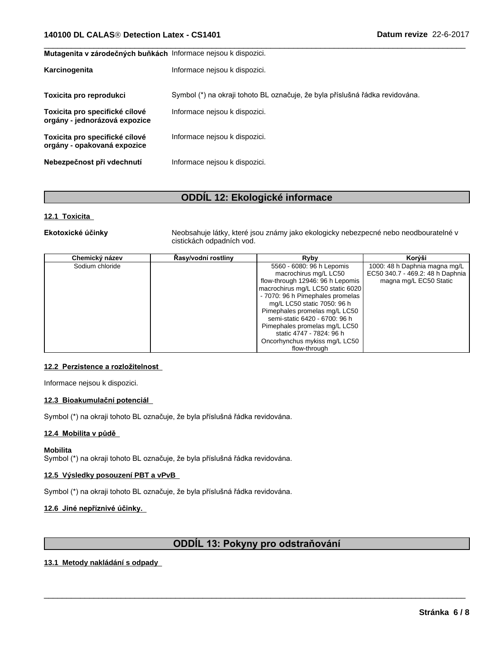## Mutagenita v zárodečných buňkách Informace nejsou k dispozici.

| Karcinogenita                                                   | Informace neisou k dispozici.                                                |
|-----------------------------------------------------------------|------------------------------------------------------------------------------|
| Toxicita pro reprodukci                                         | Symbol (*) na okraji tohoto BL označuje, že byla příslušná řádka revidována. |
| Toxicita pro specifické cílové<br>orgány - jednorázová expozice | Informace neisou k dispozici.                                                |
| Toxicita pro specifické cílové<br>orgány - opakovaná expozice   | Informace neisou k dispozici.                                                |
| Nebezpečnost při vdechnutí                                      | Informace neisou k dispozici.                                                |

## **ODDÍL 12: Ekologické informace**

## **12.1 Toxicita**

Ekotoxické účinky **Neobsahuje látky, které jsou známy jako ekologicky** nebezpecné nebo neodbouratelné v cistickách odpadních vod.

 $\overline{\phantom{a}}$  ,  $\overline{\phantom{a}}$  ,  $\overline{\phantom{a}}$  ,  $\overline{\phantom{a}}$  ,  $\overline{\phantom{a}}$  ,  $\overline{\phantom{a}}$  ,  $\overline{\phantom{a}}$  ,  $\overline{\phantom{a}}$  ,  $\overline{\phantom{a}}$  ,  $\overline{\phantom{a}}$  ,  $\overline{\phantom{a}}$  ,  $\overline{\phantom{a}}$  ,  $\overline{\phantom{a}}$  ,  $\overline{\phantom{a}}$  ,  $\overline{\phantom{a}}$  ,  $\overline{\phantom{a}}$ 

| Chemický název  | Řasy/vodní rostliny | Ryby                              | Korýši                           |
|-----------------|---------------------|-----------------------------------|----------------------------------|
| Sodium chloride |                     | 5560 - 6080: 96 h Lepomis         | 1000: 48 h Daphnia magna mg/L    |
|                 |                     | macrochirus mg/L LC50             | EC50 340.7 - 469.2: 48 h Daphnia |
|                 |                     | flow-through 12946: 96 h Lepomis  | magna mg/L EC50 Static           |
|                 |                     | macrochirus mg/L LC50 static 6020 |                                  |
|                 |                     | - 7070: 96 h Pimephales promelas  |                                  |
|                 |                     | mg/L LC50 static 7050: 96 h       |                                  |
|                 |                     | Pimephales promelas mg/L LC50     |                                  |
|                 |                     | semi-static 6420 - 6700: 96 h     |                                  |
|                 |                     | Pimephales promelas mg/L LC50     |                                  |
|                 |                     | static 4747 - 7824: 96 h          |                                  |
|                 |                     | Oncorhynchus mykiss mg/L LC50     |                                  |
|                 |                     | flow-through                      |                                  |

## **12.2 Perzistence a rozložitelnost**

Informace nejsou k dispozici.

## **12.3 Bioakumulačnípotenciál**

Symbol (\*) na okraji tohoto BL označuje, že byla příslušná řádka revidována.

## **12.4 Mobilitavpůdě**

#### **Mobilita**

Symbol (\*) na okraji tohoto BL označuje, že byla příslušná řádka revidována.

## **12.5 Výsledky posouzeníPBT a vPvB**

Symbol (\*) na okraji tohoto BL označuje, že byla příslušná řádka revidována.

## **12.6 Jinénepříznivéúčinky.**

## **ODDÍL 13: Pokyny pro odstraňování**

 $\overline{\phantom{a}}$  ,  $\overline{\phantom{a}}$  ,  $\overline{\phantom{a}}$  ,  $\overline{\phantom{a}}$  ,  $\overline{\phantom{a}}$  ,  $\overline{\phantom{a}}$  ,  $\overline{\phantom{a}}$  ,  $\overline{\phantom{a}}$  ,  $\overline{\phantom{a}}$  ,  $\overline{\phantom{a}}$  ,  $\overline{\phantom{a}}$  ,  $\overline{\phantom{a}}$  ,  $\overline{\phantom{a}}$  ,  $\overline{\phantom{a}}$  ,  $\overline{\phantom{a}}$  ,  $\overline{\phantom{a}}$ 

## **13.1 Metody nakládání s odpady**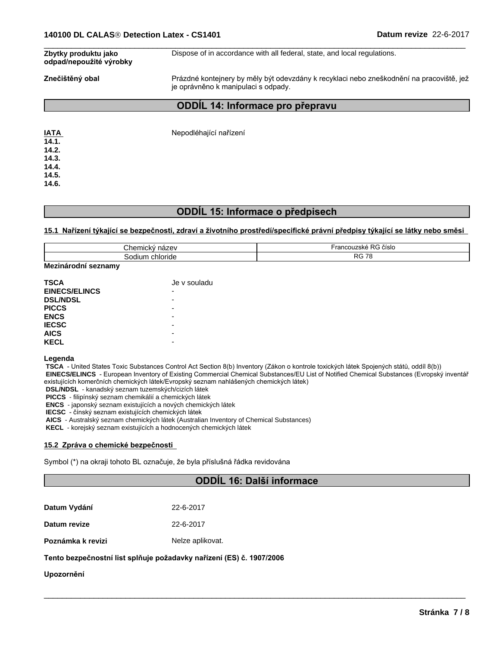| Zbytky produktu jako<br>odpad/nepoužité výrobky         | Dispose of in accordance with all federal, state, and local regulations.                                                        |
|---------------------------------------------------------|---------------------------------------------------------------------------------------------------------------------------------|
| Znečištěný obal                                         | Prázdné kontejnery by měly být odevzdány k recyklaci nebo zneškodnění na pracoviště, jež<br>je oprávněno k manipulaci s odpady. |
|                                                         | <b>ODDIL 14: Informace pro přepravu</b>                                                                                         |
| <b>IATA</b><br>14.1.<br>14.2.<br>14.3.<br>14.4.<br>AA E | Nepodléhající nařízení                                                                                                          |

**14.5. 14.6.**

## **ODDÍL 15: Informace o předpisech**

#### **15.1 Nařízenítýkajícísebezpečnosti,zdravíaživotníhoprostředí/specificképrávnípředpisytýkajícíselátkynebosměsi**

| $\sim$<br>$ -$<br>--<br>nick'<br>на<br>. | $\sim$<br><sub>D</sub> o<br>RG číslo<br>.<br>TAHUUUZSN <del>C</del>           |
|------------------------------------------|-------------------------------------------------------------------------------|
| hioride<br>Judium -<br>. .               | - -<br>$\overline{\phantom{a}}$<br>$\overline{\phantom{a}}$<br>w<br>.<br>____ |

## **Mezinárodní seznamy**

| <b>TSCA</b>          | Je v souladu |
|----------------------|--------------|
| <b>EINECS/ELINCS</b> |              |
| <b>DSL/NDSL</b>      | -            |
| <b>PICCS</b>         |              |
| <b>ENCS</b>          | -            |
| <b>IECSC</b>         | -            |
| <b>AICS</b>          | -            |
| <b>KECL</b>          |              |

#### **Legenda**

**TSCA** - United States Toxic Substances Control Act Section 8(b) Inventory (Zákon o kontrole toxických látek Spojených států, oddíl 8(b)) EINECS/ELINCS - European Inventory of Existing Commercial Chemical Substances/EU List of Notified Chemical Substances (Evropský inventář existujících komerčních chemických látek/Evropský seznam nahlášených chemických látek)

 **DSL/NDSL** - kanadský seznam tuzemských/cizích látek

 **PICCS** - filipínský seznam chemikálií a chemických látek

 **ENCS** - japonský seznam existujících a nových chemických látek

**IECSC** - čínský seznam existujících chemických látek

 **AICS** - Australský seznam chemických látek (Australian Inventory of Chemical Substances)

 **KECL** - korejský seznam existujícícha hodnocených chemických látek

## **15.2 Zprávaochemickébezpečnosti**

Symbol (\*) na okraji tohoto BL označuje, že byla příslušná řádka revidována

## **ODDÍL16:Dalšíinformace**

 $\_$  ,  $\_$  ,  $\_$  ,  $\_$  ,  $\_$  ,  $\_$  ,  $\_$  ,  $\_$  ,  $\_$  ,  $\_$  ,  $\_$  ,  $\_$  ,  $\_$  ,  $\_$  ,  $\_$  ,  $\_$  ,  $\_$  ,  $\_$  ,  $\_$  ,  $\_$  ,  $\_$  ,  $\_$  ,  $\_$  ,  $\_$  ,  $\_$  ,  $\_$  ,  $\_$  ,  $\_$  ,  $\_$  ,  $\_$  ,  $\_$  ,  $\_$  ,  $\_$  ,  $\_$  ,  $\_$  ,  $\_$  ,  $\_$  ,

| Datum Vydání<br>22-6-2017 |  |
|---------------------------|--|
|---------------------------|--|

**Datum revize** 22-6-2017

**Poznámka k revizi** Nelze aplikovat.

## Tento bezpečnostní list splňuje požadavky nařízení (ES) č. 1907/2006

## **Upozornění**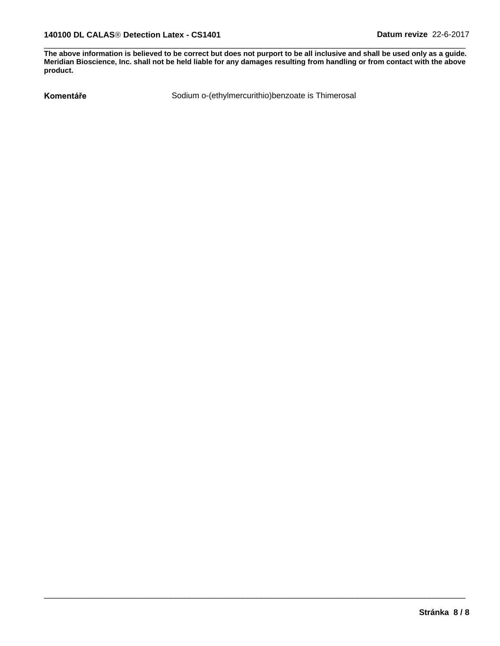The above information is believed to be correct but does not purport to be all inclusive and shall be used only as a guide. Meridian Bioscience, Inc. shall not be held liable for any damages resulting from handling or from contact with the above **product.**

Komentáře **Komentáře** Sodium o-(ethylmercurithio)benzoate is Thimerosal

 $\_$  ,  $\_$  ,  $\_$  ,  $\_$  ,  $\_$  ,  $\_$  ,  $\_$  ,  $\_$  ,  $\_$  ,  $\_$  ,  $\_$  ,  $\_$  ,  $\_$  ,  $\_$  ,  $\_$  ,  $\_$  ,  $\_$  ,  $\_$  ,  $\_$  ,  $\_$  ,  $\_$  ,  $\_$  ,  $\_$  ,  $\_$  ,  $\_$  ,  $\_$  ,  $\_$  ,  $\_$  ,  $\_$  ,  $\_$  ,  $\_$  ,  $\_$  ,  $\_$  ,  $\_$  ,  $\_$  ,  $\_$  ,  $\_$  ,

 $\_$  ,  $\_$  ,  $\_$  ,  $\_$  ,  $\_$  ,  $\_$  ,  $\_$  ,  $\_$  ,  $\_$  ,  $\_$  ,  $\_$  ,  $\_$  ,  $\_$  ,  $\_$  ,  $\_$  ,  $\_$  ,  $\_$  ,  $\_$  ,  $\_$  ,  $\_$  ,  $\_$  ,  $\_$  ,  $\_$  ,  $\_$  ,  $\_$  ,  $\_$  ,  $\_$  ,  $\_$  ,  $\_$  ,  $\_$  ,  $\_$  ,  $\_$  ,  $\_$  ,  $\_$  ,  $\_$  ,  $\_$  ,  $\_$  ,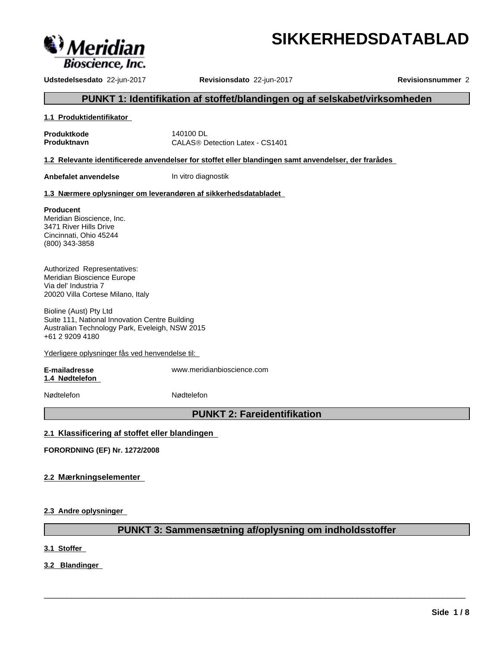

# **SIKKERHEDSDATABLAD**

**Udstedelsesdato** 22-jun-2017 **Revisionsdato** 22-jun-2017 **Revisionsnummer** 2

## **PUNKT 1: Identifikation af stoffet/blandingen og af selskabet/virksomheden**

## **1.1 Produktidentifikator**

**Produktkode** 140100 DL

**Produktnavn** CALAS<sup>®</sup> Detection Latex - CS1401

**1.2 Relevante identificerede anvendelser for stoffet eller blandingen samt anvendelser, der frarådes**

**Anbefalet anvendelse** In vitro diagnostik

## **1.3 Nærmere oplysninger om leverandøren af sikkerhedsdatabladet**

## **Producent**

Meridian Bioscience, Inc. 3471 River Hills Drive Cincinnati, Ohio 45244 (800) 343-3858

Authorized Representatives: Meridian Bioscience Europe Via del' Industria 7 20020 Villa Cortese Milano, Italy

Bioline (Aust) Pty Ltd Suite 111, National Innovation Centre Building Australian Technology Park, Eveleigh, NSW 2015 +61 2 9209 4180

Yderligere oplysninger fås ved henvendelse til:

**1.4 Nødtelefon**

**E-mailadresse** www.meridianbioscience.com

Nødtelefon Nødtelefon

**PUNKT 2: Fareidentifikation**

## **2.1 Klassificering af stoffet eller blandingen**

**FORORDNING (EF) Nr. 1272/2008**

**2.2 Mærkningselementer**

**2.3 Andre oplysninger**

## **PUNKT 3: Sammensætning af/oplysning om indholdsstoffer**

 $\_$  ,  $\_$  ,  $\_$  ,  $\_$  ,  $\_$  ,  $\_$  ,  $\_$  ,  $\_$  ,  $\_$  ,  $\_$  ,  $\_$  ,  $\_$  ,  $\_$  ,  $\_$  ,  $\_$  ,  $\_$  ,  $\_$  ,  $\_$  ,  $\_$  ,  $\_$  ,  $\_$  ,  $\_$  ,  $\_$  ,  $\_$  ,  $\_$  ,  $\_$  ,  $\_$  ,  $\_$  ,  $\_$  ,  $\_$  ,  $\_$  ,  $\_$  ,  $\_$  ,  $\_$  ,  $\_$  ,  $\_$  ,  $\_$  ,

**3.1 Stoffer**

**3.2 Blandinger**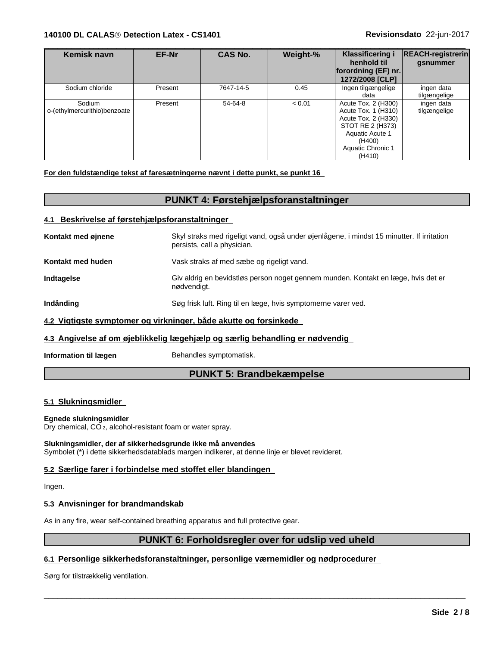#### **140100 DL CALASÒ Detection Latex - CS1401 Revisionsdato** 22-jun-2017

| Kemisk navn                            | EF-Nr   | <b>CAS No.</b> | Weight-% | Klassificering i<br>henhold til<br> forordning (EF) nr. <br>1272/2008 [CLP]                                                                       | <b>REACH-registrerin</b><br>gsnummer |  |
|----------------------------------------|---------|----------------|----------|---------------------------------------------------------------------------------------------------------------------------------------------------|--------------------------------------|--|
| Sodium chloride                        | Present | 7647-14-5      | 0.45     | Ingen tilgængelige<br>data                                                                                                                        | ingen data<br>tilgængelige           |  |
| Sodium<br>o-(ethylmercurithio)benzoate | Present | $54-64-8$      | < 0.01   | Acute Tox. 2 (H300)<br>Acute Tox. 1 (H310)<br>Acute Tox. 2 (H330)<br>STOT RE 2 (H373)<br>Aquatic Acute 1<br>(H400)<br>Aquatic Chronic 1<br>(H410) | ingen data<br>tilgængelige           |  |

 $\overline{\phantom{a}}$  ,  $\overline{\phantom{a}}$  ,  $\overline{\phantom{a}}$  ,  $\overline{\phantom{a}}$  ,  $\overline{\phantom{a}}$  ,  $\overline{\phantom{a}}$  ,  $\overline{\phantom{a}}$  ,  $\overline{\phantom{a}}$  ,  $\overline{\phantom{a}}$  ,  $\overline{\phantom{a}}$  ,  $\overline{\phantom{a}}$  ,  $\overline{\phantom{a}}$  ,  $\overline{\phantom{a}}$  ,  $\overline{\phantom{a}}$  ,  $\overline{\phantom{a}}$  ,  $\overline{\phantom{a}}$ 

**For den fuldstændige tekst af faresætningerne nævnt i dette punkt, se punkt 16**

### **PUNKT 4: Førstehjælpsforanstaltninger**

#### **4.1 Beskrivelse af førstehjælpsforanstaltninger**

| Kontakt med øjnene                                                           | Skyl straks med rigeligt vand, også under øjenlågene, i mindst 15 minutter. If irritation<br>persists, call a physician. |  |  |
|------------------------------------------------------------------------------|--------------------------------------------------------------------------------------------------------------------------|--|--|
| Kontakt med huden                                                            | Vask straks af med sæbe og rigeligt vand.                                                                                |  |  |
| Indtagelse                                                                   | Giv aldrig en bevidstløs person noget gennem munden. Kontakt en læge, hvis det er<br>nødvendigt.                         |  |  |
| Indånding                                                                    | Søg frisk luft. Ring til en læge, hvis symptomerne varer ved.                                                            |  |  |
| 4.2 Vigtigste symptomer og virkninger, både akutte og forsinkede             |                                                                                                                          |  |  |
| 4.3 Angivelse af om øjeblikkelig lægehjælp og særlig behandling er nødvendig |                                                                                                                          |  |  |
| المتحامي واللواح والمحامد والمراجع                                           | Delse e alle e les montenes et els                                                                                       |  |  |

## **Information til lægen** Behandles symptomatisk.

## **PUNKT 5: Brandbekæmpelse**

#### **5.1 Slukningsmidler**

#### **Egnede slukningsmidler**

Dry chemical, CO<sub>2</sub>, alcohol-resistant foam or water spray.

**Slukningsmidler, der af sikkerhedsgrunde ikke må anvendes** Symbolet (\*) i dette sikkerhedsdatablads margen indikerer, at denne linje er blevet revideret.

#### **5.2 Særlige farer i forbindelse med stoffet eller blandingen**

Ingen.

#### **5.3 Anvisninger for brandmandskab**

As in any fire, wear self-contained breathing apparatus and full protective gear.

## **PUNKT 6: Forholdsregler over for udslip ved uheld**

 $\overline{\phantom{a}}$  ,  $\overline{\phantom{a}}$  ,  $\overline{\phantom{a}}$  ,  $\overline{\phantom{a}}$  ,  $\overline{\phantom{a}}$  ,  $\overline{\phantom{a}}$  ,  $\overline{\phantom{a}}$  ,  $\overline{\phantom{a}}$  ,  $\overline{\phantom{a}}$  ,  $\overline{\phantom{a}}$  ,  $\overline{\phantom{a}}$  ,  $\overline{\phantom{a}}$  ,  $\overline{\phantom{a}}$  ,  $\overline{\phantom{a}}$  ,  $\overline{\phantom{a}}$  ,  $\overline{\phantom{a}}$ 

#### **6.1 Personlige sikkerhedsforanstaltninger, personlige værnemidler og nødprocedurer**

Sørg for tilstrækkelig ventilation.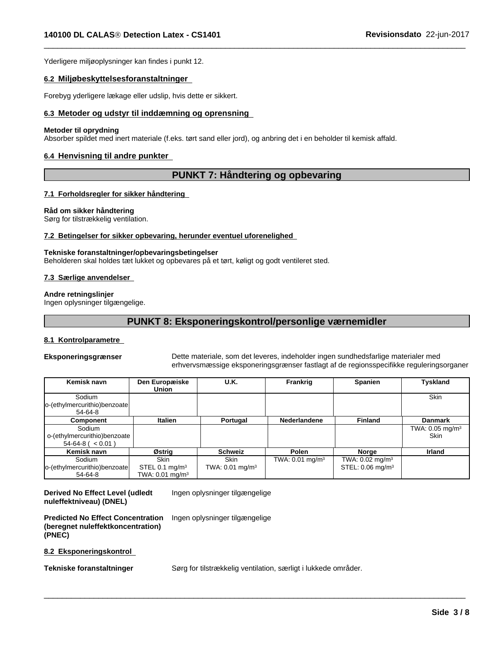Yderligere miljøoplysninger kan findes i punkt 12.

#### **6.2 Miljøbeskyttelsesforanstaltninger**

Forebyg yderligere lækage eller udslip, hvis dette er sikkert.

#### **6.3 Metoder og udstyr til inddæmning og oprensning**

#### **Metoder til oprydning**

Absorber spildet med inert materiale (f.eks. tørt sand eller jord), og anbring deti en beholder til kemisk affald.

#### **6.4 Henvisning til andre punkter**

### **PUNKT 7: Håndtering og opbevaring**

 $\overline{\phantom{a}}$  ,  $\overline{\phantom{a}}$  ,  $\overline{\phantom{a}}$  ,  $\overline{\phantom{a}}$  ,  $\overline{\phantom{a}}$  ,  $\overline{\phantom{a}}$  ,  $\overline{\phantom{a}}$  ,  $\overline{\phantom{a}}$  ,  $\overline{\phantom{a}}$  ,  $\overline{\phantom{a}}$  ,  $\overline{\phantom{a}}$  ,  $\overline{\phantom{a}}$  ,  $\overline{\phantom{a}}$  ,  $\overline{\phantom{a}}$  ,  $\overline{\phantom{a}}$  ,  $\overline{\phantom{a}}$ 

#### **7.1 Forholdsregler for sikker håndtering**

#### **Råd om sikker håndtering**

Sørg for tilstrækkelig ventilation.

#### **7.2 Betingelser for sikker opbevaring, herunder eventuel uforenelighed**

#### **Tekniske foranstaltninger/opbevaringsbetingelser**

Beholderen skal holdes tæt lukket og opbevares på et tørt, køligt og godt ventileret sted.

#### **7.3 Særlige anvendelser**

#### **Andre retningslinjer**

Ingen oplysninger tilgængelige.

## **PUNKT 8: Eksponeringskontrol/personlige værnemidler**

#### **8.1 Kontrolparametre**

**Eksponeringsgrænser** Dette materiale, som det leveres, indeholder ingen sundhedsfarlige materialer med erhvervsmæssige eksponeringsgrænser fastlagt af de regionsspecifikke reguleringsorganer

| Kemisk navn                                                      | Den Europæiske<br><b>Union</b>                          | U.K.                                      | Frankrig                   | <b>Spanien</b>                                                | <b>Tyskland</b>                    |
|------------------------------------------------------------------|---------------------------------------------------------|-------------------------------------------|----------------------------|---------------------------------------------------------------|------------------------------------|
| Sodium<br>o-(ethylmercurithio)benzoate<br>$54-64-8$              |                                                         |                                           |                            |                                                               | Skin                               |
| <b>Component</b>                                                 | Italien                                                 | Portugal                                  | Nederlandene               | <b>Finland</b>                                                | <b>Danmark</b>                     |
| Sodium<br>o-(ethylmercurithio)benzoate<br>$54-64-8$ ( $< 0.01$ ) |                                                         |                                           |                            |                                                               | TWA: $0.05 \text{ mg/m}^3$<br>Skin |
| Kemisk navn                                                      | Østrig                                                  | <b>Schweiz</b>                            | Polen                      | Norge                                                         | Irland                             |
| Sodium<br>o-(ethylmercurithio)benzoate<br>54-64-8                | <b>Skin</b><br>STEL 0.1 $mg/m3$<br>TWA: $0.01$ mg/m $3$ | <b>Skin</b><br>TWA: $0.01 \text{ mg/m}^3$ | TWA: $0.01 \text{ mg/m}^3$ | TWA: $0.02$ mg/m <sup>3</sup><br>STEL: 0.06 mg/m <sup>3</sup> |                                    |

#### **Derived No Effect Level (udledt nuleffektniveau) (DNEL)** Ingen oplysninger tilgængelige

**Predicted No Effect Concentration (beregnet nuleffektkoncentration) (PNEC)** Ingen oplysninger tilgængelige

**8.2 Eksponeringskontrol**

**Tekniske foranstaltninger** Sørg for tilstrækkelig ventilation, særligt i lukkede områder.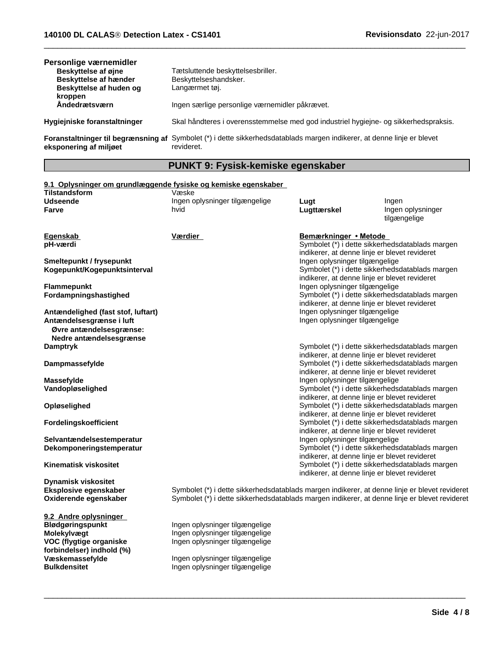| Personlige værnemidler<br>Beskyttelse af øjne<br>Beskyttelse af hænder<br>Beskyttelse af huden og<br>kroppen | Tætsluttende beskyttelsesbriller.<br>Beskyttelseshandsker.<br>Langærmet tøj.                                            |
|--------------------------------------------------------------------------------------------------------------|-------------------------------------------------------------------------------------------------------------------------|
| Andedrætsværn                                                                                                | Ingen særlige personlige værnemidler påkrævet.                                                                          |
| Hygiejniske foranstaltninger                                                                                 | Skal håndteres i overensstemmelse med god industriel hygiejne- og sikkerhedspraksis.                                    |
|                                                                                                              | Foranstaltninger til begrænsning af Symbolet (*) i dette sikkerhedsdatablads margen indikerer, at denne linje er blevet |

**eksponering af miljøet**

revideret.

**PUNKT 9: Fysisk-kemiske egenskaber**

 $\overline{\phantom{a}}$  ,  $\overline{\phantom{a}}$  ,  $\overline{\phantom{a}}$  ,  $\overline{\phantom{a}}$  ,  $\overline{\phantom{a}}$  ,  $\overline{\phantom{a}}$  ,  $\overline{\phantom{a}}$  ,  $\overline{\phantom{a}}$  ,  $\overline{\phantom{a}}$  ,  $\overline{\phantom{a}}$  ,  $\overline{\phantom{a}}$  ,  $\overline{\phantom{a}}$  ,  $\overline{\phantom{a}}$  ,  $\overline{\phantom{a}}$  ,  $\overline{\phantom{a}}$  ,  $\overline{\phantom{a}}$ 

#### **9.1 Oplysninger om grundlæggende fysiske og kemiske egenskaber Tilstandsform** Væske<br> **Udseende** Ingen o **Eksplosive egenskaber** Symbolet (\*) i dette sikkerhedsdatablads margen indikerer, at denne linje er blevet revideret<br> **Oxiderende egenskaber** Symbolet (\*) i dette sikkerhedsdatablads margen indikerer, at denne linje er bl **Ingen oplysninger tilgængelige ble kugt Lugt Lugt Ingen Farve** hvid **Lugttærskel** Ingen oplysninger tilgængelige **Egenskab Værdier Bemærkninger•Metode pH-værdi ptH-værdi starting i starting og starting i starting i symbolet (\*)** i dette sikkerhedsdatablads margen indikerer, at denne linje er blevet revideret **Smeltepunkt / frysepunkt** Ingen oplysninger tilgængelige Symbolet (\*) i dette sikkerhedsdatablads margen indikerer, at denne linje er blevet revideret **Flammepunkt**<br> **Fordampningshastighed**<br> **Fordampningshastighed**<br> **Ingen oplysninger tilgængelige**<br>
Symbolet (\*) i dette sikkerheds Symbolet (\*) i dette sikkerhedsdatablads margen indikerer, at denne linje er blevet revideret **Antændelighed (fast stof, luftart)** Ingen oplysninger tilgængelige **Antændelsesgrænse i luft Ingen oplysninger tilgængelige Antændelsesgrænse i luft Øvre antændelsesgrænse: Nedre antændelsesgrænse Damptryk** Symbolet (\*) i dette sikkerhedsdatablads margen indikerer, at denne linje er blevet revideret **Dampmassefylde** Symbolet (\*) i dette sikkerhedsdatablads margen indikerer, at denne linje er blevet revideret **Massefylde Ingen oplysninger tilgængelige Ingen oplysninger tilgængelige Vandopløselighed** Symbolet (\*) i dette sikkerhedsdatablads margen indikerer, at denne linje er blevet revideret **Opløselighed** Symbolet (\*) i dette sikkerhedsdatablads margen indikerer, at denne linje er blevet revideret **Fordelingskoefficient** Symbolet (\*) i dette sikkerhedsdatablads margen indikerer, at denne linje er blevet revideret **Selvantændelsestemperatur** Ingen oplysninger tilgængelige **Dekomponeringstemperatur** Symbolet (\*) i dette sikkerhedsdatablads margen indikerer, at denne linje er blevet revideret **Kinematisk viskositet** Symbolet (\*) i dette sikkerhedsdatablads margen indikerer, at denne linje er blevet revideret **Dynamisk viskositet**

**9.2 Andre oplysninger VOC (flygtige organiske forbindelser) indhold (%)** Symbolet (\*) i dette sikkerhedsdatablads margen indikerer, at denne linje er blevet revideret

 $\overline{\phantom{a}}$  ,  $\overline{\phantom{a}}$  ,  $\overline{\phantom{a}}$  ,  $\overline{\phantom{a}}$  ,  $\overline{\phantom{a}}$  ,  $\overline{\phantom{a}}$  ,  $\overline{\phantom{a}}$  ,  $\overline{\phantom{a}}$  ,  $\overline{\phantom{a}}$  ,  $\overline{\phantom{a}}$  ,  $\overline{\phantom{a}}$  ,  $\overline{\phantom{a}}$  ,  $\overline{\phantom{a}}$  ,  $\overline{\phantom{a}}$  ,  $\overline{\phantom{a}}$  ,  $\overline{\phantom{a}}$ 

Blødgøringspunkt Ingen oplysninger tilgængelige **Molekylvægt** Ingen oplysninger tilgængelige Ingen oplysninger tilgængelige

**Væskemassefylde Ingen oplysninger tilgængelige**<br> **Bulkdensitet Ingen oplysninger tilgængelige Bulkdensitet** Ingen oplysninger tilgængelige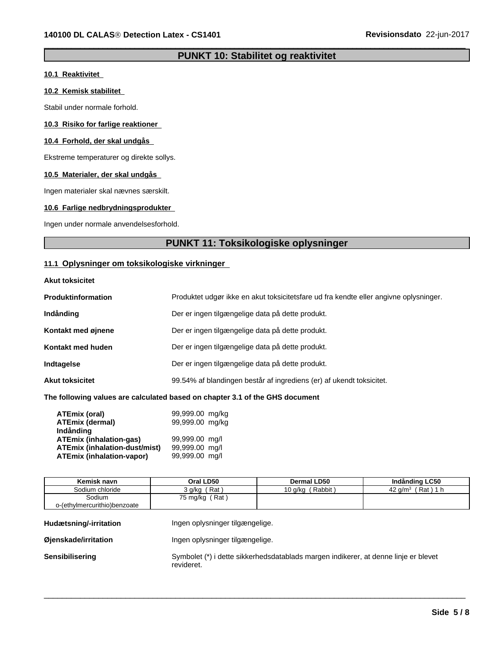## **PUNKT 10: Stabilitet og reaktivitet**

 $\overline{\phantom{a}}$  ,  $\overline{\phantom{a}}$  ,  $\overline{\phantom{a}}$  ,  $\overline{\phantom{a}}$  ,  $\overline{\phantom{a}}$  ,  $\overline{\phantom{a}}$  ,  $\overline{\phantom{a}}$  ,  $\overline{\phantom{a}}$  ,  $\overline{\phantom{a}}$  ,  $\overline{\phantom{a}}$  ,  $\overline{\phantom{a}}$  ,  $\overline{\phantom{a}}$  ,  $\overline{\phantom{a}}$  ,  $\overline{\phantom{a}}$  ,  $\overline{\phantom{a}}$  ,  $\overline{\phantom{a}}$ 

#### **10.1 Reaktivitet**

#### **10.2 Kemisk stabilitet**

Stabil under normale forhold.

#### **10.3 Risiko for farlige reaktioner**

#### **10.4 Forhold, der skal undgås**

Ekstreme temperaturer og direkte sollys.

#### **10.5 Materialer, der skal undgås**

Ingen materialer skal nævnes særskilt.

#### **10.6 Farlige nedbrydningsprodukter**

Ingen under normale anvendelsesforhold.

## **PUNKT 11: Toksikologiske oplysninger**

#### **11.1 Oplysninger om toksikologiske virkninger**

#### **Akut toksicitet**

| Produktinformation     | Produktet udgør ikke en akut toksicitetsfare ud fra kendte eller angivne oplysninger. |
|------------------------|---------------------------------------------------------------------------------------|
| Indånding              | Der er ingen tilgængelige data på dette produkt.                                      |
| Kontakt med øjnene     | Der er ingen tilgængelige data på dette produkt.                                      |
| Kontakt med huden      | Der er ingen tilgængelige data på dette produkt.                                      |
| Indtagelse             | Der er ingen tilgængelige data på dette produkt.                                      |
| <b>Akut toksicitet</b> | 99.54% af blandingen består af ingrediens (er) af ukendt toksicitet.                  |

#### **The following values are calculated based on chapter 3.1 of the GHS document**

| ATEmix (oral)                        | 99,999.00 mg/kg |  |
|--------------------------------------|-----------------|--|
| <b>ATEmix (dermal)</b>               | 99,999.00 mg/kg |  |
| Indånding                            |                 |  |
| <b>ATEmix (inhalation-gas)</b>       | 99.999.00 ma/l  |  |
| <b>ATEmix (inhalation-dust/mist)</b> | 99,999.00 mg/l  |  |
| <b>ATEmix (inhalation-vapor)</b>     | 99.999.00 ma/l  |  |

| Kemisk navn                            | Oral LD50                                                                                         | <b>Dermal LD50</b> | Indånding LC50       |  |
|----------------------------------------|---------------------------------------------------------------------------------------------------|--------------------|----------------------|--|
| Sodium chloride                        | 3 q/kg (Rat)                                                                                      | 10 g/kg (Rabbit)   | 42 $g/m^3$ (Rat) 1 h |  |
| Sodium<br>o-(ethylmercurithio)benzoate | 75 mg/kg (Rat)                                                                                    |                    |                      |  |
| Hudætsning/-irritation                 | Ingen oplysninger tilgængelige.                                                                   |                    |                      |  |
| Øjenskade/irritation                   | Ingen oplysninger tilgængelige.                                                                   |                    |                      |  |
| Sensibilisering                        | Symbolet (*) i dette sikkerhedsdatablads margen indikerer, at denne linje er blevet<br>revideret. |                    |                      |  |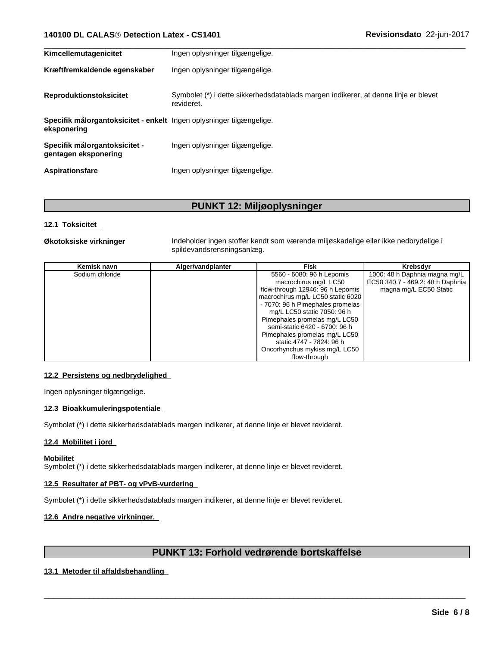| Kimcellemutagenicitet                                                               | Ingen oplysninger tilgængelige.                                                                   |
|-------------------------------------------------------------------------------------|---------------------------------------------------------------------------------------------------|
| Kræftfremkaldende egenskaber                                                        | Ingen oplysninger tilgængelige.                                                                   |
| <b>Reproduktionstoksicitet</b>                                                      | Symbolet (*) i dette sikkerhedsdatablads margen indikerer, at denne linje er blevet<br>revideret. |
| Specifik målorgantoksicitet - enkelt Ingen oplysninger tilgængelige.<br>eksponering |                                                                                                   |
| Specifik målorgantoksicitet -<br>gentagen eksponering                               | Ingen oplysninger tilgængelige.                                                                   |
| Aspirationsfare                                                                     | Ingen oplysninger tilgængelige.                                                                   |

## **PUNKT 12: Miljøoplysninger**

#### **12.1 Toksicitet**

**Økotoksiske virkninger** Indeholder ingen stoffer kendt som værende miljøskadelige eller ikke nedbrydelige i spildevandsrensningsanlæg.

| Kemisk navn     | Alger/vandplanter | Fisk                              | <b>Krebsdvr</b>                  |
|-----------------|-------------------|-----------------------------------|----------------------------------|
| Sodium chloride |                   | 5560 - 6080: 96 h Lepomis         | 1000: 48 h Daphnia magna mg/L    |
|                 |                   | macrochirus mg/L LC50             | EC50 340.7 - 469.2: 48 h Daphnia |
|                 |                   | flow-through 12946: 96 h Lepomis  | magna mg/L EC50 Static           |
|                 |                   | macrochirus mg/L LC50 static 6020 |                                  |
|                 |                   | - 7070: 96 h Pimephales promelas  |                                  |
|                 |                   | mg/L LC50 static 7050: 96 h       |                                  |
|                 |                   | Pimephales promelas mg/L LC50     |                                  |
|                 |                   | semi-static 6420 - 6700: 96 h     |                                  |
|                 |                   | Pimephales promelas mg/L LC50     |                                  |
|                 |                   | static 4747 - 7824: 96 h          |                                  |
|                 |                   | Oncorhynchus mykiss mg/L LC50     |                                  |
|                 |                   | flow-through                      |                                  |

#### **12.2 Persistens og nedbrydelighed**

Ingen oplysninger tilgængelige.

#### **12.3 Bioakkumuleringspotentiale**

Symbolet (\*) i dette sikkerhedsdatablads margen indikerer, at denne linje er blevet revideret.

#### **12.4 Mobilitet ijord**

#### **Mobilitet**

Symbolet (\*) i dette sikkerhedsdatablads margen indikerer, at denne linje er blevet revideret.

### **12.5 Resultater af PBT- og vPvB-vurdering**

Symbolet (\*) i dette sikkerhedsdatablads margen indikerer, at denne linje er blevet revideret.

#### **12.6 Andre negative virkninger.**

## **PUNKT 13: Forhold vedrørende bortskaffelse**

 $\overline{\phantom{a}}$  ,  $\overline{\phantom{a}}$  ,  $\overline{\phantom{a}}$  ,  $\overline{\phantom{a}}$  ,  $\overline{\phantom{a}}$  ,  $\overline{\phantom{a}}$  ,  $\overline{\phantom{a}}$  ,  $\overline{\phantom{a}}$  ,  $\overline{\phantom{a}}$  ,  $\overline{\phantom{a}}$  ,  $\overline{\phantom{a}}$  ,  $\overline{\phantom{a}}$  ,  $\overline{\phantom{a}}$  ,  $\overline{\phantom{a}}$  ,  $\overline{\phantom{a}}$  ,  $\overline{\phantom{a}}$ 

#### **13.1 Metoder til affaldsbehandling**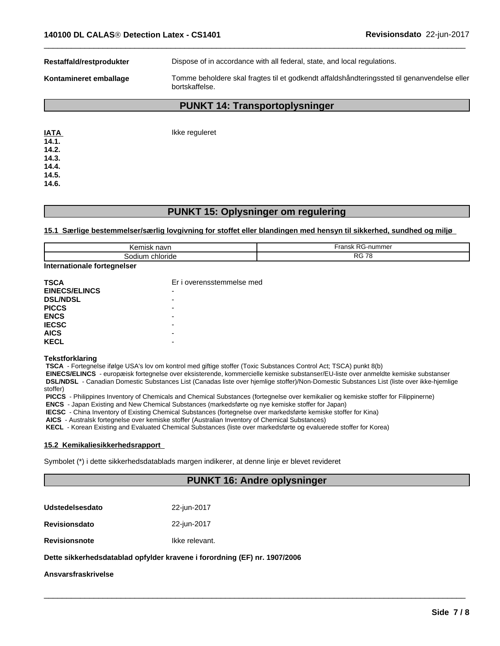| Restaffald/restprodukter<br>Dispose of in accordance with all federal, state, and local regulations. |                                                                                                               |  |
|------------------------------------------------------------------------------------------------------|---------------------------------------------------------------------------------------------------------------|--|
| Kontamineret emballage                                                                               | Tomme beholdere skal fragtes til et godkendt affaldshåndteringssted til genanvendelse eller<br>bortskaffelse. |  |
|                                                                                                      | <b>PUNKT 14: Transportoplysninger</b>                                                                         |  |
| <b>IATA</b><br>14.1.                                                                                 | Ikke reguleret                                                                                                |  |

 $\overline{\phantom{a}}$  ,  $\overline{\phantom{a}}$  ,  $\overline{\phantom{a}}$  ,  $\overline{\phantom{a}}$  ,  $\overline{\phantom{a}}$  ,  $\overline{\phantom{a}}$  ,  $\overline{\phantom{a}}$  ,  $\overline{\phantom{a}}$  ,  $\overline{\phantom{a}}$  ,  $\overline{\phantom{a}}$  ,  $\overline{\phantom{a}}$  ,  $\overline{\phantom{a}}$  ,  $\overline{\phantom{a}}$  ,  $\overline{\phantom{a}}$  ,  $\overline{\phantom{a}}$  ,  $\overline{\phantom{a}}$ 

## **PUNKT 15: Oplysninger om regulering**

#### **15.1 Særlige bestemmelser/særlig lovgivning for stoffet eller blandingen med hensyn til sikkerhed, sundhed og miljø**

| <b>Amic</b><br>∶navn<br>шэк<br>וסר | $\sim$<br>Fransk<br>RG-nummer |
|------------------------------------|-------------------------------|
|                                    | <b>RG</b>                     |
| m chloride                         | $\overline{\phantom{a}}$      |
| 30dium                             | ι α                           |

| Internationale fortegnelser |  |
|-----------------------------|--|
|-----------------------------|--|

| <b>TSCA</b>          | Er i overensstemmelse med |
|----------------------|---------------------------|
| <b>EINECS/ELINCS</b> | -                         |
| <b>DSL/NDSL</b>      | -                         |
| <b>PICCS</b>         | $\overline{\phantom{a}}$  |
| <b>ENCS</b>          | $\overline{\phantom{0}}$  |
| <b>IECSC</b>         | -                         |
| <b>AICS</b>          | -                         |
| <b>KECL</b>          | -                         |

#### **Tekstforklaring**

 **TSCA** - Fortegnelse ifølge USA's lov om kontrol med giftige stoffer (Toxic Substances Control Act; TSCA) punkt 8(b)

 **EINECS/ELINCS** - europæisk fortegnelse over eksisterende, kommercielle kemiske substanser/EU-liste over anmeldte kemiske substanser  **DSL/NDSL** - Canadian Domestic Substances List (Canadas liste over hjemlige stoffer)/Non-Domestic Substances List (liste over ikke-hjemlige

stoffer)

**14.2. 14.3. 14.4. 14.5. 14.6.**

 **PICCS** - Philippines Inventory of Chemicals and Chemical Substances (fortegnelse over kemikalier og kemiske stoffer for Filippinerne)

 **ENCS** - Japan Existing and New Chemical Substances (markedsførte og nye kemiske stoffer for Japan)

 **IECSC** - China Inventory of Existing Chemical Substances (fortegnelse over markedsførte kemiske stoffer for Kina)

 **AICS** - Australsk fortegnelse over kemiske stoffer (Australian Inventory of Chemical Substances)

 **KECL** - Korean Existing and Evaluated Chemical Substances (liste over markedsførte og evaluerede stoffer for Korea)

#### **15.2 Kemikaliesikkerhedsrapport**

Symbolet (\*) i dette sikkerhedsdatablads margen indikerer, at denne linje er blevet revideret

## **PUNKT 16: Andre oplysninger**

 $\overline{\phantom{a}}$  ,  $\overline{\phantom{a}}$  ,  $\overline{\phantom{a}}$  ,  $\overline{\phantom{a}}$  ,  $\overline{\phantom{a}}$  ,  $\overline{\phantom{a}}$  ,  $\overline{\phantom{a}}$  ,  $\overline{\phantom{a}}$  ,  $\overline{\phantom{a}}$  ,  $\overline{\phantom{a}}$  ,  $\overline{\phantom{a}}$  ,  $\overline{\phantom{a}}$  ,  $\overline{\phantom{a}}$  ,  $\overline{\phantom{a}}$  ,  $\overline{\phantom{a}}$  ,  $\overline{\phantom{a}}$ 

| <b>Udstedelsesdato</b> | 22-jun-2017 |
|------------------------|-------------|
|                        |             |

**Revisionsdato** 22-jun-2017

**Revisionsnote Ikke relevant.** 

#### **Dette sikkerhedsdatablad opfylderkravene i forordning (EF) nr. 1907/2006**

#### **Ansvarsfraskrivelse**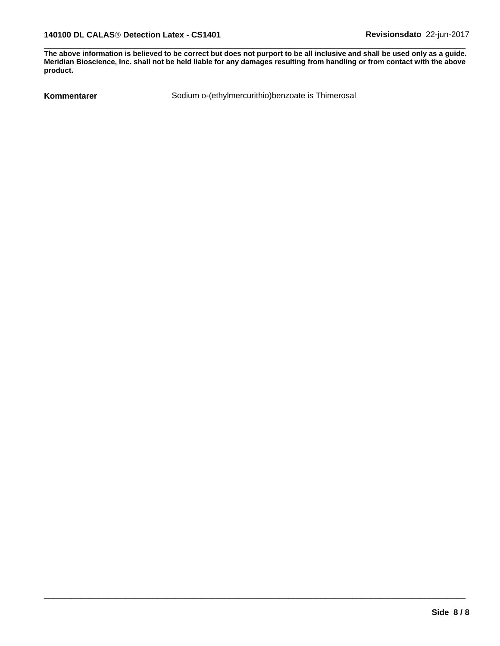The above information is believed to be correct but does not purport to be all inclusive and shall be used only as a guide. Meridian Bioscience, Inc. shall not be held liable for any damages resulting from handling or from contact with the above **product.**

**Kommentarer** Sodium o-(ethylmercurithio)benzoate is Thimerosal

 $\overline{\phantom{a}}$  ,  $\overline{\phantom{a}}$  ,  $\overline{\phantom{a}}$  ,  $\overline{\phantom{a}}$  ,  $\overline{\phantom{a}}$  ,  $\overline{\phantom{a}}$  ,  $\overline{\phantom{a}}$  ,  $\overline{\phantom{a}}$  ,  $\overline{\phantom{a}}$  ,  $\overline{\phantom{a}}$  ,  $\overline{\phantom{a}}$  ,  $\overline{\phantom{a}}$  ,  $\overline{\phantom{a}}$  ,  $\overline{\phantom{a}}$  ,  $\overline{\phantom{a}}$  ,  $\overline{\phantom{a}}$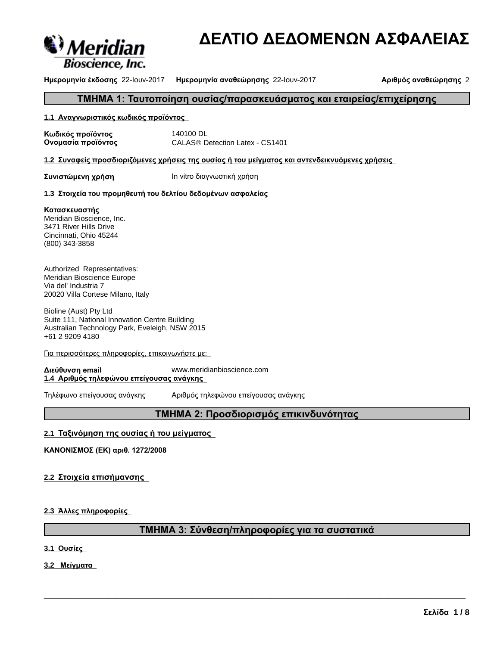

# **ΔΕΛΤΙΟΔΕΔΟΜΕΝΩΝΑΣΦΑΛΕΙΑΣ**

**Ημερομηνία έκδοσης** 22-Ιουν-2017 **Ημερομηνία αναθεώρησης** 22-Ιουν-2017 **Αριθμός αναθεώρησης** 2

## **ΤΜΗΜΑ1:Ταυτοποίησηουσίας/παρασκευάσματοςκαιεταιρείας/επιχείρησης**

#### **1.1 Αναγνωριστικόςκωδικόςπροϊόντος**

**Κωδικόςπροϊόντος** 140100 DL **Ονομασία προϊόντος** CALAS® Detection Latex - CS1401

1.2 Συναφείς προσδιοριζόμενες χρήσεις της ουσίας ή του μείγματος και αντενδεικνυόμενες χρήσεις

**Συνιστώμενη χρήση** Invitro διαγνωστική χρήση

#### **1.3 Στοιχείατουπρομηθευτήτουδελτίουδεδομένωνασφαλείας**

#### **Κατασκευαστής**

Meridian Bioscience, Inc. 3471 River Hills Drive Cincinnati, Ohio 45244 (800) 343-3858

Authorized Representatives: Meridian Bioscience Europe Via del' Industria 7 20020 Villa Cortese Milano, Italy

Bioline (Aust) Pty Ltd Suite 111, National Innovation Centre Building Australian Technology Park, Eveleigh, NSW 2015 +61 2 9209 4180

Για περισσότερες πληροφορίες, επικοινωνήστε με:

**Διεύθυνσηemail** www.meridianbioscience.com **1.4 Αριθμόςτηλεφώνουεπείγουσαςανάγκης**

Τηλέφωνο επείγουσας ανάγκης Αριθμός τηλεφώνου επείγουσας ανάγκης

## **ΤΜΗΜΑ2:Προσδιορισμόςεπικινδυνότητας**

#### **2.1 Ταξινόμησητηςουσίαςήτουμείγματος**

**ΚΑΝΟΝΙΣΜΟΣ(ΕΚ)αριθ.1272/2008**

#### **2.2 Στοιχείαεπισήμανσης**

**2.3 Άλλεςπληροφορίες**

## **ΤΜΗΜΑ3:Σύνθεση/πληροφορίεςγιατασυστατικά**

 $\overline{\phantom{a}}$  ,  $\overline{\phantom{a}}$  ,  $\overline{\phantom{a}}$  ,  $\overline{\phantom{a}}$  ,  $\overline{\phantom{a}}$  ,  $\overline{\phantom{a}}$  ,  $\overline{\phantom{a}}$  ,  $\overline{\phantom{a}}$  ,  $\overline{\phantom{a}}$  ,  $\overline{\phantom{a}}$  ,  $\overline{\phantom{a}}$  ,  $\overline{\phantom{a}}$  ,  $\overline{\phantom{a}}$  ,  $\overline{\phantom{a}}$  ,  $\overline{\phantom{a}}$  ,  $\overline{\phantom{a}}$ 

**3.1 Ουσίες**

**3.2 Μείγματα**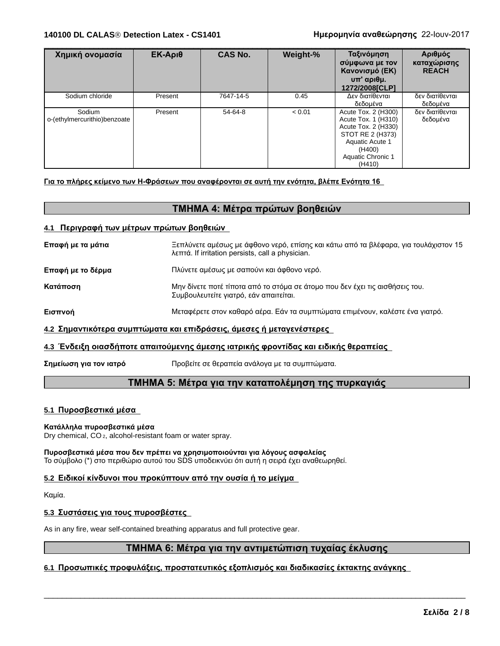| Χημική ονομασία                          | $EK-A\rho \theta$ | <b>CAS No.</b> | Weight-% | Ταξινόμηση<br>σύμφωνα με τον<br>Κανονισμό (ΕΚ)<br>υπ' αριθμ.<br>1272/2008 [CLP]                                                                   | Αριθμός<br>καταχώρισης<br><b>REACH</b> |
|------------------------------------------|-------------------|----------------|----------|---------------------------------------------------------------------------------------------------------------------------------------------------|----------------------------------------|
| Sodium chloride                          | Present           | 7647-14-5      | 0.45     | Δεν διατίθενται<br>δεδομένα                                                                                                                       | δεν διατίθενται<br>δεδομένα            |
| Sodium<br>  o-(ethylmercurithio)benzoate | Present           | 54-64-8        | < 0.01   | Acute Tox. 2 (H300)<br>Acute Tox. 1 (H310)<br>Acute Tox. 2 (H330)<br>STOT RE 2 (H373)<br>Aquatic Acute 1<br>(H400)<br>Aquatic Chronic 1<br>(H410) | δεν διατίθενται<br>δεδομένα            |

#### **ΓιατοπλήρεςκείμενοτωνΗ-Φράσεωνπουαναφέρονταισεαυτήτηνενότητα,βλέπεΕνότητα16**

## **ΤΜΗΜΑ4:Μέτραπρώτωνβοηθειών**

#### **4.1 Περιγραφήτωνμέτρωνπρώτωνβοηθειών**

| Επαφή με τα μάτια | Ξεπλύνετε αμέσως με άφθονο νερό, επίσης και κάτω από τα βλέφαρα, για τουλάχιστον 15<br>λεπτά. If irritation persists, call a physician. |
|-------------------|-----------------------------------------------------------------------------------------------------------------------------------------|
| Επαφή με το δέρμα | Πλύνετε αμέσως με σαπούνι και άφθονο νερό.                                                                                              |
| Κατάποση          | Μην δίνετε ποτέ τίποτα από το στόμα σε άτομο που δεν έχει τις αισθήσεις του.<br>Συμβουλευτείτε γιατρό, εάν απαιτείται.                  |
| Εισπνοή           | Μεταφέρετε στον καθαρό αέρα. Εάν τα συμπτώματα επιμένουν, καλέστε ένα γιατρό.                                                           |
|                   | ι 2. Σημαντικότερα συμπτώματα και επιδράσεις, άμεσες ή μετανενέστερες                                                                   |

## <u>2 ημαντικοτερα συμπτωματα και επιορασεις, αμεσες η μεταγενεστερες</u>

#### **4.3 Ένδειξηοιασδήποτεαπαιτούμενηςάμεσηςιατρικήςφροντίδαςκαιειδικήςθεραπείας**

**Σημείωση για τον ιατρό** Προβείτε σε θεραπεία ανάλογα με τα συμπτώματα.

## **ΤΜΗΜΑ5:Μέτραγιατηνκαταπολέμησητηςπυρκαγιάς**

#### **5.1 Πυροσβεστικάμέσα**

#### **Κατάλληλαπυροσβεστικάμέσα**

Dry chemical, CO 2, alcohol-resistant foam or water spray.

Πυροσβεστικά μέσα που δεν πρέπει να χρησιμοποιούνται για λόγους ασφαλείας Το σύμβολο (\*) στο περιθώριο αυτού του SDS υποδεικνύει ότι αυτή η σειρά έχει αναθεωρηθεί.

#### **5.2 Ειδικοίκίνδυνοιπουπροκύπτουναπότηνουσίαήτομείγμα**

Καμία.

#### 5.3 Συστάσεις για τους πυροσβέστες

As in any fire, wear self-contained breathing apparatus and full protective gear.

## **ΤΜΗΜΑ6:Μέτραγιατηναντιμετώπισητυχαίαςέκλυσης**

 $\overline{\phantom{a}}$  ,  $\overline{\phantom{a}}$  ,  $\overline{\phantom{a}}$  ,  $\overline{\phantom{a}}$  ,  $\overline{\phantom{a}}$  ,  $\overline{\phantom{a}}$  ,  $\overline{\phantom{a}}$  ,  $\overline{\phantom{a}}$  ,  $\overline{\phantom{a}}$  ,  $\overline{\phantom{a}}$  ,  $\overline{\phantom{a}}$  ,  $\overline{\phantom{a}}$  ,  $\overline{\phantom{a}}$  ,  $\overline{\phantom{a}}$  ,  $\overline{\phantom{a}}$  ,  $\overline{\phantom{a}}$ 

### **6.1 Προσωπικέςπροφυλάξεις,προστατευτικόςεξοπλισμόςκαιδιαδικασίεςέκτακτηςανάγκης**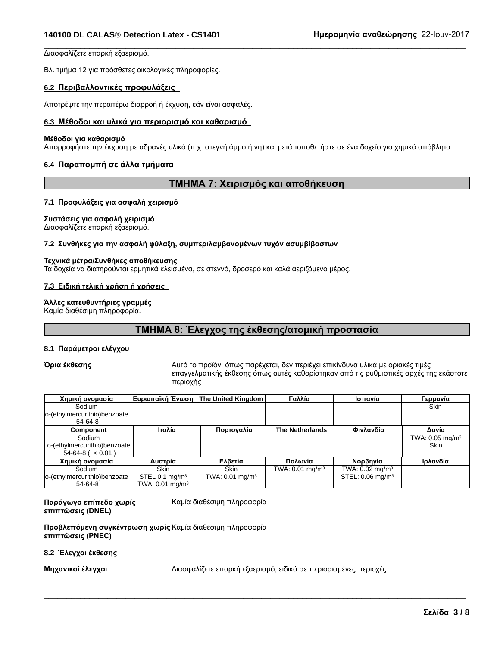Διασφαλίζετε επαρκή εξαερισμό.

Βλ. τμήμα 12 για πρόσθετες οικολογικές πληροφορίες.

#### **6.2 Περιβαλλοντικέςπροφυλάξεις**

Αποτρέψτε την περαιτέρω διαρροή ή έκχυση, εάν είναι ασφαλές.

#### **6.3 Μέθοδοικαιυλικάγιαπεριορισμόκαικαθαρισμό**

#### **Μέθοδοιγιακαθαρισμό**

Απορροφήστε την έκχυση με αδρανές υλικό (π.χ. στεγνή άμμο ή γη) και μετά τοποθετήστε σε ένα δοχείο για χημικά απόβλητα.

#### **6.4 Παραπομπήσεάλλατμήματα**

## **ΤΜΗΜΑ7:Χειρισμόςκαιαποθήκευση**

 $\overline{\phantom{a}}$  ,  $\overline{\phantom{a}}$  ,  $\overline{\phantom{a}}$  ,  $\overline{\phantom{a}}$  ,  $\overline{\phantom{a}}$  ,  $\overline{\phantom{a}}$  ,  $\overline{\phantom{a}}$  ,  $\overline{\phantom{a}}$  ,  $\overline{\phantom{a}}$  ,  $\overline{\phantom{a}}$  ,  $\overline{\phantom{a}}$  ,  $\overline{\phantom{a}}$  ,  $\overline{\phantom{a}}$  ,  $\overline{\phantom{a}}$  ,  $\overline{\phantom{a}}$  ,  $\overline{\phantom{a}}$ 

#### **7.1 Προφυλάξειςγιαασφαλήχειρισμό**

#### **Συστάσειςγιαασφαλήχειρισμό**

Διασφαλίζετε επαρκή εξαερισμό.

#### 7.2 Συνθήκες για την ασφαλή φύλαξη, συμπεριλαμβανομένων τυχόν ασυμβίβαστων

#### **Τεχνικάμέτρα/Συνθήκεςαποθήκευσης**

Τα δοχεία να διατηρούνται ερμητικά κλεισμένα, σε στεγνό, δροσερό και καλά αεριζόμενο μέρος.

#### **7.3 Ειδικήτελικήχρήσηήχρήσεις**

#### **Άλλες κατευθυντήριες γραμμές**

Καμία διαθέσιμη πληροφορία.

## **ΤΜΗΜΑ8:Έλεγχοςτηςέκθεσης/ατομικήπροστασία**

#### **8.1 Παράμετροιελέγχου**

**Όρια έκθεσης** Αυτό το προϊόν, όπως παρέχεται, δεν περιέχει επικίνδυνα υλικά με οριακές τιμές επαγγελματικής έκθεσης όπως αυτές καθορίστηκαν από τις ρυθμιστικές αρχές της εκάστοτε περιοχής

| Χημική ονομασία              |                               | Ευρωπαϊκή Ένωση   The United Kingdom | Γαλλία                        | Ισπανία                        | Γερμανία                      |  |
|------------------------------|-------------------------------|--------------------------------------|-------------------------------|--------------------------------|-------------------------------|--|
| Sodium                       |                               |                                      |                               |                                | <b>Skin</b>                   |  |
| o-(ethylmercurithio)benzoate |                               |                                      |                               |                                |                               |  |
| 54-64-8                      |                               |                                      |                               |                                |                               |  |
| Component                    | Ιταλία                        | Πορτογαλία                           | <b>The Netherlands</b>        | Φινλανδία                      | Δανία                         |  |
| Sodium                       |                               |                                      |                               |                                | TWA: $0.05$ mg/m <sup>3</sup> |  |
| o-(ethylmercurithio)benzoate |                               |                                      |                               |                                | <b>Skin</b>                   |  |
| $54-64-8$ ( $< 0.01$ )       |                               |                                      |                               |                                |                               |  |
| Χημική ονομασία              | Αυστρία                       | Ελβετία                              | Πολωνία                       | Νορβηγία                       | Ιρλανδία                      |  |
| Sodium                       | <b>Skin</b>                   | <b>Skin</b>                          | TWA: $0.01$ mg/m <sup>3</sup> | TWA: $0.02 \text{ mg/m}^3$     |                               |  |
| o-(ethylmercurithio)benzoate | STEL 0.1 mg/m $3$             | TWA: $0.01 \text{ mg/m}^3$           |                               | STEL: $0.06$ mg/m <sup>3</sup> |                               |  |
| 54-64-8                      | TWA: $0.01$ mg/m <sup>3</sup> |                                      |                               |                                |                               |  |

# **επιπτώσεις(DNEL)**

**Παράγωγοεπίπεδοχωρίς** Καμίαδιαθέσιμηπληροφορία

**Προβλεπόμενη συγκέντρωση χωρίς** Καμία διαθέσιμη πληροφορία **επιπτώσεις(PNEC)**

#### **8.2 Έλεγχοιέκθεσης**

**Μηχανικοίέλεγχοι** Διασφαλίζετεεπαρκήεξαερισμό,ειδικάσεπεριορισμένεςπεριοχές.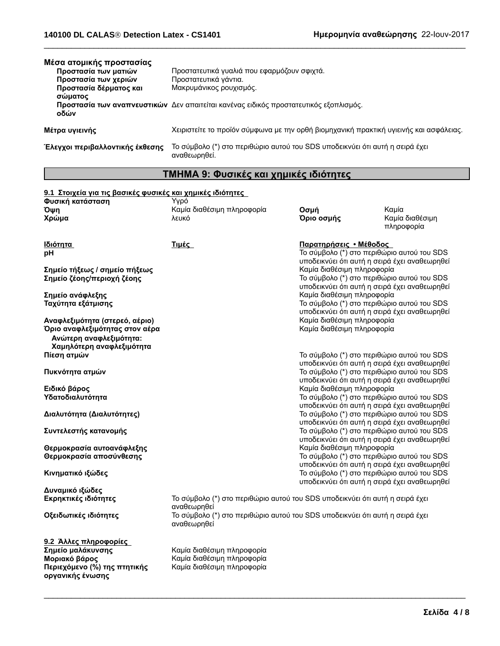| Μέσα ατομικής προστασίας        |                                                                                              |
|---------------------------------|----------------------------------------------------------------------------------------------|
| Προστασία των ματιών            | Προστατευτικά γυαλιά που εφαρμόζουν σφιχτά.                                                  |
| Προστασία των χεριών            | Προστατευτικά γάντια.                                                                        |
| Προστασία δέρματος και          | Μακρυμάνικος ρουχισμός.                                                                      |
| σώματος<br>οδών                 | Προστασία των αναπνευστικών Δεν απαιτείται κανένας ειδικός προστατευτικός εξοπλισμός.        |
| Μέτρα υγιεινής                  | Χειριστείτε το προϊόν σύμφωνα με την ορθή βιομηχανική πρακτική υγιεινής και ασφάλειας.       |
| Έλεγχοι περιβαλλοντικής έκθεσης | To σύμβολο (*) στο περιθώριο αυτού του SDS υποδεικνύει ότι αυτή η σειρά έχει<br>αναθεωρηθεί. |

 $\overline{\phantom{a}}$  ,  $\overline{\phantom{a}}$  ,  $\overline{\phantom{a}}$  ,  $\overline{\phantom{a}}$  ,  $\overline{\phantom{a}}$  ,  $\overline{\phantom{a}}$  ,  $\overline{\phantom{a}}$  ,  $\overline{\phantom{a}}$  ,  $\overline{\phantom{a}}$  ,  $\overline{\phantom{a}}$  ,  $\overline{\phantom{a}}$  ,  $\overline{\phantom{a}}$  ,  $\overline{\phantom{a}}$  ,  $\overline{\phantom{a}}$  ,  $\overline{\phantom{a}}$  ,  $\overline{\phantom{a}}$ 

## **ΤΜΗΜΑ9:Φυσικέςκαιχημικέςιδιότητες**

#### **9.1 Στοιχείαγιατιςβασικέςφυσικέςκαιχημικέςιδιότητες**

| Φυσική κατάσταση                                          | Υγρό                                                                                        |                            |                                                                                             |  |
|-----------------------------------------------------------|---------------------------------------------------------------------------------------------|----------------------------|---------------------------------------------------------------------------------------------|--|
| Όψη                                                       | Καμία διαθέσιμη πληροφορία                                                                  | Οσμή                       | Καμία                                                                                       |  |
| Χρώμα                                                     | λευκό                                                                                       | Όριο οσμής                 | Καμία διαθέσιμη<br>πληροφορία                                                               |  |
| <u>Ιδιότητα</u>                                           | <b>Τιμές</b>                                                                                | Παρατηρήσεις • Μέθοδος     |                                                                                             |  |
| pH                                                        |                                                                                             |                            | Το σύμβολο (*) στο περιθώριο αυτού του SDS<br>υποδεικνύει ότι αυτή η σειρά έχει αναθεωρηθεί |  |
| Σημείο τήξεως / σημείο πήξεως                             |                                                                                             | Καμία διαθέσιμη πληροφορία |                                                                                             |  |
| Σημείο ζέοης/περιοχή ζέοης                                |                                                                                             |                            | Το σύμβολο (*) στο περιθώριο αυτού του SDS<br>υποδεικνύει ότι αυτή η σειρά έχει αναθεωρηθεί |  |
| Σημείο ανάφλεξης                                          |                                                                                             | Καμία διαθέσιμη πληροφορία |                                                                                             |  |
| Ταχύτητα εξάτμισης                                        |                                                                                             |                            | Το σύμβολο (*) στο περιθώριο αυτού του SDS<br>υποδεικνύει ότι αυτή η σειρά έχει αναθεωρηθεί |  |
| Αναφλεξιμότητα (στερεό, αέριο)                            |                                                                                             | Καμία διαθέσιμη πληροφορία |                                                                                             |  |
| Όριο αναφλεξιμότητας στον αέρα<br>Ανώτερη αναφλεξιμότητα: |                                                                                             | Καμία διαθέσιμη πληροφορία |                                                                                             |  |
| Χαμηλότερη αναφλεξιμότητα                                 |                                                                                             |                            |                                                                                             |  |
| Πίεση ατμών                                               |                                                                                             |                            | Το σύμβολο (*) στο περιθώριο αυτού του SDS                                                  |  |
|                                                           |                                                                                             |                            | υποδεικνύει ότι αυτή η σειρά έχει αναθεωρηθεί                                               |  |
| Πυκνότητα ατμών                                           |                                                                                             |                            | Το σύμβολο (*) στο περιθώριο αυτού του SDS<br>υποδεικνύει ότι αυτή η σειρά έχει αναθεωρηθεί |  |
| Ειδικό βάρος                                              |                                                                                             | Καμία διαθέσιμη πληροφορία |                                                                                             |  |
| Υδατοδιαλυτότητα                                          |                                                                                             |                            | Το σύμβολο (*) στο περιθώριο αυτού του SDS                                                  |  |
|                                                           |                                                                                             |                            | υποδεικνύει ότι αυτή η σειρά έχει αναθεωρηθεί                                               |  |
| Διαλυτότητα (Διαλυτότητες)                                |                                                                                             |                            | Το σύμβολο (*) στο περιθώριο αυτού του SDS                                                  |  |
|                                                           |                                                                                             |                            | υποδεικνύει ότι αυτή η σειρά έχει αναθεωρηθεί                                               |  |
| Συντελεστής κατανομής                                     |                                                                                             |                            | Το σύμβολο (*) στο περιθώριο αυτού του SDS                                                  |  |
|                                                           |                                                                                             |                            | υποδεικνύει ότι αυτή η σειρά έχει αναθεωρηθεί                                               |  |
| Θερμοκρασία αυτοανάφλεξης                                 |                                                                                             | Καμία διαθέσιμη πληροφορία |                                                                                             |  |
| Θερμοκρασία αποσύνθεσης                                   |                                                                                             |                            | Το σύμβολο (*) στο περιθώριο αυτού του SDS                                                  |  |
|                                                           |                                                                                             |                            | υποδεικνύει ότι αυτή η σειρά έχει αναθεωρηθεί                                               |  |
| Κινηματικό ιξώδες                                         |                                                                                             |                            | Το σύμβολο (*) στο περιθώριο αυτού του SDS<br>υποδεικνύει ότι αυτή η σειρά έχει αναθεωρηθεί |  |
| Δυναμικό ιξώδες                                           |                                                                                             |                            |                                                                                             |  |
| Εκρηκτικές ιδιότητες                                      | Το σύμβολο (*) στο περιθώριο αυτού του SDS υποδεικνύει ότι αυτή η σειρά έχει<br>αναθεωρηθεί |                            |                                                                                             |  |
| Οξειδωτικές ιδιότητες                                     | Το σύμβολο (*) στο περιθώριο αυτού του SDS υποδεικνύει ότι αυτή η σειρά έχει<br>αναθεωρηθεί |                            |                                                                                             |  |
| 9.2 Άλλες πληροφορίες                                     |                                                                                             |                            |                                                                                             |  |
| Σημείο μαλάκυνσης                                         | Καμία διαθέσιμη πληροφορία                                                                  |                            |                                                                                             |  |
| Μοριακό βάρος                                             | Καμία διαθέσιμη πληροφορία                                                                  |                            |                                                                                             |  |
| Περιεχόμενο (%) της πτητικής<br>οργανικής ένωσης          | Καμία διαθέσιμη πληροφορία                                                                  |                            |                                                                                             |  |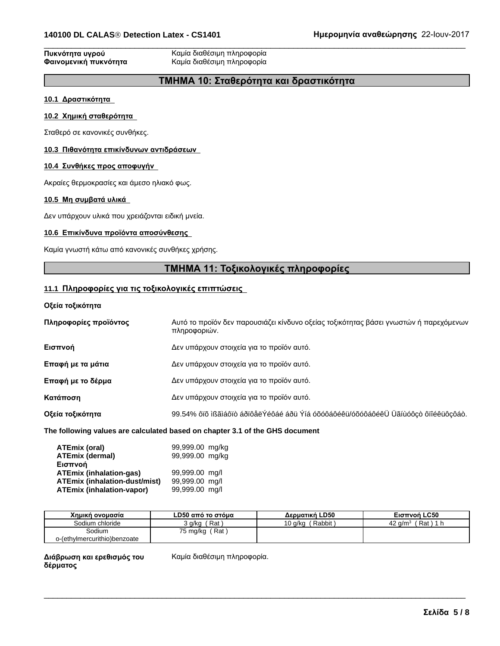**Πυκνότητα υγρού Καμία διαθέσιμη πληροφορία**<br>**Φαινομενική πυκνότητα** Καμία διαθέσιμη πληροφορία Καμία διαθέσιμη πληροφορία

## **ΤΜΗΜΑ10:Σταθερότητακαιδραστικότητα**

 $\overline{\phantom{a}}$  ,  $\overline{\phantom{a}}$  ,  $\overline{\phantom{a}}$  ,  $\overline{\phantom{a}}$  ,  $\overline{\phantom{a}}$  ,  $\overline{\phantom{a}}$  ,  $\overline{\phantom{a}}$  ,  $\overline{\phantom{a}}$  ,  $\overline{\phantom{a}}$  ,  $\overline{\phantom{a}}$  ,  $\overline{\phantom{a}}$  ,  $\overline{\phantom{a}}$  ,  $\overline{\phantom{a}}$  ,  $\overline{\phantom{a}}$  ,  $\overline{\phantom{a}}$  ,  $\overline{\phantom{a}}$ 

#### **10.1 Δραστικότητα**

#### **10.2 Χημικήσταθερότητα**

Σταθερό σε κανονικές συνθήκες.

#### **10.3 Πιθανότηταεπικίνδυνωναντιδράσεων**

#### **10.4 Συνθήκεςπροςαποφυγήν**

Ακραίες θερμοκρασίες και άμεσο ηλιακό φως.

#### **10.5 Μησυμβατάυλικά**

Δεν υπάρχουν υλικά που χρειάζονται ειδική μνεία.

#### **10.6 Επικίνδυναπροϊόντααποσύνθεσης**

Καμία γνωστή κάτω από κανονικές συνθήκες χρήσης.

## **ΤΜΗΜΑ11:Τοξικολογικέςπληροφορίες**

## **11.1 Πληροφορίεςγιατιςτοξικολογικέςεπιπτώσεις**

**Οξεία τοξικότητα** 

| Πληροφορίες προϊόντος | Αυτό το προϊόν δεν παρουσιάζει κίνδυνο οξείας τοξικότητας βάσει γνωστών ή παρεχόμενων<br>πληροφοριών. |
|-----------------------|-------------------------------------------------------------------------------------------------------|
| Εισπνοή               | Δεν υπάρχουν στοιχεία για το προϊόν αυτό.                                                             |
| Επαφή με τα μάτια     | Δεν υπάρχουν στοιχεία για το προϊόν αυτό.                                                             |
| Επαφή με το δέρμα     | Δεν υπάρχουν στοιχεία για το προϊόν αυτό.                                                             |
| Κατάποση              | Δεν υπάρχουν στοιχεία για το προϊόν αυτό.                                                             |
| Οξεία τοξικότητα      | 99.54% ôïō ìßāìáôïò áðïôåëÝéôáé áðü Ýíá óõóôáôéêü/óõóôáôéêÜ Üãíùóôçò ôïîéêüôçôáò.                     |
|                       |                                                                                                       |

#### **The following values are calculated based on chapter 3.1 of the GHS document**

| ATEmix (oral)                        | 99,999.00 mg/kg |  |
|--------------------------------------|-----------------|--|
| <b>ATEmix (dermal)</b>               | 99,999.00 mg/kg |  |
| Εισπνοή                              |                 |  |
| <b>ATEmix (inhalation-gas)</b>       | 99.999.00 ma/l  |  |
| <b>ATEmix (inhalation-dust/mist)</b> | 99,999.00 mg/l  |  |
| <b>ATEmix (inhalation-vapor)</b>     | 99.999.00 ma/l  |  |

| Χημική ονομασία              | LD50 από το στόμα                 | Δερματική LD50    | Eισπνοή LC50                 |
|------------------------------|-----------------------------------|-------------------|------------------------------|
| Sodium chloride              | Rat<br>g/kg                       | Rabbit<br>10 a/ka | Rat<br>$\overline{ }$<br>a/m |
| Sodium                       | : Rat<br>75 mg/kg $_{\backslash}$ |                   |                              |
| o-(ethylmercurithio)benzoate |                                   |                   |                              |

 $\overline{\phantom{a}}$  ,  $\overline{\phantom{a}}$  ,  $\overline{\phantom{a}}$  ,  $\overline{\phantom{a}}$  ,  $\overline{\phantom{a}}$  ,  $\overline{\phantom{a}}$  ,  $\overline{\phantom{a}}$  ,  $\overline{\phantom{a}}$  ,  $\overline{\phantom{a}}$  ,  $\overline{\phantom{a}}$  ,  $\overline{\phantom{a}}$  ,  $\overline{\phantom{a}}$  ,  $\overline{\phantom{a}}$  ,  $\overline{\phantom{a}}$  ,  $\overline{\phantom{a}}$  ,  $\overline{\phantom{a}}$ 

#### **Διάβρωσηκαιερεθισμόςτου δέρματος**

Καμία διαθέσιμη πληροφορία.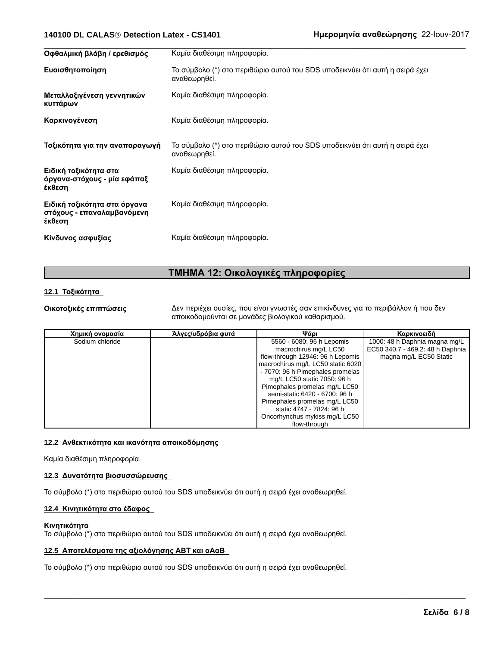| Οφθαλμική βλάβη / ερεθισμός                                          | Καμία διαθέσιμη πληροφορία.                                                                  |
|----------------------------------------------------------------------|----------------------------------------------------------------------------------------------|
| Ευαισθητοποίηση                                                      | Το σύμβολο (*) στο περιθώριο αυτού του SDS υποδεικνύει ότι αυτή η σειρά έχει<br>αναθεωρηθεί. |
| Μεταλλαξιγένεση γεννητικών<br>κυττάρων                               | Καμία διαθέσιμη πληροφορία.                                                                  |
| Καρκινογένεση                                                        | Καμία διαθέσιμη πληροφορία.                                                                  |
| Τοξικότητα για την αναπαραγωγή                                       | Το σύμβολο (*) στο περιθώριο αυτού του SDS υποδεικνύει ότι αυτή η σειρά έχει<br>αναθεωρηθεί. |
| Ειδική τοξικότητα στα<br>όργανα-στόχους - μία εφάπαξ<br>έκθεση       | Καμία διαθέσιμη πληροφορία.                                                                  |
| Ειδική τοξικότητα στα όργανα<br>στόχους - επαναλαμβανόμενη<br>έκθεση | Καμία διαθέσιμη πληροφορία.                                                                  |
| Κίνδυνος ασφυξίας                                                    | Καμία διαθέσιμη πληροφορία.                                                                  |

## **ΤΜΗΜΑ12:Οικολογικέςπληροφορίες**

#### **12.1 Τοξικότητα**

**Οικοτοξικές επιπτώσεις** Δεν περιέχει ουσίες, που είναι γνωστές σαν επικίνδυνες για το περιβάλλον ή που δεν αποικοδομούνται σε μονάδες βιολογικού καθαρισμού.

 $\overline{\phantom{a}}$  ,  $\overline{\phantom{a}}$  ,  $\overline{\phantom{a}}$  ,  $\overline{\phantom{a}}$  ,  $\overline{\phantom{a}}$  ,  $\overline{\phantom{a}}$  ,  $\overline{\phantom{a}}$  ,  $\overline{\phantom{a}}$  ,  $\overline{\phantom{a}}$  ,  $\overline{\phantom{a}}$  ,  $\overline{\phantom{a}}$  ,  $\overline{\phantom{a}}$  ,  $\overline{\phantom{a}}$  ,  $\overline{\phantom{a}}$  ,  $\overline{\phantom{a}}$  ,  $\overline{\phantom{a}}$ 

 $\overline{\phantom{a}}$  ,  $\overline{\phantom{a}}$  ,  $\overline{\phantom{a}}$  ,  $\overline{\phantom{a}}$  ,  $\overline{\phantom{a}}$  ,  $\overline{\phantom{a}}$  ,  $\overline{\phantom{a}}$  ,  $\overline{\phantom{a}}$  ,  $\overline{\phantom{a}}$  ,  $\overline{\phantom{a}}$  ,  $\overline{\phantom{a}}$  ,  $\overline{\phantom{a}}$  ,  $\overline{\phantom{a}}$  ,  $\overline{\phantom{a}}$  ,  $\overline{\phantom{a}}$  ,  $\overline{\phantom{a}}$ 

| Χημική ονομασία | Άλγες/υδρόβια φυτά | Ψάοι                              | Καρκινοειδή                      |  |
|-----------------|--------------------|-----------------------------------|----------------------------------|--|
| Sodium chloride |                    | 5560 - 6080: 96 h Lepomis         | 1000: 48 h Daphnia magna mg/L    |  |
|                 |                    | macrochirus mg/L LC50             | EC50 340.7 - 469.2: 48 h Daphnia |  |
|                 |                    | flow-through 12946: 96 h Lepomis  | magna mg/L EC50 Static           |  |
|                 |                    | macrochirus mg/L LC50 static 6020 |                                  |  |
|                 |                    | - 7070: 96 h Pimephales promelas  |                                  |  |
|                 |                    | mg/L LC50 static 7050: 96 h       |                                  |  |
|                 |                    | Pimephales promelas mg/L LC50     |                                  |  |
|                 |                    | semi-static 6420 - 6700: 96 h     |                                  |  |
|                 |                    | Pimephales promelas mg/L LC50     |                                  |  |
|                 |                    | static 4747 - 7824: 96 h          |                                  |  |
|                 |                    | Oncorhynchus mykiss mg/L LC50     |                                  |  |
|                 |                    | flow-through                      |                                  |  |

## **12.2 Ανθεκτικότητακαιικανότητααποικοδόμησης**

Καμία διαθέσιμη πληροφορία.

#### **12.3 Δυνατότηταβιοσυσσώρευσης**

Το σύμβολο (\*) στο περιθώριο αυτού του SDS υποδεικνύει ότι αυτή η σειρά έχει αναθεωρηθεί.

#### **12.4 Κινητικότηταστοέδαφος**

#### **Κινητικότητα**

Το σύμβολο (\*) στο περιθώριο αυτού του SDS υποδεικνύει ότι αυτή η σειρά έχει αναθεωρηθεί.

#### **12.5 ΑποτελέσματατηςαξιολόγησηςΑΒΤκαιαΑαΒ**

Το σύμβολο (\*) στο περιθώριο αυτού του SDS υποδεικνύει ότι αυτή η σειρά έχει αναθεωρηθεί.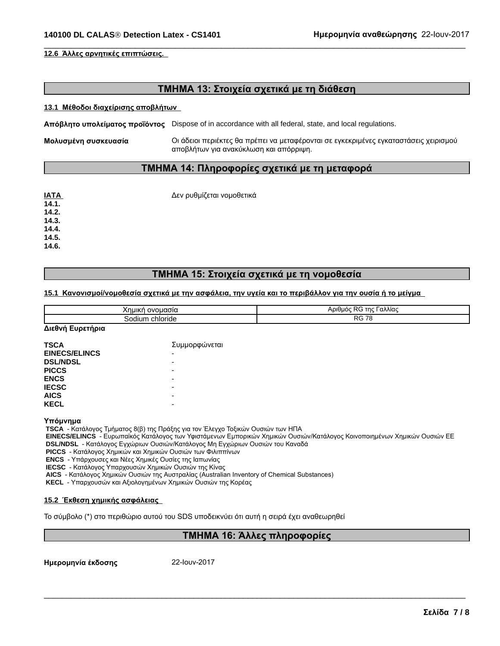**12.6 Άλλεςαρνητικέςεπιπτώσεις.**

## **ΤΜΗΜΑ13:Στοιχείασχετικάμετηδιάθεση**

 $\overline{\phantom{a}}$  ,  $\overline{\phantom{a}}$  ,  $\overline{\phantom{a}}$  ,  $\overline{\phantom{a}}$  ,  $\overline{\phantom{a}}$  ,  $\overline{\phantom{a}}$  ,  $\overline{\phantom{a}}$  ,  $\overline{\phantom{a}}$  ,  $\overline{\phantom{a}}$  ,  $\overline{\phantom{a}}$  ,  $\overline{\phantom{a}}$  ,  $\overline{\phantom{a}}$  ,  $\overline{\phantom{a}}$  ,  $\overline{\phantom{a}}$  ,  $\overline{\phantom{a}}$  ,  $\overline{\phantom{a}}$ 

#### **13.1 Μέθοδοιδιαχείρισηςαποβλήτων**

**Απόβλητουπολείματοςπροΐόντος** Dispose of in accordance with all federal, state, and local regulations.

**Μολυσμένη συσκευασία** Οι άδειοι περιέκτες θα πρέπει να μεταφέρονται σε εγκεκριμένες εγκαταστάσεις χειρισμού αποβλήτωνγιαανακύκλωσηκαιαπόρριψη.

### **ΤΜΗΜΑ14:Πληροφορίεςσχετικάμετημεταφορά**

**ΙΑΤΑ Δεν ρυθμίζεται νομοθετικά 14.1. 14.2. 14.3. 14.4. 14.5.**

**14.6.**

## **ΤΜΗΜΑ15:Στοιχείασχετικάμετηνομοθεσία**

#### 15.1 **Κανονισμοί/νομοθεσία σχετικά με την ασφάλεια, την υγεία και το περιβάλλον για την ουσία ή το μείγμα**

| Xnuikń<br>ονομασίο   | Dr<br><b>TNC</b><br>΄ αλλίας<br><b>JIHLIOC</b><br>╰<br>ᇺ |
|----------------------|----------------------------------------------------------|
| , chloride<br>odiumص | $\overline{\phantom{a}}$<br>$\cdot$<br>55 L<br>. .       |

#### **ΔιεθνήΕυρετήρια**

| <b>TSCA</b>          | Συμμορφώνεται |
|----------------------|---------------|
| <b>EINECS/ELINCS</b> | -             |
| <b>DSL/NDSL</b>      | -             |
| <b>PICCS</b>         | -             |
| <b>ENCS</b>          | -             |
| <b>IECSC</b>         | -             |
| <b>AICS</b>          | -             |
| <b>KECL</b>          | -             |

#### **Υπόμνημα**

TSCA - Κατάλογος Τμήματος 8(β) της Πράξης για τον Έλεγχο Τοξικών Ουσιών των ΗΠΑ

**ΕΙΝΕCS/ELINCS** - Ευρωπαϊκός Κατάλογος των Υφιστάμενων Εμπορικών Χημικών Ουσιών/Κατάλογος Κοινοποιημένων Χημικών Ουσιών ΕΕ DSL/NDSL - Κατάλογος Εγχώριων Ουσιών/Κατάλογος Μη Εγχώριων Ουσιών του Καναδά

**PICCS** - Κατάλογος Χημικών και Χημικών Ουσιών των Φιλιππίνων

**ENCS** - Υπάρχουσες και Νέες Χημικές Ουσίες της Ιαπωνίας

IECSC - Κατάλογος Υπαρχουσών Χημικών Ουσιών της Κίνας

**AICS** - Κατάλογος Χημικών Ουσιών της Αυστραλίας (Australian Inventory of Chemical Substances)

**KECL** - Υπαρχουσών και Αξιολογημένων Χημικών Ουσιών της Κορέας

#### **15.2 Έκθεσηχημικήςασφάλειας**

Το σύμβολο (\*) στο περιθώριο αυτού του SDS υποδεικνύει ότι αυτή η σειρά έχει αναθεωρηθεί

## **ΤΜΗΜΑ16:Άλλεςπληροφορίες**

 $\overline{\phantom{a}}$  ,  $\overline{\phantom{a}}$  ,  $\overline{\phantom{a}}$  ,  $\overline{\phantom{a}}$  ,  $\overline{\phantom{a}}$  ,  $\overline{\phantom{a}}$  ,  $\overline{\phantom{a}}$  ,  $\overline{\phantom{a}}$  ,  $\overline{\phantom{a}}$  ,  $\overline{\phantom{a}}$  ,  $\overline{\phantom{a}}$  ,  $\overline{\phantom{a}}$  ,  $\overline{\phantom{a}}$  ,  $\overline{\phantom{a}}$  ,  $\overline{\phantom{a}}$  ,  $\overline{\phantom{a}}$ 

**Ημερομηνίαέκδοσης** 22-Ιουν-2017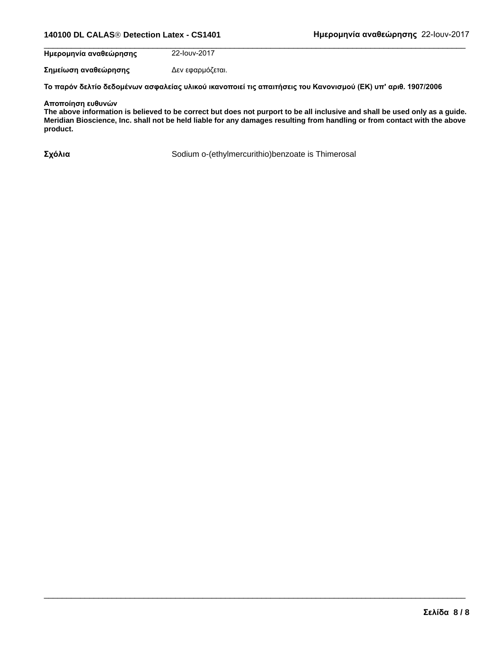#### **140100 DL CALASÒ Detection Latex - CS1401 Ημερομηνίααναθεώρησης**22-Ιουν-2017

**Ημερομηνίααναθεώρησης** 22-Ιουν-2017

**Σημείωσηαναθεώρησης** Δενεφαρμόζεται.

Το παρόν δελτίο δεδομένων ασφαλείας υλικού ικανοποιεί τις απαιτήσεις του Κανονισμού (ΕΚ) υπ' αριθ. 1907/2006

**Αποποίησηευθυνών**

The above information is believed to be correct but does not purport to be all inclusive and shall be used only as a guide. Meridian Bioscience, Inc. shall not be held liable for any damages resulting from handling or from contact with the above **product.**

**Σχόλια** Sodium o-(ethylmercurithio)benzoate is Thimerosal

 $\overline{\phantom{a}}$  ,  $\overline{\phantom{a}}$  ,  $\overline{\phantom{a}}$  ,  $\overline{\phantom{a}}$  ,  $\overline{\phantom{a}}$  ,  $\overline{\phantom{a}}$  ,  $\overline{\phantom{a}}$  ,  $\overline{\phantom{a}}$  ,  $\overline{\phantom{a}}$  ,  $\overline{\phantom{a}}$  ,  $\overline{\phantom{a}}$  ,  $\overline{\phantom{a}}$  ,  $\overline{\phantom{a}}$  ,  $\overline{\phantom{a}}$  ,  $\overline{\phantom{a}}$  ,  $\overline{\phantom{a}}$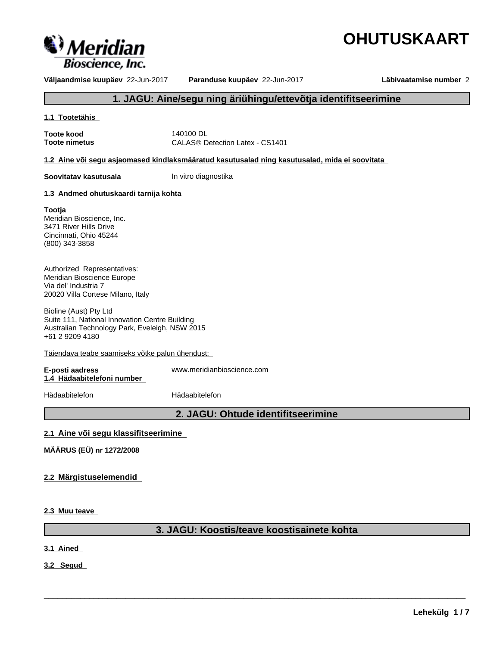



**Väljaandmise kuupäev** 22-Jun-2017 **Paranduse kuupäev** 22-Jun-2017 **Läbivaatamise number** 2

## **1. JAGU: Aine/segu ning äriühingu/ettevõtja identifitseerimine**

#### **1.1 Tootetähis**

**Toote kood** 140100 DL

**Toote nimetus** CALAS<sup>®</sup> Detection Latex - CS1401

**1.2 Aine või segu asjaomased kindlaksmääratud kasutusalad ning kasutusalad,mida ei soovitata**

**Soovitatav kasutusala** In vitro diagnostika

#### **1.3 Andmed ohutuskaardi tarnija kohta**

#### **Tootja**

Meridian Bioscience, Inc. 3471 River Hills Drive Cincinnati, Ohio 45244 (800) 343-3858

Authorized Representatives: Meridian Bioscience Europe Via del' Industria 7 20020 Villa Cortese Milano, Italy

Bioline (Aust) Pty Ltd Suite 111, National Innovation Centre Building Australian Technology Park, Eveleigh, NSW 2015 +61 2 9209 4180

Täiendava teabe saamiseks võtke palun ühendust:

**1.4 Hädaabitelefoni number**

**E-posti aadress** www.meridianbioscience.com

Hädaabitelefon Hädaabitelefon

## **2. JAGU: Ohtude identifitseerimine**

### **2.1 Aine või segu klassifitseerimine**

**MÄÄRUS (EÜ) nr 1272/2008**

#### **2.2 Märgistuselemendid**

**2.3 Muu teave**

## **3. JAGU: Koostis/teave koostisainete kohta**

 $\overline{\phantom{a}}$  ,  $\overline{\phantom{a}}$  ,  $\overline{\phantom{a}}$  ,  $\overline{\phantom{a}}$  ,  $\overline{\phantom{a}}$  ,  $\overline{\phantom{a}}$  ,  $\overline{\phantom{a}}$  ,  $\overline{\phantom{a}}$  ,  $\overline{\phantom{a}}$  ,  $\overline{\phantom{a}}$  ,  $\overline{\phantom{a}}$  ,  $\overline{\phantom{a}}$  ,  $\overline{\phantom{a}}$  ,  $\overline{\phantom{a}}$  ,  $\overline{\phantom{a}}$  ,  $\overline{\phantom{a}}$ 

**3.1 Ained** 

**3.2 Segud**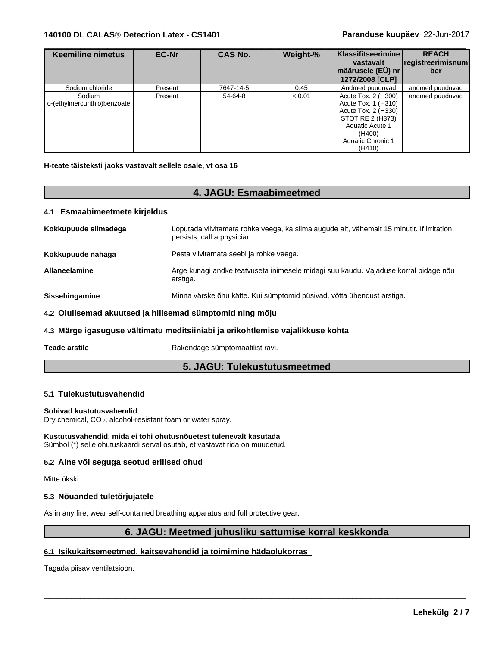| <b>Keemiline nimetus</b>               | <b>EC-Nr</b> | <b>CAS No.</b> | Weight-% | Klassifitseerimine<br>vastavalt<br>│määrusele (EÜ) nr│<br>1272/2008 [CLP]                                                                         | <b>REACH</b><br> registreerimisnum <br>ber |
|----------------------------------------|--------------|----------------|----------|---------------------------------------------------------------------------------------------------------------------------------------------------|--------------------------------------------|
| Sodium chloride                        | Present      | 7647-14-5      | 0.45     | Andmed puuduvad                                                                                                                                   | andmed puuduvad                            |
| Sodium<br>o-(ethylmercurithio)benzoate | Present      | 54-64-8        | < 0.01   | Acute Tox. 2 (H300)<br>Acute Tox. 1 (H310)<br>Acute Tox. 2 (H330)<br>STOT RE 2 (H373)<br>Aquatic Acute 1<br>(H400)<br>Aquatic Chronic 1<br>(H410) | andmed puuduvad                            |

 $\overline{\phantom{a}}$  ,  $\overline{\phantom{a}}$  ,  $\overline{\phantom{a}}$  ,  $\overline{\phantom{a}}$  ,  $\overline{\phantom{a}}$  ,  $\overline{\phantom{a}}$  ,  $\overline{\phantom{a}}$  ,  $\overline{\phantom{a}}$  ,  $\overline{\phantom{a}}$  ,  $\overline{\phantom{a}}$  ,  $\overline{\phantom{a}}$  ,  $\overline{\phantom{a}}$  ,  $\overline{\phantom{a}}$  ,  $\overline{\phantom{a}}$  ,  $\overline{\phantom{a}}$  ,  $\overline{\phantom{a}}$ 

#### **H-teate täisteksti jaoks vastavalt sellele osale, vt osa 16**

## **4. JAGU: Esmaabimeetmed**

#### **4.1 Esmaabimeetmete kirjeldus**

| Kokkupuude silmadega                                     | Loputada viivitamata rohke veega, ka silmalaugude alt, vähemalt 15 minutit. If irritation<br>persists, call a physician. |
|----------------------------------------------------------|--------------------------------------------------------------------------------------------------------------------------|
| Kokkupuude nahaga                                        | Pesta viivitamata seebi ja rohke veega.                                                                                  |
| <b>Allaneelamine</b>                                     | Ärge kunagi andke teatvuseta inimesele midagi suu kaudu. Vajaduse korral pidage nõu<br>arstiga.                          |
| Sissehingamine                                           | Minna värske õhu kätte. Kui sümptomid püsivad, võtta ühendust arstiga.                                                   |
| 4.2 Olulisemad akuutsed ja hilisemad sümptomid ning mõju |                                                                                                                          |
|                                                          | 4.3 Märge igasuguse vältimatu meditsiiniabi ja erikohtlemise vajalikkuse kohta                                           |
|                                                          |                                                                                                                          |

Teade arstile **Teade** arstile **Rakendage** sümptomaatilist ravi.

## **5. JAGU: Tulekustutusmeetmed**

#### **5.1 Tulekustutusvahendid**

#### **Sobivad kustutusvahendid**

Dry chemical, CO 2, alcohol-resistant foam or water spray.

#### **Kustutusvahendid, mida ei tohi ohutusnõuetest tulenevalt kasutada** Sümbol (\*) selle ohutuskaardi serval osutab, et vastavat rida on muudetud.

#### **5.2 Aine või seguga seotud erilised ohud**

#### Mitte ükski.

#### **5.3 Nõuanded tuletõrjujatele**

As in any fire, wear self-contained breathing apparatus and full protective gear.

#### **6. JAGU: Meetmed juhusliku sattumise korral keskkonda**

 $\overline{\phantom{a}}$  ,  $\overline{\phantom{a}}$  ,  $\overline{\phantom{a}}$  ,  $\overline{\phantom{a}}$  ,  $\overline{\phantom{a}}$  ,  $\overline{\phantom{a}}$  ,  $\overline{\phantom{a}}$  ,  $\overline{\phantom{a}}$  ,  $\overline{\phantom{a}}$  ,  $\overline{\phantom{a}}$  ,  $\overline{\phantom{a}}$  ,  $\overline{\phantom{a}}$  ,  $\overline{\phantom{a}}$  ,  $\overline{\phantom{a}}$  ,  $\overline{\phantom{a}}$  ,  $\overline{\phantom{a}}$ 

#### **6.1 Isikukaitsemeetmed, kaitsevahendid ja toimimine hädaolukorras**

Tagada piisav ventilatsioon.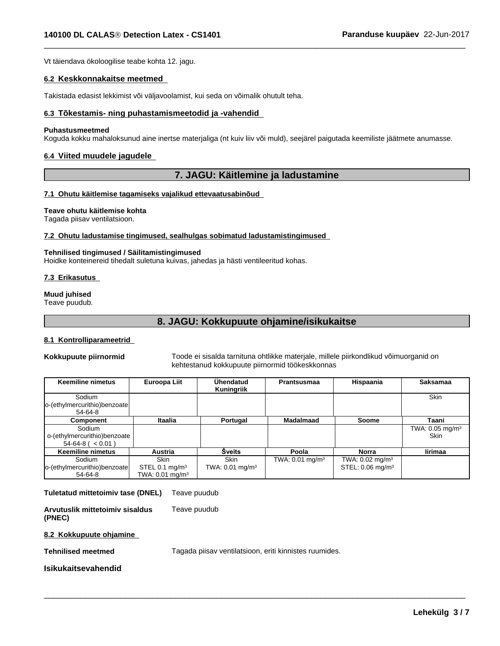Vt täiendava ökoloogilise teabe kohta 12. jagu.

#### **6.2 Keskkonnakaitse meetmed**

Takistada edasist lekkimist või väljavoolamist, kui seda on võimalik ohutult teha.

#### **6.3 Tõkestamis- ning puhastamismeetodid ja -vahendid**

#### **Puhastusmeetmed**

Koguda kokku mahaloksunud aine inertse materjaliga (nt kuiv liiv või muld), seejärel paigutada keemiliste jäätmete anumasse.

#### **6.4 Viited muudele jagudele**

## **7. JAGU: Käitlemine ja ladustamine**

 $\overline{\phantom{a}}$  ,  $\overline{\phantom{a}}$  ,  $\overline{\phantom{a}}$  ,  $\overline{\phantom{a}}$  ,  $\overline{\phantom{a}}$  ,  $\overline{\phantom{a}}$  ,  $\overline{\phantom{a}}$  ,  $\overline{\phantom{a}}$  ,  $\overline{\phantom{a}}$  ,  $\overline{\phantom{a}}$  ,  $\overline{\phantom{a}}$  ,  $\overline{\phantom{a}}$  ,  $\overline{\phantom{a}}$  ,  $\overline{\phantom{a}}$  ,  $\overline{\phantom{a}}$  ,  $\overline{\phantom{a}}$ 

#### **7.1 Ohutu käitlemise tagamiseks vajalikud ettevaatusabinõud**

#### **Teave ohutu käitlemise kohta**

Tagada piisav ventilatsioon.

#### **7.2 Ohutu ladustamise tingimused, sealhulgas sobimatud ladustamistingimused**

#### **Tehnilised tingimused / Säilitamistingimused**

Hoidke konteinereid tihedalt suletuna kuivas, jahedas ja hästi ventileeritud kohas.

#### **7.3 Erikasutus**

## **Muud juhised**

Teave puudub.

## **8. JAGU: Kokkupuute ohjamine/isikukaitse**

#### **8.1 Kontrolliparameetrid**

**Kokkupuute piirnormid** Toode ei sisalda tarnituna ohtlikke materjale, millele piirkondlikud võimuorganid on kehtestanud kokkupuute piirnormid töökeskkonnas

| <b>Keemiline nimetus</b>                                         | Euroopa Liit                                                  | Ühendatud<br>Kuningriik                      | <b>Prantsusmaa</b>         | Hispaania                                                  | <b>Saksamaa</b>                              |
|------------------------------------------------------------------|---------------------------------------------------------------|----------------------------------------------|----------------------------|------------------------------------------------------------|----------------------------------------------|
| Sodium<br>o-(ethylmercurithio)benzoate<br>54-64-8                |                                                               |                                              |                            |                                                            | <b>Skin</b>                                  |
| Component                                                        | <b>Itaalia</b>                                                | Portugal                                     | <b>Madalmaad</b>           | <b>Soome</b>                                               | Taani                                        |
| Sodium<br>o-(ethylmercurithio)benzoate<br>$54-64-8$ ( $< 0.01$ ) |                                                               |                                              |                            |                                                            | TWA: $0.05$ mg/m <sup>3</sup><br><b>Skin</b> |
| <b>Keemiline nimetus</b>                                         | Austria                                                       | <b>Sveits</b>                                | Poola                      | <b>Norra</b>                                               | lirimaa                                      |
| Sodium<br>o-(ethylmercurithio)benzoate<br>54-64-8                | <b>Skin</b><br>STEL 0.1 $mg/m3$<br>TWA: $0.01 \text{ mg/m}^3$ | <b>Skin</b><br>TWA: $0.01$ mg/m <sup>3</sup> | TWA: $0.01 \text{ mg/m}^3$ | TWA: $0.02 \text{ mg/m}^3$<br>STEL: 0.06 mg/m <sup>3</sup> |                                              |

#### **Tuletatud mittetoimiv tase (DNEL)** Teave puudub

**Arvutuslik mittetoimiv sisaldus (PNEC)** Teave puudub

## **8.2 Kokkupuute ohjamine**

**Tehnilised meetmed** Tagada piisav ventilatsioon, eriti kinnistes ruumides.

 $\overline{\phantom{a}}$  ,  $\overline{\phantom{a}}$  ,  $\overline{\phantom{a}}$  ,  $\overline{\phantom{a}}$  ,  $\overline{\phantom{a}}$  ,  $\overline{\phantom{a}}$  ,  $\overline{\phantom{a}}$  ,  $\overline{\phantom{a}}$  ,  $\overline{\phantom{a}}$  ,  $\overline{\phantom{a}}$  ,  $\overline{\phantom{a}}$  ,  $\overline{\phantom{a}}$  ,  $\overline{\phantom{a}}$  ,  $\overline{\phantom{a}}$  ,  $\overline{\phantom{a}}$  ,  $\overline{\phantom{a}}$ 

#### **Isikukaitsevahendid**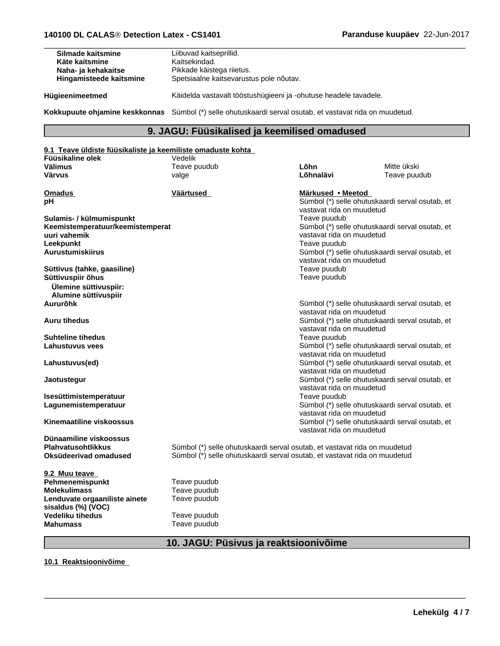| Silmade kaitsmine<br>Käte kaitsmine<br>Naha- ja kehakaitse<br>Hingamisteede kaitsmine | Liibuvad kaitseprillid.<br>Kaitsekindad.<br>Pikkade käistega riietus.<br>Spetsiaalne kaitsevarustus pole nõutav. |
|---------------------------------------------------------------------------------------|------------------------------------------------------------------------------------------------------------------|
| Hügieenimeetmed                                                                       | Käidelda vastavalt tööstushügieeni ja -ohutuse headele tavadele.                                                 |
| Kokkupuute ohjamine keskkonnas                                                        | Sümbol (*) selle ohutuskaardi serval osutab, et vastavat rida on muudetud.                                       |

## **9. JAGU: Füüsikalised jakeemilised omadused**

 $\overline{\phantom{a}}$  ,  $\overline{\phantom{a}}$  ,  $\overline{\phantom{a}}$  ,  $\overline{\phantom{a}}$  ,  $\overline{\phantom{a}}$  ,  $\overline{\phantom{a}}$  ,  $\overline{\phantom{a}}$  ,  $\overline{\phantom{a}}$  ,  $\overline{\phantom{a}}$  ,  $\overline{\phantom{a}}$  ,  $\overline{\phantom{a}}$  ,  $\overline{\phantom{a}}$  ,  $\overline{\phantom{a}}$  ,  $\overline{\phantom{a}}$  ,  $\overline{\phantom{a}}$  ,  $\overline{\phantom{a}}$ 

| 9.1 Teave üldiste füüsikaliste ja keemiliste omaduste kohta |                                                                           |                                                 |              |
|-------------------------------------------------------------|---------------------------------------------------------------------------|-------------------------------------------------|--------------|
| Füüsikaline olek                                            | Vedelik                                                                   |                                                 |              |
| Välimus                                                     | Teave puudub                                                              | Lõhn                                            | Mitte ükski  |
| Värvus                                                      | valge                                                                     | Lõhnalävi                                       | Teave puudub |
|                                                             |                                                                           |                                                 |              |
| Omadus                                                      | Väärtused                                                                 | Märkused • Meetod                               |              |
| рH                                                          |                                                                           | Sümbol (*) selle ohutuskaardi serval osutab, et |              |
|                                                             |                                                                           | vastavat rida on muudetud                       |              |
| Sulamis- / külmumispunkt                                    |                                                                           | Teave puudub                                    |              |
| Keemistemperatuur/keemistemperat                            |                                                                           | Sümbol (*) selle ohutuskaardi serval osutab, et |              |
| uuri vahemik                                                |                                                                           | vastavat rida on muudetud                       |              |
| Leekpunkt                                                   |                                                                           | Teave puudub                                    |              |
| <b>Aurustumiskiirus</b>                                     |                                                                           | Sümbol (*) selle ohutuskaardi serval osutab, et |              |
|                                                             |                                                                           | vastavat rida on muudetud                       |              |
| Süttivus (tahke, gaasiline)                                 |                                                                           | Teave puudub                                    |              |
| Süttivuspiir õhus                                           |                                                                           | Teave puudub                                    |              |
| Ülemine süttivuspiir:                                       |                                                                           |                                                 |              |
| Alumine süttivuspiir                                        |                                                                           |                                                 |              |
| Aururõhk                                                    |                                                                           | Sümbol (*) selle ohutuskaardi serval osutab, et |              |
|                                                             |                                                                           | vastavat rida on muudetud                       |              |
| <b>Auru tihedus</b>                                         |                                                                           | Sümbol (*) selle ohutuskaardi serval osutab, et |              |
|                                                             |                                                                           | vastavat rida on muudetud                       |              |
| <b>Suhteline tihedus</b>                                    |                                                                           | Teave puudub                                    |              |
| Lahustuvus vees                                             |                                                                           | Sümbol (*) selle ohutuskaardi serval osutab, et |              |
|                                                             |                                                                           | vastavat rida on muudetud                       |              |
| Lahustuvus(ed)                                              |                                                                           | Sümbol (*) selle ohutuskaardi serval osutab, et |              |
|                                                             |                                                                           | vastavat rida on muudetud                       |              |
| Jaotustegur                                                 |                                                                           | Sümbol (*) selle ohutuskaardi serval osutab, et |              |
|                                                             |                                                                           | vastavat rida on muudetud                       |              |
| Isesüttimistemperatuur                                      |                                                                           | Teave puudub                                    |              |
| Lagunemistemperatuur                                        |                                                                           | Sümbol (*) selle ohutuskaardi serval osutab, et |              |
|                                                             |                                                                           | vastavat rida on muudetud                       |              |
| Kinemaatiline viskoossus                                    |                                                                           | Sümbol (*) selle ohutuskaardi serval osutab, et |              |
|                                                             |                                                                           | vastavat rida on muudetud                       |              |
| Dünaamiline viskoossus                                      |                                                                           |                                                 |              |
| <b>Plahvatusohtlikkus</b>                                   | Sümbol (*) selle ohutuskaardi serval osutab, et vastavat rida on muudetud |                                                 |              |
| Oksüdeerivad omadused                                       | Sümbol (*) selle ohutuskaardi serval osutab, et vastavat rida on muudetud |                                                 |              |
|                                                             |                                                                           |                                                 |              |
| 9.2 Muu teave                                               |                                                                           |                                                 |              |
| Pehmenemispunkt                                             | Teave puudub                                                              |                                                 |              |
| <b>Molekulimass</b>                                         | Teave puudub                                                              |                                                 |              |
| Lenduvate orgaaniliste ainete                               | Teave puudub                                                              |                                                 |              |
| sisaldus (%) (VOC)                                          |                                                                           |                                                 |              |
| Vedeliku tihedus                                            | Teave puudub                                                              |                                                 |              |
| <b>Mahumass</b>                                             | Teave puudub                                                              |                                                 |              |
|                                                             |                                                                           |                                                 |              |
|                                                             |                                                                           |                                                 |              |

## **10. JAGU: Püsivus ja reaktsioonivõime**

 $\overline{\phantom{a}}$  ,  $\overline{\phantom{a}}$  ,  $\overline{\phantom{a}}$  ,  $\overline{\phantom{a}}$  ,  $\overline{\phantom{a}}$  ,  $\overline{\phantom{a}}$  ,  $\overline{\phantom{a}}$  ,  $\overline{\phantom{a}}$  ,  $\overline{\phantom{a}}$  ,  $\overline{\phantom{a}}$  ,  $\overline{\phantom{a}}$  ,  $\overline{\phantom{a}}$  ,  $\overline{\phantom{a}}$  ,  $\overline{\phantom{a}}$  ,  $\overline{\phantom{a}}$  ,  $\overline{\phantom{a}}$ 

## **10.1 Reaktsioonivõime**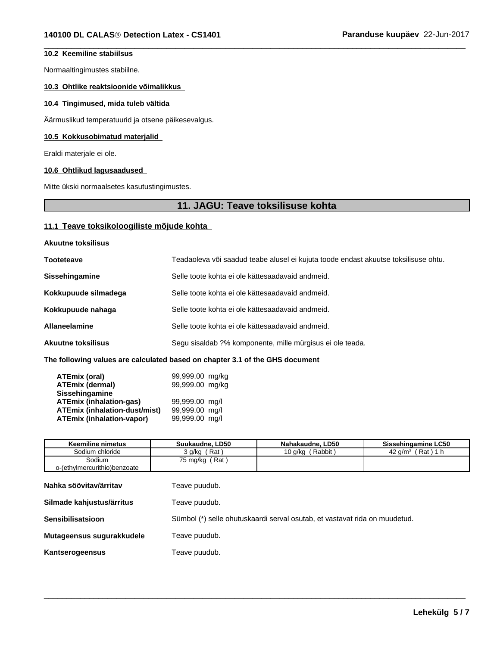### **10.2 Keemiline stabiilsus**

Normaaltingimustes stabiilne.

#### **10.3 Ohtlike reaktsioonide võimalikkus**

#### **10.4 Tingimused, mida tuleb vältida**

Äärmuslikud temperatuurid ja otsene päikesevalgus.

#### **10.5 Kokkusobimatud materjalid**

Eraldi materjale ei ole.

#### **10.6 Ohtlikud lagusaadused**

Mitte ükski normaalsetes kasutustingimustes.

## **11. JAGU: Teave toksilisuse kohta**

 $\overline{\phantom{a}}$  ,  $\overline{\phantom{a}}$  ,  $\overline{\phantom{a}}$  ,  $\overline{\phantom{a}}$  ,  $\overline{\phantom{a}}$  ,  $\overline{\phantom{a}}$  ,  $\overline{\phantom{a}}$  ,  $\overline{\phantom{a}}$  ,  $\overline{\phantom{a}}$  ,  $\overline{\phantom{a}}$  ,  $\overline{\phantom{a}}$  ,  $\overline{\phantom{a}}$  ,  $\overline{\phantom{a}}$  ,  $\overline{\phantom{a}}$  ,  $\overline{\phantom{a}}$  ,  $\overline{\phantom{a}}$ 

#### **11.1 Teave toksikoloogiliste mõjude kohta**

**Akuutne toksilisus**

| <b>Tooteteave</b>         | Teadaoleva või saadud teabe alusel ei kujuta toode endast akuutse toksilisuse ohtu. |
|---------------------------|-------------------------------------------------------------------------------------|
| Sissehingamine            | Selle toote kohta ei ole kättesaadavaid andmeid.                                    |
| Kokkupuude silmadega      | Selle toote kohta ei ole kättesaadavaid andmeid.                                    |
| Kokkupuude nahaqa         | Selle toote kohta ei ole kättesaadavaid andmeid.                                    |
| <b>Allaneelamine</b>      | Selle toote kohta ei ole kättesaadavaid andmeid.                                    |
| <b>Akuutne toksilisus</b> | Segu sisaldab ?% komponente, mille mürgisus ei ole teada.                           |
|                           |                                                                                     |

**The following values are calculated based on chapter 3.1 of the GHS document**

| ATEmix (oral)                        | 99,999.00 mg/kg |  |
|--------------------------------------|-----------------|--|
| <b>ATEmix (dermal)</b>               | 99,999.00 mg/kg |  |
| <b>Sissehingamine</b>                |                 |  |
| <b>ATEmix (inhalation-gas)</b>       | 99,999.00 mg/l  |  |
| <b>ATEmix (inhalation-dust/mist)</b> | 99,999.00 mg/l  |  |
| <b>ATEmix (inhalation-vapor)</b>     | 99,999.00 mg/l  |  |

| <b>Keemiline nimetus</b>               | Suukaudne, LD50 | Nahakaudne, LD50                                                           | Sissehingamine LC50  |
|----------------------------------------|-----------------|----------------------------------------------------------------------------|----------------------|
| Sodium chloride                        | 3 q/kg (Rat)    | 10 g/kg (Rabbit)                                                           | 42 $q/m^3$ (Rat) 1 h |
| Sodium<br>o-(ethylmercurithio)benzoate | 75 mg/kg (Rat)  |                                                                            |                      |
| Nahka söövitav/ärritav                 | Teave puudub.   |                                                                            |                      |
| Silmade kahjustus/ärritus              | Teave puudub.   |                                                                            |                      |
| Sensibilisatsioon                      |                 | Sümbol (*) selle ohutuskaardi serval osutab, et vastavat rida on muudetud. |                      |
| Mutageensus sugurakkudele              | Teave puudub.   |                                                                            |                      |
| Kantserogeensus                        | Teave puudub.   |                                                                            |                      |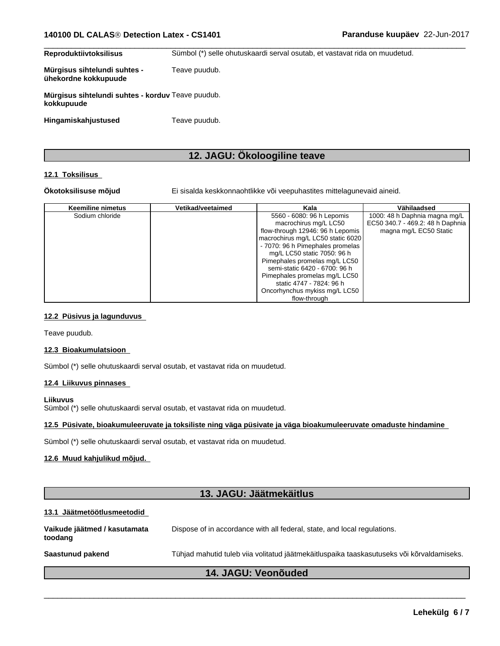| Teave puudub.<br>Mürgisus sihtelundi suhtes - korduv Teave puudub.<br>Teave puudub. | Reproduktiivtoksilisus                               | Sümbol (*) selle ohutuskaardi serval osutab, et vastavat rida on muudetud. |
|-------------------------------------------------------------------------------------|------------------------------------------------------|----------------------------------------------------------------------------|
|                                                                                     | Mürgisus sihtelundi suhtes -<br>ühekordne kokkupuude |                                                                            |
|                                                                                     | kokkupuude                                           |                                                                            |
|                                                                                     | Hingamiskahjustused                                  |                                                                            |

## **12. JAGU: Ökoloogiline teave**

#### **12.1 Toksilisus**

**Ökotoksilisuse mõjud** Ei sisalda keskkonnaohtlikke või veepuhastites mittelagunevaid aineid.

| <b>Keemiline nimetus</b> | Vetikad/veetaimed | Kala                              | Vähilaadsed                      |
|--------------------------|-------------------|-----------------------------------|----------------------------------|
| Sodium chloride          |                   | 5560 - 6080: 96 h Lepomis         | 1000: 48 h Daphnia magna mg/L    |
|                          |                   | macrochirus mg/L LC50             | EC50 340.7 - 469.2: 48 h Daphnia |
|                          |                   | flow-through 12946: 96 h Lepomis  | magna mg/L EC50 Static           |
|                          |                   | macrochirus mg/L LC50 static 6020 |                                  |
|                          |                   | - 7070: 96 h Pimephales promelas  |                                  |
|                          |                   | mg/L LC50 static 7050: 96 h       |                                  |
|                          |                   | Pimephales promelas mg/L LC50     |                                  |
|                          |                   | semi-static 6420 - 6700: 96 h     |                                  |
|                          |                   | Pimephales promelas mg/L LC50     |                                  |
|                          |                   | static 4747 - 7824: 96 h          |                                  |
|                          |                   | Oncorhynchus mykiss mg/L LC50     |                                  |
|                          |                   | flow-through                      |                                  |

#### **12.2 Püsivus ja lagunduvus**

Teave puudub.

#### **12.3 Bioakumulatsioon**

Sümbol (\*) selle ohutuskaardi serval osutab, et vastavat rida on muudetud.

#### **12.4 Liikuvus pinnases**

**Liikuvus**

Sümbol (\*) selle ohutuskaardi serval osutab, et vastavat rida on muudetud.

#### **12.5 Püsivate, bioakumuleeruvate ja toksiliste ning väga püsivate ja väga bioakumuleeruvate omaduste hindamine**

Sümbol (\*) selle ohutuskaardi serval osutab, et vastavat rida on muudetud.

#### **12.6 Muud kahjulikud mõjud.**

## **13. JAGU: Jäätmekäitlus**

#### **13.1 Jäätmetöötlusmeetodid**

| Vaikude jäätmed / kasutamata<br>toodang | Dispose of in accordance with all federal, state, and local regulations.                  |
|-----------------------------------------|-------------------------------------------------------------------------------------------|
| Saastunud pakend                        | Tühjad mahutid tuleb viia volitatud jäätmekäitluspaika taaskasutuseks või kõrvaldamiseks. |

## **14. JAGU: Veonõuded**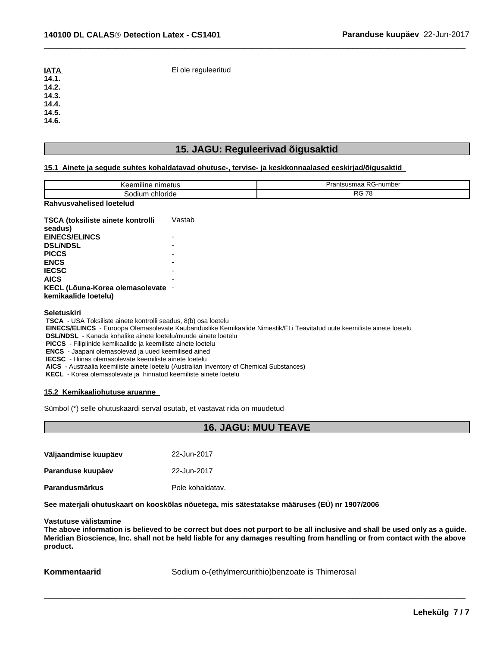| <b>ATA</b> | Ei ole reguleeritud |
|------------|---------------------|
| 14.1.      |                     |
| 14.2.      |                     |
| 14.3.      |                     |
| 14.4.      |                     |
| 14.5.      |                     |
| 14.6.      |                     |

## **15. JAGU: Reguleerivad õigusaktid**

 $\overline{\phantom{a}}$  ,  $\overline{\phantom{a}}$  ,  $\overline{\phantom{a}}$  ,  $\overline{\phantom{a}}$  ,  $\overline{\phantom{a}}$  ,  $\overline{\phantom{a}}$  ,  $\overline{\phantom{a}}$  ,  $\overline{\phantom{a}}$  ,  $\overline{\phantom{a}}$  ,  $\overline{\phantom{a}}$  ,  $\overline{\phantom{a}}$  ,  $\overline{\phantom{a}}$  ,  $\overline{\phantom{a}}$  ,  $\overline{\phantom{a}}$  ,  $\overline{\phantom{a}}$  ,  $\overline{\phantom{a}}$ 

#### **15.1 Ainete ja segude suhtes kohaldatavad ohutuse-, tervise- ja keskkonnaalased eeskirjad/õigusaktid**

| $\cdots$<br>nimetus<br>…eem<br>nılıne | -number<br>rantsusmaa<br>-כטרו |
|---------------------------------------|--------------------------------|
| chloride<br>sodium                    | 70<br>מה<br>- טרי              |
| $ -$<br>$ -$<br>.<br>$\sim$           |                                |

#### **Rahvusvahelised loetelud**

| <b>TSCA (toksiliste ainete kontrolli</b> | Vastab |
|------------------------------------------|--------|
| seadus)                                  |        |
| <b>EINECS/ELINCS</b>                     |        |
| <b>DSL/NDSL</b>                          |        |
| <b>PICCS</b>                             |        |
| <b>ENCS</b>                              |        |
| <b>IECSC</b>                             |        |
| <b>AICS</b>                              |        |
| KECL (Lõuna-Korea olemasolevate -        |        |
| kemikaalide loetelu)                     |        |

#### **Seletuskiri**

 **TSCA** - USA Toksiliste ainete kontrolli seadus, 8(b) osa loetelu

 **EINECS/ELINCS** - Euroopa Olemasolevate Kaubanduslike Kemikaalide Nimestik/ELi Teavitatud uute keemiliste ainete loetelu

 **DSL/NDSL** - Kanada kohalike ainete loetelu/muude ainete loetelu

 **PICCS** - Filipiinide kemikaalide ja keemiliste ainete loetelu

 **ENCS** - Jaapani olemasolevad ja uued keemilised ained

 **IECSC** - Hiinas olemasolevate keemiliste ainete loetelu

 **AICS** - Austraalia keemiliste ainete loetelu (Australian Inventory of Chemical Substances)

 **KECL** - Korea olemasolevate ja hinnatud keemiliste ainete loetelu

#### **15.2 Kemikaaliohutuse aruanne**

Sümbol (\*) selle ohutuskaardi serval osutab, et vastavat rida on muudetud

## **16. JAGU: MUU TEAVE**

| Väljaandmise kuupäev | 22-Jun-2017      |
|----------------------|------------------|
| Paranduse kuupäev    | 22-Jun-2017      |
| Parandusmärkus       | Pole kohaldatav. |

**See materjali ohutuskaart on kooskõlas nõuetega, mis sätestatakse määruses (EÜ) nr 1907/2006**

#### **Vastutuse välistamine**

The above information is believed to be correct but does not purport to be all inclusive and shall be used only as a guide. Meridian Bioscience, Inc. shall not be held liable for any damages resulting from handling or from contact with the above **product.**

**Kommentaarid** Sodium o-(ethylmercurithio)benzoate is Thimerosal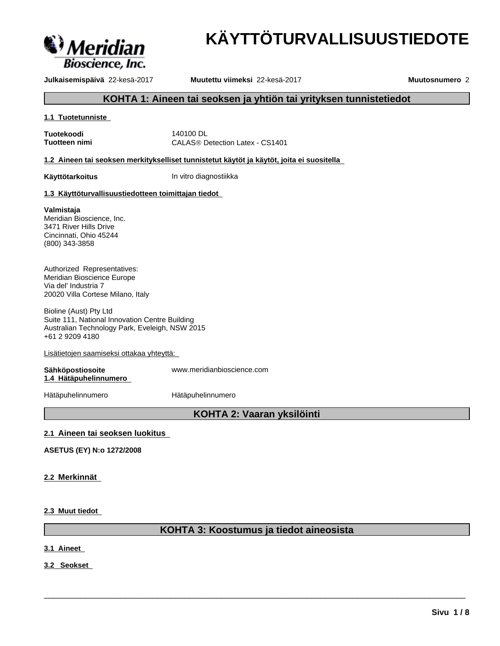

# **KÄYTTÖTURVALLISUUSTIEDOTE**

**Julkaisemispäivä** 22-kesä-2017 **Muutettu viimeksi** 22-kesä-2017 **Muutosnumero** 2

## **KOHTA 1: Aineen tai seoksen ja yhtiön tai yrityksen tunnistetiedot**

#### **1.1 Tuotetunniste**

**Tuotekoodi** 140100 DL

**Tuotteen nimi** CALAS<sup>®</sup> Detection Latex - CS1401

**1.2 Aineen taiseoksen merkitykselliset tunnistetut käytöt ja käytöt, joita ei suositella**

**Käyttötarkoitus** In vitro diagnostiikka

#### **1.3 Käyttöturvallisuustiedotteen toimittajan tiedot**

#### **Valmistaja**

Meridian Bioscience, Inc. 3471 River Hills Drive Cincinnati, Ohio 45244 (800) 343-3858

Authorized Representatives: Meridian Bioscience Europe Via del' Industria 7 20020 Villa Cortese Milano, Italy

Bioline (Aust) Pty Ltd Suite 111, National Innovation Centre Building Australian Technology Park, Eveleigh, NSW 2015 +61 2 9209 4180

Lisätietojen saamiseksi ottakaa yhteyttä:

**1.4 Hätäpuhelinnumero**

**Sähköpostiosoite** www.meridianbioscience.com

Hätäpuhelinnumero Hätäpuhelinnumero

## **KOHTA 2: Vaaran yksilöinti**

#### **2.1 Aineen tai seoksen luokitus**

**ASETUS (EY) N:o 1272/2008**

#### **2.2 Merkinnät**

**2.3 Muut tiedot**

## **KOHTA 3: Koostumus ja tiedot aineosista**

 $\overline{\phantom{a}}$  ,  $\overline{\phantom{a}}$  ,  $\overline{\phantom{a}}$  ,  $\overline{\phantom{a}}$  ,  $\overline{\phantom{a}}$  ,  $\overline{\phantom{a}}$  ,  $\overline{\phantom{a}}$  ,  $\overline{\phantom{a}}$  ,  $\overline{\phantom{a}}$  ,  $\overline{\phantom{a}}$  ,  $\overline{\phantom{a}}$  ,  $\overline{\phantom{a}}$  ,  $\overline{\phantom{a}}$  ,  $\overline{\phantom{a}}$  ,  $\overline{\phantom{a}}$  ,  $\overline{\phantom{a}}$ 

**3.1 Aineet**

**3.2 Seokset**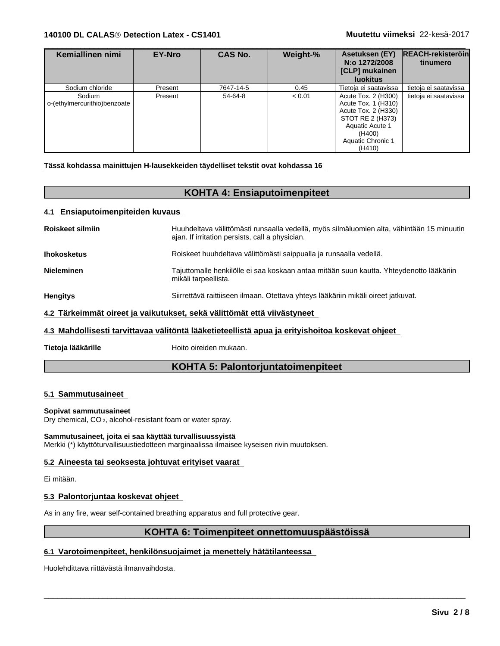| Kemiallinen nimi                       | <b>EY-Nro</b> | <b>CAS No.</b> | Weight-% | Asetuksen (EY)<br>N:o 1272/2008<br>[CLP] mukainen<br><b>luokitus</b>                                                                              | <b>REACH-rekisteröin</b><br>tinumero |
|----------------------------------------|---------------|----------------|----------|---------------------------------------------------------------------------------------------------------------------------------------------------|--------------------------------------|
| Sodium chloride                        | Present       | 7647-14-5      | 0.45     | Tietoja ei saatavissa                                                                                                                             | tietoja ei saatavissa                |
| Sodium<br>o-(ethylmercurithio)benzoate | Present       | 54-64-8        | < 0.01   | Acute Tox. 2 (H300)<br>Acute Tox. 1 (H310)<br>Acute Tox. 2 (H330)<br>STOT RE 2 (H373)<br>Aquatic Acute 1<br>(H400)<br>Aquatic Chronic 1<br>(H410) | tietoja ei saatavissa                |

**Tässä kohdassa mainittujen H-lausekkeiden täydelliset tekstit ovat kohdassa 16**

## **KOHTA 4: Ensiaputoimenpiteet**

## **4.1 Ensiaputoimenpiteiden kuvaus**

| Roiskeet silmiin                                                                                | Huuhdeltava välittömästi runsaalla vedellä, myös silmäluomien alta, vähintään 15 minuutin<br>ajan. If irritation persists, call a physician. |  |  |
|-------------------------------------------------------------------------------------------------|----------------------------------------------------------------------------------------------------------------------------------------------|--|--|
| <b>Ihokosketus</b>                                                                              | Roiskeet huuhdeltava välittömästi saippualla ja runsaalla vedellä.                                                                           |  |  |
| <b>Nieleminen</b>                                                                               | Tajuttomalle henkilölle ei saa koskaan antaa mitään suun kautta. Yhteydenotto lääkäriin<br>mikäli tarpeellista.                              |  |  |
| <b>Hengitys</b>                                                                                 | Siirrettävä raittiiseen ilmaan. Otettava yhteys lääkäriin mikäli oireet jatkuvat.                                                            |  |  |
|                                                                                                 | 4.2 Tärkeimmät oireet ja vaikutukset, sekä välittömät että viivästyneet                                                                      |  |  |
| 4.3 Mahdollisesti tarvittavaa välitöntä lääketieteellistä apua ja erityishoitoa koskevat ohjeet |                                                                                                                                              |  |  |

Tietoja lääkärille **Markon valtaan**.

## **KOHTA 5: Palontorjuntatoimenpiteet**

#### **5.1 Sammutusaineet**

#### **Sopivat sammutusaineet**

Dry chemical, CO 2, alcohol-resistant foam or water spray.

#### **Sammutusaineet, joita ei saa käyttää turvallisuussyistä** Merkki (\*) käyttöturvallisuustiedotteen marginaalissa ilmaisee kyseisen rivin muutoksen.

#### **5.2 Aineesta tai seoksesta johtuvat erityiset vaarat**

Ei mitään.

#### **5.3 Palontorjuntaa koskevat ohjeet**

As in any fire, wear self-contained breathing apparatus and full protective gear.

#### **KOHTA 6: Toimenpiteet onnettomuuspäästöissä**

 $\overline{\phantom{a}}$  ,  $\overline{\phantom{a}}$  ,  $\overline{\phantom{a}}$  ,  $\overline{\phantom{a}}$  ,  $\overline{\phantom{a}}$  ,  $\overline{\phantom{a}}$  ,  $\overline{\phantom{a}}$  ,  $\overline{\phantom{a}}$  ,  $\overline{\phantom{a}}$  ,  $\overline{\phantom{a}}$  ,  $\overline{\phantom{a}}$  ,  $\overline{\phantom{a}}$  ,  $\overline{\phantom{a}}$  ,  $\overline{\phantom{a}}$  ,  $\overline{\phantom{a}}$  ,  $\overline{\phantom{a}}$ 

#### **6.1 Varotoimenpiteet, henkilönsuojaimet ja menettely hätätilanteessa**

Huolehdittava riittävästä ilmanvaihdosta.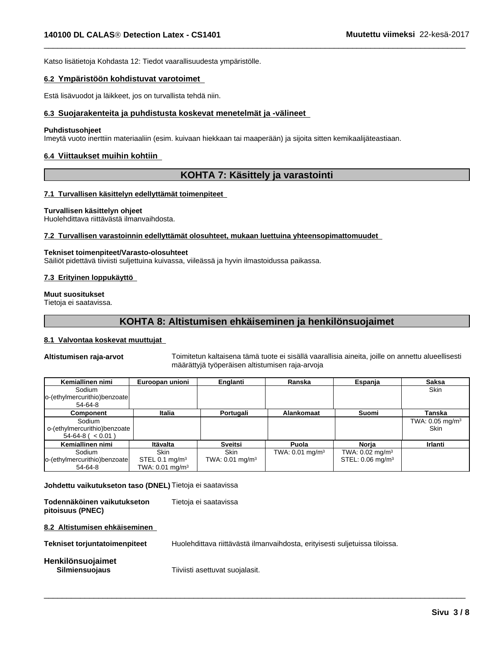Katso lisätietoja Kohdasta 12: Tiedot vaarallisuudesta ympäristölle.

#### **6.2 Ympäristöön kohdistuvat varotoimet**

Estä lisävuodot ja läikkeet, jos on turvallista tehdä niin.

#### **6.3 Suojarakenteita ja puhdistusta koskevat menetelmät ja -välineet**

#### **Puhdistusohjeet**

Imeytä vuoto inerttiin materiaaliin (esim. kuivaan hiekkaan tai maaperään) ja sijoita sitten kemikaalijäteastiaan.

#### **6.4 Viittaukset muihin kohtiin**

## **KOHTA 7: Käsittely ja varastointi**

 $\overline{\phantom{a}}$  ,  $\overline{\phantom{a}}$  ,  $\overline{\phantom{a}}$  ,  $\overline{\phantom{a}}$  ,  $\overline{\phantom{a}}$  ,  $\overline{\phantom{a}}$  ,  $\overline{\phantom{a}}$  ,  $\overline{\phantom{a}}$  ,  $\overline{\phantom{a}}$  ,  $\overline{\phantom{a}}$  ,  $\overline{\phantom{a}}$  ,  $\overline{\phantom{a}}$  ,  $\overline{\phantom{a}}$  ,  $\overline{\phantom{a}}$  ,  $\overline{\phantom{a}}$  ,  $\overline{\phantom{a}}$ 

#### **7.1 Turvallisen käsittelyn edellyttämät toimenpiteet**

#### **Turvallisen käsittelyn ohjeet**

Huolehdittava riittävästä ilmanvaihdosta.

#### **7.2 Turvallisen varastoinnin edellyttämät olosuhteet, mukaan luettuina yhteensopimattomuudet**

#### **Tekniset toimenpiteet/Varasto-olosuhteet**

Säiliöt pidettävä tiiviisti suljettuina kuivassa, viileässä ja hyvin ilmastoidussa paikassa.

#### **7.3 Erityinen loppukäyttö**

#### **Muut suositukset**

Tietoja ei saatavissa.

## **KOHTA 8: Altistumisen ehkäiseminen ja henkilönsuojaimet**

#### **8.1 Valvontaa koskevat muuttujat**

**Altistumisen raja-arvot** Toimitetun kaltaisena tämä tuote ei sisällä vaarallisia aineita, joille on annettu alueellisesti määrättyjä työperäisen altistumisen raja-arvoja

 $\overline{\phantom{a}}$  ,  $\overline{\phantom{a}}$  ,  $\overline{\phantom{a}}$  ,  $\overline{\phantom{a}}$  ,  $\overline{\phantom{a}}$  ,  $\overline{\phantom{a}}$  ,  $\overline{\phantom{a}}$  ,  $\overline{\phantom{a}}$  ,  $\overline{\phantom{a}}$  ,  $\overline{\phantom{a}}$  ,  $\overline{\phantom{a}}$  ,  $\overline{\phantom{a}}$  ,  $\overline{\phantom{a}}$  ,  $\overline{\phantom{a}}$  ,  $\overline{\phantom{a}}$  ,  $\overline{\phantom{a}}$ 

| Kemiallinen nimi              | Euroopan unioni            | Englanti                   | Ranska                     | Espanja                       | <b>Saksa</b>                  |
|-------------------------------|----------------------------|----------------------------|----------------------------|-------------------------------|-------------------------------|
| Sodium                        |                            |                            |                            |                               | <b>Skin</b>                   |
| lo-(ethylmercurithio)benzoate |                            |                            |                            |                               |                               |
| 54-64-8                       |                            |                            |                            |                               |                               |
| Component                     | Italia                     | Portugali                  | <b>Alankomaat</b>          | Suomi                         | Tanska                        |
| Sodium                        |                            |                            |                            |                               | TWA: $0.05$ mg/m <sup>3</sup> |
| o-(ethylmercurithio)benzoate  |                            |                            |                            |                               | Skin                          |
| $54-64-8$ ( $< 0.01$ )        |                            |                            |                            |                               |                               |
| Kemiallinen nimi              | Itävalta                   | <b>Sveitsi</b>             | Puola                      | Noria                         | <b>Irlanti</b>                |
| Sodium                        | Skin                       | <b>Skin</b>                | TWA: $0.01 \text{ mg/m}^3$ | TWA: $0.02$ mg/m <sup>3</sup> |                               |
| o-(ethylmercurithio)benzoate  | STEL 0.1 $mg/m3$           | TWA: $0.01 \text{ mg/m}^3$ |                            | STEL: 0.06 mg/m <sup>3</sup>  |                               |
| 54-64-8                       | TWA: $0.01 \text{ mg/m}^3$ |                            |                            |                               |                               |

#### **Johdettu vaikutukseton taso (DNEL)** Tietoja ei saatavissa

| Todennäköinen vaikutukseton<br>pitoisuus (PNEC) | Tietoja ei saatavissa                                                       |
|-------------------------------------------------|-----------------------------------------------------------------------------|
| 8.2 Altistumisen ehkäiseminen                   |                                                                             |
| <b>Tekniset torjuntatoimenpiteet</b>            | Huolehdittava riittävästä ilmanvaihdosta, erityisesti suljetuissa tiloissa. |
| Henkilönsuojaimet<br>Silmiensuojaus             | Tiiviisti asettuvat suojalasit.                                             |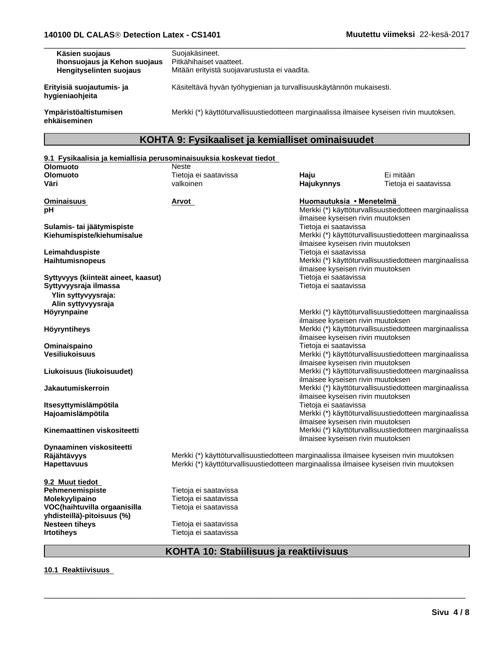| Käsien suojaus<br>Ihonsuojaus ja Kehon suojaus<br>Hengityselinten suojaus | Suojakäsineet.<br>Pitkähihaiset vaatteet.<br>Mitään erityistä suojavarustusta ei vaadita. |
|---------------------------------------------------------------------------|-------------------------------------------------------------------------------------------|
| Erityisiä suojautumis- ja<br>hygieniaohjeita                              | Käsiteltävä hyvän työhygienian ja turvallisuuskäytännön mukaisesti.                       |
| Ympäristöaltistumisen<br>ehkäiseminen                                     | Merkki (*) käyttöturvallisuustiedotteen marginaalissa ilmaisee kyseisen rivin muutoksen.  |

 $\overline{\phantom{a}}$  ,  $\overline{\phantom{a}}$  ,  $\overline{\phantom{a}}$  ,  $\overline{\phantom{a}}$  ,  $\overline{\phantom{a}}$  ,  $\overline{\phantom{a}}$  ,  $\overline{\phantom{a}}$  ,  $\overline{\phantom{a}}$  ,  $\overline{\phantom{a}}$  ,  $\overline{\phantom{a}}$  ,  $\overline{\phantom{a}}$  ,  $\overline{\phantom{a}}$  ,  $\overline{\phantom{a}}$  ,  $\overline{\phantom{a}}$  ,  $\overline{\phantom{a}}$  ,  $\overline{\phantom{a}}$ 

## **KOHTA 9: Fysikaaliset ja kemialliset ominaisuudet**

| 9.1 Fysikaalisia ja kemiallisia perusominaisuuksia koskevat tiedot<br><b>Olomuoto</b> | <b>Neste</b>                                                                            |                                                |                                                       |
|---------------------------------------------------------------------------------------|-----------------------------------------------------------------------------------------|------------------------------------------------|-------------------------------------------------------|
| <b>Olomuoto</b>                                                                       | Tietoja ei saatavissa                                                                   | Haju                                           | Ei mitään                                             |
| Väri                                                                                  | valkoinen                                                                               | Hajukynnys                                     | Tietoja ei saatavissa                                 |
| <b>Ominaisuus</b>                                                                     | Arvot                                                                                   | Huomautuksia • Menetelmä                       |                                                       |
| рH                                                                                    |                                                                                         | ilmaisee kyseisen rivin muutoksen              | Merkki (*) käyttöturvallisuustiedotteen marginaalissa |
| Sulamis- tai jäätymispiste                                                            |                                                                                         | Tietoja ei saatavissa                          |                                                       |
| Kiehumispiste/kiehumisalue                                                            |                                                                                         | ilmaisee kyseisen rivin muutoksen              | Merkki (*) käyttöturvallisuustiedotteen marginaalissa |
| Leimahduspiste                                                                        |                                                                                         | Tietoja ei saatavissa                          |                                                       |
| <b>Haihtumisnopeus</b>                                                                |                                                                                         | ilmaisee kyseisen rivin muutoksen              | Merkki (*) käyttöturvallisuustiedotteen marginaalissa |
| Syttyvyys (kiinteät aineet, kaasut)<br>Syttyvyysraja ilmassa                          |                                                                                         | Tietoja ei saatavissa<br>Tietoja ei saatavissa |                                                       |
| Ylin syttyvyysraja:<br>Alin syttyvyysraja                                             |                                                                                         |                                                |                                                       |
| Höyrynpaine                                                                           |                                                                                         | ilmaisee kyseisen rivin muutoksen              | Merkki (*) käyttöturvallisuustiedotteen marginaalissa |
| Höyryntiheys                                                                          |                                                                                         | ilmaisee kyseisen rivin muutoksen              | Merkki (*) käyttöturvallisuustiedotteen marginaalissa |
| Ominaispaino                                                                          |                                                                                         | Tietoja ei saatavissa                          |                                                       |
| <b>Vesiliukoisuus</b>                                                                 |                                                                                         |                                                | Merkki (*) käyttöturvallisuustiedotteen marginaalissa |
|                                                                                       |                                                                                         | ilmaisee kyseisen rivin muutoksen              |                                                       |
| Liukoisuus (liukoisuudet)                                                             |                                                                                         | ilmaisee kyseisen rivin muutoksen              | Merkki (*) käyttöturvallisuustiedotteen marginaalissa |
| <b>Jakautumiskerroin</b>                                                              |                                                                                         | ilmaisee kyseisen rivin muutoksen              | Merkki (*) käyttöturvallisuustiedotteen marginaalissa |
| Itsesyttymislämpötila                                                                 |                                                                                         | Tietoja ei saatavissa                          |                                                       |
| Hajoamislämpötila                                                                     |                                                                                         |                                                | Merkki (*) käyttöturvallisuustiedotteen marginaalissa |
|                                                                                       |                                                                                         | ilmaisee kyseisen rivin muutoksen              |                                                       |
| Kinemaattinen viskositeetti                                                           |                                                                                         | ilmaisee kyseisen rivin muutoksen              | Merkki (*) käyttöturvallisuustiedotteen marginaalissa |
| Dynaaminen viskositeetti<br>Räjähtävyys                                               | Merkki (*) käyttöturvallisuustiedotteen marginaalissa ilmaisee kyseisen rivin muutoksen |                                                |                                                       |
| Hapettavuus                                                                           | Merkki (*) käyttöturvallisuustiedotteen marginaalissa ilmaisee kyseisen rivin muutoksen |                                                |                                                       |
| 9.2 Muut tiedot                                                                       |                                                                                         |                                                |                                                       |
| Pehmenemispiste                                                                       | Tietoja ei saatavissa                                                                   |                                                |                                                       |
| Molekyylipaino                                                                        | Tietoja ei saatavissa                                                                   |                                                |                                                       |
| VOC(haihtuvilla orgaanisilla                                                          | Tietoja ei saatavissa                                                                   |                                                |                                                       |
| yhdisteillä)-pitoisuus (%)                                                            |                                                                                         |                                                |                                                       |
| <b>Nesteen tiheys</b>                                                                 | Tietoja ei saatavissa                                                                   |                                                |                                                       |
| <b>Irtotiheys</b>                                                                     | Tietoja ei saatavissa                                                                   |                                                |                                                       |
|                                                                                       |                                                                                         |                                                |                                                       |

## **KOHTA 10: Stabiilisuus ja reaktiivisuus**

 $\overline{\phantom{a}}$  ,  $\overline{\phantom{a}}$  ,  $\overline{\phantom{a}}$  ,  $\overline{\phantom{a}}$  ,  $\overline{\phantom{a}}$  ,  $\overline{\phantom{a}}$  ,  $\overline{\phantom{a}}$  ,  $\overline{\phantom{a}}$  ,  $\overline{\phantom{a}}$  ,  $\overline{\phantom{a}}$  ,  $\overline{\phantom{a}}$  ,  $\overline{\phantom{a}}$  ,  $\overline{\phantom{a}}$  ,  $\overline{\phantom{a}}$  ,  $\overline{\phantom{a}}$  ,  $\overline{\phantom{a}}$ 

## **10.1 Reaktiivisuus**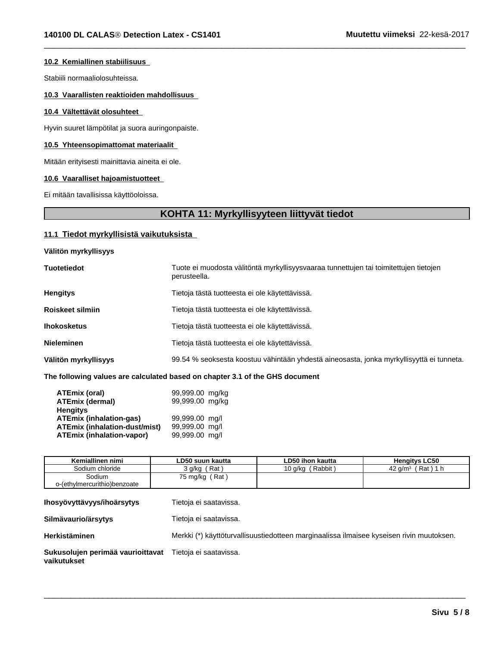#### **10.2 Kemiallinen stabiilisuus**

Stabiili normaaliolosuhteissa.

#### **10.3 Vaarallisten reaktioiden mahdollisuus**

#### **10.4 Vältettävät olosuhteet**

Hyvin suuret lämpötilat ja suora auringonpaiste.

#### **10.5 Yhteensopimattomat materiaalit**

Mitään erityisesti mainittavia aineita ei ole.

#### **10.6 Vaaralliset hajoamistuotteet**

Ei mitään tavallisissa käyttöoloissa.

## **KOHTA 11: Myrkyllisyyteen liittyvät tiedot**

 $\overline{\phantom{a}}$  ,  $\overline{\phantom{a}}$  ,  $\overline{\phantom{a}}$  ,  $\overline{\phantom{a}}$  ,  $\overline{\phantom{a}}$  ,  $\overline{\phantom{a}}$  ,  $\overline{\phantom{a}}$  ,  $\overline{\phantom{a}}$  ,  $\overline{\phantom{a}}$  ,  $\overline{\phantom{a}}$  ,  $\overline{\phantom{a}}$  ,  $\overline{\phantom{a}}$  ,  $\overline{\phantom{a}}$  ,  $\overline{\phantom{a}}$  ,  $\overline{\phantom{a}}$  ,  $\overline{\phantom{a}}$ 

### **11.1 Tiedot myrkyllisistä vaikutuksista**

**Välitön myrkyllisyys**

| <b>Tuotetiedot</b>      | Tuote ei muodosta välitöntä myrkyllisyysvaaraa tunnettujen tai toimitettujen tietojen<br>perusteella. |
|-------------------------|-------------------------------------------------------------------------------------------------------|
| <b>Hengitys</b>         | Tietoja tästä tuotteesta ei ole käytettävissä.                                                        |
| <b>Roiskeet silmiin</b> | Tietoja tästä tuotteesta ei ole käytettävissä.                                                        |
| <b>Ihokosketus</b>      | Tietoja tästä tuotteesta ei ole käytettävissä.                                                        |
| <b>Nieleminen</b>       | Tietoja tästä tuotteesta ei ole käytettävissä.                                                        |
| Välitön myrkyllisyys    | 99.54 % seoksesta koostuu vähintään yhdestä aineosasta, jonka myrkyllisyyttä ei tunneta.              |

#### **The following values are calculated based on chapter 3.1 of the GHS document**

| ATEmix (oral)                        | 99,999.00 mg/kg |  |
|--------------------------------------|-----------------|--|
| <b>ATEmix (dermal)</b>               | 99,999.00 mg/kg |  |
| <b>Hengitys</b>                      |                 |  |
| <b>ATEmix (inhalation-gas)</b>       | 99.999.00 ma/l  |  |
| <b>ATEmix (inhalation-dust/mist)</b> | 99.999.00 ma/l  |  |
| <b>ATEmix (inhalation-vapor)</b>     | 99.999.00 ma/l  |  |

| Kemiallinen nimi             | LD50 suun kautta | LD50 ihon kautta    | <b>Hengitys LC50</b> |
|------------------------------|------------------|---------------------|----------------------|
| Sodium chloride              | Rat<br>3 a/ka    | (Rabbit)<br>10 a/ka | Rat)<br>a/m          |
| Sodium                       | Rat<br>75 mg/kg  |                     |                      |
| o-(ethylmercurithio)benzoate |                  |                     |                      |

| Ihosyövyttävyys/ihoärsytys                       | Tietoja ei saatavissa.                                                                   |
|--------------------------------------------------|------------------------------------------------------------------------------------------|
| Silmävaurio/ärsytys                              | Tietoja ei saatavissa.                                                                   |
| <b>Herkistäminen</b>                             | Merkki (*) käyttöturvallisuustiedotteen marginaalissa ilmaisee kyseisen rivin muutoksen. |
| Sukusolujen perimää vaurioittavat<br>vaikutukset | Tietoja ei saatavissa.                                                                   |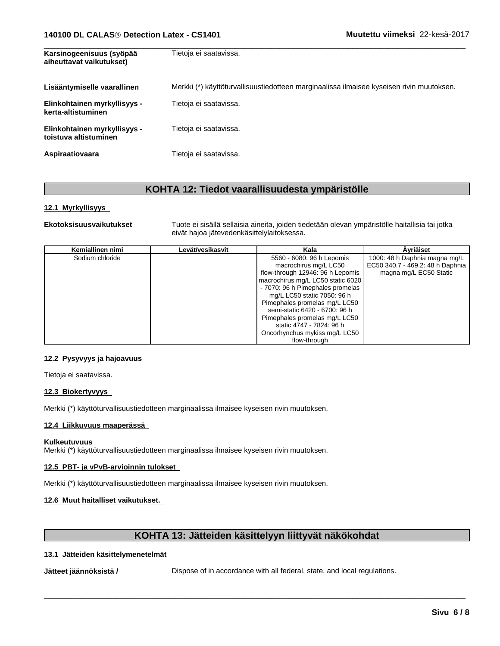| Karsinogeenisuus (syöpää<br>aiheuttavat vaikutukset)  | Tietoja ei saatavissa.                                                                   |
|-------------------------------------------------------|------------------------------------------------------------------------------------------|
| Lisääntymiselle vaarallinen                           | Merkki (*) käyttöturvallisuustiedotteen marginaalissa ilmaisee kyseisen rivin muutoksen. |
| Elinkohtainen myrkyllisyys -<br>kerta-altistuminen    | Tietoja ei saatavissa.                                                                   |
| Elinkohtainen myrkyllisyys -<br>toistuva altistuminen | Tietoja ei saatavissa.                                                                   |
| Aspiraatiovaara                                       | Tietoja ei saatavissa.                                                                   |

## **KOHTA 12: Tiedot vaarallisuudesta ympäristölle**

#### **12.1 Myrkyllisyys**

**Ekotoksisuusvaikutukset** Tuote ei sisällä sellaisia aineita, joiden tiedetään olevan ympäristölle haitallisia tai jotka eivät hajoa jätevedenkäsittelylaitoksessa.

| Kemiallinen nimi | Levät/vesikasvit | Kala                              | Ävriäiset                        |
|------------------|------------------|-----------------------------------|----------------------------------|
| Sodium chloride  |                  | 5560 - 6080: 96 h Lepomis         | 1000: 48 h Daphnia magna mg/L    |
|                  |                  | macrochirus mg/L LC50             | EC50 340.7 - 469.2: 48 h Daphnia |
|                  |                  | flow-through 12946: 96 h Lepomis  | magna mg/L EC50 Static           |
|                  |                  | macrochirus mg/L LC50 static 6020 |                                  |
|                  |                  | - 7070: 96 h Pimephales promelas  |                                  |
|                  |                  | mg/L LC50 static 7050: 96 h       |                                  |
|                  |                  | Pimephales promelas mg/L LC50     |                                  |
|                  |                  | semi-static 6420 - 6700: 96 h     |                                  |
|                  |                  | Pimephales promelas mg/L LC50     |                                  |
|                  |                  | static 4747 - 7824: 96 h          |                                  |
|                  |                  | Oncorhynchus mykiss mg/L LC50     |                                  |
|                  |                  | flow-through                      |                                  |

#### **12.2 Pysyvyys ja hajoavuus**

Tietoja ei saatavissa.

#### **12.3 Biokertyvyys**

Merkki (\*) käyttöturvallisuustiedotteen marginaalissa ilmaisee kyseisen rivin muutoksen.

#### **12.4 Liikkuvuus maaperässä**

#### **Kulkeutuvuus**

Merkki (\*) käyttöturvallisuustiedotteen marginaalissa ilmaisee kyseisen rivin muutoksen.

#### **12.5 PBT- ja vPvB-arvioinnin tulokset**

Merkki (\*) käyttöturvallisuustiedotteen marginaalissa ilmaisee kyseisen rivin muutoksen.

#### **12.6 Muut haitalliset vaikutukset.**

## **KOHTA 13: Jätteiden käsittelyyn liittyvät näkökohdat**

#### **13.1 Jätteiden käsittelymenetelmät**

**Jätteet jäännöksistä /** Dispose of in accordance with all federal, state, and local regulations.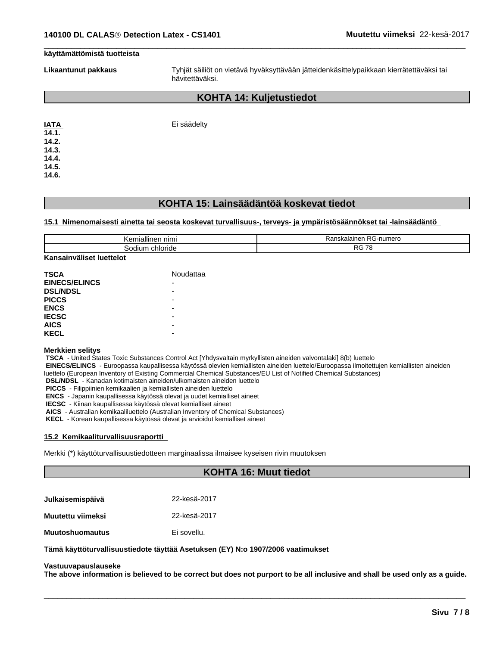#### **käyttämättömistä tuotteista**

**14.5. 14.6.**

**Likaantunut pakkaus** Tyhjät säiliöt on vietävä hyväksyttävään jätteidenkäsittelypaikkaan kierrätettäväksi tai hävitettäväksi.

 $\overline{\phantom{a}}$  ,  $\overline{\phantom{a}}$  ,  $\overline{\phantom{a}}$  ,  $\overline{\phantom{a}}$  ,  $\overline{\phantom{a}}$  ,  $\overline{\phantom{a}}$  ,  $\overline{\phantom{a}}$  ,  $\overline{\phantom{a}}$  ,  $\overline{\phantom{a}}$  ,  $\overline{\phantom{a}}$  ,  $\overline{\phantom{a}}$  ,  $\overline{\phantom{a}}$  ,  $\overline{\phantom{a}}$  ,  $\overline{\phantom{a}}$  ,  $\overline{\phantom{a}}$  ,  $\overline{\phantom{a}}$ 

## **KOHTA 14: Kuljetustiedot**

| <b>IATA</b> | Ei säädelty |
|-------------|-------------|
| 14.1.       |             |
| 14.2.       |             |
| 14.3.       |             |
| 14.4.       |             |

**KOHTA 15: Lainsäädäntöä koskevat tiedot**

**15.1 Nimenomaisesti ainetta tai seosta koskevat turvallisuus-, terveys- ja ympäristösäännökset tai -lainsäädäntö**

|                   | ı RG-numero                       |
|-------------------|-----------------------------------|
| nımı              | nskalall                          |
| manıner           | , 151                             |
|                   | ٦aι                               |
| chloride<br>.liur | <sub>D</sub> o<br>70<br>טז<br>ں ، |

**Kansainväliset luettelot**

| <b>TSCA</b>          | Noudattaa                |
|----------------------|--------------------------|
| <b>EINECS/ELINCS</b> | -                        |
| <b>DSL/NDSL</b>      | ۰                        |
| <b>PICCS</b>         | -                        |
| <b>ENCS</b>          | ۰                        |
| <b>IECSC</b>         | ۰                        |
| <b>AICS</b>          | $\overline{\phantom{0}}$ |
| <b>KECL</b>          | -                        |

#### **Merkkien selitys**

 **TSCA** - United States Toxic Substances Control Act [Yhdysvaltain myrkyllisten aineiden valvontalaki] 8(b) luettelo

 **EINECS/ELINCS** - Euroopassa kaupallisessa käytössä olevien kemiallisten aineiden luettelo/Euroopassa ilmoitettujen kemiallisten aineiden

luettelo (European Inventory of Existing Commercial Chemical Substances/EU List of Notified Chemical Substances)

 **DSL/NDSL** - Kanadan kotimaisten aineiden/ulkomaisten aineiden luettelo

 **PICCS** - Filippiinien kemikaalien ja kemiallisten aineiden luettelo

 **ENCS** - Japanin kaupallisessa käytössä olevat ja uudet kemialliset aineet

 **IECSC** - Kiinan kaupallisessa käytössä olevat kemialliset aineet

 **AICS** - Australian kemikaaliluettelo (Australian Inventory of Chemical Substances)

 **KECL** - Korean kaupallisessa käytössä olevat ja arvioidut kemialliset aineet

#### **15.2 Kemikaaliturvallisuusraportti**

Merkki (\*) käyttöturvallisuustiedotteen marginaalissa ilmaisee kyseisen rivin muutoksen

#### **KOHTA 16: Muut tiedot**

| Julkaisemispäivä | 22-kesä-2017 |
|------------------|--------------|
|                  |              |

**Muutettu viimeksi** 22-kesä-2017

**Muutoshuomautus** Ei sovellu.

**Tämä käyttöturvallisuustiedote täyttää Asetuksen (EY) N:o 1907/2006 vaatimukset**

#### **Vastuuvapauslauseke**

The above information is believed to be correct but does not purport to be all inclusive and shall be used only as a guide.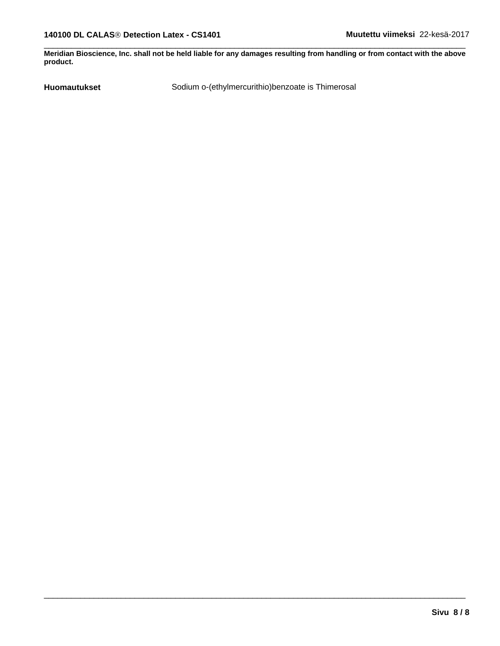Meridian Bioscience, Inc. shall not be held liable for any damages resulting from handling or from contact with the above **product.**

 $\overline{\phantom{a}}$  ,  $\overline{\phantom{a}}$  ,  $\overline{\phantom{a}}$  ,  $\overline{\phantom{a}}$  ,  $\overline{\phantom{a}}$  ,  $\overline{\phantom{a}}$  ,  $\overline{\phantom{a}}$  ,  $\overline{\phantom{a}}$  ,  $\overline{\phantom{a}}$  ,  $\overline{\phantom{a}}$  ,  $\overline{\phantom{a}}$  ,  $\overline{\phantom{a}}$  ,  $\overline{\phantom{a}}$  ,  $\overline{\phantom{a}}$  ,  $\overline{\phantom{a}}$  ,  $\overline{\phantom{a}}$ 

 $\overline{\phantom{a}}$  ,  $\overline{\phantom{a}}$  ,  $\overline{\phantom{a}}$  ,  $\overline{\phantom{a}}$  ,  $\overline{\phantom{a}}$  ,  $\overline{\phantom{a}}$  ,  $\overline{\phantom{a}}$  ,  $\overline{\phantom{a}}$  ,  $\overline{\phantom{a}}$  ,  $\overline{\phantom{a}}$  ,  $\overline{\phantom{a}}$  ,  $\overline{\phantom{a}}$  ,  $\overline{\phantom{a}}$  ,  $\overline{\phantom{a}}$  ,  $\overline{\phantom{a}}$  ,  $\overline{\phantom{a}}$ 

**Huomautukset** Sodium o-(ethylmercurithio)benzoate is Thimerosal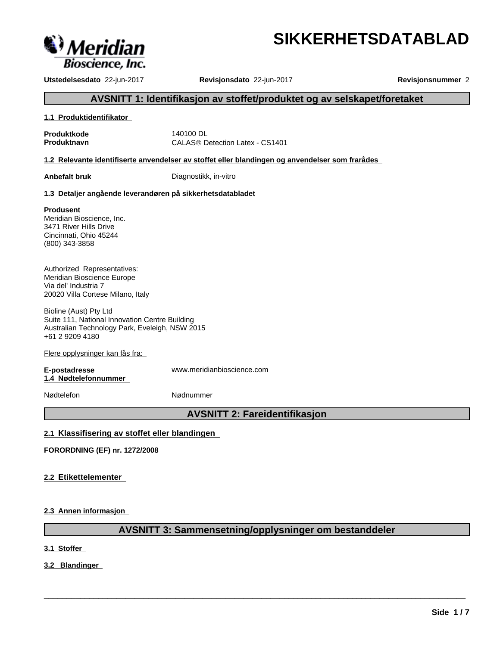

# **SIKKERHETSDATABLAD**

**Utstedelsesdato** 22-jun-2017 **Revisjonsdato** 22-jun-2017 **Revisjonsnummer** 2

## **AVSNITT 1: Identifikasjon av stoffet/produktet og av selskapet/foretaket**

#### **1.1 Produktidentifikator**

**Produktkode** 140100 DL

**Produktnavn** CALAS<sup>®</sup> Detection Latex - CS1401

**1.2 Relevante identifiserte anvendelser av stoffet eller blandingen og anvendelser som frarådes**

**Anbefalt bruk** Diagnostikk, in-vitro

#### **1.3 Detaljer angående leverandøren på sikkerhetsdatabladet**

#### **Produsent**

Meridian Bioscience, Inc. 3471 River Hills Drive Cincinnati, Ohio 45244 (800) 343-3858

Authorized Representatives: Meridian Bioscience Europe Via del' Industria 7 20020 Villa Cortese Milano, Italy

Bioline (Aust) Pty Ltd Suite 111, National Innovation Centre Building Australian Technology Park, Eveleigh, NSW 2015 +61 2 9209 4180

Flere opplysninger kan fås fra:

**1.4 Nødtelefonnummer**

**E-postadresse** www.meridianbioscience.com

Nødtelefon Nødnummer

## **AVSNITT 2: Fareidentifikasjon**

#### **2.1 Klassifisering av stoffet eller blandingen**

**FORORDNING (EF) nr. 1272/2008**

**2.2 Etikettelementer** 

**2.3 Annen informasjon**

## **AVSNITT 3: Sammensetning/opplysninger om bestanddeler**

 $\overline{\phantom{a}}$  ,  $\overline{\phantom{a}}$  ,  $\overline{\phantom{a}}$  ,  $\overline{\phantom{a}}$  ,  $\overline{\phantom{a}}$  ,  $\overline{\phantom{a}}$  ,  $\overline{\phantom{a}}$  ,  $\overline{\phantom{a}}$  ,  $\overline{\phantom{a}}$  ,  $\overline{\phantom{a}}$  ,  $\overline{\phantom{a}}$  ,  $\overline{\phantom{a}}$  ,  $\overline{\phantom{a}}$  ,  $\overline{\phantom{a}}$  ,  $\overline{\phantom{a}}$  ,  $\overline{\phantom{a}}$ 

**3.1 Stoffer**

**3.2 Blandinger**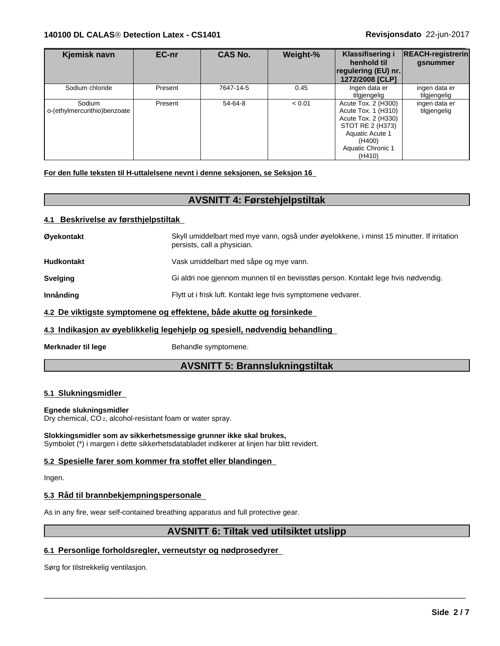#### **140100 DL CALASÒ Detection Latex - CS1401 Revisjonsdato** 22-jun-2017

| Kjemisk navn                           | EC-nr   | <b>CAS No.</b> | Weight-% | Klassifisering i<br>henhold til<br> regulering (EU) nr. <br>1272/2008 [CLP]                                                                       | <b>REACH-registrerin</b><br>gsnummer |
|----------------------------------------|---------|----------------|----------|---------------------------------------------------------------------------------------------------------------------------------------------------|--------------------------------------|
| Sodium chloride                        | Present | 7647-14-5      | 0.45     | Ingen data er<br>tilgjengelig                                                                                                                     | ingen data er<br>tilgjengelig        |
| Sodium<br>o-(ethylmercurithio)benzoate | Present | 54-64-8        | < 0.01   | Acute Tox. 2 (H300)<br>Acute Tox. 1 (H310)<br>Acute Tox. 2 (H330)<br>STOT RE 2 (H373)<br>Aquatic Acute 1<br>(H400)<br>Aquatic Chronic 1<br>(H410) | ingen data er<br>tilgjengelig        |

 $\overline{\phantom{a}}$  ,  $\overline{\phantom{a}}$  ,  $\overline{\phantom{a}}$  ,  $\overline{\phantom{a}}$  ,  $\overline{\phantom{a}}$  ,  $\overline{\phantom{a}}$  ,  $\overline{\phantom{a}}$  ,  $\overline{\phantom{a}}$  ,  $\overline{\phantom{a}}$  ,  $\overline{\phantom{a}}$  ,  $\overline{\phantom{a}}$  ,  $\overline{\phantom{a}}$  ,  $\overline{\phantom{a}}$  ,  $\overline{\phantom{a}}$  ,  $\overline{\phantom{a}}$  ,  $\overline{\phantom{a}}$ 

**For den fulle teksten til H-uttalelsene nevnt i denne seksjonen, se Seksjon 16**

## **AVSNITT 4: Førstehjelpstiltak**

#### **4.1 Beskrivelse av førsthjelpstiltak**

| Øvekontakt | Skyll umiddelbart med mye vann, også under øyelokkene, i minst 15 minutter. If irritation<br>persists, call a physician. |
|------------|--------------------------------------------------------------------------------------------------------------------------|
| Hudkontakt | Vask umiddelbart med såpe og mye vann.                                                                                   |
| Svelging   | Gi aldri noe gjennom munnen til en bevisstløs person. Kontakt lege hvis nødvendig.                                       |
| Innånding  | Flytt ut i frisk luft. Kontakt lege hvis symptomene vedvarer.                                                            |
|            | 4.2 De viktigste symptomene og effektene, både akutte og forsinkede                                                      |
|            |                                                                                                                          |

#### **4.3 Indikasjon av øyeblikkelig legehjelp og spesiell, nødvendig behandling**

**Merknader til lege** Behandle symptomene.

## **AVSNITT 5: Brannslukningstiltak**

#### **5.1 Slukningsmidler**

**Egnede slukningsmidler**

Dry chemical,  $CO<sub>2</sub>$ , alcohol-resistant foam or water spray.

**Slokkingsmidler som av sikkerhetsmessige grunner ikke skal brukes,** Symbolet (\*) i margen i dette sikkerhetsdatabladet indikerer at linjen har blitt revidert.

#### **5.2 Spesielle farer som kommer fra stoffet eller blandingen**

Ingen.

#### **5.3 Råd til brannbekjempningspersonale**

As in any fire, wear self-contained breathing apparatus and full protective gear.

## **AVSNITT 6: Tiltak ved utilsiktet utslipp**

 $\overline{\phantom{a}}$  ,  $\overline{\phantom{a}}$  ,  $\overline{\phantom{a}}$  ,  $\overline{\phantom{a}}$  ,  $\overline{\phantom{a}}$  ,  $\overline{\phantom{a}}$  ,  $\overline{\phantom{a}}$  ,  $\overline{\phantom{a}}$  ,  $\overline{\phantom{a}}$  ,  $\overline{\phantom{a}}$  ,  $\overline{\phantom{a}}$  ,  $\overline{\phantom{a}}$  ,  $\overline{\phantom{a}}$  ,  $\overline{\phantom{a}}$  ,  $\overline{\phantom{a}}$  ,  $\overline{\phantom{a}}$ 

## **6.1 Personlige forholdsregler, verneutstyr og nødprosedyrer**

Sørg for tilstrekkelig ventilasjon.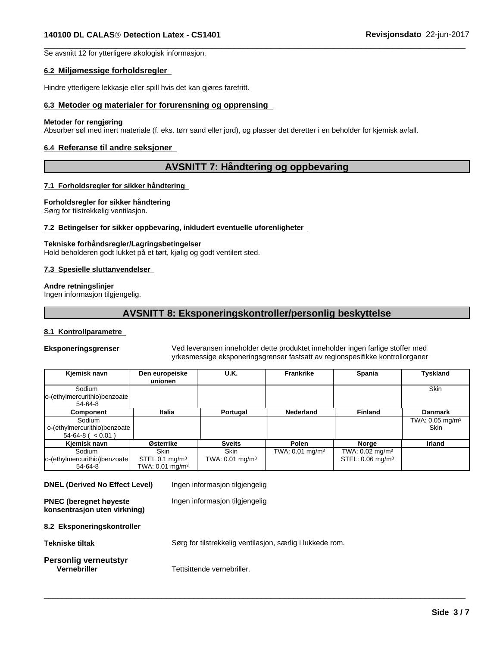Se avsnitt 12 for ytterligere økologisk informasjon.

#### **6.2 Miljømessige forholdsregler**

Hindre ytterligere lekkasje eller spill hvis det kan gjøres farefritt.

#### **6.3 Metoder og materialer for forurensning og opprensing**

#### **Metoder for rengjøring**

Absorber søl med inert materiale (f. eks. tørr sand eller jord), og plasser det deretter i en beholder for kjemisk avfall.

#### **6.4 Referanse til andre seksjoner**

## **AVSNITT 7: Håndtering og oppbevaring**

#### **7.1 Forholdsregler for sikker håndtering**

**Forholdsregler for sikker håndtering**

Sørg for tilstrekkelig ventilasjon.

#### **7.2 Betingelser for sikker oppbevaring, inkludert eventuelle uforenligheter**

#### **Tekniske forhåndsregler/Lagringsbetingelser**

Hold beholderen godt lukket på et tørt, kjølig og godt ventilert sted.

#### **7.3 Spesielle sluttanvendelser**

#### **Andre retningslinjer**

Ingen informasjon tilgjengelig.

## **AVSNITT 8: Eksponeringskontroller/personlig beskyttelse**

#### **8.1 Kontrollparametre**

**Eksponeringsgrenser** Ved leveransen inneholder dette produktet inneholder ingen farlige stoffer med yrkesmessige eksponeringsgrenser fastsatt av regionspesifikke kontrollorganer

 $\overline{\phantom{a}}$  ,  $\overline{\phantom{a}}$  ,  $\overline{\phantom{a}}$  ,  $\overline{\phantom{a}}$  ,  $\overline{\phantom{a}}$  ,  $\overline{\phantom{a}}$  ,  $\overline{\phantom{a}}$  ,  $\overline{\phantom{a}}$  ,  $\overline{\phantom{a}}$  ,  $\overline{\phantom{a}}$  ,  $\overline{\phantom{a}}$  ,  $\overline{\phantom{a}}$  ,  $\overline{\phantom{a}}$  ,  $\overline{\phantom{a}}$  ,  $\overline{\phantom{a}}$  ,  $\overline{\phantom{a}}$ 

| Kjemisk navn                                                     | Den europeiske<br>unionen                                               | U.K.                                      | Frankrike                  | Spania                                                     | Tyskland                           |
|------------------------------------------------------------------|-------------------------------------------------------------------------|-------------------------------------------|----------------------------|------------------------------------------------------------|------------------------------------|
| Sodium<br>lo-(ethylmercurithio)benzoate<br>$54-64-8$             |                                                                         |                                           |                            |                                                            | Skin                               |
| Component                                                        | Italia                                                                  | Portugal                                  | Nederland                  | <b>Finland</b>                                             | <b>Danmark</b>                     |
| Sodium<br>o-(ethylmercurithio)benzoate<br>$54-64-8$ ( $< 0.01$ ) |                                                                         |                                           |                            |                                                            | TWA: $0.05 \text{ mg/m}^3$<br>Skin |
| Kiemisk navn                                                     | Østerrike                                                               | <b>Sveits</b>                             | Polen                      | Norge                                                      | <b>Irland</b>                      |
| Sodium<br>lo-(ethylmercurithio)benzoate<br>54-64-8               | <b>Skin</b><br>STEL 0.1 mg/m <sup>3</sup><br>TWA: $0.01 \text{ mg/m}^3$ | <b>Skin</b><br>TWA: $0.01 \text{ mg/m}^3$ | TWA: $0.01 \text{ mg/m}^3$ | TWA: $0.02 \text{ mg/m}^3$<br>STEL: 0.06 mg/m <sup>3</sup> |                                    |

### **DNEL (Derived No Effect Level)** Ingen informasjon tilgjengelig

| <b>PNEC</b> (beregnet høyeste<br>konsentrasion uten virkning) | Ingen informasion tilgiengelig |  |
|---------------------------------------------------------------|--------------------------------|--|
| 8.2 Eksponeringskontroller                                    |                                |  |

**Tekniske tiltak** Sørg for tilstrekkelig ventilasjon,særlig i lukkede rom.

 $\overline{\phantom{a}}$  ,  $\overline{\phantom{a}}$  ,  $\overline{\phantom{a}}$  ,  $\overline{\phantom{a}}$  ,  $\overline{\phantom{a}}$  ,  $\overline{\phantom{a}}$  ,  $\overline{\phantom{a}}$  ,  $\overline{\phantom{a}}$  ,  $\overline{\phantom{a}}$  ,  $\overline{\phantom{a}}$  ,  $\overline{\phantom{a}}$  ,  $\overline{\phantom{a}}$  ,  $\overline{\phantom{a}}$  ,  $\overline{\phantom{a}}$  ,  $\overline{\phantom{a}}$  ,  $\overline{\phantom{a}}$ 

**Personlig verneutstyr**

**Vernebriller** Tettsittende vernebriller.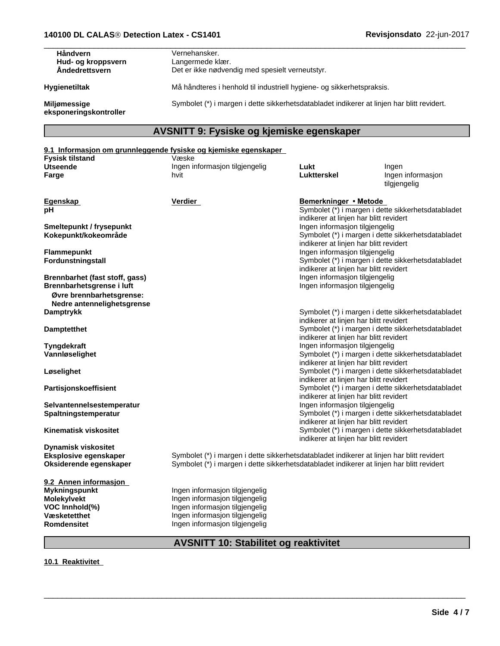| <b>Håndvern</b>                        | Vernehansker.                                                                              |
|----------------------------------------|--------------------------------------------------------------------------------------------|
| Hud- og kroppsvern                     | Langermede klær.                                                                           |
| Andedrettsvern                         | Det er ikke nødvendig med spesielt verneutstyr.                                            |
| Hygienetiltak                          | Må håndteres i henhold til industriell hygiene- og sikkerhetspraksis.                      |
| Miljømessige<br>eksponeringskontroller | Symbolet (*) i margen i dette sikkerhetsdatabladet indikerer at linjen har blitt revidert. |
|                                        |                                                                                            |

## **AVSNITT 9: Fysiske og kjemiske egenskaper**

|                                                             | 9.1 Informasjon om grunnleggende fysiske og kjemiske egenskaper                           |                                                                  |                                                    |
|-------------------------------------------------------------|-------------------------------------------------------------------------------------------|------------------------------------------------------------------|----------------------------------------------------|
| <b>Fysisk tilstand</b><br><b>Utseende</b>                   | Væske<br>Ingen informasjon tilgjengelig                                                   | Lukt                                                             |                                                    |
|                                                             |                                                                                           | Luktterskel                                                      | Ingen                                              |
| Farge                                                       | hvit                                                                                      |                                                                  | Ingen informasjon<br>tilgjengelig                  |
| <b>Egenskap</b>                                             | Verdier                                                                                   | Bemerkninger • Metode                                            |                                                    |
| рH                                                          |                                                                                           | indikerer at linjen har blitt revidert                           | Symbolet (*) i margen i dette sikkerhetsdatabladet |
| Smeltepunkt / frysepunkt                                    |                                                                                           | Ingen informasjon tilgjengelig                                   |                                                    |
| Kokepunkt/kokeområde                                        |                                                                                           | indikerer at linjen har blitt revidert                           | Symbolet (*) i margen i dette sikkerhetsdatabladet |
| <b>Flammepunkt</b>                                          |                                                                                           | Ingen informasjon tilgjengelig                                   |                                                    |
| Fordunstningstall                                           |                                                                                           | indikerer at linjen har blitt revidert                           | Symbolet (*) i margen i dette sikkerhetsdatabladet |
| Brennbarhet (fast stoff, gass)<br>Brennbarhetsgrense i luft |                                                                                           | Ingen informasjon tilgjengelig<br>Ingen informasjon tilgjengelig |                                                    |
| Øvre brennbarhetsgrense:<br>Nedre antennelighetsgrense      |                                                                                           |                                                                  |                                                    |
| <b>Damptrykk</b>                                            |                                                                                           | indikerer at linjen har blitt revidert                           | Symbolet (*) i margen i dette sikkerhetsdatabladet |
| <b>Damptetthet</b>                                          |                                                                                           | indikerer at linjen har blitt revidert                           | Symbolet (*) i margen i dette sikkerhetsdatabladet |
| Tyngdekraft                                                 |                                                                                           | Ingen informasjon tilgjengelig                                   |                                                    |
| Vannløselighet                                              |                                                                                           |                                                                  | Symbolet (*) i margen i dette sikkerhetsdatabladet |
|                                                             |                                                                                           | indikerer at linjen har blitt revidert                           |                                                    |
| Løselighet                                                  |                                                                                           | indikerer at linjen har blitt revidert                           | Symbolet (*) i margen i dette sikkerhetsdatabladet |
| Partisjonskoeffisient                                       |                                                                                           | indikerer at linjen har blitt revidert                           | Symbolet (*) i margen i dette sikkerhetsdatabladet |
| Selvantennelsestemperatur                                   |                                                                                           | Ingen informasjon tilgjengelig                                   |                                                    |
| Spaltningstemperatur                                        |                                                                                           | indikerer at linjen har blitt revidert                           | Symbolet (*) i margen i dette sikkerhetsdatabladet |
| <b>Kinematisk viskositet</b>                                |                                                                                           | indikerer at linjen har blitt revidert                           | Symbolet (*) i margen i dette sikkerhetsdatabladet |
| Dynamisk viskositet                                         |                                                                                           |                                                                  |                                                    |
| Eksplosive egenskaper                                       | Symbolet (*) i margen i dette sikkerhetsdatabladet indikerer at linjen har blitt revidert |                                                                  |                                                    |
| Oksiderende egenskaper                                      | Symbolet (*) i margen i dette sikkerhetsdatabladet indikerer at linjen har blitt revidert |                                                                  |                                                    |
| 9.2 Annen informasjon                                       |                                                                                           |                                                                  |                                                    |
| <b>Mykningspunkt</b>                                        | Ingen informasjon tilgjengelig                                                            |                                                                  |                                                    |
| <b>Molekylvekt</b>                                          | Ingen informasjon tilgjengelig                                                            |                                                                  |                                                    |
| VOC Innhold(%)                                              | Ingen informasjon tilgjengelig                                                            |                                                                  |                                                    |
| Væsketetthet                                                | Ingen informasjon tilgjengelig<br>Ingen informasjon tilgjengelig                          |                                                                  |                                                    |
| <b>Romdensitet</b>                                          |                                                                                           |                                                                  |                                                    |
|                                                             |                                                                                           |                                                                  |                                                    |

## **AVSNITT 10: Stabilitet og reaktivitet**

 $\overline{\phantom{a}}$  ,  $\overline{\phantom{a}}$  ,  $\overline{\phantom{a}}$  ,  $\overline{\phantom{a}}$  ,  $\overline{\phantom{a}}$  ,  $\overline{\phantom{a}}$  ,  $\overline{\phantom{a}}$  ,  $\overline{\phantom{a}}$  ,  $\overline{\phantom{a}}$  ,  $\overline{\phantom{a}}$  ,  $\overline{\phantom{a}}$  ,  $\overline{\phantom{a}}$  ,  $\overline{\phantom{a}}$  ,  $\overline{\phantom{a}}$  ,  $\overline{\phantom{a}}$  ,  $\overline{\phantom{a}}$ 

**10.1 Reaktivitet**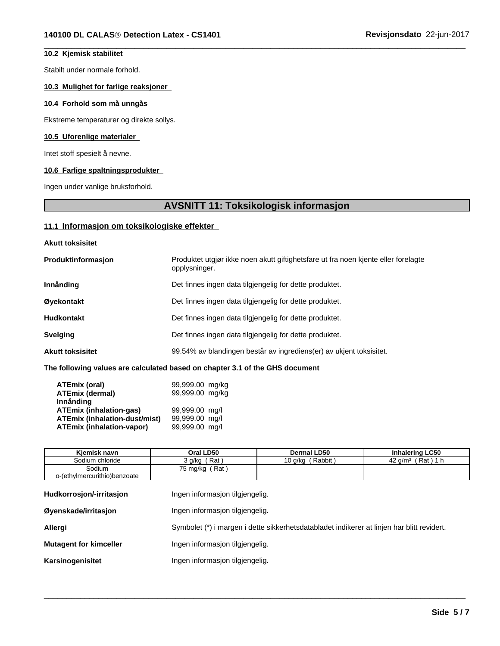#### **10.2 Kjemisk stabilitet**

Stabilt under normale forhold.

#### **10.3 Mulighet for farlige reaksjoner**

#### **10.4 Forhold som må unngås**

Ekstreme temperaturer og direkte sollys.

#### **10.5 Uforenlige materialer**

Intet stoff spesielt å nevne.

#### **10.6 Farlige spaltningsprodukter**

Ingen under vanlige bruksforhold.

## **AVSNITT 11: Toksikologisk informasjon**

 $\overline{\phantom{a}}$  ,  $\overline{\phantom{a}}$  ,  $\overline{\phantom{a}}$  ,  $\overline{\phantom{a}}$  ,  $\overline{\phantom{a}}$  ,  $\overline{\phantom{a}}$  ,  $\overline{\phantom{a}}$  ,  $\overline{\phantom{a}}$  ,  $\overline{\phantom{a}}$  ,  $\overline{\phantom{a}}$  ,  $\overline{\phantom{a}}$  ,  $\overline{\phantom{a}}$  ,  $\overline{\phantom{a}}$  ,  $\overline{\phantom{a}}$  ,  $\overline{\phantom{a}}$  ,  $\overline{\phantom{a}}$ 

#### **11.1 Informasjon om toksikologiske effekter**

**Akutt toksisitet**

| Produktinformasjon      | Produktet utgjør ikke noen akutt giftighetsfare ut fra noen kjente eller forelagte<br>opplysninger. |
|-------------------------|-----------------------------------------------------------------------------------------------------|
| Innånding               | Det finnes ingen data tilgjengelig for dette produktet.                                             |
| Øyekontakt              | Det finnes ingen data tilgjengelig for dette produktet.                                             |
| <b>Hudkontakt</b>       | Det finnes ingen data tilgjengelig for dette produktet.                                             |
| <b>Svelging</b>         | Det finnes ingen data tilgjengelig for dette produktet.                                             |
| <b>Akutt toksisitet</b> | 99.54% av blandingen består av ingrediens(er) av ukjent toksisitet.                                 |

**The following values are calculated based on chapter 3.1 of the GHS document**

| ATEmix (oral)                        | 99,999.00 mg/kg |  |
|--------------------------------------|-----------------|--|
| <b>ATEmix (dermal)</b>               | 99,999.00 mg/kg |  |
| Innånding                            |                 |  |
| <b>ATEmix (inhalation-gas)</b>       | 99,999.00 mg/l  |  |
| <b>ATEmix (inhalation-dust/mist)</b> | 99,999.00 mg/l  |  |
| <b>ATEmix (inhalation-vapor)</b>     | 99.999.00 ma/l  |  |

| Kiemisk navn                           | Oral LD50                      | <b>Dermal LD50</b> | <b>Inhalering LC50</b>           |
|----------------------------------------|--------------------------------|--------------------|----------------------------------|
| Sodium chloride                        | 3 g/kg (Rat)                   | 10 g/kg (Rabbit)   | (Rat) 1 h<br>42 a/m <sup>3</sup> |
| Sodium<br>o-(ethylmercurithio)benzoate | 75 mg/kg (Rat)                 |                    |                                  |
| <b>Uudkarraajan/irritaajan</b>         | Ingon informacion tilgionacija |                    |                                  |

| <u>MUURVITUSJUITEITILASJUIT</u> | <u>INGLI INDINASION MUJENGEN</u> .                                                         |
|---------------------------------|--------------------------------------------------------------------------------------------|
| Øyenskade/irritasjon            | Ingen informasion tilgiengelig.                                                            |
| Allergi                         | Symbolet (*) i margen i dette sikkerhetsdatabladet indikerer at linjen har blitt revidert. |
| <b>Mutagent for kimceller</b>   | Ingen informasion tilgiengelig.                                                            |
| Karsinogenisitet                | Ingen informasion tilgiengelig.                                                            |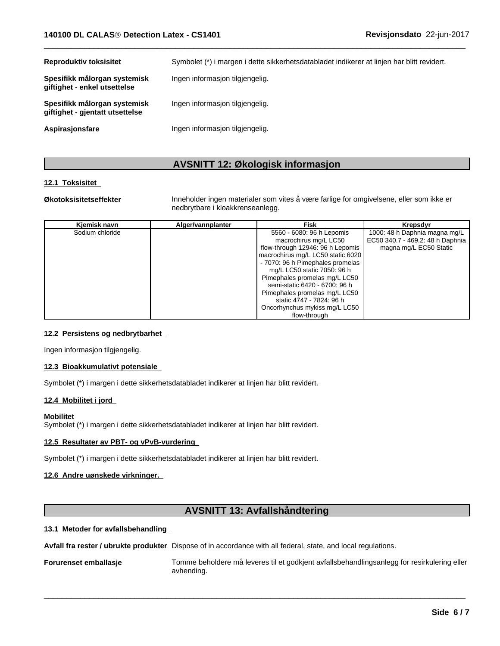| <b>Reproduktiv toksisitet</b>                                   | Symbolet (*) i margen i dette sikkerhetsdatabladet indikerer at linjen har blitt revidert. |
|-----------------------------------------------------------------|--------------------------------------------------------------------------------------------|
| Spesifikk målorgan systemisk<br>giftighet - enkel utsettelse    | Ingen informasion tilgiengelig.                                                            |
| Spesifikk målorgan systemisk<br>giftighet - gjentatt utsettelse | Ingen informasion tilgiengelig.                                                            |
| Aspirasionsfare                                                 | Ingen informasjon tilgjengelig.                                                            |

## **AVSNITT 12: Økologisk informasjon**

#### **12.1 Toksisitet**

**Økotoksisitetseffekter** Inneholder ingen materialer som vites å være farlige for omgivelsene, eller som ikke er nedbrytbare i kloakkrenseanlegg.

 $\overline{\phantom{a}}$  ,  $\overline{\phantom{a}}$  ,  $\overline{\phantom{a}}$  ,  $\overline{\phantom{a}}$  ,  $\overline{\phantom{a}}$  ,  $\overline{\phantom{a}}$  ,  $\overline{\phantom{a}}$  ,  $\overline{\phantom{a}}$  ,  $\overline{\phantom{a}}$  ,  $\overline{\phantom{a}}$  ,  $\overline{\phantom{a}}$  ,  $\overline{\phantom{a}}$  ,  $\overline{\phantom{a}}$  ,  $\overline{\phantom{a}}$  ,  $\overline{\phantom{a}}$  ,  $\overline{\phantom{a}}$ 

| Kjemisk navn    | Alger/vannplanter | Fisk                              | Krepsdyr                         |
|-----------------|-------------------|-----------------------------------|----------------------------------|
| Sodium chloride |                   | 5560 - 6080: 96 h Lepomis         | 1000: 48 h Daphnia magna mg/L    |
|                 |                   | macrochirus mg/L LC50             | EC50 340.7 - 469.2: 48 h Daphnia |
|                 |                   | flow-through 12946: 96 h Lepomis  | magna mg/L EC50 Static           |
|                 |                   | macrochirus mg/L LC50 static 6020 |                                  |
|                 |                   | - 7070: 96 h Pimephales promelas  |                                  |
|                 |                   | mg/L LC50 static 7050: 96 h       |                                  |
|                 |                   | Pimephales promelas mg/L LC50     |                                  |
|                 |                   | semi-static 6420 - 6700: 96 h     |                                  |
|                 |                   | Pimephales promelas mg/L LC50     |                                  |
|                 |                   | static 4747 - 7824: 96 h          |                                  |
|                 |                   | Oncorhynchus mykiss mg/L LC50     |                                  |
|                 |                   | flow-through                      |                                  |

#### **12.2 Persistens og nedbrytbarhet**

Ingen informasjon tilgjengelig.

#### **12.3 Bioakkumulativt potensiale**

Symbolet (\*) i margen i dette sikkerhetsdatabladet indikerer atlinjen har blitt revidert.

#### **12.4 Mobilitet ijord**

#### **Mobilitet**

Symbolet (\*) i margen i dette sikkerhetsdatabladet indikerer at linjen har blitt revidert.

#### **12.5 Resultater av PBT- og vPvB-vurdering**

Symbolet (\*) i margen i dette sikkerhetsdatabladet indikerer atlinjen har blitt revidert.

#### **12.6 Andre uønskede virkninger.**

## **AVSNITT 13: Avfallshåndtering**

#### **13.1 Metoder for avfallsbehandling**

**Avfall fra rester / ubrukte produkter** Dispose of in accordance with all federal, state, and local regulations.

**Forurenset emballasje** Tomme beholdere må leveres til et godkjent avfallsbehandlingsanlegg for resirkulering eller avhending.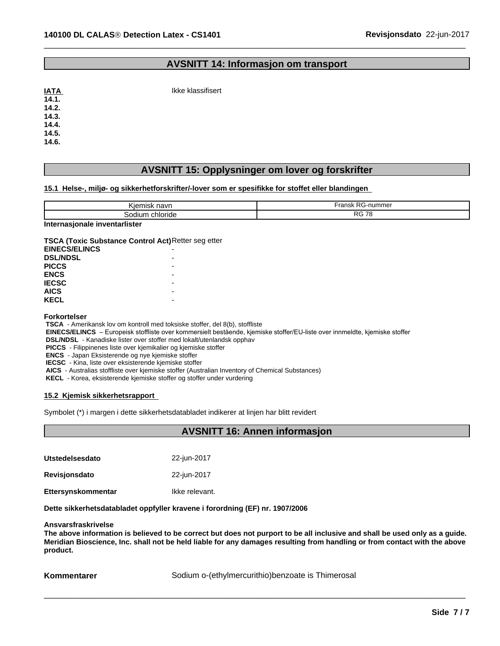## **AVSNITT 14: Informasjon om transport**

 $\overline{\phantom{a}}$  ,  $\overline{\phantom{a}}$  ,  $\overline{\phantom{a}}$  ,  $\overline{\phantom{a}}$  ,  $\overline{\phantom{a}}$  ,  $\overline{\phantom{a}}$  ,  $\overline{\phantom{a}}$  ,  $\overline{\phantom{a}}$  ,  $\overline{\phantom{a}}$  ,  $\overline{\phantom{a}}$  ,  $\overline{\phantom{a}}$  ,  $\overline{\phantom{a}}$  ,  $\overline{\phantom{a}}$  ,  $\overline{\phantom{a}}$  ,  $\overline{\phantom{a}}$  ,  $\overline{\phantom{a}}$ 

| <b>IATA</b> | Ikke klassifisert |
|-------------|-------------------|
| 14.1.       |                   |
| 14.2.       |                   |
| 14.3.       |                   |
| 14.4.       |                   |
| 14.5.       |                   |
| 14.6.       |                   |

## **AVSNITT 15: Opplysninger om lover og forskrifter**

#### **15.1 Helse-, miljø- og sikkerhetforskrifter/-lover som er spesifikkefor stoffet eller blandingen**

| .<br>navr              | $\sim$ $\sim$<br>$-$<br>nummer<br>--<br>ı al<br>חכו<br>Ś |
|------------------------|----------------------------------------------------------|
| .<br>`odiun<br>nioriae | nn.<br>70<br>¬ש<br>- 10                                  |

**Internasjonale inventarlister**

#### **TSCA** (Toxic Substance Control Act)Retter seg etter

| <b>EINECS/ELINCS</b> |   |  |
|----------------------|---|--|
| <b>DSL/NDSL</b>      |   |  |
| <b>PICCS</b>         |   |  |
| <b>ENCS</b>          | - |  |
| <b>IECSC</b>         |   |  |
| <b>AICS</b>          |   |  |
| KECL                 |   |  |
|                      |   |  |

#### **Forkortelser**

 **TSCA** - Amerikansk lov om kontroll med toksiske stoffer, del 8(b), stoffliste

**EINECS/ELINCS** – Europeisk stoffliste over kommersielt bestående, kjemiske stoffer/EU-liste over innmeldte, kjemiske stoffer

 **DSL/NDSL** - Kanadiske lister over stoffer med lokalt/utenlandsk opphav

 **PICCS** - Filippinenes liste over kjemikalier og kjemiske stoffer

 **ENCS** - Japan Eksisterende og nye kjemiske stoffer

 **IECSC** - Kina, liste over eksisterende kjemiske stoffer

 **AICS** - Australias stoffliste over kjemiske stoffer (Australian Inventory of Chemical Substances)

 **KECL** - Korea, eksisterende kjemiske stoffer og stoffer under vurdering

## **15.2 Kjemisk sikkerhetsrapport**

Symbolet (\*) i margen i dette sikkerhetsdatabladet indikerer at linjen har blitt revidert

## **AVSNITT 16: Annen informasjon**

| <b>Utstedelsesdato</b> | 22-jun-2017    |
|------------------------|----------------|
| Revisjonsdato          | 22-jun-2017    |
| Ettersynskommentar     | Ikke relevant. |

**Dette sikkerhetsdatabladet oppfyller kravene i forordning (EF) nr. 1907/2006**

#### **Ansvarsfraskrivelse**

The above information is believed to be correct but does not purport to be all inclusive and shall be used only as a guide. Meridian Bioscience, Inc. shall not be held liable for any damages resulting from handling or from contact with the above **product.**

**Kommentarer Sodium o-** (ethylmercurithio)benzoate is Thimerosal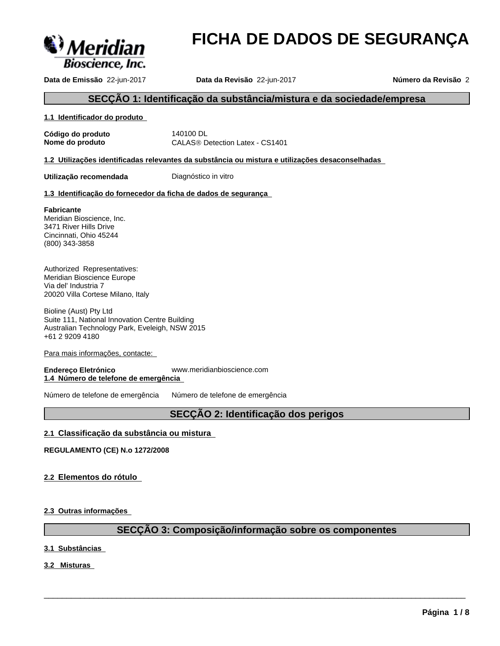

# **FICHA DE DADOS DE SEGURANÇA**

**Data de Emissão** 22-jun-2017 **Data da Revisão** 22-jun-2017 **Número da Revisão** 2

## **SECÇÃO 1: Identificação da substância/mistura e da sociedade/empresa**

#### **1.1 Identificador do produto**

**Código do produto** 140100 DL

**Nome do produto** CALAS<sup>®</sup> Detection Latex - CS1401

**1.2 Utilizações identificadas relevantes da substância ou mistura e utilizações desaconselhadas**

**Utilização recomendada** Diagnóstico in vitro

## **1.3 Identificação do fornecedor da ficha de dados de segurança**

#### **Fabricante**

Meridian Bioscience, Inc. 3471 River Hills Drive Cincinnati, Ohio 45244 (800) 343-3858

Authorized Representatives: Meridian Bioscience Europe Via del' Industria 7 20020 Villa Cortese Milano, Italy

Bioline (Aust) Pty Ltd Suite 111, National Innovation Centre Building Australian Technology Park, Eveleigh, NSW 2015 +61 2 9209 4180

Para mais informações, contacte:

**Endereço Eletrónico** www.meridianbioscience.com **1.4 Número de telefone de emergência**

Número de telefone de emergência Número de telefone de emergência

## **SECÇÃO 2: Identificação dos perigos**

## **2.1 Classificação da substância ou mistura**

**REGULAMENTO (CE) N.o 1272/2008**

## **2.2 Elementos do rótulo**

**2.3 Outras informações**

## **SECÇÃO 3: Composição/informação sobre os componentes**

 $\overline{\phantom{a}}$  ,  $\overline{\phantom{a}}$  ,  $\overline{\phantom{a}}$  ,  $\overline{\phantom{a}}$  ,  $\overline{\phantom{a}}$  ,  $\overline{\phantom{a}}$  ,  $\overline{\phantom{a}}$  ,  $\overline{\phantom{a}}$  ,  $\overline{\phantom{a}}$  ,  $\overline{\phantom{a}}$  ,  $\overline{\phantom{a}}$  ,  $\overline{\phantom{a}}$  ,  $\overline{\phantom{a}}$  ,  $\overline{\phantom{a}}$  ,  $\overline{\phantom{a}}$  ,  $\overline{\phantom{a}}$ 

## **3.1 Substâncias**

**3.2 Misturas**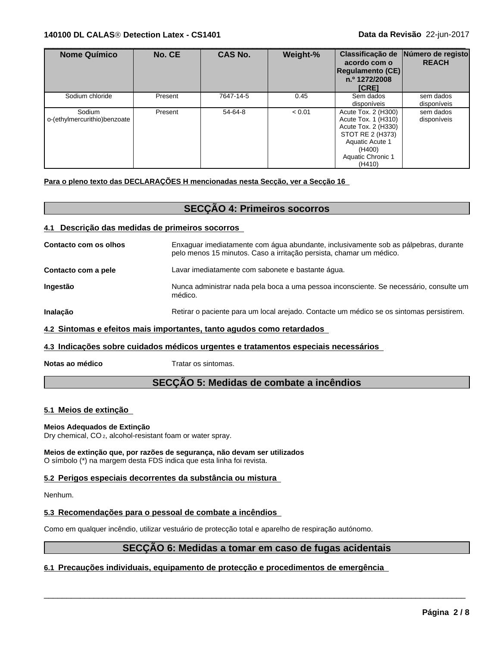## **140100 DL CALASÒ Detection Latex - CS1401 Data da Revisão** 22-jun-2017

| <b>Nome Químico</b>                    | No. CE  | <b>CAS No.</b> | Weight-% | Classificação de<br>acordo com o<br>Regulamento (CE)<br>n.º 1272/2008<br>[CRE]                                                                    | Número de registo<br><b>REACH</b> |  |
|----------------------------------------|---------|----------------|----------|---------------------------------------------------------------------------------------------------------------------------------------------------|-----------------------------------|--|
| Sodium chloride                        | Present | 7647-14-5      | 0.45     | Sem dados<br>disponíveis                                                                                                                          | sem dados<br>disponíveis          |  |
| Sodium<br>o-(ethylmercurithio)benzoate | Present | 54-64-8        | < 0.01   | Acute Tox. 2 (H300)<br>Acute Tox. 1 (H310)<br>Acute Tox. 2 (H330)<br>STOT RE 2 (H373)<br>Aquatic Acute 1<br>(H400)<br>Aquatic Chronic 1<br>(H410) | sem dados<br>disponíveis          |  |

 $\overline{\phantom{a}}$  ,  $\overline{\phantom{a}}$  ,  $\overline{\phantom{a}}$  ,  $\overline{\phantom{a}}$  ,  $\overline{\phantom{a}}$  ,  $\overline{\phantom{a}}$  ,  $\overline{\phantom{a}}$  ,  $\overline{\phantom{a}}$  ,  $\overline{\phantom{a}}$  ,  $\overline{\phantom{a}}$  ,  $\overline{\phantom{a}}$  ,  $\overline{\phantom{a}}$  ,  $\overline{\phantom{a}}$  ,  $\overline{\phantom{a}}$  ,  $\overline{\phantom{a}}$  ,  $\overline{\phantom{a}}$ 

## **Para o pleno texto das DECLARAÇÕES H mencionadas nesta Secção, ver a Secção 16**

## **SECÇÃO 4: Primeiros socorros**

## **4.1 Descrição das medidas de primeiros socorros**

| Contacto com os olhos | Enxaguar imediatamente com água abundante, inclusivamente sob as pálpebras, durante<br>pelo menos 15 minutos. Caso a irritação persista, chamar um médico. |
|-----------------------|------------------------------------------------------------------------------------------------------------------------------------------------------------|
| Contacto com a pele   | Lavar imediatamente com sabonete e bastante água.                                                                                                          |
| Ingestão              | Nunca administrar nada pela boca a uma pessoa inconsciente. Se necessário, consulte um<br>médico.                                                          |
| Inalação              | Retirar o paciente para um local arejado. Contacte um médico se os sintomas persistirem.                                                                   |
|                       | 4.2 Sintomas e efeitos mais importantes, tanto agudos como retardados                                                                                      |

## **4.3 Indicações sobre cuidados médicos urgentes e tratamentos especiais necessários**

**Notas ao médico** Tratar os sintomas.

## **SECÇÃO 5: Medidas de combate a incêndios**

## **5.1 Meios de extinção**

## **Meios Adequados de Extinção**

Dry chemical, CO 2, alcohol-resistant foam or water spray.

**Meios de extinção que, porrazões de segurança, não devam ser utilizados** O símbolo (\*) na margem desta FDS indica que esta linha foi revista.

## **5.2 Perigos especiais decorrentes da substância ou mistura**

Nenhum.

## **5.3 Recomendações para o pessoal de combate a incêndios**

Como em qualquer incêndio, utilizar vestuário de protecção total e aparelho de respiração autónomo.

## **SECÇÃO 6: Medidas a tomar em caso de fugas acidentais**

 $\overline{\phantom{a}}$  ,  $\overline{\phantom{a}}$  ,  $\overline{\phantom{a}}$  ,  $\overline{\phantom{a}}$  ,  $\overline{\phantom{a}}$  ,  $\overline{\phantom{a}}$  ,  $\overline{\phantom{a}}$  ,  $\overline{\phantom{a}}$  ,  $\overline{\phantom{a}}$  ,  $\overline{\phantom{a}}$  ,  $\overline{\phantom{a}}$  ,  $\overline{\phantom{a}}$  ,  $\overline{\phantom{a}}$  ,  $\overline{\phantom{a}}$  ,  $\overline{\phantom{a}}$  ,  $\overline{\phantom{a}}$ 

## **6.1 Precauções individuais, equipamento de protecção e procedimentos de emergência**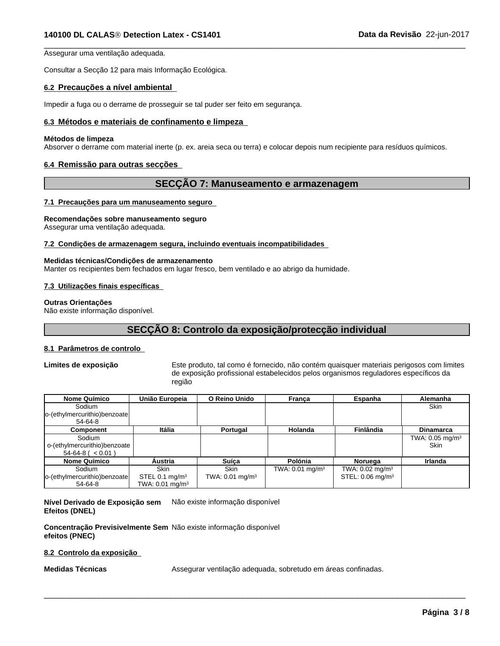Assegurar uma ventilação adequada.

Consultar a Secção 12 para mais Informação Ecológica.

## **6.2 Precauções a nível ambiental**

Impedir a fuga ou o derrame de prosseguir se tal puder ser feito em segurança.

#### **6.3 Métodos e materiais de confinamento e limpeza**

#### **Métodos de limpeza**

Absorver o derrame com material inerte (p. ex. areia seca ou terra) e colocar depois num recipiente para resíduos químicos.

## **6.4 Remissão para outras secções**

## **SECÇÃO 7: Manuseamento e armazenagem**

 $\overline{\phantom{a}}$  ,  $\overline{\phantom{a}}$  ,  $\overline{\phantom{a}}$  ,  $\overline{\phantom{a}}$  ,  $\overline{\phantom{a}}$  ,  $\overline{\phantom{a}}$  ,  $\overline{\phantom{a}}$  ,  $\overline{\phantom{a}}$  ,  $\overline{\phantom{a}}$  ,  $\overline{\phantom{a}}$  ,  $\overline{\phantom{a}}$  ,  $\overline{\phantom{a}}$  ,  $\overline{\phantom{a}}$  ,  $\overline{\phantom{a}}$  ,  $\overline{\phantom{a}}$  ,  $\overline{\phantom{a}}$ 

#### **7.1 Precauções para um manuseamento seguro**

#### **Recomendações sobre manuseamento seguro**

Assegurar uma ventilação adequada.

#### **7.2 Condições de armazenagem segura, incluindo eventuais incompatibilidades**

#### **Medidas técnicas/Condições de armazenamento**

Manter os recipientes bem fechados em lugar fresco, bem ventilado e ao abrigo da humidade.

#### **7.3 Utilizações finais específicas**

#### **Outras Orientações**

Não existe informação disponível.

## **SECÇÃO 8: Controlo da exposição/protecção individual**

#### **8.1 Parâmetros de controlo**

**Limites de exposição** Este produto, tal como é fornecido, não contém quaisquer materiais perigosos com limites de exposição profissional estabelecidos pelos organismos reguladores específicos da região

| <b>Nome Químico</b>          | União Europeia                | O Reino Unido              | Franca                     | Espanha                      | Alemanha                      |
|------------------------------|-------------------------------|----------------------------|----------------------------|------------------------------|-------------------------------|
| Sodium                       |                               |                            |                            |                              | <b>Skin</b>                   |
| o-(ethylmercurithio)benzoate |                               |                            |                            |                              |                               |
| 54-64-8                      |                               |                            |                            |                              |                               |
| <b>Component</b>             | <b>Itália</b>                 | Portugal                   | Holanda                    | <b>Finlândia</b>             | <b>Dinamarca</b>              |
| Sodium                       |                               |                            |                            |                              | TWA: $0.05$ mg/m <sup>3</sup> |
| o-(ethylmercurithio)benzoate |                               |                            |                            |                              | <b>Skin</b>                   |
| $54-64-8$ ( $< 0.01$ )       |                               |                            |                            |                              |                               |
| <b>Nome Químico</b>          | <b>Austria</b>                | Suíca                      | Polónia                    | Noruega                      | Irlanda                       |
| Sodium                       | <b>Skin</b>                   | <b>Skin</b>                | TWA: $0.01 \text{ mg/m}^3$ | TWA: $0.02 \text{ mg/m}^3$   |                               |
| o-(ethylmercurithio)benzoate | STEL 0.1 $mg/m3$              | TWA: $0.01 \text{ mg/m}^3$ |                            | STEL: 0.06 mg/m <sup>3</sup> |                               |
| 54-64-8                      | TWA: $0.01$ mg/m <sup>3</sup> |                            |                            |                              |                               |

**Nível Derivado de Exposição sem** Não existe informação disponível **Efeitos (DNEL)**

**Concentração Previsivelmente Sem** Não existe informação disponível **efeitos (PNEC)**

#### **8.2 Controlo da exposição**

**Medidas Técnicas** Assegurar ventilação adequada, sobretudo em áreas confinadas.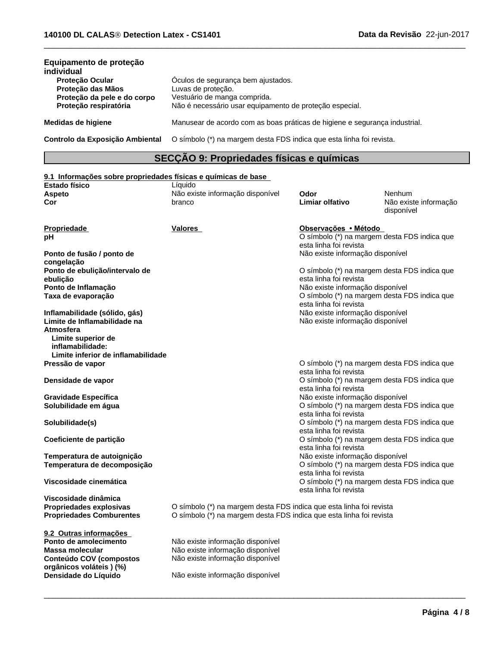| Equipamento de proteção<br>individual                                                               |                                                                                                                                                     |
|-----------------------------------------------------------------------------------------------------|-----------------------------------------------------------------------------------------------------------------------------------------------------|
| <b>Protecão Ocular</b><br>Proteção das Mãos<br>Proteção da pele e do corpo<br>Proteção respiratória | Oculos de segurança bem ajustados.<br>Luvas de proteção.<br>Vestuário de manga comprida.<br>Não é necessário usar equipamento de proteção especial. |
| Medidas de higiene                                                                                  | Manusear de acordo com as boas práticas de higiene e segurança industrial.                                                                          |
| Controlo da Exposição Ambiental                                                                     | O símbolo (*) na margem desta FDS indica que esta linha foi revista.                                                                                |
|                                                                                                     | SECÇÃO 9: Propriedades físicas e químicas                                                                                                           |
| 9.1 Informações sobre propriedades físicas e químicas de base                                       |                                                                                                                                                     |
| Estado físico                                                                                       | Líauido                                                                                                                                             |
| $\mathbf{A}$ and $\mathbf{A}$                                                                       | $\frac{1}{2}$<br>Nanhum<br>$\sim$ $\sim$                                                                                                            |

 $\overline{\phantom{a}}$  ,  $\overline{\phantom{a}}$  ,  $\overline{\phantom{a}}$  ,  $\overline{\phantom{a}}$  ,  $\overline{\phantom{a}}$  ,  $\overline{\phantom{a}}$  ,  $\overline{\phantom{a}}$  ,  $\overline{\phantom{a}}$  ,  $\overline{\phantom{a}}$  ,  $\overline{\phantom{a}}$  ,  $\overline{\phantom{a}}$  ,  $\overline{\phantom{a}}$  ,  $\overline{\phantom{a}}$  ,  $\overline{\phantom{a}}$  ,  $\overline{\phantom{a}}$  ,  $\overline{\phantom{a}}$ 

| <b>Aspeto</b><br>Cor                                          | Não existe informação disponível<br>branco                                                                                                 | Odor<br>Limiar olfativo                                                          | Nenhum<br>Não existe informação<br>disponível |  |
|---------------------------------------------------------------|--------------------------------------------------------------------------------------------------------------------------------------------|----------------------------------------------------------------------------------|-----------------------------------------------|--|
| <b>Propriedade</b>                                            | Valores                                                                                                                                    | Observações · Método                                                             |                                               |  |
| рH                                                            |                                                                                                                                            | O símbolo (*) na margem desta FDS indica que<br>esta linha foi revista           |                                               |  |
| Ponto de fusão / ponto de<br>congelação                       |                                                                                                                                            | Não existe informação disponível                                                 |                                               |  |
| Ponto de ebulição/intervalo de<br>ebulicão                    |                                                                                                                                            | O símbolo (*) na margem desta FDS indica que<br>esta linha foi revista           |                                               |  |
| Ponto de Inflamação                                           |                                                                                                                                            | Não existe informação disponível                                                 |                                               |  |
| Taxa de evaporação                                            |                                                                                                                                            | O símbolo (*) na margem desta FDS indica que<br>esta linha foi revista           |                                               |  |
| Inflamabilidade (sólido, gás)<br>Limite de Inflamabilidade na |                                                                                                                                            | Não existe informação disponível<br>Não existe informação disponível             |                                               |  |
| Atmosfera                                                     |                                                                                                                                            |                                                                                  |                                               |  |
| Limite superior de<br>inflamabilidade:                        |                                                                                                                                            |                                                                                  |                                               |  |
| Limite inferior de inflamabilidade                            |                                                                                                                                            |                                                                                  |                                               |  |
| Pressão de vapor                                              |                                                                                                                                            | O símbolo (*) na margem desta FDS indica que                                     |                                               |  |
| Densidade de vapor                                            |                                                                                                                                            | esta linha foi revista<br>O símbolo (*) na margem desta FDS indica que           |                                               |  |
|                                                               |                                                                                                                                            | esta linha foi revista                                                           |                                               |  |
| <b>Gravidade Específica</b><br>Solubilidade em água           |                                                                                                                                            | Não existe informação disponível                                                 |                                               |  |
|                                                               |                                                                                                                                            | O símbolo (*) na margem desta FDS indica que<br>esta linha foi revista           |                                               |  |
| Solubilidade(s)                                               |                                                                                                                                            | O símbolo (*) na margem desta FDS indica que<br>esta linha foi revista           |                                               |  |
| Coeficiente de partição                                       |                                                                                                                                            | O símbolo (*) na margem desta FDS indica que                                     |                                               |  |
|                                                               |                                                                                                                                            | esta linha foi revista                                                           |                                               |  |
| Temperatura de autoignição<br>Temperatura de decomposição     |                                                                                                                                            | Não existe informação disponível<br>O símbolo (*) na margem desta FDS indica que |                                               |  |
|                                                               |                                                                                                                                            | esta linha foi revista                                                           |                                               |  |
| Viscosidade cinemática                                        |                                                                                                                                            | O símbolo (*) na margem desta FDS indica que<br>esta linha foi revista           |                                               |  |
| Viscosidade dinâmica                                          |                                                                                                                                            |                                                                                  |                                               |  |
| Propriedades explosivas<br><b>Propriedades Comburentes</b>    | O símbolo (*) na margem desta FDS indica que esta linha foi revista<br>O símbolo (*) na margem desta FDS indica que esta linha foi revista |                                                                                  |                                               |  |
| 9.2 Outras informações                                        |                                                                                                                                            |                                                                                  |                                               |  |
| Ponto de amolecimento                                         | Não existe informação disponível                                                                                                           |                                                                                  |                                               |  |
| Maaaa malaaular                                               | Não ovida informação diononíval                                                                                                            |                                                                                  |                                               |  |

**Massa molecular** Não existe informação disponível Não existe informação disponível

**Conteúdo COV (compostos orgânicos voláteis ) (%)**

**Densidade do Líquido** Não existe informação disponível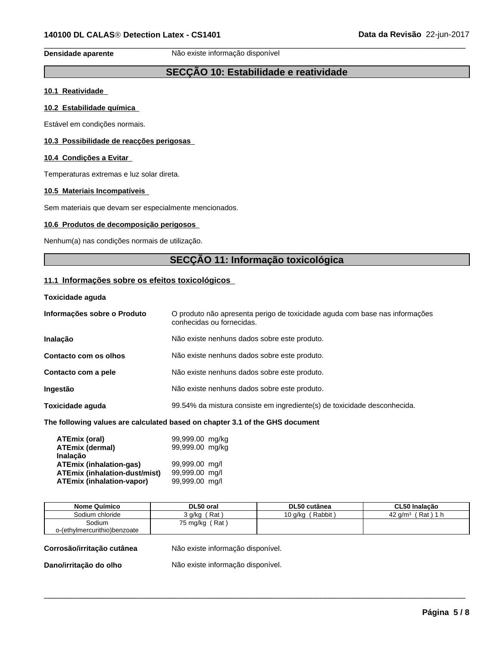**Densidade aparente** Não existe informação disponível

## **SECÇÃO 10: Estabilidade e reatividade**

 $\overline{\phantom{a}}$  ,  $\overline{\phantom{a}}$  ,  $\overline{\phantom{a}}$  ,  $\overline{\phantom{a}}$  ,  $\overline{\phantom{a}}$  ,  $\overline{\phantom{a}}$  ,  $\overline{\phantom{a}}$  ,  $\overline{\phantom{a}}$  ,  $\overline{\phantom{a}}$  ,  $\overline{\phantom{a}}$  ,  $\overline{\phantom{a}}$  ,  $\overline{\phantom{a}}$  ,  $\overline{\phantom{a}}$  ,  $\overline{\phantom{a}}$  ,  $\overline{\phantom{a}}$  ,  $\overline{\phantom{a}}$ 

## **10.1 Reatividade**

## **10.2 Estabilidade química**

Estável em condições normais.

## **10.3 Possibilidade de reacções perigosas**

## **10.4 Condições a Evitar**

Temperaturas extremas e luz solar direta.

#### **10.5 Materiais Incompatíveis**

Sem materiais que devam ser especialmente mencionados.

## **10.6 Produtos de decomposição perigosos**

Nenhum(a) nas condições normais de utilização.

## **SECÇÃO 11: Informação toxicológica**

## **11.1 Informações sobre os efeitos toxicológicos**

**Toxicidade aguda**

| Informações sobre o Produto | O produto não apresenta perigo de toxicidade aguda com base nas informações<br>conhecidas ou fornecidas. |
|-----------------------------|----------------------------------------------------------------------------------------------------------|
| Inalação                    | Não existe nenhuns dados sobre este produto.                                                             |
| Contacto com os olhos       | Não existe nenhuns dados sobre este produto.                                                             |
| Contacto com a pele         | Não existe nenhuns dados sobre este produto.                                                             |
| Ingestão                    | Não existe nenhuns dados sobre este produto.                                                             |
| Toxicidade aquda            | 99.54% da mistura consiste em ingrediente(s) de toxicidade desconhecida.                                 |
|                             |                                                                                                          |

## **The following values are calculated based on chapter 3.1 of the GHS document**

| <b>ATEmix (oral)</b>                 | 99,999.00 mg/kg |  |
|--------------------------------------|-----------------|--|
| <b>ATEmix (dermal)</b>               | 99,999.00 mg/kg |  |
| Inalação                             |                 |  |
| <b>ATEmix (inhalation-gas)</b>       | 99,999.00 mg/l  |  |
| <b>ATEmix (inhalation-dust/mist)</b> | 99,999.00 mg/l  |  |
| <b>ATEmix (inhalation-vapor)</b>     | 99,999.00 mg/l  |  |

| <b>Nome Químico</b>                    | DL50 oral          | DL50 cutânea      | CL50 Inalacão                 |
|----------------------------------------|--------------------|-------------------|-------------------------------|
| Sodium chloride                        | Rat<br>3 g/kg      | Rabbit<br>.0 a/ka | Rat<br>42<br>a/m <sup>3</sup> |
| Sodium<br>o-(ethylmercurithio)benzoate | ∵Rat ,<br>75 mg/kg |                   |                               |

| Corrosão/irritação cutânea | Não existe informação disponível. |
|----------------------------|-----------------------------------|
| Dano/irritação do olho     | Não existe informação disponível. |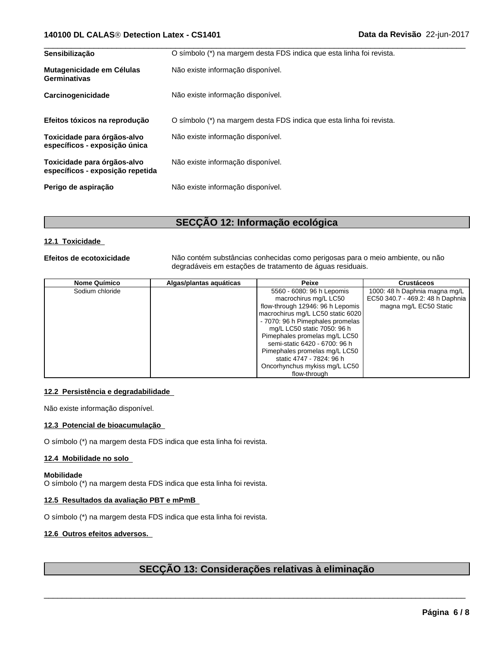## **140100 DL CALASÒ Detection Latex - CS1401 Data da Revisão** 22-jun-2017

| Sensibilização                                                  | O símbolo (*) na margem desta FDS indica que esta linha foi revista. |
|-----------------------------------------------------------------|----------------------------------------------------------------------|
| Mutagenicidade em Células<br>Germinativas                       | Não existe informação disponível.                                    |
| Carcinogenicidade                                               | Não existe informação disponível.                                    |
| Efeitos tóxicos na reprodução                                   | O símbolo (*) na margem desta FDS indica que esta linha foi revista. |
| Toxicidade para órgãos-alvo<br>específicos - exposição única    | Não existe informação disponível.                                    |
| Toxicidade para órgãos-alvo<br>específicos - exposição repetida | Não existe informação disponível.                                    |
| Perigo de aspiração                                             | Não existe informação disponível.                                    |

## **SECÇÃO 12: Informação ecológica**

## **12.1 Toxicidade**

**Efeitos de ecotoxicidade** Não contém substâncias conhecidas como perigosas para o meio ambiente, ou não degradáveis em estações de tratamento de águas residuais.

| <b>Nome Químico</b> | Algas/plantas aguáticas | Peixe                             | <b>Crustáceos</b>                |
|---------------------|-------------------------|-----------------------------------|----------------------------------|
| Sodium chloride     |                         | 5560 - 6080: 96 h Lepomis         | 1000: 48 h Daphnia magna mg/L    |
|                     |                         | macrochirus mg/L LC50             | EC50 340.7 - 469.2: 48 h Daphnia |
|                     |                         | flow-through 12946: 96 h Lepomis  | magna mg/L EC50 Static           |
|                     |                         | macrochirus mg/L LC50 static 6020 |                                  |
|                     |                         | - 7070: 96 h Pimephales promelas  |                                  |
|                     |                         | mg/L LC50 static 7050: 96 h       |                                  |
|                     |                         | Pimephales promelas mg/L LC50     |                                  |
|                     |                         | semi-static 6420 - 6700: 96 h     |                                  |
|                     |                         | Pimephales promelas mg/L LC50     |                                  |
|                     |                         | static 4747 - 7824: 96 h          |                                  |
|                     |                         | Oncorhynchus mykiss mg/L LC50     |                                  |
|                     |                         | flow-through                      |                                  |

## **12.2 Persistência e degradabilidade**

Não existe informação disponível.

## **12.3 Potencial de bioacumulação**

O símbolo (\*) na margem desta FDS indica que esta linha foi revista.

## **12.4 Mobilidade no solo**

#### **Mobilidade**

O símbolo (\*) na margem desta FDS indica que esta linha foi revista.

## **12.5 Resultados da avaliação PBT e mPmB**

O símbolo (\*) na margem desta FDS indica que esta linha foi revista.

## **12.6 Outros efeitos adversos.**

## **SECÇÃO 13: Considerações relativas à eliminação**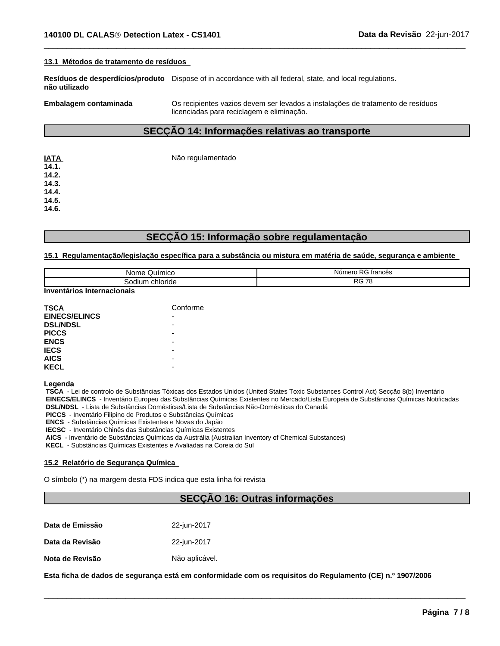#### **13.1 Métodos de tratamento de resíduos**

**Resíduos de desperdícios/produto** Dispose of in accordance with all federal, state, and local regulations. **não utilizado**

**IATA** Não regulamentado

**Embalagem contaminada** Os recipientes vazios devem ser levados a instalações de tratamento de resíduos licenciadas para reciclagem e eliminação.

## **SECÇÃO 14: Informações relativas ao transporte**

 $\overline{\phantom{a}}$  ,  $\overline{\phantom{a}}$  ,  $\overline{\phantom{a}}$  ,  $\overline{\phantom{a}}$  ,  $\overline{\phantom{a}}$  ,  $\overline{\phantom{a}}$  ,  $\overline{\phantom{a}}$  ,  $\overline{\phantom{a}}$  ,  $\overline{\phantom{a}}$  ,  $\overline{\phantom{a}}$  ,  $\overline{\phantom{a}}$  ,  $\overline{\phantom{a}}$  ,  $\overline{\phantom{a}}$  ,  $\overline{\phantom{a}}$  ,  $\overline{\phantom{a}}$  ,  $\overline{\phantom{a}}$ 

| IATA  |  |  |  |
|-------|--|--|--|
| 14.1. |  |  |  |
| 14.2. |  |  |  |
| 14.3. |  |  |  |
| 14.4. |  |  |  |
| 14.5. |  |  |  |
| 14.6. |  |  |  |
|       |  |  |  |

## **SECÇÃO 15: Informação sobre regulamentação**

## **15.1 Regulamentação/legislação específica para a substância ou mistura em matéria de saúde, segurança e ambiente**

| Nome<br>Quimico                        | Número RG francês       |
|----------------------------------------|-------------------------|
| chloride<br>sodium                     | RG.<br>70<br><u>/ C</u> |
| lnternacionais ا<br><b>Inventários</b> |                         |

| <b>TSCA</b>          | Conforme |
|----------------------|----------|
| <b>EINECS/ELINCS</b> |          |
| <b>DSL/NDSL</b>      | -        |
| <b>PICCS</b>         | -        |
| <b>ENCS</b>          | -        |
| <b>IECS</b>          | -        |
| <b>AICS</b>          | -        |
| <b>KECL</b>          | -        |

**Legenda**

 **TSCA** - Lei de controlo de Substâncias Tóxicas dos Estados Unidos (United States Toxic Substances Control Act) Secção 8(b) Inventário  **EINECS/ELINCS** - Inventário Europeu das Substâncias Químicas Existentes no Mercado/Lista Europeia de Substâncias Químicas Notificadas  **DSL/NDSL** - Lista de Substâncias Domésticas/Lista de Substâncias Não-Domésticas do Canadá

 **PICCS** - Inventário Filipino de Produtos e Substâncias Químicas

 **ENCS** - Substâncias Químicas Existentes e Novas do Japão

 **IECSC** - Inventário Chinês das Substâncias Químicas Existentes

 **AICS** - Inventário de Substâncias Químicas da Austrália (Australian Inventory of Chemical Substances)

 **KECL** - Substâncias Químicas Existentes e Avaliadas na Coreia do Sul

#### **15.2 Relatório de Segurança Química**

O símbolo (\*) na margem desta FDS indica que esta linha foi revista

## **SECÇÃO 16: Outras informações**

 $\overline{\phantom{a}}$  ,  $\overline{\phantom{a}}$  ,  $\overline{\phantom{a}}$  ,  $\overline{\phantom{a}}$  ,  $\overline{\phantom{a}}$  ,  $\overline{\phantom{a}}$  ,  $\overline{\phantom{a}}$  ,  $\overline{\phantom{a}}$  ,  $\overline{\phantom{a}}$  ,  $\overline{\phantom{a}}$  ,  $\overline{\phantom{a}}$  ,  $\overline{\phantom{a}}$  ,  $\overline{\phantom{a}}$  ,  $\overline{\phantom{a}}$  ,  $\overline{\phantom{a}}$  ,  $\overline{\phantom{a}}$ 

| Data de Emissão | 22-jun-2017    |
|-----------------|----------------|
| Data da Revisão | 22-jun-2017    |
| Nota de Revisão | Não aplicável. |

**Esta ficha de dados de segurança está em conformidade com os requisitos do Regulamento (CE) n.º 1907/2006**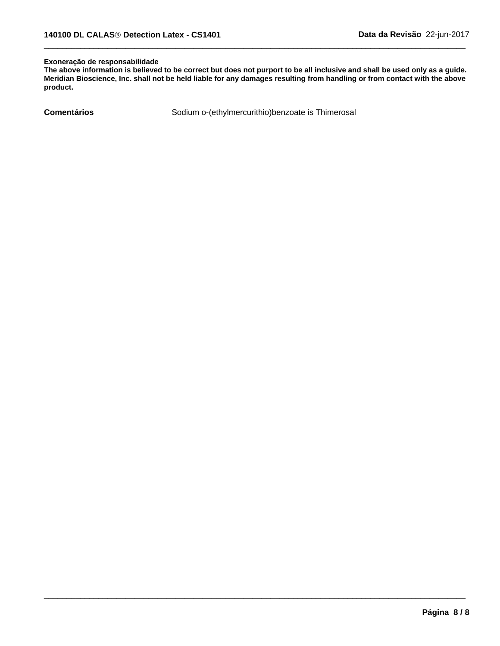## **Exoneração de responsabilidade**

The above information is believed to be correct but does not purport to be all inclusive and shall be used only as a guide. Meridian Bioscience, Inc. shall not be held liable for any damages resulting from handling or from contact with the above **product.**

**Comentários** Sodium o-(ethylmercurithio)benzoate is Thimerosal

 $\overline{\phantom{a}}$  ,  $\overline{\phantom{a}}$  ,  $\overline{\phantom{a}}$  ,  $\overline{\phantom{a}}$  ,  $\overline{\phantom{a}}$  ,  $\overline{\phantom{a}}$  ,  $\overline{\phantom{a}}$  ,  $\overline{\phantom{a}}$  ,  $\overline{\phantom{a}}$  ,  $\overline{\phantom{a}}$  ,  $\overline{\phantom{a}}$  ,  $\overline{\phantom{a}}$  ,  $\overline{\phantom{a}}$  ,  $\overline{\phantom{a}}$  ,  $\overline{\phantom{a}}$  ,  $\overline{\phantom{a}}$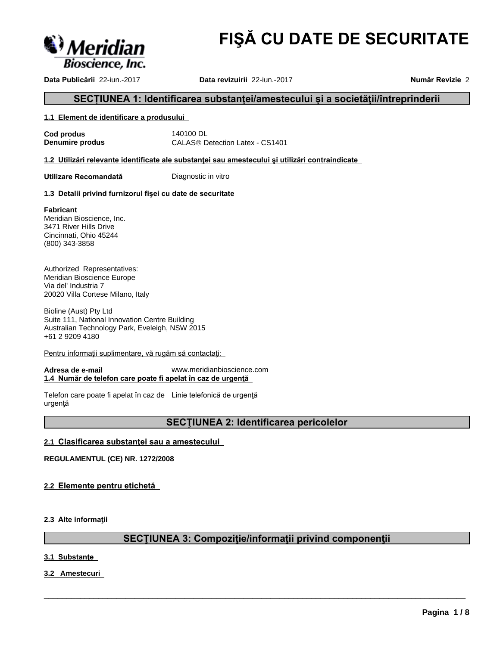

# **FIŞĂ CU DATE DE SECURITATE**

**DataPublicării**22-iun.-2017 **Data revizuirii** 22-iun.-2017 **NumărRevizie**2

## SECȚIUNEA 1: Identificarea substanței/amestecului și a societății/întreprinderii

## **1.1 Element de identificare a produsului**

**Cod produs** 140100 DL

**Denumire produs** CALAS<sup>®</sup> Detection Latex - CS1401

**1.2 Utilizărirelevanteidentificatealesubstanţeisauamesteculuişiutilizăricontraindicate**

**Utilizare Recomandată** Diagnostic in vitro

## 1.3 Detalii privind furnizorul fişei cu date de securitate

## **Fabricant**

Meridian Bioscience, Inc. 3471 River Hills Drive Cincinnati, Ohio 45244 (800) 343-3858

Authorized Representatives: Meridian Bioscience Europe Via del' Industria 7 20020 Villa Cortese Milano, Italy

Bioline (Aust) Pty Ltd Suite 111, National Innovation Centre Building Australian Technology Park, Eveleigh, NSW 2015 +61 2 9209 4180

Pentru informații suplimentare, vă rugăm să contactați:

**Adresa de e-mail** www.meridianbioscience.com **1.4 Numărdetelefoncarepoatefiapelatîncazdeurgenţă**

Telefon care poate fi apelat în caz de Linie telefonică de urgență urgenţă

## **SECTIUNEA 2: Identificarea pericolelor**

## **2.1 Clasificareasubstanţeisauaamestecului**

**REGULAMENTUL (CE) NR. 1272/2008**

2.2 Elemente pentru etichetă

**2.3 Alte informații** 

## **SECŢIUNEA3:Compoziţie/informaţiiprivindcomponenţii**

 $\overline{\phantom{a}}$  ,  $\overline{\phantom{a}}$  ,  $\overline{\phantom{a}}$  ,  $\overline{\phantom{a}}$  ,  $\overline{\phantom{a}}$  ,  $\overline{\phantom{a}}$  ,  $\overline{\phantom{a}}$  ,  $\overline{\phantom{a}}$  ,  $\overline{\phantom{a}}$  ,  $\overline{\phantom{a}}$  ,  $\overline{\phantom{a}}$  ,  $\overline{\phantom{a}}$  ,  $\overline{\phantom{a}}$  ,  $\overline{\phantom{a}}$  ,  $\overline{\phantom{a}}$  ,  $\overline{\phantom{a}}$ 

**3.1 Substanţe**

**3.2 Amestecuri**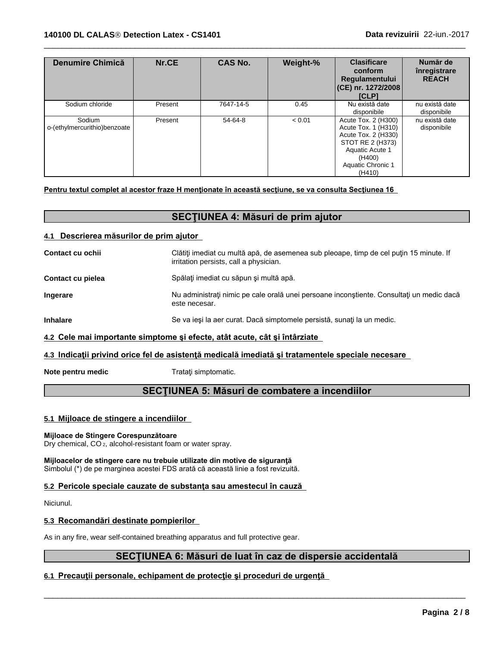| <b>Denumire Chimică</b>                  | Nr.CE   | <b>CAS No.</b> | Weight-% | <b>Clasificare</b><br>conform<br>Regulamentului<br>$ $ (CE) nr. 1272/2008<br><b>ICLP1</b>                                                         | Număr de<br>înregistrare<br><b>REACH</b> |
|------------------------------------------|---------|----------------|----------|---------------------------------------------------------------------------------------------------------------------------------------------------|------------------------------------------|
| Sodium chloride                          | Present | 7647-14-5      | 0.45     | Nu există date<br>disponibile                                                                                                                     | nu există date<br>disponibile            |
| Sodium<br>  o-(ethylmercurithio)benzoate | Present | 54-64-8        | < 0.01   | Acute Tox. 2 (H300)<br>Acute Tox. 1 (H310)<br>Acute Tox. 2 (H330)<br>STOT RE 2 (H373)<br>Aquatic Acute 1<br>(H400)<br>Aquatic Chronic 1<br>(H410) | nu există date<br>disponibile            |

 $\overline{\phantom{a}}$  ,  $\overline{\phantom{a}}$  ,  $\overline{\phantom{a}}$  ,  $\overline{\phantom{a}}$  ,  $\overline{\phantom{a}}$  ,  $\overline{\phantom{a}}$  ,  $\overline{\phantom{a}}$  ,  $\overline{\phantom{a}}$  ,  $\overline{\phantom{a}}$  ,  $\overline{\phantom{a}}$  ,  $\overline{\phantom{a}}$  ,  $\overline{\phantom{a}}$  ,  $\overline{\phantom{a}}$  ,  $\overline{\phantom{a}}$  ,  $\overline{\phantom{a}}$  ,  $\overline{\phantom{a}}$ 

## Pentru textul complet al acestor fraze H menționate în această secțiune, se va consulta Secțiunea 16

## **SECŢIUNEA4:Măsurideprim ajutor**

## **4.1 Descriereamăsurilordeprim ajutor**

**Contact cu ochii** Clătiți imediat cu multă apă, de asemenea sub pleoape, timp de cel puțin 15 minute. If irritation persists, call a physician. **Contact cu pielea** Spălați imediat cu săpun și multă apă. **Ingerare** Nu administrați nimic pe cale orală unei persoane inconștiente. Consultați un medic dacă este necesar. **Inhalare** Se va ieși la aer curat. Dacă simptomele persistă, sunați la un medic.

## **4.2 Celemaiimportantesimptomeşiefecte,atâtacute,câtşiîntârziate**

## **4.3 Indicaţiiprivindoricefeldeasistenţămedicalăimediatăşitratamentelespecialenecesare**

**Note pentru medic** Tratati simptomatic.

## **SECTIUNEA 5: Măsuri de combatere a incendiilor**

## **5.1 Mijloace de stingere a incendiilor**

## **Mijloace de Stingere Corespunzătoare**

Dry chemical, CO<sub>2</sub>, alcohol-resistant foam or water spray.

#### **Mijloacelordestingerecarenutrebuieutilizatedinmotivedesiguranţă** Simbolul (\*) de pe marginea acestei FDS arată că această linie a fost revizuită.

## **5.2 Pericolespecialecauzatedesubstanţasauamesteculîncauză**

Niciunul.

## **5.3 Recomandăridestinatepompierilor**

As in any fire, wear self-contained breathing apparatus and full protective gear.

## SECȚIUNEA 6: Măsuri de luat în caz de dispersie accidentală

 $\overline{\phantom{a}}$  ,  $\overline{\phantom{a}}$  ,  $\overline{\phantom{a}}$  ,  $\overline{\phantom{a}}$  ,  $\overline{\phantom{a}}$  ,  $\overline{\phantom{a}}$  ,  $\overline{\phantom{a}}$  ,  $\overline{\phantom{a}}$  ,  $\overline{\phantom{a}}$  ,  $\overline{\phantom{a}}$  ,  $\overline{\phantom{a}}$  ,  $\overline{\phantom{a}}$  ,  $\overline{\phantom{a}}$  ,  $\overline{\phantom{a}}$  ,  $\overline{\phantom{a}}$  ,  $\overline{\phantom{a}}$ 

## **6.1 Precauţiipersonale,echipamentdeprotecţieşiprocedurideurgenţă**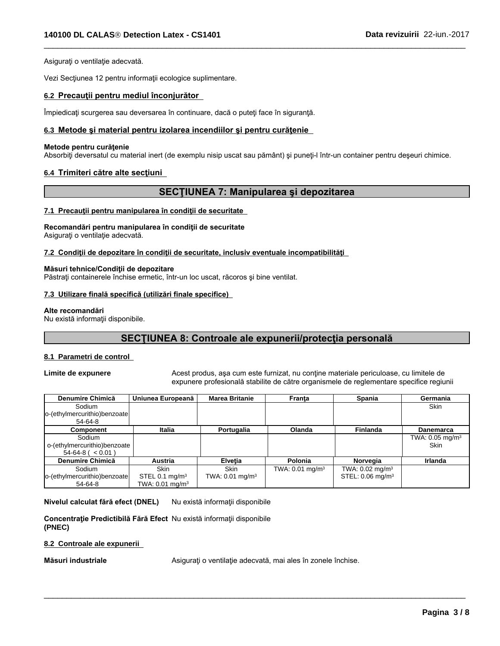Asigurați o ventilație adecvată.

Vezi Secțiunea 12 pentru informații ecologice suplimentare.

## **6.2 Precauţiipentrumediulînconjurător**

Împiedicați scurgerea sau deversarea în continuare, dacă o puteți face în siguranță.

## **6.3 Metodeşimaterialpentruizolareaincendiilorşipentrucurăţenie**

## **Metode pentru curățenie**

Absorbiți deversatul cu material inert (de exemplu nisip uscat sau pământ) și puneți-l într-un container pentru deșeuri chimice.

## **6.4 Trimitericătrealtesecţiuni**

## **SECŢIUNEA7:Manipulareaşidepozitarea**

 $\overline{\phantom{a}}$  ,  $\overline{\phantom{a}}$  ,  $\overline{\phantom{a}}$  ,  $\overline{\phantom{a}}$  ,  $\overline{\phantom{a}}$  ,  $\overline{\phantom{a}}$  ,  $\overline{\phantom{a}}$  ,  $\overline{\phantom{a}}$  ,  $\overline{\phantom{a}}$  ,  $\overline{\phantom{a}}$  ,  $\overline{\phantom{a}}$  ,  $\overline{\phantom{a}}$  ,  $\overline{\phantom{a}}$  ,  $\overline{\phantom{a}}$  ,  $\overline{\phantom{a}}$  ,  $\overline{\phantom{a}}$ 

#### **7.1 Precauţiipentrumanipulareaîncondiţiidesecuritate**

Recomandări pentru manipularea în condiții de securitate Asigurați o ventilație adecvată.

#### **7.2 Condiţiidedepozitareîncondiţiidesecuritate,inclusiveventualeincompatibilităţi**

#### **Măsuri tehnice/Condiții de depozitare**

Păstrați containerele închise ermetic, într-un loc uscat, răcoros și bine ventilat.

## **7.3 Utilizarefinalăspecifică(utilizărifinalespecifice)**

#### Alte recomandări

Nu există informații disponibile.

## SECTIUNEA 8: Controale ale expunerii/protectia personală

#### **8.1 Parametri de control**

Limite de expunere **Acest produs, așa cum este furnizat, nu conține materiale periculoase, cu limitele de** expunere profesională stabilite de către organismele de reglementare specifice regiunii

| Denumire Chimică              | Uniunea Europeană  | <b>Marea Britanie</b>      | Franta                     | Spania                        | Germania                      |
|-------------------------------|--------------------|----------------------------|----------------------------|-------------------------------|-------------------------------|
| Sodium                        |                    |                            |                            |                               | <b>Skin</b>                   |
| lo-(ethylmercurithio)benzoate |                    |                            |                            |                               |                               |
| 54-64-8                       |                    |                            |                            |                               |                               |
| Component                     | <b>Italia</b>      | Portugalia                 | Olanda                     | <b>Finlanda</b>               | <b>Danemarca</b>              |
| Sodium                        |                    |                            |                            |                               | TWA: $0.05$ mg/m <sup>3</sup> |
| o-(ethylmercurithio)benzoate  |                    |                            |                            |                               | <b>Skin</b>                   |
| $54-64-8$ ( $< 0.01$ )        |                    |                            |                            |                               |                               |
| Denumire Chimică              | <b>Austria</b>     | Elvetia                    | <b>Polonia</b>             | Norvegia                      | Irlanda                       |
| Sodium                        | <b>Skin</b>        | <b>Skin</b>                | TWA: $0.01 \text{ mg/m}^3$ | TWA: $0.02$ mg/m <sup>3</sup> |                               |
| lo-(ethylmercurithio)benzoate | STEL 0.1 $mg/m3$   | TWA: $0.01 \text{ mg/m}^3$ |                            | STEL: 0.06 mg/m <sup>3</sup>  |                               |
| $54-64-8$                     | TWA: 0.01 mg/m $3$ |                            |                            |                               |                               |

Nivelul calculat fără efect (DNEL) Nu există informații disponibile

**Concentrație Predictibilă Fără Efect** Nu există informații disponibile **(PNEC)**

#### **8.2 Controale ale expunerii**

**Măsuri industriale Asiguratioventilatie adecvată, mai ales în zonele închise.**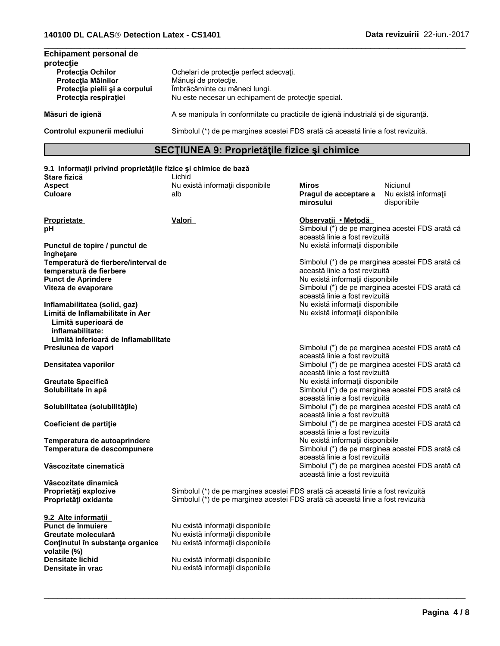| Echipament personal de<br>protectie                                                                              |                                                                                                                                                         |
|------------------------------------------------------------------------------------------------------------------|---------------------------------------------------------------------------------------------------------------------------------------------------------|
| <b>Protectia Ochilor</b><br><b>Protectia Mâinilor</b><br>Protecția pielii și a corpului<br>Protectia respiratiei | Ochelari de protectie perfect adecvati.<br>Mănusi de protectie.<br>Îmbrăcăminte cu mâneci lungi.<br>Nu este necesar un echipament de protecție special. |
| Măsuri de igienă                                                                                                 | A se manipula în conformitate cu practicile de igienă industrială și de siguranță.                                                                      |
| Controlul expunerii mediului                                                                                     | Simbolul (*) de pe marginea acestei FDS arată că această linie a fost revizuită.                                                                        |

 $\overline{\phantom{a}}$  ,  $\overline{\phantom{a}}$  ,  $\overline{\phantom{a}}$  ,  $\overline{\phantom{a}}$  ,  $\overline{\phantom{a}}$  ,  $\overline{\phantom{a}}$  ,  $\overline{\phantom{a}}$  ,  $\overline{\phantom{a}}$  ,  $\overline{\phantom{a}}$  ,  $\overline{\phantom{a}}$  ,  $\overline{\phantom{a}}$  ,  $\overline{\phantom{a}}$  ,  $\overline{\phantom{a}}$  ,  $\overline{\phantom{a}}$  ,  $\overline{\phantom{a}}$  ,  $\overline{\phantom{a}}$ 

## SEC**ŢIUNEA 9: Proprietă**țile fizice și chimice

| 9.1 Informații privind proprietățile fizice și chimice de bază |                                                                                 |                                  |                                                  |
|----------------------------------------------------------------|---------------------------------------------------------------------------------|----------------------------------|--------------------------------------------------|
| Stare fizică                                                   | Lichid                                                                          |                                  |                                                  |
| <b>Aspect</b>                                                  | Nu există informații disponibile                                                | Miros                            | Niciunul                                         |
| Culoare                                                        | alb                                                                             | Pragul de acceptare a            | Nu există informații                             |
|                                                                |                                                                                 | mirosului                        | disponibile                                      |
| Proprietate                                                    | Valori                                                                          | Observatii • Metodă              |                                                  |
| рH                                                             |                                                                                 | această linie a fost revizuită   | Simbolul (*) de pe marginea acestei FDS arată că |
| Punctul de topire / punctul de                                 |                                                                                 | Nu există informații disponibile |                                                  |
| îngheţare                                                      |                                                                                 |                                  |                                                  |
| Temperatură de fierbere/interval de                            |                                                                                 |                                  | Simbolul (*) de pe marginea acestei FDS arată că |
| temperatură de fierbere                                        |                                                                                 | această linie a fost revizuită   |                                                  |
| <b>Punct de Aprindere</b>                                      |                                                                                 | Nu există informații disponibile |                                                  |
| Viteza de evaporare                                            |                                                                                 |                                  | Simbolul (*) de pe marginea acestei FDS arată că |
|                                                                |                                                                                 | această linie a fost revizuită   |                                                  |
| Inflamabilitatea (solid, gaz)                                  |                                                                                 | Nu există informații disponibile |                                                  |
| Limită de Inflamabilitate în Aer                               |                                                                                 | Nu există informații disponibile |                                                  |
| Limită superioară de                                           |                                                                                 |                                  |                                                  |
| inflamabilitate:                                               |                                                                                 |                                  |                                                  |
| Limită inferioară de inflamabilitate                           |                                                                                 |                                  |                                                  |
| Presiunea de vapori                                            |                                                                                 |                                  | Simbolul (*) de pe marginea acestei FDS arată că |
|                                                                |                                                                                 | această linie a fost revizuită   |                                                  |
| Densitatea vaporilor                                           |                                                                                 |                                  | Simbolul (*) de pe marginea acestei FDS arată că |
|                                                                |                                                                                 | această linie a fost revizuită   |                                                  |
| Greutate Specifică                                             |                                                                                 | Nu există informații disponibile |                                                  |
| Solubilitate în apă                                            |                                                                                 |                                  | Simbolul (*) de pe marginea acestei FDS arată că |
|                                                                |                                                                                 | această linie a fost revizuită   |                                                  |
| Solubilitatea (solubilitățile)                                 |                                                                                 |                                  | Simbolul (*) de pe marginea acestei FDS arată că |
|                                                                |                                                                                 | această linie a fost revizuită   |                                                  |
| <b>Coeficient de partiție</b>                                  |                                                                                 |                                  | Simbolul (*) de pe marginea acestei FDS arată că |
|                                                                |                                                                                 | această linie a fost revizuită   |                                                  |
| Temperatura de autoaprindere                                   |                                                                                 | Nu există informații disponibile |                                                  |
| Temperatura de descompunere                                    |                                                                                 |                                  | Simbolul (*) de pe marginea acestei FDS arată că |
|                                                                |                                                                                 | această linie a fost revizuită   |                                                  |
| Vâscozitate cinematică                                         |                                                                                 |                                  | Simbolul (*) de pe marginea acestei FDS arată că |
|                                                                |                                                                                 | această linie a fost revizuită   |                                                  |
| Vâscozitate dinamică                                           |                                                                                 |                                  |                                                  |
| Proprietăți explozive                                          | Simbolul (*) de pe marginea acestei FDS arată că această linie a fost revizuită |                                  |                                                  |
| Proprietăți oxidante                                           | Simbolul (*) de pe marginea acestei FDS arată că această linie a fost revizuită |                                  |                                                  |
| 9.2 Alte informatii                                            |                                                                                 |                                  |                                                  |
| <b>Punct de înmuiere</b>                                       | Nu există informații disponibile                                                |                                  |                                                  |
| Greutate moleculară                                            | Nu există informații disponibile                                                |                                  |                                                  |
| Conținutul în substanțe organice                               | Nu există informații disponibile                                                |                                  |                                                  |
| volatile (%)                                                   |                                                                                 |                                  |                                                  |
| <b>Densitate lichid</b>                                        | Nu există informații disponibile                                                |                                  |                                                  |
| Densitate în vrac                                              | Nu există informații disponibile                                                |                                  |                                                  |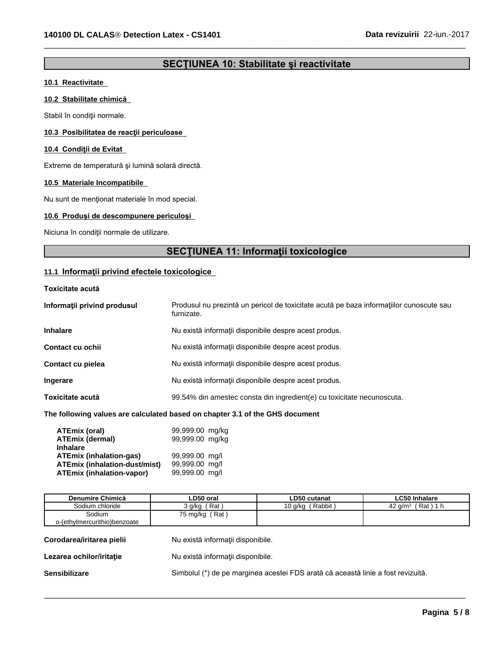## **SECȚIUNEA 10: Stabilitate și reactivitate**

 $\overline{\phantom{a}}$  ,  $\overline{\phantom{a}}$  ,  $\overline{\phantom{a}}$  ,  $\overline{\phantom{a}}$  ,  $\overline{\phantom{a}}$  ,  $\overline{\phantom{a}}$  ,  $\overline{\phantom{a}}$  ,  $\overline{\phantom{a}}$  ,  $\overline{\phantom{a}}$  ,  $\overline{\phantom{a}}$  ,  $\overline{\phantom{a}}$  ,  $\overline{\phantom{a}}$  ,  $\overline{\phantom{a}}$  ,  $\overline{\phantom{a}}$  ,  $\overline{\phantom{a}}$  ,  $\overline{\phantom{a}}$ 

## **10.1 Reactivitate**

## **10.2 Stabilitate chimică**

Stabil în condiții normale.

## **10.3 Posibilitatea de reacții periculoase**

## **10.4 CondiţiideEvitat**

Extreme de temperatură și lumină solară directă.

#### **10.5 Materiale Incompatibile**

Nu sunt de menționat materiale în mod special.

## **10.6 Produși de descompunere periculoși**

Niciuna în condiții normale de utilizare.

## **SECȚIUNEA 11: Informații toxicologice**

## **11.1 Informatii privind efectele toxicologice**

## **Toxicitate** acută

| Informații privind produsul | Produsul nu prezintă un pericol de toxicitate acută pe baza informațiilor cunoscute sau<br>furnizate. |
|-----------------------------|-------------------------------------------------------------------------------------------------------|
| <b>Inhalare</b>             | Nu există informații disponibile despre acest produs.                                                 |
| Contact cu ochii            | Nu există informații disponibile despre acest produs.                                                 |
| Contact cu pielea           | Nu există informații disponibile despre acest produs.                                                 |
| Ingerare                    | Nu există informații disponibile despre acest produs.                                                 |
| Toxicitate acută            | 99.54% din amestec consta din ingredient(e) cu toxicitate necunoscuta.                                |
|                             |                                                                                                       |

## **The following values are calculated based on chapter 3.1 of the GHS document**

| ATEmix (oral)<br><b>ATEmix (dermal)</b> | 99,999.00 mg/kg<br>99,999.00 mg/kg |  |
|-----------------------------------------|------------------------------------|--|
| <b>Inhalare</b>                         |                                    |  |
| <b>ATEmix (inhalation-gas)</b>          | 99,999.00 mg/l                     |  |
| <b>ATEmix (inhalation-dust/mist)</b>    | 99,999.00 mg/l                     |  |
| <b>ATEmix (inhalation-vapor)</b>        | 99,999.00 mg/l                     |  |

| Denumire Chimică             | LD50 oral        | LD50 cutanat                                                                     | <b>LC50 Inhalare</b> |  |  |  |  |
|------------------------------|------------------|----------------------------------------------------------------------------------|----------------------|--|--|--|--|
| Sodium chloride              | 3 g/kg (Rat)     | 10 g/kg (Rabbit)                                                                 | 42 $q/m^3$ (Rat) 1 h |  |  |  |  |
| Sodium                       | 75 mg/kg $(Rat)$ |                                                                                  |                      |  |  |  |  |
| o-(ethylmercurithio)benzoate |                  |                                                                                  |                      |  |  |  |  |
|                              |                  |                                                                                  |                      |  |  |  |  |
| Corodarea/iritarea pielii    |                  | Nu există informații disponibile.                                                |                      |  |  |  |  |
|                              |                  |                                                                                  |                      |  |  |  |  |
| Lezarea ochilor/iritatie     |                  | Nu există informații disponibile.                                                |                      |  |  |  |  |
|                              |                  |                                                                                  |                      |  |  |  |  |
| <b>Sensibilizare</b>         |                  | Simbolul (*) de pe marginea acestei FDS arată că această linie a fost revizuită. |                      |  |  |  |  |
|                              |                  |                                                                                  |                      |  |  |  |  |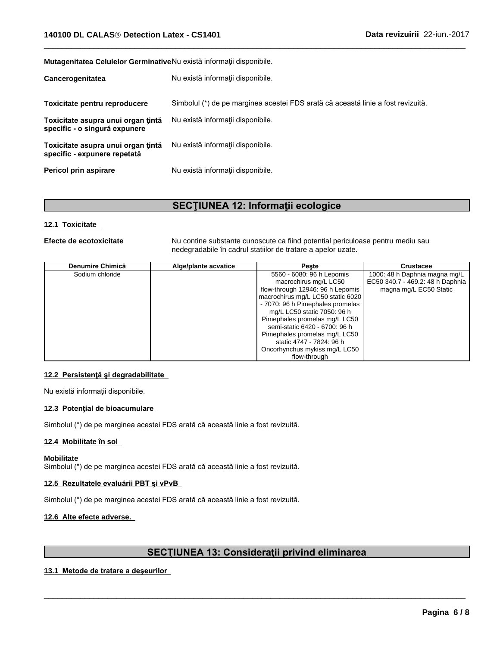#### **Mutagenitatea Celulelor Germinative**Nuexistăinformaţiidisponibile.

| Cancerogenitatea                                                    | Nu există informații disponibile.                                                |
|---------------------------------------------------------------------|----------------------------------------------------------------------------------|
| Toxicitate pentru reproducere                                       | Simbolul (*) de pe marginea acestei FDS arată că această linie a fost revizuită. |
| Toxicitate asupra unui organ tintă<br>specific - o singură expunere | Nu există informații disponibile.                                                |
| Toxicitate asupra unui organ țintă<br>specific - expunere repetată  | Nu există informații disponibile.                                                |
| Pericol prin aspirare                                               | Nu există informații disponibile.                                                |

## **SECȚIUNEA 12: Informații ecologice**

## **12.1 Toxicitate**

**Efecte de ecotoxicitate** Nu contine substante cunoscute ca fiind potential periculoase pentru mediu sau nedegradabile în cadrul statiilor de tratare a apelor uzate.

 $\overline{\phantom{a}}$  ,  $\overline{\phantom{a}}$  ,  $\overline{\phantom{a}}$  ,  $\overline{\phantom{a}}$  ,  $\overline{\phantom{a}}$  ,  $\overline{\phantom{a}}$  ,  $\overline{\phantom{a}}$  ,  $\overline{\phantom{a}}$  ,  $\overline{\phantom{a}}$  ,  $\overline{\phantom{a}}$  ,  $\overline{\phantom{a}}$  ,  $\overline{\phantom{a}}$  ,  $\overline{\phantom{a}}$  ,  $\overline{\phantom{a}}$  ,  $\overline{\phantom{a}}$  ,  $\overline{\phantom{a}}$ 

| Denumire Chimică | Alge/plante acvatice | <b>Peste</b>                      | <b>Crustacee</b>                 |
|------------------|----------------------|-----------------------------------|----------------------------------|
| Sodium chloride  |                      | 5560 - 6080: 96 h Lepomis         | 1000: 48 h Daphnia magna mg/L    |
|                  |                      | macrochirus mg/L LC50             | EC50 340.7 - 469.2: 48 h Daphnia |
|                  |                      | flow-through 12946: 96 h Lepomis  | magna mg/L EC50 Static           |
|                  |                      | macrochirus mg/L LC50 static 6020 |                                  |
|                  |                      | - 7070: 96 h Pimephales promelas  |                                  |
|                  |                      | mg/L LC50 static 7050: 96 h       |                                  |
|                  |                      | Pimephales promelas mg/L LC50     |                                  |
|                  |                      | semi-static 6420 - 6700: 96 h     |                                  |
|                  |                      | Pimephales promelas mg/L LC50     |                                  |
|                  |                      | static 4747 - 7824: 96 h          |                                  |
|                  |                      | Oncorhynchus mykiss mg/L LC50     |                                  |
|                  |                      | flow-through                      |                                  |

## **12.2 Persistenţăşidegradabilitate**

Nu există informații disponibile.

## **12.3 Potențial de bioacumulare**

Simbolul (\*) de pe marginea acestei FDS arată că această linie a fost revizuită.

#### **12.4 Mobilitate în sol**

#### **Mobilitate**

Simbolul (\*) de pe marginea acestei FDS arată că această linie a fost revizuită.

## **12.5 Rezultatele evaluării PBT și vPvB**

Simbolul (\*) de pe marginea acestei FDS arată că această linie a fost revizuită.

#### **12.6 Alte efecte adverse.**

## **SECŢIUNEA13:Consideraţiiprivindeliminarea**

 $\overline{\phantom{a}}$  ,  $\overline{\phantom{a}}$  ,  $\overline{\phantom{a}}$  ,  $\overline{\phantom{a}}$  ,  $\overline{\phantom{a}}$  ,  $\overline{\phantom{a}}$  ,  $\overline{\phantom{a}}$  ,  $\overline{\phantom{a}}$  ,  $\overline{\phantom{a}}$  ,  $\overline{\phantom{a}}$  ,  $\overline{\phantom{a}}$  ,  $\overline{\phantom{a}}$  ,  $\overline{\phantom{a}}$  ,  $\overline{\phantom{a}}$  ,  $\overline{\phantom{a}}$  ,  $\overline{\phantom{a}}$ 

## **13.1 Metode de tratare a deseurilor**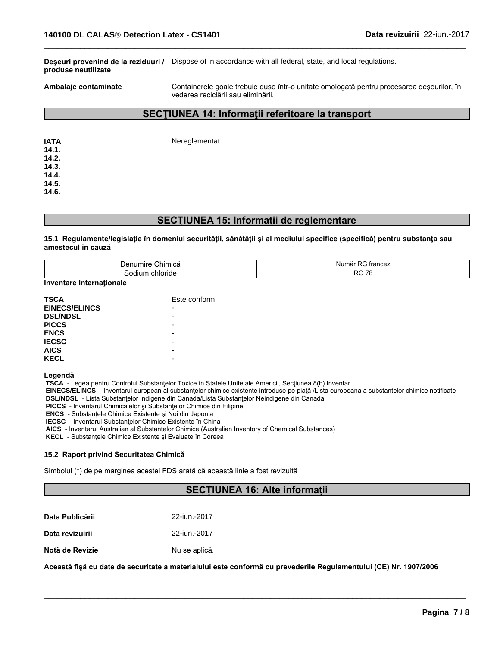De**şeuri provenind de la reziduuri** / Dispose of in accordance with all federal, state, and local regulations. **produse neutilizate**

**Ambalaje contaminate Containerele goale trebuie duse într-o unitate omologată pentru procesarea deșeurilor, în** vederea reciclării sau eliminării.

 $\overline{\phantom{a}}$  ,  $\overline{\phantom{a}}$  ,  $\overline{\phantom{a}}$  ,  $\overline{\phantom{a}}$  ,  $\overline{\phantom{a}}$  ,  $\overline{\phantom{a}}$  ,  $\overline{\phantom{a}}$  ,  $\overline{\phantom{a}}$  ,  $\overline{\phantom{a}}$  ,  $\overline{\phantom{a}}$  ,  $\overline{\phantom{a}}$  ,  $\overline{\phantom{a}}$  ,  $\overline{\phantom{a}}$  ,  $\overline{\phantom{a}}$  ,  $\overline{\phantom{a}}$  ,  $\overline{\phantom{a}}$ 

## **SECTIUNEA 14: Informații referitoare la transport**

| IATA  | Nereglementat |
|-------|---------------|
| 14.1. |               |
| 14.2. |               |
| 14.3. |               |
| 14.4. |               |
| 14.5. |               |
| 14.6. |               |

## **SECTIUNEA 15: Informații de reglementare**

#### **15.1 Regulamente/legislaţieîndomeniulsecurităţii,sănătăţiişialmediuluispecifice(specifică)pentrusubstanţasau amesteculîncauză**

| . .<br>numire<br>Chimică<br>۱er<br>. | --<br>Numa.<br>trannon<br>⊟анс∈д    |
|--------------------------------------|-------------------------------------|
| chloride<br>. JILIP                  | RC<br>$\overline{\phantom{a}}$<br>È |

**Inventare Internationale** 

| <b>TSCA</b>          | Este conform             |
|----------------------|--------------------------|
| <b>EINECS/ELINCS</b> | ٠                        |
| <b>DSL/NDSL</b>      | -                        |
| <b>PICCS</b>         | ۰                        |
| <b>ENCS</b>          | ۰                        |
| <b>IECSC</b>         | ۰                        |
| <b>AICS</b>          | $\overline{\phantom{0}}$ |
| <b>KECL</b>          | -                        |

**Legendă**

TSCA - Legea pentru Controlul Substanțelor Toxice în Statele Unite ale Americii, Secțiunea 8(b) Inventar

EINECS/ELINCS - Inventarul european al substanțelor chimice existente introduse pe piață /Lista europeana a substantelor chimice notificate **DSL/NDSL** - Lista Substantelor Indigene din Canada/Lista Substantelor Neindigene din Canada

**PICCS** - Inventarul Chimicalelor și Substanțelor Chimice din Filipine

**ENCS** - Substantele Chimice Existente și Noi din Japonia

**IECSC** - Inventarul Substanţelor Chimice Existente în China

**AICS** - Inventarul Australian al Substantelor Chimice (Australian Inventory of Chemical Substances)

**KECL** - Substanțele Chimice Existente și Evaluate în Coreea

#### **15.2 Raport privind Securitatea Chimică**

Simbolul (\*) de pe marginea acestei FDS arată că această linie a fost revizuită

## **SECȚIUNEA 16: Alte informații**

 $\overline{\phantom{a}}$  ,  $\overline{\phantom{a}}$  ,  $\overline{\phantom{a}}$  ,  $\overline{\phantom{a}}$  ,  $\overline{\phantom{a}}$  ,  $\overline{\phantom{a}}$  ,  $\overline{\phantom{a}}$  ,  $\overline{\phantom{a}}$  ,  $\overline{\phantom{a}}$  ,  $\overline{\phantom{a}}$  ,  $\overline{\phantom{a}}$  ,  $\overline{\phantom{a}}$  ,  $\overline{\phantom{a}}$  ,  $\overline{\phantom{a}}$  ,  $\overline{\phantom{a}}$  ,  $\overline{\phantom{a}}$ 

| Data Publicării | 22-jun.-2017  |
|-----------------|---------------|
| Data revizuirii | 22-jun.-2017  |
| Notă de Revizie | Nu se aplică. |

Această fișă cu date de securitate a materialului este conformă cu prevederile Regulamentului (CE) Nr. 1907/2006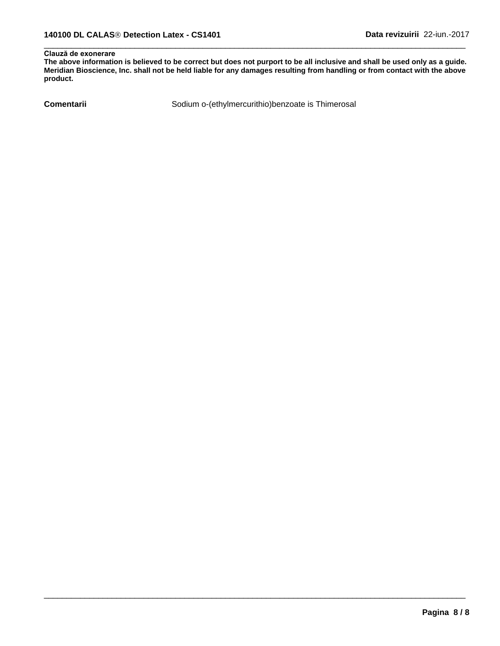## **Clauză de exonerare**

The above information is believed to be correct but does not purport to be all inclusive and shall be used only as a guide. Meridian Bioscience, Inc. shall not be held liable for any damages resulting from handling or from contact with the above **product.**

**Comentarii** Sodium o-(ethylmercurithio)benzoate is Thimerosal

 $\overline{\phantom{a}}$  ,  $\overline{\phantom{a}}$  ,  $\overline{\phantom{a}}$  ,  $\overline{\phantom{a}}$  ,  $\overline{\phantom{a}}$  ,  $\overline{\phantom{a}}$  ,  $\overline{\phantom{a}}$  ,  $\overline{\phantom{a}}$  ,  $\overline{\phantom{a}}$  ,  $\overline{\phantom{a}}$  ,  $\overline{\phantom{a}}$  ,  $\overline{\phantom{a}}$  ,  $\overline{\phantom{a}}$  ,  $\overline{\phantom{a}}$  ,  $\overline{\phantom{a}}$  ,  $\overline{\phantom{a}}$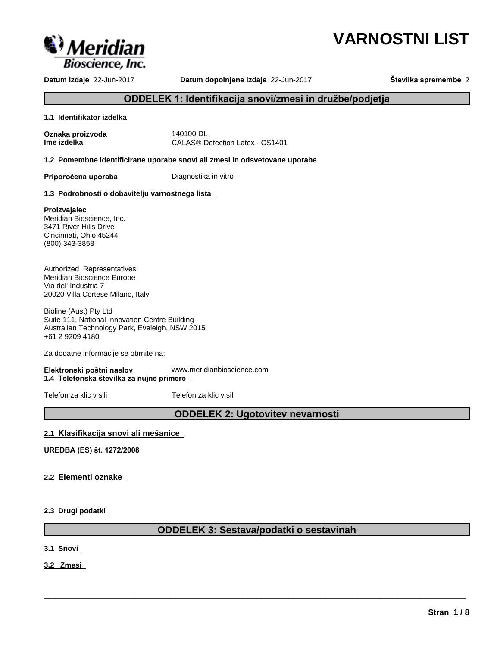# **VARNOSTNI LIST**



**Datum izdaje** 22-Jun-2017 **Datum dopolnjene izdaje** 22-Jun-2017 **Številka spremembe** 2

## **ODDELEK1:Identifikacijasnovi/zmesiindružbe/podjetja**

## **1.1 Identifikator izdelka**

**Oznaka proizvoda** 140100 DL

**Ime izdelka** CALAS<sup>®</sup> Detection Latex - CS1401

**1.2 Pomembne identificirane uporabe snovi ali zmesi in odsvetovane uporabe**

**Priporočena uporaba** Diagnostika in vitro

## **1.3 Podrobnosti o dobavitelju varnostnega lista**

## **Proizvajalec**

Meridian Bioscience, Inc. 3471 River Hills Drive Cincinnati, Ohio 45244 (800) 343-3858

Authorized Representatives: Meridian Bioscience Europe Via del' Industria 7 20020 Villa Cortese Milano, Italy

Bioline (Aust) Pty Ltd Suite 111, National Innovation Centre Building Australian Technology Park, Eveleigh, NSW 2015 +61 2 9209 4180

Za dodatne informacije se obrnite na:

**Elektronski poštni naslov** www.meridianbioscience.com **1.4 Telefonskaštevilkazanujneprimere**

Telefon za klic v sili Telefon za klic v sili

## **ODDELEK 2: Ugotovitev nevarnosti**

## **2.1 Klasifikacijasnovialimešanice**

**UREDBA(ES)št.1272/2008**

**2.2 Elementi oznake** 

**2.3 Drugi podatki**

## **ODDELEK 3: Sestava/podatki o sestavinah**

 $\overline{\phantom{a}}$  ,  $\overline{\phantom{a}}$  ,  $\overline{\phantom{a}}$  ,  $\overline{\phantom{a}}$  ,  $\overline{\phantom{a}}$  ,  $\overline{\phantom{a}}$  ,  $\overline{\phantom{a}}$  ,  $\overline{\phantom{a}}$  ,  $\overline{\phantom{a}}$  ,  $\overline{\phantom{a}}$  ,  $\overline{\phantom{a}}$  ,  $\overline{\phantom{a}}$  ,  $\overline{\phantom{a}}$  ,  $\overline{\phantom{a}}$  ,  $\overline{\phantom{a}}$  ,  $\overline{\phantom{a}}$ 

**3.1 Snovi** 

**3.2 Zmesi**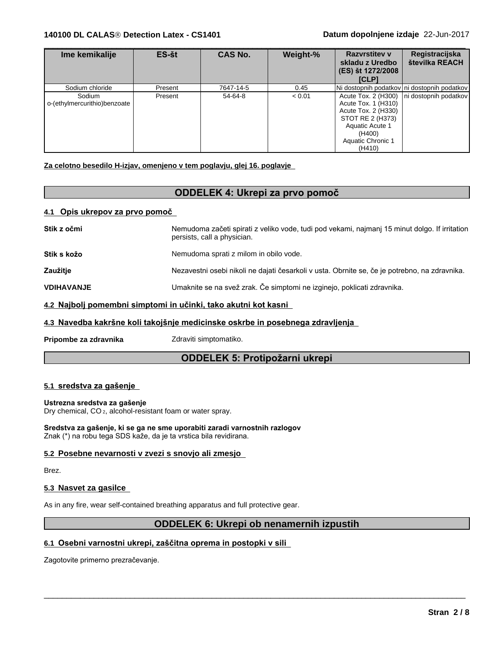| Ime kemikalije                         | ES-št   | <b>CAS No.</b> | Weight-% | <b>Razvrstitev v</b><br>skladu z Uredbo<br>(ES) št 1272/2008<br><b>ICLPI</b>                                               | Registracijska<br>številka REACH            |
|----------------------------------------|---------|----------------|----------|----------------------------------------------------------------------------------------------------------------------------|---------------------------------------------|
| Sodium chloride                        | Present | 7647-14-5      | 0.45     | Ni dostopnih podatkov ni dostopnih podatkov                                                                                |                                             |
| Sodium<br>o-(ethylmercurithio)benzoate | Present | 54-64-8        | < 0.01   | Acute Tox. 1 (H310)<br>Acute Tox. 2 (H330)<br>STOT RE 2 (H373)<br>Aquatic Acute 1<br>(H400)<br>Aquatic Chronic 1<br>(H410) | Acute Tox. 2 (H300)   ni dostopnih podatkov |

 $\overline{\phantom{a}}$  ,  $\overline{\phantom{a}}$  ,  $\overline{\phantom{a}}$  ,  $\overline{\phantom{a}}$  ,  $\overline{\phantom{a}}$  ,  $\overline{\phantom{a}}$  ,  $\overline{\phantom{a}}$  ,  $\overline{\phantom{a}}$  ,  $\overline{\phantom{a}}$  ,  $\overline{\phantom{a}}$  ,  $\overline{\phantom{a}}$  ,  $\overline{\phantom{a}}$  ,  $\overline{\phantom{a}}$  ,  $\overline{\phantom{a}}$  ,  $\overline{\phantom{a}}$  ,  $\overline{\phantom{a}}$ 

**Za celotno besedilo H-izjav, omenjeno v tem poglavju, glej 16. poglavje**

## **ODDELEK4:Ukrepizaprvopomoč**

## **4.1 Opisukrepovzaprvopomoč**

| Stik z očmi                                                                   | Nemudoma začeti spirati z veliko vode, tudi pod vekami, najmanj 15 minut dolgo. If irritation<br>persists, call a physician. |  |  |  |
|-------------------------------------------------------------------------------|------------------------------------------------------------------------------------------------------------------------------|--|--|--|
| Stik s kožo                                                                   | Nemudoma sprati z milom in obilo vode.                                                                                       |  |  |  |
| Zaužitje                                                                      | Nezavestni osebi nikoli ne dajati česarkoli v usta. Obrnite se, če je potrebno, na zdravnika.                                |  |  |  |
| <b>VDIHAVANJE</b>                                                             | Umaknite se na svež zrak. Če simptomi ne izginejo, poklicati zdravnika.                                                      |  |  |  |
| 4.2 Najbolj pomembni simptomi in učinki, tako akutni kot kasni                |                                                                                                                              |  |  |  |
| 4.3 Navedba kakršne koli takojšnje medicinske oskrbe in posebnega zdravljenja |                                                                                                                              |  |  |  |

**Pripombe za zdravnika** Zdraviti simptomatiko.

## **ODDELEK 5: Protipožarni ukrepi**

## **5.1 sredstvazagašenje**

#### **Ustreznasredstvazagašenje**

Dry chemical, CO 2, alcohol-resistant foam or water spray.

Sredstva za gašenje, ki se ga ne sme uporabiti zaradi varnostnih razlogov Znak (\*) na robu tega SDS kaže, da je ta vrstica bila revidirana.

## **5.2 Posebne nevarnostiv zvezi s snovjo ali zmesjo**

Brez.

## **5.3 Nasvet za gasilce**

As in any fire, wear self-contained breathing apparatus and full protective gear.

## **ODDELEK 6: Ukrepi ob nenamernih izpustih**

 $\overline{\phantom{a}}$  ,  $\overline{\phantom{a}}$  ,  $\overline{\phantom{a}}$  ,  $\overline{\phantom{a}}$  ,  $\overline{\phantom{a}}$  ,  $\overline{\phantom{a}}$  ,  $\overline{\phantom{a}}$  ,  $\overline{\phantom{a}}$  ,  $\overline{\phantom{a}}$  ,  $\overline{\phantom{a}}$  ,  $\overline{\phantom{a}}$  ,  $\overline{\phantom{a}}$  ,  $\overline{\phantom{a}}$  ,  $\overline{\phantom{a}}$  ,  $\overline{\phantom{a}}$  ,  $\overline{\phantom{a}}$ 

## 6.1 Osebni varnostni ukrepi, zaščitna oprema in postopki v sili

Zagotovite primerno prezračevanje.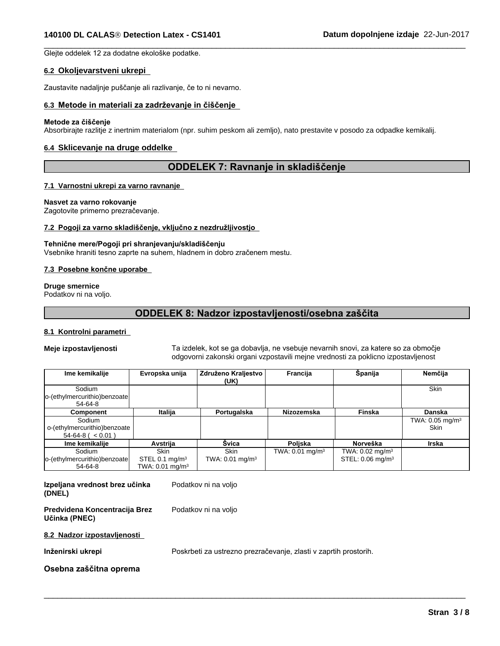Glejte oddelek 12 za dodatne ekološke podatke.

## **6.2 Okoljevarstveni ukrepi**

Zaustavite nadaljnje puščanje ali razlivanje, če to ni nevarno.

## **6.3 Metodeinmaterializazadrževanjeinčiščenje**

#### **Metodezačiščenje**

Absorbirajte razlitje z inertnim materialom (npr. suhim peskom ali zemljo), nato prestavite v posodo za odpadke kemikalij.

## **6.4 Sklicevanje na druge oddelke**

## **ODDELEK 7: Ravnanje in skladiščenje**

 $\overline{\phantom{a}}$  ,  $\overline{\phantom{a}}$  ,  $\overline{\phantom{a}}$  ,  $\overline{\phantom{a}}$  ,  $\overline{\phantom{a}}$  ,  $\overline{\phantom{a}}$  ,  $\overline{\phantom{a}}$  ,  $\overline{\phantom{a}}$  ,  $\overline{\phantom{a}}$  ,  $\overline{\phantom{a}}$  ,  $\overline{\phantom{a}}$  ,  $\overline{\phantom{a}}$  ,  $\overline{\phantom{a}}$  ,  $\overline{\phantom{a}}$  ,  $\overline{\phantom{a}}$  ,  $\overline{\phantom{a}}$ 

#### **7.1 Varnostni ukrepi za varno ravnanje**

#### **Nasvet za varno rokovanje**

Zagotovite primerno prezračevanje.

#### **7.2 Pogojizavarnoskladiščenje,vključnoznezdružljivostjo**

#### **Tehničnemere/Pogojiprishranjevanju/skladiščenju**

Vsebnike hraniti tesno zaprte na suhem, hladnem in dobro zračenem mestu.

#### **7.3 Posebne končne uporabe**

#### **Druge smernice**

Podatkov ni na voljo.

## **ODDELEK8:Nadzorizpostavljenosti/osebnazaščita**

## **8.1 Kontrolni parametri**

**Meje izpostavljenosti** Ta izdelek, kot se ga dobavlja, ne vsebuje nevarnih snovi, za katere so za območje odgovorni zakonski organi vzpostavili mejne vrednosti za poklicno izpostavljenost

| Ime kemikalije                                                   | Evropska unija                                                | Združeno Kraljestvo<br>(UK)               | Francija                      | Spanija                                                    | Nemčija                                   |
|------------------------------------------------------------------|---------------------------------------------------------------|-------------------------------------------|-------------------------------|------------------------------------------------------------|-------------------------------------------|
| Sodium<br>o-(ethylmercurithio)benzoate<br>54-64-8                |                                                               |                                           |                               |                                                            | <b>Skin</b>                               |
| Component                                                        | Italija                                                       | Portugalska                               | Nizozemska                    | Finska                                                     | <b>Danska</b>                             |
| Sodium<br>o-(ethylmercurithio)benzoate<br>$54-64-8$ ( $< 0.01$ ) |                                                               |                                           |                               |                                                            | TWA: $0.05 \text{ mg/m}^3$<br><b>Skin</b> |
| Ime kemikalije                                                   | Avstrija                                                      | <b>Švica</b>                              | Poljska                       | Norveška                                                   | Irska                                     |
| Sodium<br>o-(ethylmercurithio)benzoate<br>54-64-8                | <b>Skin</b><br>STEL 0.1 $mg/m3$<br>TWA: $0.01 \text{ mg/m}^3$ | <b>Skin</b><br>TWA: $0.01 \text{ mg/m}^3$ | TWA: $0.01$ mg/m <sup>3</sup> | TWA: $0.02 \text{ mg/m}^3$<br>STEL: 0.06 mg/m <sup>3</sup> |                                           |

#### Izpeljana vrednost brez učinka **(DNEL)** Podatkov ni na voljo

**Predvidena Koncentracija Brez Učinka(PNEC)** Podatkov ni na voljo

#### **8.2 Nadzor izpostavljenosti**

**Inženirski ukrepi** Poskrbeti za ustrezno prezračevanje, zlasti v zaprtih prostorih.

 $\overline{\phantom{a}}$  ,  $\overline{\phantom{a}}$  ,  $\overline{\phantom{a}}$  ,  $\overline{\phantom{a}}$  ,  $\overline{\phantom{a}}$  ,  $\overline{\phantom{a}}$  ,  $\overline{\phantom{a}}$  ,  $\overline{\phantom{a}}$  ,  $\overline{\phantom{a}}$  ,  $\overline{\phantom{a}}$  ,  $\overline{\phantom{a}}$  ,  $\overline{\phantom{a}}$  ,  $\overline{\phantom{a}}$  ,  $\overline{\phantom{a}}$  ,  $\overline{\phantom{a}}$  ,  $\overline{\phantom{a}}$ 

## **Osebnazaščitnaoprema**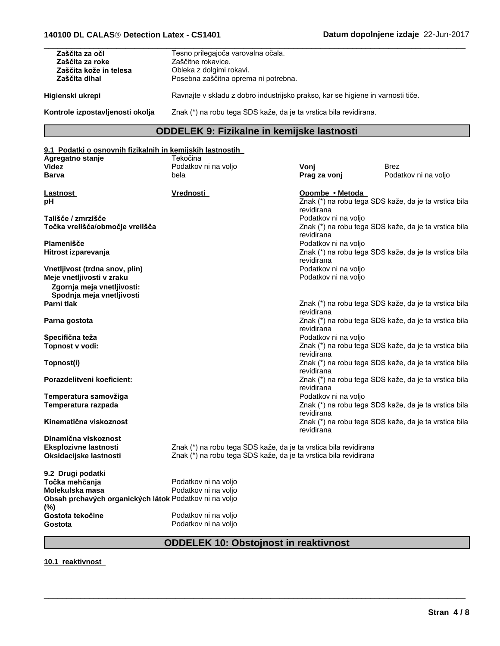| Zaščita za oči                   | Tesno prilegajoča varovalna očala.                                              |
|----------------------------------|---------------------------------------------------------------------------------|
| Zaščita za roke                  | Zaščitne rokavice.                                                              |
| Zaščita kože in telesa           | Obleka z dolgimi rokavi.                                                        |
| Zaščita dihal                    | Posebna zaščitna oprema ni potrebna.                                            |
|                                  |                                                                                 |
| Higienski ukrepi                 | Ravnajte v skladu z dobro industrijsko prakso, kar se higiene in varnosti tiče. |
|                                  |                                                                                 |
| Kontrole izpostavljenosti okolja | Znak (*) na robu tega SDS kaže, da je ta vrstica bila revidirana.               |
|                                  |                                                                                 |

 $\overline{\phantom{a}}$  ,  $\overline{\phantom{a}}$  ,  $\overline{\phantom{a}}$  ,  $\overline{\phantom{a}}$  ,  $\overline{\phantom{a}}$  ,  $\overline{\phantom{a}}$  ,  $\overline{\phantom{a}}$  ,  $\overline{\phantom{a}}$  ,  $\overline{\phantom{a}}$  ,  $\overline{\phantom{a}}$  ,  $\overline{\phantom{a}}$  ,  $\overline{\phantom{a}}$  ,  $\overline{\phantom{a}}$  ,  $\overline{\phantom{a}}$  ,  $\overline{\phantom{a}}$  ,  $\overline{\phantom{a}}$ 

## **ODDELEK 9: Fizikalne in kemijske lastnosti**

| 9.1 Podatki o osnovnih fizikalnih in kemijskih lastnostih                        |                                                                                                                                      |                      |                                                       |
|----------------------------------------------------------------------------------|--------------------------------------------------------------------------------------------------------------------------------------|----------------------|-------------------------------------------------------|
| Agregatno stanje                                                                 | Tekočina                                                                                                                             |                      |                                                       |
| Videz                                                                            | Podatkov ni na voljo                                                                                                                 | Vonj                 | <b>Brez</b>                                           |
| Barva                                                                            | bela                                                                                                                                 | Prag za vonj         | Podatkov ni na voljo                                  |
|                                                                                  |                                                                                                                                      |                      |                                                       |
| Lastnost                                                                         | Vrednosti                                                                                                                            | Opombe • Metoda      |                                                       |
| рH                                                                               |                                                                                                                                      | revidirana           | Znak (*) na robu tega SDS kaže, da je ta vrstica bila |
| Tališče / zmrzišče                                                               |                                                                                                                                      | Podatkov ni na voljo |                                                       |
| Točka vrelišča/območje vrelišča                                                  |                                                                                                                                      | revidirana           | Znak (*) na robu tega SDS kaže, da je ta vrstica bila |
| Plamenišče                                                                       |                                                                                                                                      | Podatkov ni na voljo |                                                       |
| Hitrost izparevanja                                                              |                                                                                                                                      | revidirana           | Znak (*) na robu tega SDS kaže, da je ta vrstica bila |
| Vnetljivost (trdna snov, plin)                                                   |                                                                                                                                      | Podatkov ni na voljo |                                                       |
| Meje vnetljivosti v zraku<br>Zgornja meja vnetljivosti:                          |                                                                                                                                      | Podatkov ni na voljo |                                                       |
| Spodnja meja vnetljivosti                                                        |                                                                                                                                      |                      |                                                       |
| Parni tlak                                                                       |                                                                                                                                      | revidirana           | Znak (*) na robu tega SDS kaže, da je ta vrstica bila |
| Parna gostota                                                                    |                                                                                                                                      | revidirana           | Znak (*) na robu tega SDS kaže, da je ta vrstica bila |
| Specifična teža                                                                  |                                                                                                                                      | Podatkov ni na voljo |                                                       |
| Topnost v vodi:                                                                  |                                                                                                                                      | revidirana           | Znak (*) na robu tega SDS kaže, da je ta vrstica bila |
| Topnost(i)                                                                       |                                                                                                                                      | revidirana           | Znak (*) na robu tega SDS kaže, da je ta vrstica bila |
| Porazdelitveni koeficient:                                                       |                                                                                                                                      | revidirana           | Znak (*) na robu tega SDS kaže, da je ta vrstica bila |
| Temperatura samovžiga                                                            |                                                                                                                                      | Podatkov ni na voljo |                                                       |
| Temperatura razpada                                                              |                                                                                                                                      |                      | Znak (*) na robu tega SDS kaže, da je ta vrstica bila |
|                                                                                  |                                                                                                                                      | revidirana           |                                                       |
| Kinematična viskoznost                                                           |                                                                                                                                      | revidirana           | Znak (*) na robu tega SDS kaže, da je ta vrstica bila |
| Dinamična viskoznost<br>Eksplozivne lastnosti<br>Oksidacijske lastnosti          | Znak (*) na robu tega SDS kaže, da je ta vrstica bila revidirana<br>Znak (*) na robu tega SDS kaže, da je ta vrstica bila revidirana |                      |                                                       |
| 9.2 Drugi podatki<br>Točka mehčanja                                              | Podatkov ni na voljo                                                                                                                 |                      |                                                       |
| Molekulska masa<br>Obsah prchavých organických látok Podatkov ni na voljo<br>(%) | Podatkov ni na voljo                                                                                                                 |                      |                                                       |
| Gostota tekočine                                                                 | Podatkov ni na voljo                                                                                                                 |                      |                                                       |
| Gostota                                                                          | Podatkov ni na voljo                                                                                                                 |                      |                                                       |
|                                                                                  |                                                                                                                                      |                      |                                                       |

## **ODDELEK 10: Obstojnost in reaktivnost**

 $\overline{\phantom{a}}$  ,  $\overline{\phantom{a}}$  ,  $\overline{\phantom{a}}$  ,  $\overline{\phantom{a}}$  ,  $\overline{\phantom{a}}$  ,  $\overline{\phantom{a}}$  ,  $\overline{\phantom{a}}$  ,  $\overline{\phantom{a}}$  ,  $\overline{\phantom{a}}$  ,  $\overline{\phantom{a}}$  ,  $\overline{\phantom{a}}$  ,  $\overline{\phantom{a}}$  ,  $\overline{\phantom{a}}$  ,  $\overline{\phantom{a}}$  ,  $\overline{\phantom{a}}$  ,  $\overline{\phantom{a}}$ 

## **10.1 reaktivnost**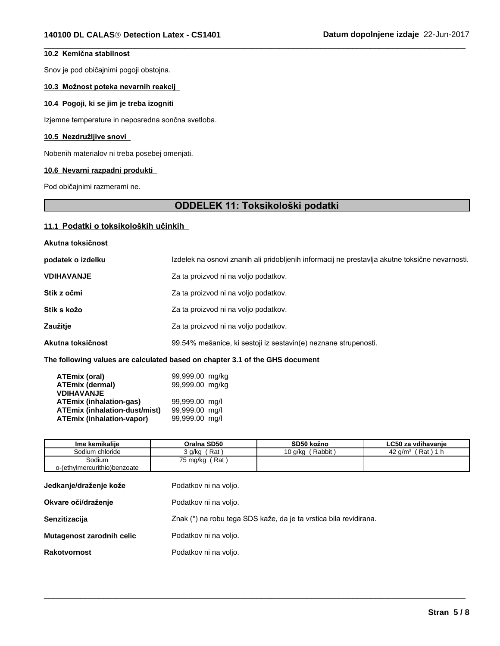## **10.2 Kemičnastabilnost**

Snov je pod običajnimi pogoji obstojna.

## 10.3 Možnost poteka nevarnih reakcij

## **10.4 Pogoji, ki se jim je treba izogniti**

Izjemne temperature in neposredna sončna svetloba.

## **10.5 Nezdružljive snovi**

Nobenih materialov ni treba posebej omenjati.

## **10.6 Nevarni razpadni produkti**

Pod običajnimi razmerami ne.

## **ODDELEK11:Toksikološkipodatki**

 $\overline{\phantom{a}}$  ,  $\overline{\phantom{a}}$  ,  $\overline{\phantom{a}}$  ,  $\overline{\phantom{a}}$  ,  $\overline{\phantom{a}}$  ,  $\overline{\phantom{a}}$  ,  $\overline{\phantom{a}}$  ,  $\overline{\phantom{a}}$  ,  $\overline{\phantom{a}}$  ,  $\overline{\phantom{a}}$  ,  $\overline{\phantom{a}}$  ,  $\overline{\phantom{a}}$  ,  $\overline{\phantom{a}}$  ,  $\overline{\phantom{a}}$  ,  $\overline{\phantom{a}}$  ,  $\overline{\phantom{a}}$ 

## 11.1 Podatki o toksikoloških učinkih

| podatek o izdelku | Izdelek na osnovi znanih ali pridobljenih informacij ne prestavlja akutne toksične nevarnosti. |
|-------------------|------------------------------------------------------------------------------------------------|
| <b>VDIHAVANJE</b> | Za ta proizvod ni na voljo podatkov.                                                           |
| Stik z očmi       | Za ta proizvod ni na voljo podatkov.                                                           |
| Stik s kožo       | Za ta proizvod ni na voljo podatkov.                                                           |
| Zaužitje          | Za ta proizvod ni na voljo podatkov.                                                           |
| Akutna toksičnost | 99.54% mešanice, ki sestoji iz sestavin(e) neznane strupenosti.                                |
|                   |                                                                                                |

**The following values are calculated based on chapter 3.1 of the GHS document**

| ATEmix (oral)                        | 99,999.00 mg/kg |  |
|--------------------------------------|-----------------|--|
| <b>ATEmix (dermal)</b>               | 99,999.00 mg/kg |  |
| <b>VDIHAVANJE</b>                    |                 |  |
| <b>ATEmix (inhalation-gas)</b>       | 99,999.00 mg/l  |  |
| <b>ATEmix (inhalation-dust/mist)</b> | 99,999.00 mg/l  |  |
| <b>ATEmix (inhalation-vapor)</b>     | 99,999.00 mg/l  |  |

| Ime kemikalije                         | Oralna SD50                                                       | SD50 kožno       | LC50 za vdihavanie     |
|----------------------------------------|-------------------------------------------------------------------|------------------|------------------------|
| Sodium chloride                        | $3$ g/kg (Rat)                                                    | 10 g/kg (Rabbit) | 42 $g/m3$<br>(Rat) 1 h |
| Sodium<br>o-(ethylmercurithio)benzoate | 75 mg/kg $(Rat)$                                                  |                  |                        |
| Jedkanje/draženje kože                 | Podatkov ni na voljo.                                             |                  |                        |
| Okvare oči/draženje                    | Podatkov ni na voljo.                                             |                  |                        |
| Senzitizacija                          | Znak (*) na robu tega SDS kaže, da je ta vrstica bila revidirana. |                  |                        |
| Mutagenost zarodnih celic              | Podatkov ni na voljo.                                             |                  |                        |
| Rakotvornost                           | Podatkov ni na voljo.                                             |                  |                        |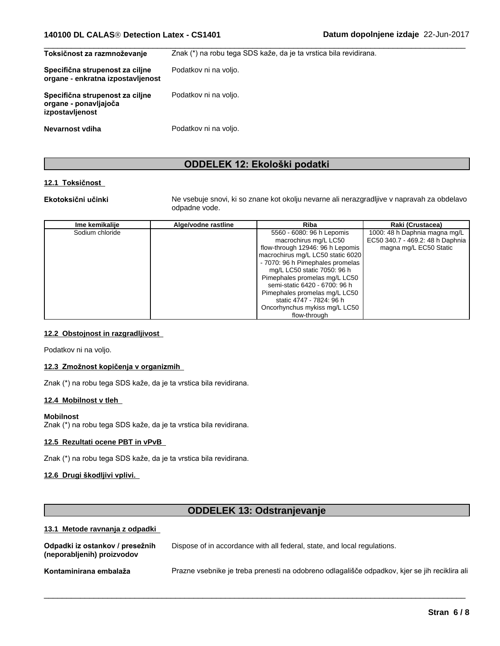| Toksičnost za razmnoževanje                                                 | Znak (*) na robu tega SDS kaže, da je ta vrstica bila revidirana. |
|-----------------------------------------------------------------------------|-------------------------------------------------------------------|
| Specifična strupenost za ciljne<br>organe - enkratna izpostavljenost        | Podatkov ni na voljo.                                             |
| Specifična strupenost za ciljne<br>organe - ponavljajoča<br>izpostavljenost | Podatkov ni na voljo.                                             |
| Nevarnost vdiha                                                             | Podatkov ni na voljo.                                             |
|                                                                             |                                                                   |

## **ODDELEK12:Ekološkipodatki**

## **12.1 Toksičnost**

Ekotoksični učinki **Nebuje snovi, ki so znane kot okolju nevarne** ali nerazgradljive v napravah za obdelavo odpadne vode.

| Ime kemikalije  | Alge/vodne rastline | <b>Riba</b>                       | Raki (Crustacea)                 |
|-----------------|---------------------|-----------------------------------|----------------------------------|
| Sodium chloride |                     | 5560 - 6080: 96 h Lepomis         | 1000: 48 h Daphnia magna mg/L    |
|                 |                     | macrochirus mg/L LC50             | EC50 340.7 - 469.2: 48 h Daphnia |
|                 |                     | flow-through 12946: 96 h Lepomis  | magna mg/L EC50 Static           |
|                 |                     | macrochirus mg/L LC50 static 6020 |                                  |
|                 |                     | - 7070: 96 h Pimephales promelas  |                                  |
|                 |                     | mg/L LC50 static 7050: 96 h       |                                  |
|                 |                     | Pimephales promelas mg/L LC50     |                                  |
|                 |                     | semi-static 6420 - 6700: 96 h     |                                  |
|                 |                     | Pimephales promelas mg/L LC50     |                                  |
|                 |                     | static 4747 - 7824: 96 h          |                                  |
|                 |                     | Oncorhynchus mykiss mg/L LC50     |                                  |
|                 |                     | flow-through                      |                                  |

## **12.2 Obstojnost in razgradljivost**

Podatkov ni na voljo.

## 12.3 Zmožnost kopičenja v organizmih

Znak (\*) na robu tega SDS kaže, da je ta vrstica bila revidirana.

## **12.4 Mobilnost v tleh**

## **Mobilnost**

Znak (\*) na robu tega SDS kaže, da je ta vrstica bila revidirana.

## **12.5 Rezultati ocene PBT in vPvB**

Znak (\*) na robu tega SDS kaže, da je ta vrstica bila revidirana.

## 12.6 Drugi škodljivi vplivi.

## **ODDELEK 13: Odstranjevanje**

## **13.1 Metode ravnanja z odpadki**

| Odpadki iz ostankov / presežnih<br>(neporabljenih) proizvodov | Dispose of in accordance with all federal, state, and local regulations.                      |
|---------------------------------------------------------------|-----------------------------------------------------------------------------------------------|
| Kontaminirana embalaža                                        | Prazne vsebnike je treba prenesti na odobreno odlagališče odpadkov, kjer se jih reciklira ali |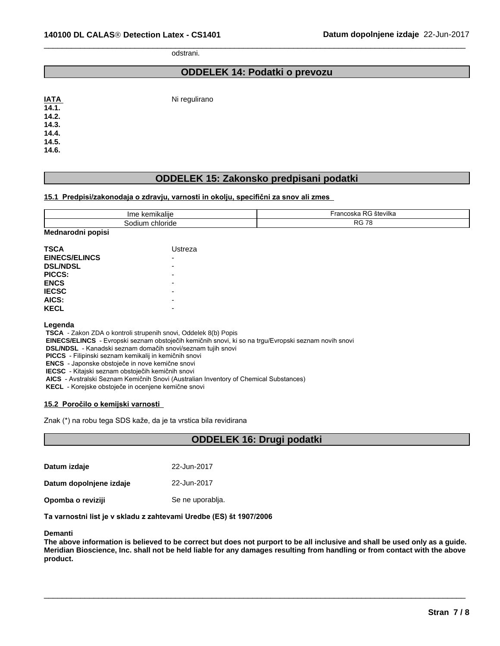odstrani.

## **ODDELEK 14: Podatki o prevozu**

 $\overline{\phantom{a}}$  ,  $\overline{\phantom{a}}$  ,  $\overline{\phantom{a}}$  ,  $\overline{\phantom{a}}$  ,  $\overline{\phantom{a}}$  ,  $\overline{\phantom{a}}$  ,  $\overline{\phantom{a}}$  ,  $\overline{\phantom{a}}$  ,  $\overline{\phantom{a}}$  ,  $\overline{\phantom{a}}$  ,  $\overline{\phantom{a}}$  ,  $\overline{\phantom{a}}$  ,  $\overline{\phantom{a}}$  ,  $\overline{\phantom{a}}$  ,  $\overline{\phantom{a}}$  ,  $\overline{\phantom{a}}$ 

| IATA  | Ni regulirano |
|-------|---------------|
| 14.1. |               |
| 14.2. |               |
| 14.3. |               |
| 14.4. |               |
| 14.5. |               |
| 14.6. |               |

## **ODDELEK 15: Zakonsko predpisani podatki**

## **15.1 Predpisi/zakonodajaozdravju,varnostiinokolju,specifičnizasnovalizmes**

| nıkalııe<br>ımı<br><b>NGI</b> | $\cdots$<br>0.1000<br>$\cdots$<br>viika<br>TIUUSNA<br>эĸ |
|-------------------------------|----------------------------------------------------------|
| າປາເາເ<br>chioride            | $\rightarrow$<br>RG<br>.<br>___                          |

#### **Mednarodni popisi**

| <b>TSCA</b>          | Ustreza |
|----------------------|---------|
| <b>EINECS/ELINCS</b> |         |
| <b>DSL/NDSL</b>      |         |
| PICCS:               |         |
| <b>ENCS</b>          | -       |
| <b>IECSC</b>         |         |
| AICS:                | -       |
| <b>KECL</b>          |         |
|                      |         |

#### **Legenda**

 **TSCA** - Zakon ZDA o kontroli strupenih snovi, Oddelek 8(b) Popis EINECS/ELINCS - Evropski seznam obstoječih kemičnih snovi, ki so na trgu/Evropski seznam novih snovi **DSL/NDSL** - Kanadski seznam domačih snovi/seznam tujih snovi **PICCS** - Filipinski seznam kemikalij in kemičnih snovi **ENCS** - Japonske obstoječe in nove kemične snovi **IECSC** - Kitajski seznam obstoječih kemičnih snovi **AICS** - Avstralski Seznam Kemičnih Snovi (Australian Inventory of Chemical Substances)

**KECL** - Korejske obstoječe in ocenjene kemične snovi

#### **15.2 Poročilo o kemijski varnosti**

Znak (\*) na robu tega SDS kaže, da je ta vrstica bila revidirana

## **ODDELEK 16: Drugi podatki**

| Datum izdaje            | 22-Jun-2017      |
|-------------------------|------------------|
| Datum dopolnjene izdaje | 22-Jun-2017      |
| Opomba o reviziji       | Se ne uporablja. |

Ta varnostni list je v skladu z zahtevami Uredbe (ES) št 1907/2006

#### **Demanti**

The above information is believed to be correct but does not purport to be all inclusive and shall be used only as a guide. Meridian Bioscience, Inc. shall not be held liable for any damages resulting from handling or from contact with the above **product.**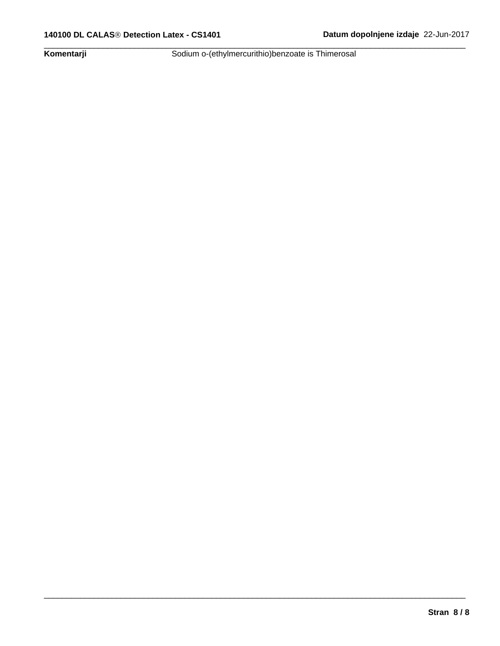**Komentarji** Sodium o-(ethylmercurithio)benzoate is Thimerosal

 $\overline{\phantom{a}}$  ,  $\overline{\phantom{a}}$  ,  $\overline{\phantom{a}}$  ,  $\overline{\phantom{a}}$  ,  $\overline{\phantom{a}}$  ,  $\overline{\phantom{a}}$  ,  $\overline{\phantom{a}}$  ,  $\overline{\phantom{a}}$  ,  $\overline{\phantom{a}}$  ,  $\overline{\phantom{a}}$  ,  $\overline{\phantom{a}}$  ,  $\overline{\phantom{a}}$  ,  $\overline{\phantom{a}}$  ,  $\overline{\phantom{a}}$  ,  $\overline{\phantom{a}}$  ,  $\overline{\phantom{a}}$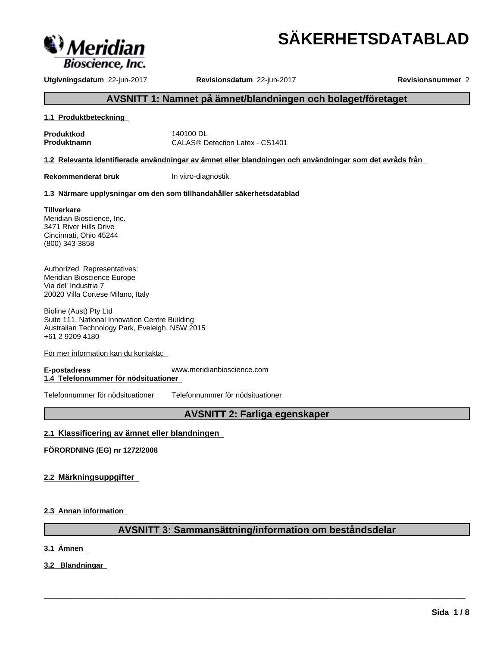

**Utgivningsdatum** 22-jun-2017 **Revisionsdatum** 22-jun-2017 **Revisionsnummer** 2

**SÄKERHETSDATABLAD**

## **AVSNITT 1: Namnet på ämnet/blandningen och bolaget/företaget**

#### **1.1 Produktbeteckning**

**Produktkod** 140100 DL

**Produktnamn** CALAS<sup>®</sup> Detection Latex - CS1401

**1.2 Relevanta identifierade användningar av ämnet eller blandningen och användningar som det avråds från**

**Rekommenderat bruk** In vitro-diagnostik

## **1.3 Närmare upplysningar om den som tillhandahåller säkerhetsdatablad**

## **Tillverkare**

Meridian Bioscience, Inc. 3471 River Hills Drive Cincinnati, Ohio 45244 (800) 343-3858

Authorized Representatives: Meridian Bioscience Europe Via del' Industria 7 20020 Villa Cortese Milano, Italy

Bioline (Aust) Pty Ltd Suite 111, National Innovation Centre Building Australian Technology Park, Eveleigh, NSW 2015 +61 2 9209 4180

För mer information kan du kontakta:

**E-postadress** www.meridianbioscience.com **1.4 Telefonnummer för nödsituationer**

Telefonnummer för nödsituationer Telefonnummer för nödsituationer

## **AVSNITT 2: Farliga egenskaper**

## **2.1 Klassificering av ämnet eller blandningen**

**FÖRORDNING (EG) nr 1272/2008**

## **2.2 Märkningsuppgifter**

**2.3 Annan information**

## **AVSNITT 3: Sammansättning/information om beståndsdelar**

 $\overline{\phantom{a}}$  ,  $\overline{\phantom{a}}$  ,  $\overline{\phantom{a}}$  ,  $\overline{\phantom{a}}$  ,  $\overline{\phantom{a}}$  ,  $\overline{\phantom{a}}$  ,  $\overline{\phantom{a}}$  ,  $\overline{\phantom{a}}$  ,  $\overline{\phantom{a}}$  ,  $\overline{\phantom{a}}$  ,  $\overline{\phantom{a}}$  ,  $\overline{\phantom{a}}$  ,  $\overline{\phantom{a}}$  ,  $\overline{\phantom{a}}$  ,  $\overline{\phantom{a}}$  ,  $\overline{\phantom{a}}$ 

**3.1 Ämnen**

**3.2 Blandningar**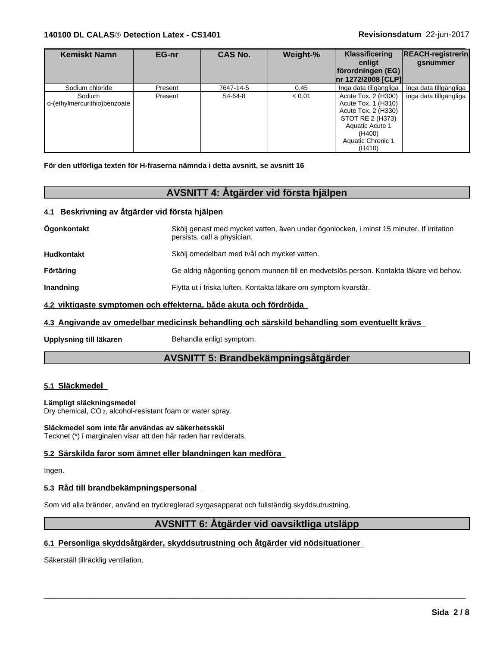| <b>Kemiskt Namn</b>                    | EG-nr   | <b>CAS No.</b> | Weight-% | <b>Klassificering</b><br>enligt                                                                                                                   | <b>REACH-registrerin</b><br>gsnummer |  |
|----------------------------------------|---------|----------------|----------|---------------------------------------------------------------------------------------------------------------------------------------------------|--------------------------------------|--|
|                                        |         |                |          | förordningen (EG) <br> nr 1272/2008 [CLP]                                                                                                         |                                      |  |
| Sodium chloride                        | Present | 7647-14-5      | 0.45     | Inga data tillgängliga                                                                                                                            | inga data tillgängliga               |  |
| Sodium<br>o-(ethylmercurithio)benzoate | Present | 54-64-8        | < 0.01   | Acute Tox. 2 (H300)<br>Acute Tox. 1 (H310)<br>Acute Tox. 2 (H330)<br>STOT RE 2 (H373)<br>Aquatic Acute 1<br>(H400)<br>Aquatic Chronic 1<br>(H410) | inga data tillgängliga               |  |

 $\overline{\phantom{a}}$  ,  $\overline{\phantom{a}}$  ,  $\overline{\phantom{a}}$  ,  $\overline{\phantom{a}}$  ,  $\overline{\phantom{a}}$  ,  $\overline{\phantom{a}}$  ,  $\overline{\phantom{a}}$  ,  $\overline{\phantom{a}}$  ,  $\overline{\phantom{a}}$  ,  $\overline{\phantom{a}}$  ,  $\overline{\phantom{a}}$  ,  $\overline{\phantom{a}}$  ,  $\overline{\phantom{a}}$  ,  $\overline{\phantom{a}}$  ,  $\overline{\phantom{a}}$  ,  $\overline{\phantom{a}}$ 

**För den utförliga texten för H-fraserna nämnda i detta avsnitt, se avsnitt 16**

## **AVSNITT 4: Åtgärder vid första hjälpen**

## **4.1 Beskrivning av åtgärder vid första hjälpen**

| Ögonkontakt | Skölj genast med mycket vatten, även under ögonlocken, i minst 15 minuter. If irritation<br>persists, call a physician. |
|-------------|-------------------------------------------------------------------------------------------------------------------------|
| Hudkontakt  | Skölj omedelbart med tvål och mycket vatten.                                                                            |
| Förtäring   | Ge aldrig någonting genom munnen till en medvetslös person. Kontakta läkare vid behov.                                  |
| Inandning   | Flytta ut i friska luften. Kontakta läkare om symptom kvarstår.                                                         |
|             | 4.2 viktigaste symptomen och effekterna, både akuta och fördröjda                                                       |
|             | 4.3 Angivande av omedelbar medicinsk behandling och särskild behandling som eventuellt krävs                            |
|             |                                                                                                                         |

## Upplysning till läkaren Behandla enligt symptom.

## **AVSNITT 5: Brandbekämpningsåtgärder**

## **5.1 Släckmedel**

## **Lämpligt släckningsmedel**

Dry chemical, CO 2, alcohol-resistant foam or water spray.

#### **Släckmedel som inte får användas av säkerhetsskäl** Tecknet (\*) i marginalen visar att den här raden har reviderats.

## **5.2 Särskilda faror som ämnet eller blandningen kan medföra**

## Ingen.

## **5.3 Råd till brandbekämpningspersonal**

Som vid alla bränder, använd en tryckreglerad syrgasapparat och fullständig skyddsutrustning.

## **AVSNITT 6: Åtgärder vid oavsiktliga utsläpp**

 $\overline{\phantom{a}}$  ,  $\overline{\phantom{a}}$  ,  $\overline{\phantom{a}}$  ,  $\overline{\phantom{a}}$  ,  $\overline{\phantom{a}}$  ,  $\overline{\phantom{a}}$  ,  $\overline{\phantom{a}}$  ,  $\overline{\phantom{a}}$  ,  $\overline{\phantom{a}}$  ,  $\overline{\phantom{a}}$  ,  $\overline{\phantom{a}}$  ,  $\overline{\phantom{a}}$  ,  $\overline{\phantom{a}}$  ,  $\overline{\phantom{a}}$  ,  $\overline{\phantom{a}}$  ,  $\overline{\phantom{a}}$ 

## **6.1 Personliga skyddsåtgärder, skyddsutrustning och åtgärder vid nödsituationer**

Säkerställ tillräcklig ventilation.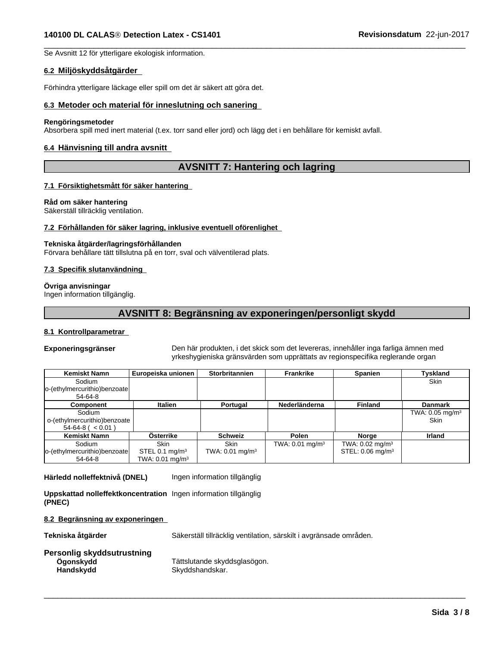Se Avsnitt 12 för ytterligare ekologisk information.

## **6.2 Miljöskyddsåtgärder**

Förhindra ytterligare läckage eller spill om det är säkert att göra det.

## **6.3 Metoder och material för inneslutning och sanering**

#### **Rengöringsmetoder**

Absorbera spill med inert material (t.ex. torr sand eller jord) och lägg det i en behållare för kemiskt avfall.

## **6.4 Hänvisning till andra avsnitt**

## **AVSNITT 7: Hantering och lagring**

 $\overline{\phantom{a}}$  ,  $\overline{\phantom{a}}$  ,  $\overline{\phantom{a}}$  ,  $\overline{\phantom{a}}$  ,  $\overline{\phantom{a}}$  ,  $\overline{\phantom{a}}$  ,  $\overline{\phantom{a}}$  ,  $\overline{\phantom{a}}$  ,  $\overline{\phantom{a}}$  ,  $\overline{\phantom{a}}$  ,  $\overline{\phantom{a}}$  ,  $\overline{\phantom{a}}$  ,  $\overline{\phantom{a}}$  ,  $\overline{\phantom{a}}$  ,  $\overline{\phantom{a}}$  ,  $\overline{\phantom{a}}$ 

## **7.1 Försiktighetsmått för säker hantering**

## **Råd om säker hantering**

Säkerställ tillräcklig ventilation.

## **7.2 Förhållanden för säker lagring, inklusive eventuell oförenlighet**

#### **Tekniska åtgärder/lagringsförhållanden**

Förvara behållare tätt tillslutna på en torr, sval och välventilerad plats.

#### **7.3 Specifik slutanvändning**

#### **Övriga anvisningar**

Ingen information tillgänglig.

## **AVSNITT 8: Begränsning av exponeringen/personligt skydd**

## **8.1 Kontrollparametrar**

**Exponeringsgränser** Den här produkten, i det skick som det levereras, innehåller inga farliga ämnen med yrkeshygieniska gränsvärden som upprättats av regionspecifika reglerande organ

| <b>Kemiskt Namn</b>          | Europeiska unionen         | <b>Storbritannien</b>      | <b>Frankrike</b>           | <b>Spanien</b>                 | Tyskland                      |
|------------------------------|----------------------------|----------------------------|----------------------------|--------------------------------|-------------------------------|
| Sodium                       |                            |                            |                            |                                | Skin                          |
| o-(ethylmercurithio)benzoate |                            |                            |                            |                                |                               |
| 54-64-8                      |                            |                            |                            |                                |                               |
| Component                    | <b>Italien</b>             | Portugal                   | Nederländerna              | <b>Finland</b>                 | <b>Danmark</b>                |
| Sodium                       |                            |                            |                            |                                | TWA: $0.05$ mg/m <sup>3</sup> |
| o-(ethylmercurithio)benzoate |                            |                            |                            |                                | Skin                          |
| $54-64-8$ ( $< 0.01$ )       |                            |                            |                            |                                |                               |
| <b>Kemiskt Namn</b>          | <b>Osterrike</b>           | <b>Schweiz</b>             | Polen                      | Norge                          | Irland                        |
| Sodium                       | <b>Skin</b>                | <b>Skin</b>                | TWA: $0.01 \text{ mg/m}^3$ | TWA: $0.02$ mg/m <sup>3</sup>  |                               |
| o-(ethylmercurithio)benzoate | STEL 0.1 mg/m <sup>3</sup> | TWA: $0.01 \text{ mg/m}^3$ |                            | STEL: $0.06$ mg/m <sup>3</sup> |                               |
| 54-64-8                      | TWA: 0.01 mg/m $^3$        |                            |                            |                                |                               |

**Härledd nolleffektnivå (DNEL)** Ingen information tillgänglig

**Uppskattad nolleffektkoncentration** Ingen information tillgänglig **(PNEC)**

## **8.2 Begränsning av exponeringen**

**Tekniska åtgärder** Säkerställ tillräcklig ventilation, särskilt i avgränsade områden.

 $\overline{\phantom{a}}$  ,  $\overline{\phantom{a}}$  ,  $\overline{\phantom{a}}$  ,  $\overline{\phantom{a}}$  ,  $\overline{\phantom{a}}$  ,  $\overline{\phantom{a}}$  ,  $\overline{\phantom{a}}$  ,  $\overline{\phantom{a}}$  ,  $\overline{\phantom{a}}$  ,  $\overline{\phantom{a}}$  ,  $\overline{\phantom{a}}$  ,  $\overline{\phantom{a}}$  ,  $\overline{\phantom{a}}$  ,  $\overline{\phantom{a}}$  ,  $\overline{\phantom{a}}$  ,  $\overline{\phantom{a}}$ 

| Personlig skyddsutrustning |                        |
|----------------------------|------------------------|
| Ogonskydd                  | Tättslutande skyddsgla |
| Handskydd                  | Skyddshandskar.        |

Tättslutande skyddsglasögon. Skyddshandskar.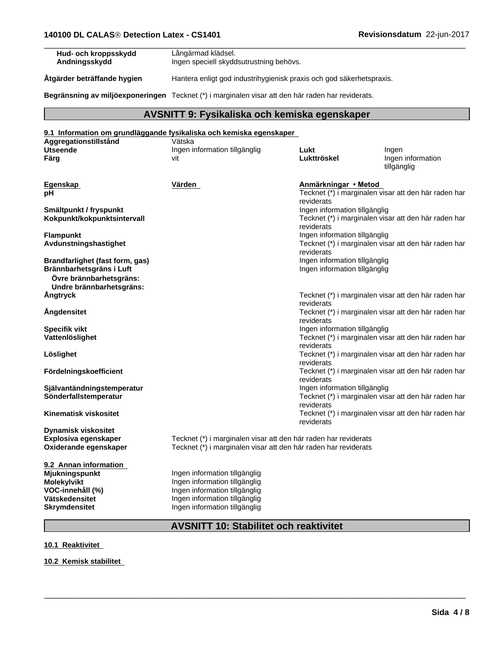| Hud- och kroppsskydd | Långärmad klädsel.                      |
|----------------------|-----------------------------------------|
| Andningsskydd        | Ingen speciell skyddsutrustning behövs. |
| .                    | <br>$\cdots$<br>.                       |

**Åtgärder beträffande hygien** Hantera enligt god industrihygienisk praxis och god säkerhetspraxis.

**Begränsning av miljöexponeringen** Tecknet (\*) i marginalen visar att den här raden har reviderats.

## **AVSNITT 9: Fysikaliska och kemiska egenskaper**

|                                                     | 9.1 Information om grundläggande fysikaliska och kemiska egenskaper |                               |                                                      |
|-----------------------------------------------------|---------------------------------------------------------------------|-------------------------------|------------------------------------------------------|
| Aggregationstillstånd<br><b>Utseende</b>            | Vätska<br>Ingen information tillgänglig                             | Lukt                          | Ingen                                                |
| Färg                                                | vit                                                                 | Lukttröskel                   | Ingen information<br>tillgänglig                     |
| <b>Egenskap</b>                                     | Värden                                                              | Anmärkningar • Metod          |                                                      |
| рH                                                  |                                                                     | reviderats                    | Tecknet (*) i marginalen visar att den här raden har |
| Smältpunkt / fryspunkt                              |                                                                     | Ingen information tillgänglig |                                                      |
| Kokpunkt/kokpunktsintervall                         |                                                                     | reviderats                    | Tecknet (*) i marginalen visar att den här raden har |
| <b>Flampunkt</b>                                    |                                                                     | Ingen information tillgänglig |                                                      |
| Avdunstningshastighet                               |                                                                     | reviderats                    | Tecknet (*) i marginalen visar att den här raden har |
| Brandfarlighet (fast form, gas)                     |                                                                     | Ingen information tillgänglig |                                                      |
| Brännbarhetsgräns i Luft                            |                                                                     | Ingen information tillgänglig |                                                      |
| Övre brännbarhetsgräns:<br>Undre brännbarhetsgräns: |                                                                     |                               |                                                      |
| Ångtryck                                            |                                                                     |                               | Tecknet (*) i marginalen visar att den här raden har |
|                                                     |                                                                     | reviderats                    |                                                      |
| Angdensitet                                         |                                                                     | reviderats                    | Tecknet (*) i marginalen visar att den här raden har |
| <b>Specifik vikt</b>                                |                                                                     | Ingen information tillgänglig |                                                      |
| Vattenlöslighet                                     |                                                                     | reviderats                    | Tecknet (*) i marginalen visar att den här raden har |
| Löslighet                                           |                                                                     | reviderats                    | Tecknet (*) i marginalen visar att den här raden har |
| Fördelningskoefficient                              |                                                                     | reviderats                    | Tecknet (*) i marginalen visar att den här raden har |
| Självantändningstemperatur                          |                                                                     | Ingen information tillgänglig |                                                      |
| Sönderfallstemperatur                               |                                                                     | reviderats                    | Tecknet (*) i marginalen visar att den här raden har |
| Kinematisk viskositet                               |                                                                     | reviderats                    | Tecknet (*) i marginalen visar att den här raden har |
| <b>Dynamisk viskositet</b>                          |                                                                     |                               |                                                      |
| Explosiva egenskaper                                | Tecknet (*) i marginalen visar att den här raden har reviderats     |                               |                                                      |
| Oxiderande egenskaper                               | Tecknet (*) i marginalen visar att den här raden har reviderats     |                               |                                                      |
| 9.2 Annan information                               |                                                                     |                               |                                                      |
| Mjukningspunkt                                      | Ingen information tillgänglig                                       |                               |                                                      |
| Molekylvikt                                         | Ingen information tillgänglig                                       |                               |                                                      |
| VOC-innehåll (%)<br>Vätskedensitet                  | Ingen information tillgänglig<br>Ingen information tillgänglig      |                               |                                                      |
| Skrvmdensitet                                       | Ingen information tillgänglig                                       |                               |                                                      |
|                                                     |                                                                     |                               |                                                      |

## **AVSNITT 10: Stabilitet och reaktivitet**

 $\overline{\phantom{a}}$  ,  $\overline{\phantom{a}}$  ,  $\overline{\phantom{a}}$  ,  $\overline{\phantom{a}}$  ,  $\overline{\phantom{a}}$  ,  $\overline{\phantom{a}}$  ,  $\overline{\phantom{a}}$  ,  $\overline{\phantom{a}}$  ,  $\overline{\phantom{a}}$  ,  $\overline{\phantom{a}}$  ,  $\overline{\phantom{a}}$  ,  $\overline{\phantom{a}}$  ,  $\overline{\phantom{a}}$  ,  $\overline{\phantom{a}}$  ,  $\overline{\phantom{a}}$  ,  $\overline{\phantom{a}}$ 

**10.1 Reaktivitet**

**10.2 Kemisk stabilitet**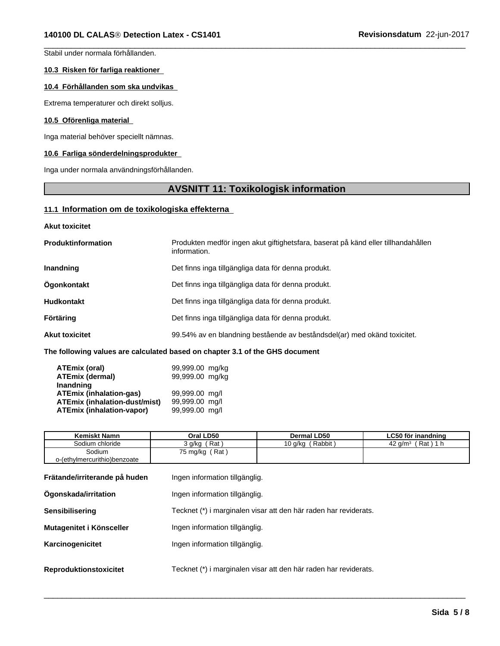Stabil under normala förhållanden.

## **10.3 Risken för farliga reaktioner**

#### **10.4 Förhållanden som ska undvikas**

Extrema temperaturer och direkt solljus.

## **10.5 Oförenliga material**

Inga material behöver speciellt nämnas.

## **10.6 Farliga sönderdelningsprodukter**

Inga under normala användningsförhållanden.

## **AVSNITT 11: Toxikologisk information**

 $\overline{\phantom{a}}$  ,  $\overline{\phantom{a}}$  ,  $\overline{\phantom{a}}$  ,  $\overline{\phantom{a}}$  ,  $\overline{\phantom{a}}$  ,  $\overline{\phantom{a}}$  ,  $\overline{\phantom{a}}$  ,  $\overline{\phantom{a}}$  ,  $\overline{\phantom{a}}$  ,  $\overline{\phantom{a}}$  ,  $\overline{\phantom{a}}$  ,  $\overline{\phantom{a}}$  ,  $\overline{\phantom{a}}$  ,  $\overline{\phantom{a}}$  ,  $\overline{\phantom{a}}$  ,  $\overline{\phantom{a}}$ 

## **11.1 Information om de toxikologiska effekterna**

| <b>Akut toxicitet</b>     |                                                                                                   |
|---------------------------|---------------------------------------------------------------------------------------------------|
| <b>Produktinformation</b> | Produkten medför ingen akut giftighetsfara, baserat på känd eller tillhandahållen<br>information. |
| <b>Inandning</b>          | Det finns inga tillgängliga data för denna produkt.                                               |
| Ögonkontakt               | Det finns inga tillgängliga data för denna produkt.                                               |
| <b>Hudkontakt</b>         | Det finns inga tillgängliga data för denna produkt.                                               |
| <b>Förtäring</b>          | Det finns inga tillgängliga data för denna produkt.                                               |
| <b>Akut toxicitet</b>     | 99.54% av en blandning bestående av beståndsdel(ar) med okänd toxicitet.                          |

**The following values are calculated based on chapter 3.1 of the GHS document**

| ATEmix (oral)                        | 99,999.00 mg/kg |  |
|--------------------------------------|-----------------|--|
| <b>ATEmix (dermal)</b>               | 99,999.00 mg/kg |  |
| Inandning                            |                 |  |
| <b>ATEmix (inhalation-gas)</b>       | 99,999.00 mg/l  |  |
| <b>ATEmix (inhalation-dust/mist)</b> | 99,999.00 mg/l  |  |
| <b>ATEmix (inhalation-vapor)</b>     | 99,999.00 mg/l  |  |

| <b>Kemiskt Namn</b>          | Oral LD50          | Dermal LD50       | LC50 för inandning                    |
|------------------------------|--------------------|-------------------|---------------------------------------|
| Sodium chloride              | Rat<br>, g/kg      | Rabbit<br>10 g/kg | Rat<br>$\sqrt{2}$<br>1 h<br>a/m<br>42 |
| Sodium                       | ∵Rat ,<br>/5 mg/kg |                   |                                       |
| o-(ethylmercurithio)benzoate |                    |                   |                                       |

| Frätande/irriterande på huden | Ingen information tillgänglig.                                   |
|-------------------------------|------------------------------------------------------------------|
| Ogonskada/irritation          | Ingen information tillgänglig.                                   |
| Sensibilisering               | Tecknet (*) i marginalen visar att den här raden har reviderats. |
| Mutagenitet i Könsceller      | Ingen information tillgänglig.                                   |
| Karcinogenicitet              | Ingen information tillgänglig.                                   |
| <b>Reproduktionstoxicitet</b> | Tecknet (*) i marginalen visar att den här raden har reviderats. |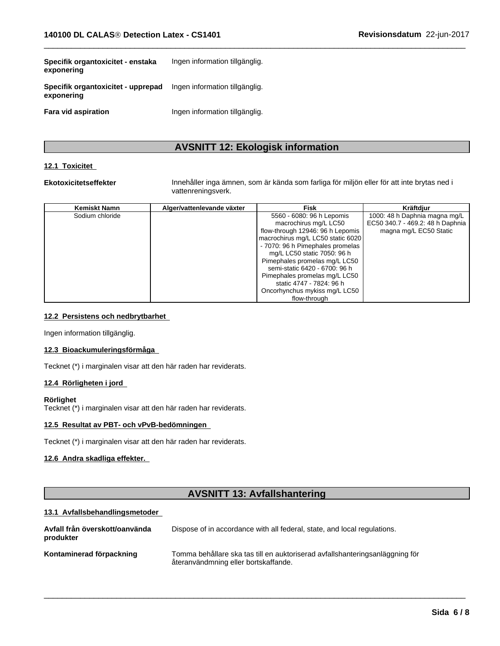| Specifik organtoxicitet - enstaka<br>exponering  | Ingen information tillgänglig. |
|--------------------------------------------------|--------------------------------|
| Specifik organtoxicitet - upprepad<br>exponering | Ingen information tillgänglig. |
| <b>Fara vid aspiration</b>                       | Ingen information tillgänglig. |

## **AVSNITT 12: Ekologisk information**

## **12.1 Toxicitet**

**Ekotoxicitetseffekter** Innehåller inga ämnen, som är kända som farliga för miljön eller för att inte brytas ned i vattenreningsverk.

 $\overline{\phantom{a}}$  ,  $\overline{\phantom{a}}$  ,  $\overline{\phantom{a}}$  ,  $\overline{\phantom{a}}$  ,  $\overline{\phantom{a}}$  ,  $\overline{\phantom{a}}$  ,  $\overline{\phantom{a}}$  ,  $\overline{\phantom{a}}$  ,  $\overline{\phantom{a}}$  ,  $\overline{\phantom{a}}$  ,  $\overline{\phantom{a}}$  ,  $\overline{\phantom{a}}$  ,  $\overline{\phantom{a}}$  ,  $\overline{\phantom{a}}$  ,  $\overline{\phantom{a}}$  ,  $\overline{\phantom{a}}$ 

| Kemiskt Namn    | Alger/vattenlevande växter | <b>Fisk</b>                       | <b>Kräftdiur</b>                 |
|-----------------|----------------------------|-----------------------------------|----------------------------------|
| Sodium chloride |                            | 5560 - 6080: 96 h Lepomis         | 1000: 48 h Daphnia magna mg/L    |
|                 |                            | macrochirus mg/L LC50             | EC50 340.7 - 469.2: 48 h Daphnia |
|                 |                            | flow-through 12946: 96 h Lepomis  | magna mg/L EC50 Static           |
|                 |                            | macrochirus mg/L LC50 static 6020 |                                  |
|                 |                            | - 7070: 96 h Pimephales promelas  |                                  |
|                 |                            | mg/L LC50 static 7050: 96 h       |                                  |
|                 |                            | Pimephales promelas mg/L LC50     |                                  |
|                 |                            | semi-static 6420 - 6700: 96 h     |                                  |
|                 |                            | Pimephales promelas mg/L LC50     |                                  |
|                 |                            | static 4747 - 7824: 96 h          |                                  |
|                 |                            | Oncorhynchus mykiss mg/L LC50     |                                  |
|                 |                            | flow-through                      |                                  |

## **12.2 Persistens och nedbrytbarhet**

Ingen information tillgänglig.

## **12.3 Bioackumuleringsförmåga**

Tecknet (\*) i marginalen visar att den här raden har reviderats.

## **12.4 Rörligheten i jord**

#### **Rörlighet**

Tecknet (\*) i marginalen visar att den här raden har reviderats.

## **12.5 Resultat av PBT- och vPvB-bedömningen**

Tecknet (\*) i marginalen visar att den här raden har reviderats.

## **12.6 Andra skadliga effekter.**

## **AVSNITT 13: Avfallshantering**

 $\overline{\phantom{a}}$  ,  $\overline{\phantom{a}}$  ,  $\overline{\phantom{a}}$  ,  $\overline{\phantom{a}}$  ,  $\overline{\phantom{a}}$  ,  $\overline{\phantom{a}}$  ,  $\overline{\phantom{a}}$  ,  $\overline{\phantom{a}}$  ,  $\overline{\phantom{a}}$  ,  $\overline{\phantom{a}}$  ,  $\overline{\phantom{a}}$  ,  $\overline{\phantom{a}}$  ,  $\overline{\phantom{a}}$  ,  $\overline{\phantom{a}}$  ,  $\overline{\phantom{a}}$  ,  $\overline{\phantom{a}}$ 

## **13.1 Avfallsbehandlingsmetoder**

| Avfall från överskott/oanvända<br>produkter | Dispose of in accordance with all federal, state, and local regulations.                                             |
|---------------------------------------------|----------------------------------------------------------------------------------------------------------------------|
| Kontaminerad förpackning                    | Tomma behållare ska tas till en auktoriserad avfallshanteringsanläggning för<br>återanvändmning eller bortskaffande. |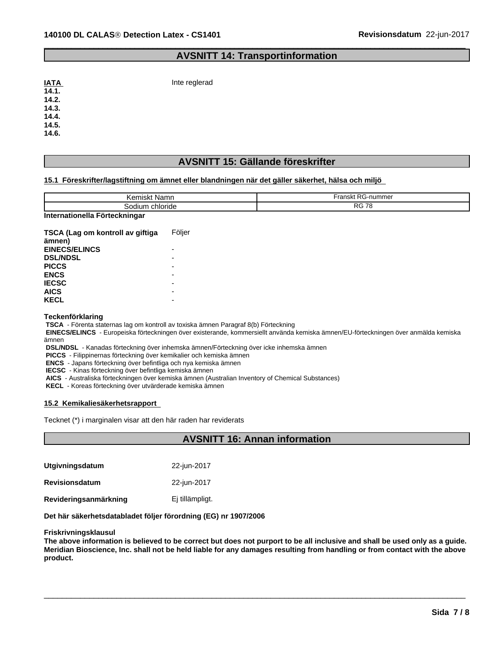## **AVSNITT 14: Transportinformation**

 $\overline{\phantom{a}}$  ,  $\overline{\phantom{a}}$  ,  $\overline{\phantom{a}}$  ,  $\overline{\phantom{a}}$  ,  $\overline{\phantom{a}}$  ,  $\overline{\phantom{a}}$  ,  $\overline{\phantom{a}}$  ,  $\overline{\phantom{a}}$  ,  $\overline{\phantom{a}}$  ,  $\overline{\phantom{a}}$  ,  $\overline{\phantom{a}}$  ,  $\overline{\phantom{a}}$  ,  $\overline{\phantom{a}}$  ,  $\overline{\phantom{a}}$  ,  $\overline{\phantom{a}}$  ,  $\overline{\phantom{a}}$ 

| <u>IATA</u> | Inte reglerad |
|-------------|---------------|
| 14.1.       |               |
| 14.2.       |               |
| 14.3.       |               |
| 14.4.       |               |
| 14.5.       |               |
| 14.6.       |               |

## **AVSNITT 15: Gällande föreskrifter**

#### **15.1 Föreskrifter/lagstiftning om ämnet eller blandningen när det gäller säkerhet, hälsa och miljö**

| Kemiskt .<br>∵Namn            | Franskt RG-nummer |  |
|-------------------------------|-------------------|--|
| Sodium chloride               | <b>RG 78</b>      |  |
| Internationella Förteckningar |                   |  |

| TSCA (Lag om kontroll av giftiga<br>ämnen) | Följer |
|--------------------------------------------|--------|
| <b>EINECS/ELINCS</b>                       |        |
| <b>DSL/NDSL</b>                            |        |
| <b>PICCS</b>                               |        |
| <b>ENCS</b>                                |        |
| <b>IECSC</b>                               |        |
| <b>AICS</b>                                |        |
| <b>KECL</b>                                |        |

#### **Teckenförklaring**

 **TSCA** - Förenta staternas lag om kontroll av toxiska ämnen Paragraf 8(b) Förteckning

 **EINECS/ELINCS** - Europeiska förteckningen över existerande, kommersiellt använda kemiska ämnen/EU-förteckningen över anmälda kemiska ämnen

 **DSL/NDSL** - Kanadas förteckning över inhemska ämnen/Förteckning över icke inhemska ämnen

 **PICCS** - Filippinernas förteckning över kemikalier och kemiska ämnen

 **ENCS** - Japans förteckning över befintliga och nya kemiska ämnen

 **IECSC** - Kinas förteckning över befintliga kemiska ämnen

 **AICS** - Australiska förteckningen över kemiska ämnen (Australian Inventory of Chemical Substances)

 **KECL** - Koreas förteckning över utvärderade kemiska ämnen

## **15.2 Kemikaliesäkerhetsrapport**

Tecknet (\*) i marginalen visar att den här raden har reviderats

## **AVSNITT 16: Annan information**

| Utgivningsdatum       | 22-jun-2017     |
|-----------------------|-----------------|
| <b>Revisionsdatum</b> | 22-jun-2017     |
| Revideringsanmärkning | Ei tillämpligt. |

**Det här säkerhetsdatabladet följer förordning (EG) nr 1907/2006**

#### **Friskrivningsklausul**

The above information is believed to be correct but does not purport to be all inclusive and shall be used only as a guide. Meridian Bioscience, Inc. shall not be held liable for any damages resulting from handling or from contact with the above **product.**